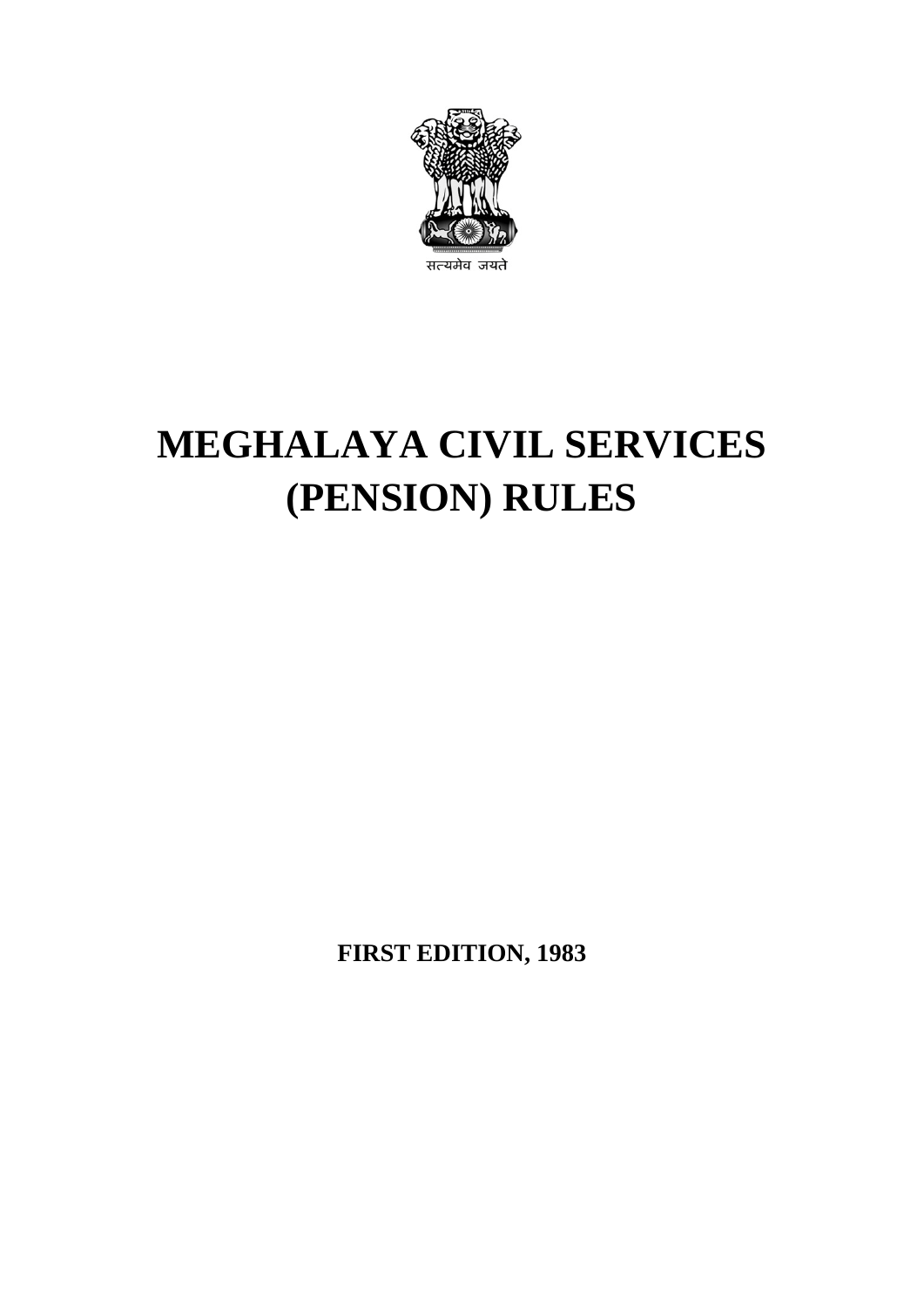

# **MEGHALAYA CIVIL SERVICES (PENSION) RULES**

**FIRST EDITION, 1983**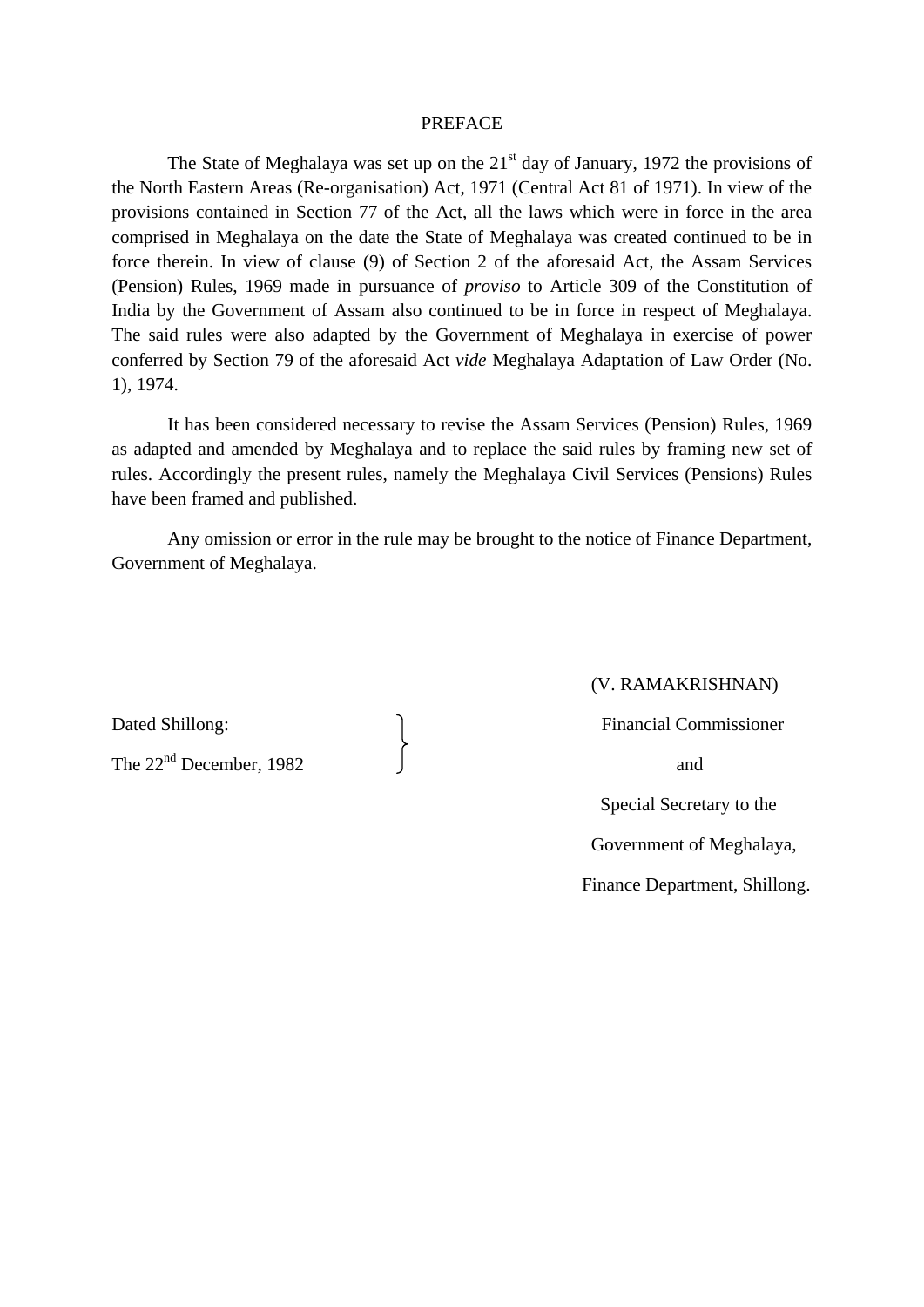#### PREFACE

The State of Meghalaya was set up on the  $21<sup>st</sup>$  day of January, 1972 the provisions of the North Eastern Areas (Re-organisation) Act, 1971 (Central Act 81 of 1971). In view of the provisions contained in Section 77 of the Act, all the laws which were in force in the area comprised in Meghalaya on the date the State of Meghalaya was created continued to be in force therein. In view of clause (9) of Section 2 of the aforesaid Act, the Assam Services (Pension) Rules, 1969 made in pursuance of *proviso* to Article 309 of the Constitution of India by the Government of Assam also continued to be in force in respect of Meghalaya. The said rules were also adapted by the Government of Meghalaya in exercise of power conferred by Section 79 of the aforesaid Act *vide* Meghalaya Adaptation of Law Order (No. 1), 1974.

It has been considered necessary to revise the Assam Services (Pension) Rules, 1969 as adapted and amended by Meghalaya and to replace the said rules by framing new set of rules. Accordingly the present rules, namely the Meghalaya Civil Services (Pensions) Rules have been framed and published.

Any omission or error in the rule may be brought to the notice of Finance Department, Government of Meghalaya.

The  $22<sup>nd</sup>$  December, 1982 and

## (V. RAMAKRISHNAN)

Dated Shillong: and The Shillong: The Shillong: The Shillong: The Shillong Shillong: The Shillong Shillong Shillong Shillong Shillong Shillong Shillong Shillong Shillong Shillong Shillong Shillong Shillong Shillong Shillon

 Special Secretary to the Government of Meghalaya, Finance Department, Shillong.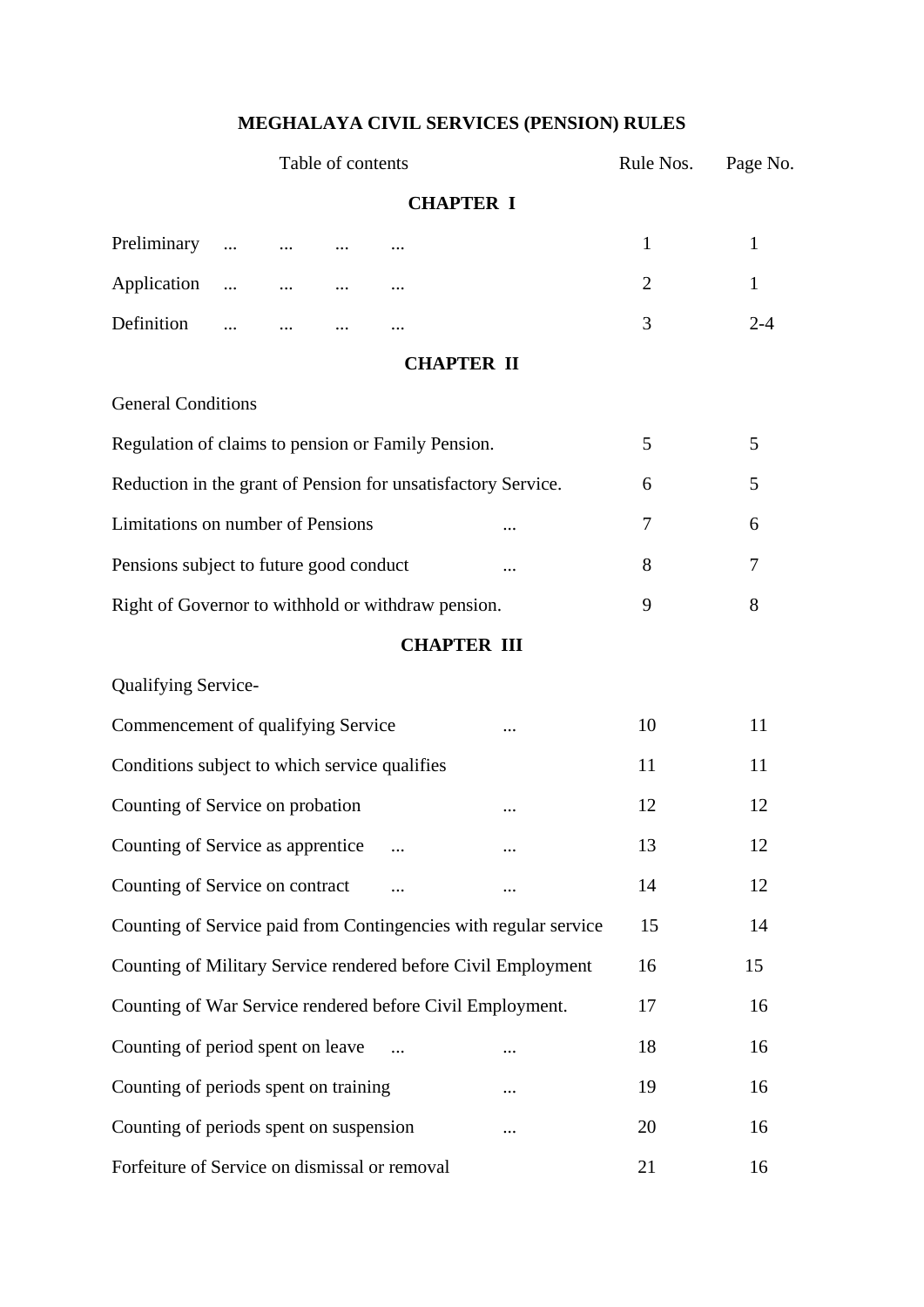# **MEGHALAYA CIVIL SERVICES (PENSION) RULES**

| Table of contents                                             |                   |  |  | Rule Nos.          | Page No.                                                         |                |              |
|---------------------------------------------------------------|-------------------|--|--|--------------------|------------------------------------------------------------------|----------------|--------------|
| <b>CHAPTER I</b>                                              |                   |  |  |                    |                                                                  |                |              |
| Preliminary                                                   |                   |  |  |                    |                                                                  | 1              | $\mathbf{1}$ |
| Application                                                   |                   |  |  |                    |                                                                  | $\overline{2}$ | $\mathbf{1}$ |
| Definition                                                    | $\cdots$ $\cdots$ |  |  |                    |                                                                  | 3              | $2 - 4$      |
|                                                               |                   |  |  | <b>CHAPTER II</b>  |                                                                  |                |              |
| <b>General Conditions</b>                                     |                   |  |  |                    |                                                                  |                |              |
| Regulation of claims to pension or Family Pension.            |                   |  |  |                    |                                                                  | 5              | 5            |
| Reduction in the grant of Pension for unsatisfactory Service. |                   |  |  |                    |                                                                  | 6              | 5            |
| Limitations on number of Pensions                             |                   |  |  |                    |                                                                  | 7              | 6            |
| Pensions subject to future good conduct                       |                   |  |  |                    | $\cdots$                                                         | 8              | 7            |
| Right of Governor to withhold or withdraw pension.            |                   |  |  | 9                  | 8                                                                |                |              |
|                                                               |                   |  |  | <b>CHAPTER III</b> |                                                                  |                |              |
| <b>Qualifying Service-</b>                                    |                   |  |  |                    |                                                                  |                |              |
| Commencement of qualifying Service                            |                   |  |  |                    |                                                                  | 10             | 11           |
| Conditions subject to which service qualifies                 |                   |  |  |                    |                                                                  | 11             | 11           |
| Counting of Service on probation                              |                   |  |  |                    |                                                                  | 12             | 12           |
| Counting of Service as apprentice                             |                   |  |  |                    |                                                                  | 13             | 12           |
| Counting of Service on contract                               |                   |  |  |                    |                                                                  | 14             | 12           |
|                                                               |                   |  |  |                    | Counting of Service paid from Contingencies with regular service | 15             | 14           |
|                                                               |                   |  |  |                    | Counting of Military Service rendered before Civil Employment    | 16             | 15           |
| Counting of War Service rendered before Civil Employment.     |                   |  |  |                    |                                                                  | 17             | 16           |
| Counting of period spent on leave                             |                   |  |  |                    |                                                                  | 18             | 16           |
| Counting of periods spent on training                         |                   |  |  |                    |                                                                  | 19             | 16           |
| Counting of periods spent on suspension                       |                   |  |  |                    |                                                                  | 20             | 16           |
| Forfeiture of Service on dismissal or removal                 |                   |  |  |                    |                                                                  | 21             | 16           |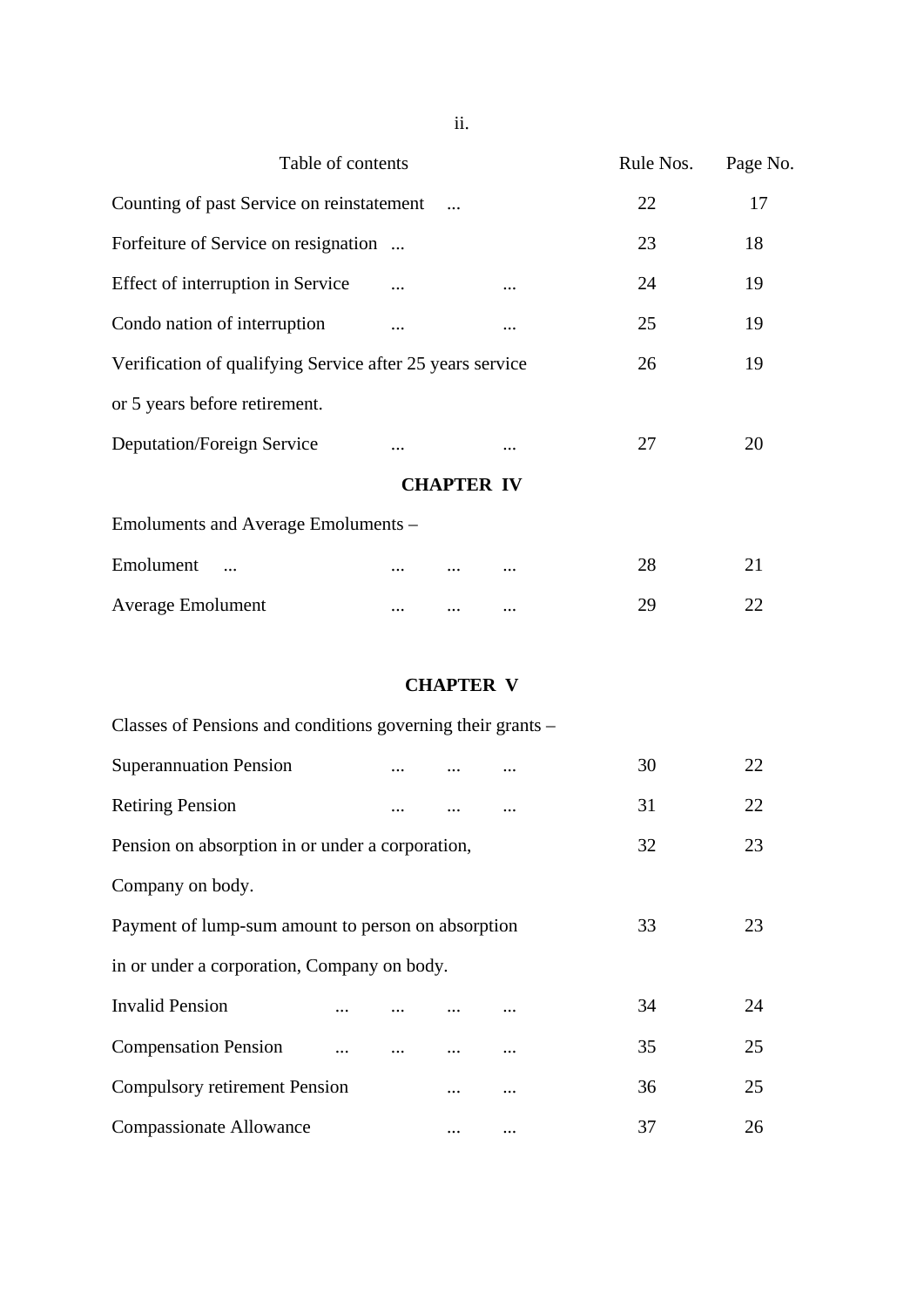| Table of contents                                         |          |                   |          | Rule Nos. | Page No. |
|-----------------------------------------------------------|----------|-------------------|----------|-----------|----------|
| Counting of past Service on reinstatement                 |          |                   | 22       | 17        |          |
| Forfeiture of Service on resignation                      |          |                   |          | 23        | 18       |
| Effect of interruption in Service                         |          |                   |          | 24        | 19       |
| Condo nation of interruption                              |          |                   | $\cdots$ | 25        | 19       |
| Verification of qualifying Service after 25 years service | 26       | 19                |          |           |          |
| or 5 years before retirement.                             |          |                   |          |           |          |
| Deputation/Foreign Service                                | $\cdots$ |                   |          | 27        | 20       |
|                                                           |          | <b>CHAPTER IV</b> |          |           |          |
| Emoluments and Average Emoluments –                       |          |                   |          |           |          |
| Emolument                                                 |          |                   |          | 28        | 21       |
| <b>Average Emolument</b>                                  | $\cdots$ |                   | $\cdots$ | 29        | 22       |

# **CHAPTER V**

| Classes of Pensions and conditions governing their grants – |    |    |    |    |
|-------------------------------------------------------------|----|----|----|----|
| <b>Superannuation Pension</b>                               |    |    | 30 | 22 |
| <b>Retiring Pension</b>                                     |    |    | 31 | 22 |
| Pension on absorption in or under a corporation,            |    |    | 32 | 23 |
| Company on body.                                            |    |    |    |    |
| Payment of lump-sum amount to person on absorption          | 33 | 23 |    |    |
| in or under a corporation, Company on body.                 |    |    |    |    |
| <b>Invalid Pension</b><br>                                  |    |    | 34 | 24 |
| <b>Compensation Pension</b>                                 |    |    | 35 | 25 |
| <b>Compulsory retirement Pension</b>                        |    |    | 36 | 25 |
| <b>Compassionate Allowance</b>                              |    |    | 37 | 26 |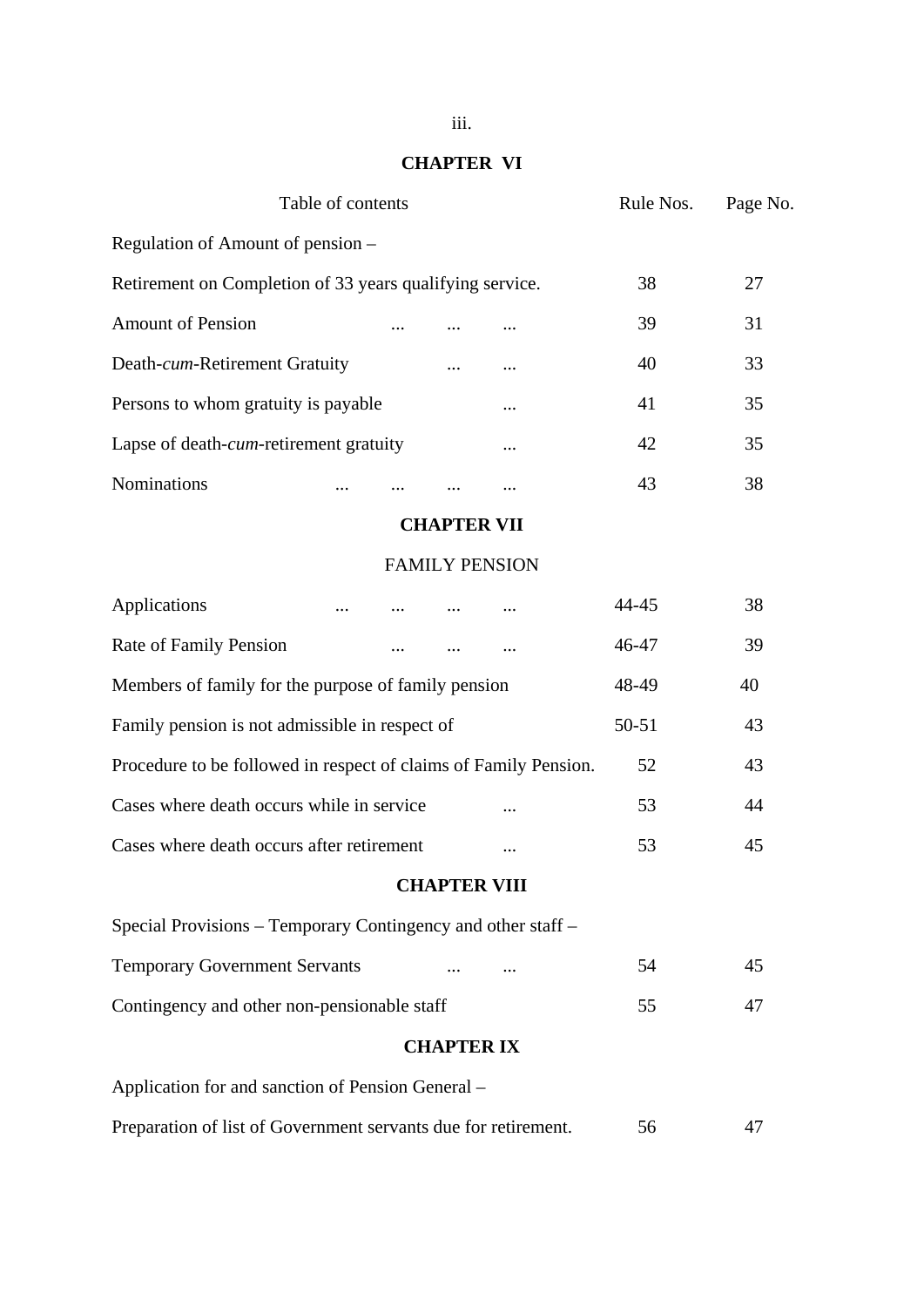# **CHAPTER VI**

| Table of contents                                                |  |                       |                     |  | Rule Nos. | Page No. |
|------------------------------------------------------------------|--|-----------------------|---------------------|--|-----------|----------|
| Regulation of Amount of pension –                                |  |                       |                     |  |           |          |
| Retirement on Completion of 33 years qualifying service.         |  |                       |                     |  | 38        | 27       |
| <b>Amount of Pension</b>                                         |  |                       |                     |  | 39        | 31       |
| Death-cum-Retirement Gratuity                                    |  |                       |                     |  | 40        | 33       |
| Persons to whom gratuity is payable                              |  |                       |                     |  | 41        | 35       |
| Lapse of death- <i>cum</i> -retirement gratuity                  |  |                       |                     |  | 42        | 35       |
| Nominations                                                      |  |                       |                     |  | 43        | 38       |
|                                                                  |  |                       | <b>CHAPTER VII</b>  |  |           |          |
|                                                                  |  | <b>FAMILY PENSION</b> |                     |  |           |          |
| Applications                                                     |  |                       |                     |  | 44-45     | 38       |
| Rate of Family Pension                                           |  |                       |                     |  | 46-47     | 39       |
| Members of family for the purpose of family pension              |  |                       |                     |  | 48-49     | 40       |
| Family pension is not admissible in respect of                   |  |                       |                     |  | $50 - 51$ | 43       |
| Procedure to be followed in respect of claims of Family Pension. |  |                       |                     |  | 52        | 43       |
| Cases where death occurs while in service                        |  |                       |                     |  | 53        | 44       |
| Cases where death occurs after retirement                        |  |                       |                     |  | 53        | 45       |
|                                                                  |  |                       | <b>CHAPTER VIII</b> |  |           |          |
| Special Provisions – Temporary Contingency and other staff –     |  |                       |                     |  |           |          |
| <b>Temporary Government Servants</b>                             |  |                       |                     |  | 54        | 45       |
| Contingency and other non-pensionable staff                      |  |                       |                     |  | 55        | 47       |
|                                                                  |  |                       | <b>CHAPTER IX</b>   |  |           |          |
| Application for and sanction of Pension General -                |  |                       |                     |  |           |          |
| Preparation of list of Government servants due for retirement.   |  |                       |                     |  | 56        | 47       |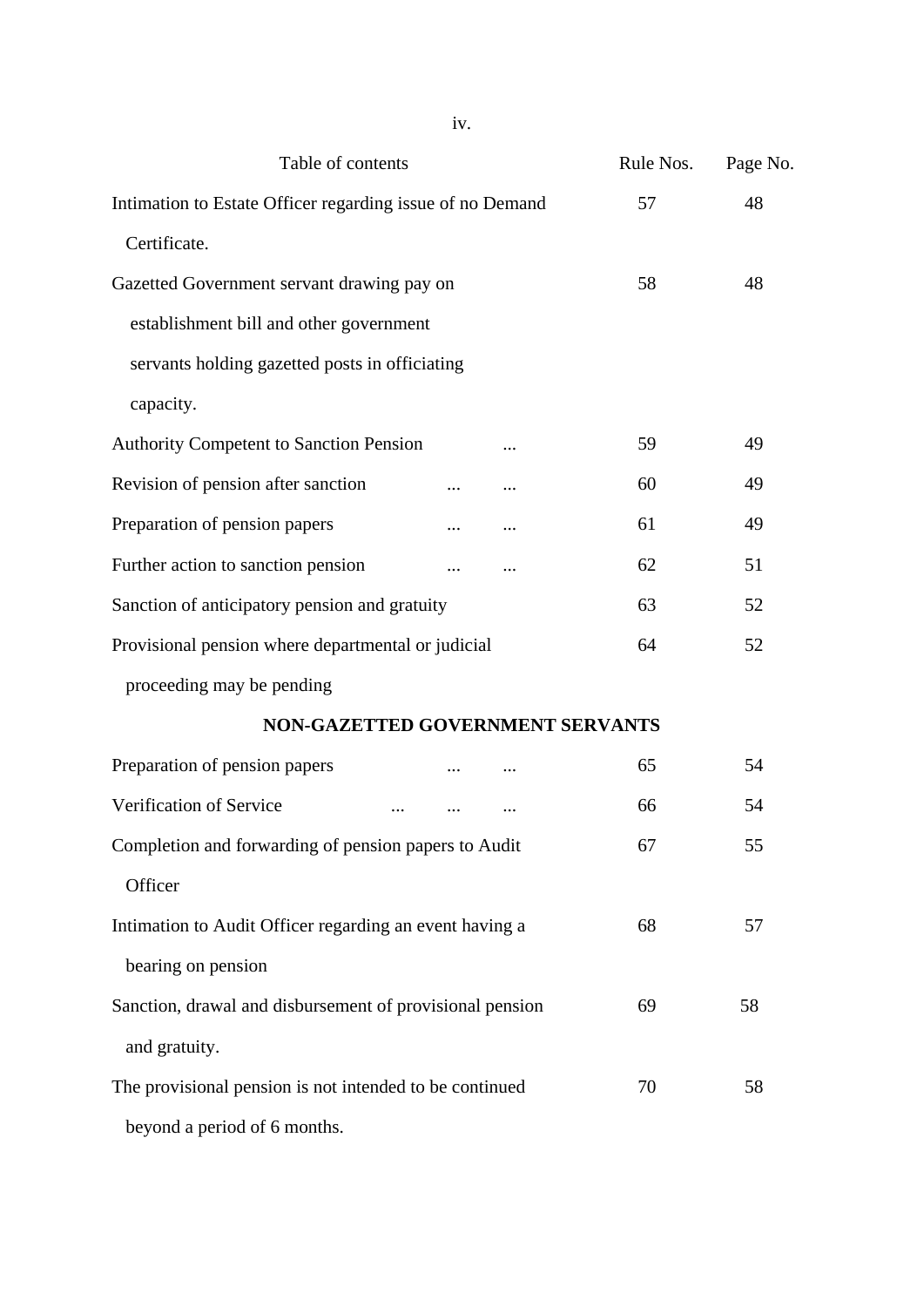| Table of contents                                         | Rule Nos. | Page No. |
|-----------------------------------------------------------|-----------|----------|
| Intimation to Estate Officer regarding issue of no Demand | 57        | 48       |
| Certificate.                                              |           |          |
| Gazetted Government servant drawing pay on                | 58        | 48       |
| establishment bill and other government                   |           |          |
| servants holding gazetted posts in officiating            |           |          |
| capacity.                                                 |           |          |
| <b>Authority Competent to Sanction Pension</b>            | 59        | 49       |
| Revision of pension after sanction                        | 60        | 49       |
| Preparation of pension papers                             | 61        | 49       |
| Further action to sanction pension                        | 62        | 51       |
| Sanction of anticipatory pension and gratuity             | 63        | 52       |
| Provisional pension where departmental or judicial        | 64        | 52       |
| proceeding may be pending                                 |           |          |
| NON-GAZETTED GOVERNMENT SERVANTS                          |           |          |
| Preparation of pension papers                             | 65        | 54       |
| Verification of Service                                   | 66        | 54       |
| Completion and forwarding of pension papers to Audit      | 67        | 55       |
| Officer                                                   |           |          |
| Intimation to Audit Officer regarding an event having a   | 68        | 57       |
| bearing on pension                                        |           |          |
| Sanction, drawal and disbursement of provisional pension  | 69        | 58       |
| and gratuity.                                             |           |          |
| The provisional pension is not intended to be continued   | 70        | 58       |
| beyond a period of 6 months.                              |           |          |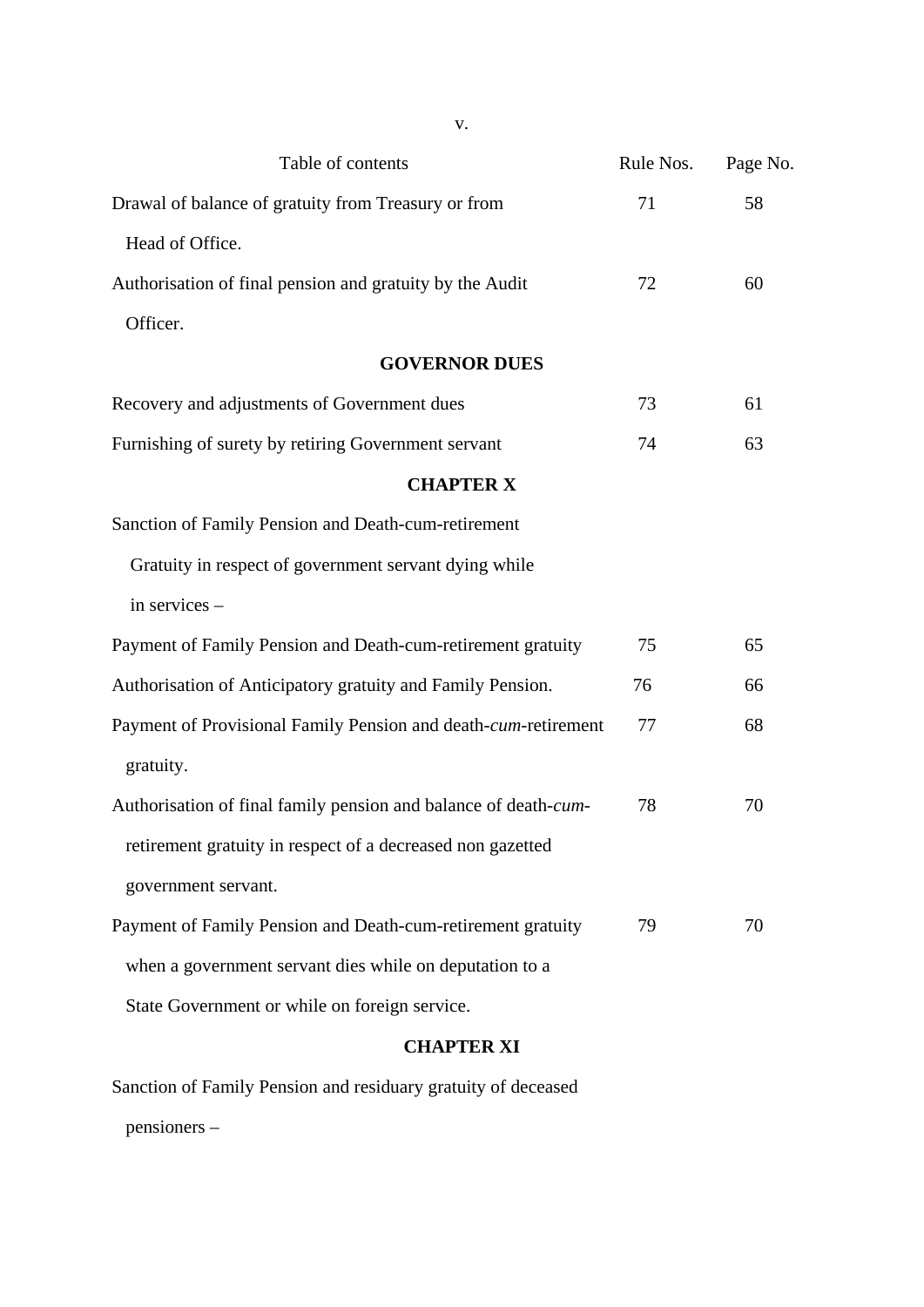| Table of contents                                               | Rule Nos. | Page No. |
|-----------------------------------------------------------------|-----------|----------|
| Drawal of balance of gratuity from Treasury or from             | 71        | 58       |
| Head of Office.                                                 |           |          |
| Authorisation of final pension and gratuity by the Audit        | 72        | 60       |
| Officer.                                                        |           |          |
| <b>GOVERNOR DUES</b>                                            |           |          |
| Recovery and adjustments of Government dues                     | 73        | 61       |
| Furnishing of surety by retiring Government servant             | 74        | 63       |
| <b>CHAPTER X</b>                                                |           |          |
| Sanction of Family Pension and Death-cum-retirement             |           |          |
| Gratuity in respect of government servant dying while           |           |          |
| in services -                                                   |           |          |
| Payment of Family Pension and Death-cum-retirement gratuity     | 75        | 65       |
| Authorisation of Anticipatory gratuity and Family Pension.      | 76        | 66       |
| Payment of Provisional Family Pension and death-cum-retirement  | 77        | 68       |
| gratuity.                                                       |           |          |
| Authorisation of final family pension and balance of death-cum- | 78        | 70       |
| retirement gratuity in respect of a decreased non gazetted      |           |          |
| government servant.                                             |           |          |
| Payment of Family Pension and Death-cum-retirement gratuity     | 79        | 70       |
| when a government servant dies while on deputation to a         |           |          |
| State Government or while on foreign service.                   |           |          |
| <b>CHAPTER XI</b>                                               |           |          |

Sanction of Family Pension and residuary gratuity of deceased pensioners –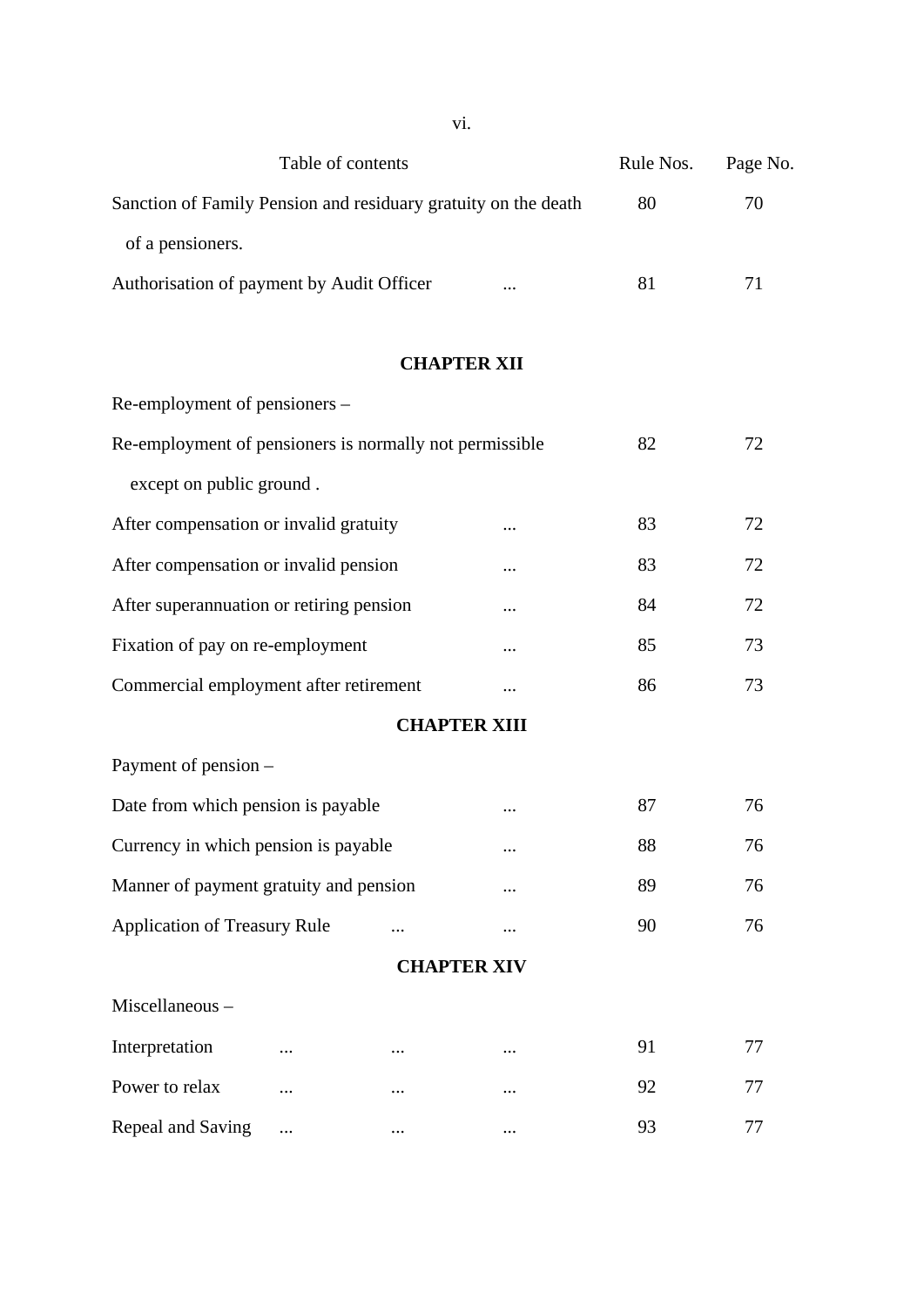|                                                                |                   | νт.                 |          |           |          |  |  |
|----------------------------------------------------------------|-------------------|---------------------|----------|-----------|----------|--|--|
|                                                                | Table of contents |                     |          | Rule Nos. | Page No. |  |  |
| Sanction of Family Pension and residuary gratuity on the death |                   | 80                  | 70       |           |          |  |  |
| of a pensioners.                                               |                   |                     |          |           |          |  |  |
| Authorisation of payment by Audit Officer                      |                   |                     |          | 81        | 71       |  |  |
|                                                                |                   |                     |          |           |          |  |  |
|                                                                |                   | <b>CHAPTER XII</b>  |          |           |          |  |  |
| Re-employment of pensioners -                                  |                   |                     |          |           |          |  |  |
| Re-employment of pensioners is normally not permissible        |                   |                     |          | 82        | 72       |  |  |
| except on public ground.                                       |                   |                     |          |           |          |  |  |
| After compensation or invalid gratuity                         |                   |                     |          | 83        | 72       |  |  |
| After compensation or invalid pension                          |                   |                     |          | 83        | 72       |  |  |
| After superannuation or retiring pension                       |                   |                     |          | 84        | 72       |  |  |
| Fixation of pay on re-employment                               |                   |                     |          | 85        | 73       |  |  |
| Commercial employment after retirement                         |                   |                     | $\cdots$ | 86        | 73       |  |  |
|                                                                |                   | <b>CHAPTER XIII</b> |          |           |          |  |  |
| Payment of pension -                                           |                   |                     |          |           |          |  |  |
| Date from which pension is payable                             |                   |                     | $\cdots$ | 87        | 76       |  |  |
| Currency in which pension is payable                           |                   |                     |          | 88        | 76       |  |  |
| Manner of payment gratuity and pension                         |                   |                     |          | 89        | 76       |  |  |
| <b>Application of Treasury Rule</b>                            |                   |                     |          | 90        | 76       |  |  |
| <b>CHAPTER XIV</b>                                             |                   |                     |          |           |          |  |  |
| Miscellaneous-                                                 |                   |                     |          |           |          |  |  |
| Interpretation                                                 |                   |                     |          | 91        | 77       |  |  |
| Power to relax                                                 | .                 |                     |          | 92        | 77       |  |  |
| Repeal and Saving                                              |                   |                     |          | 93        | 77       |  |  |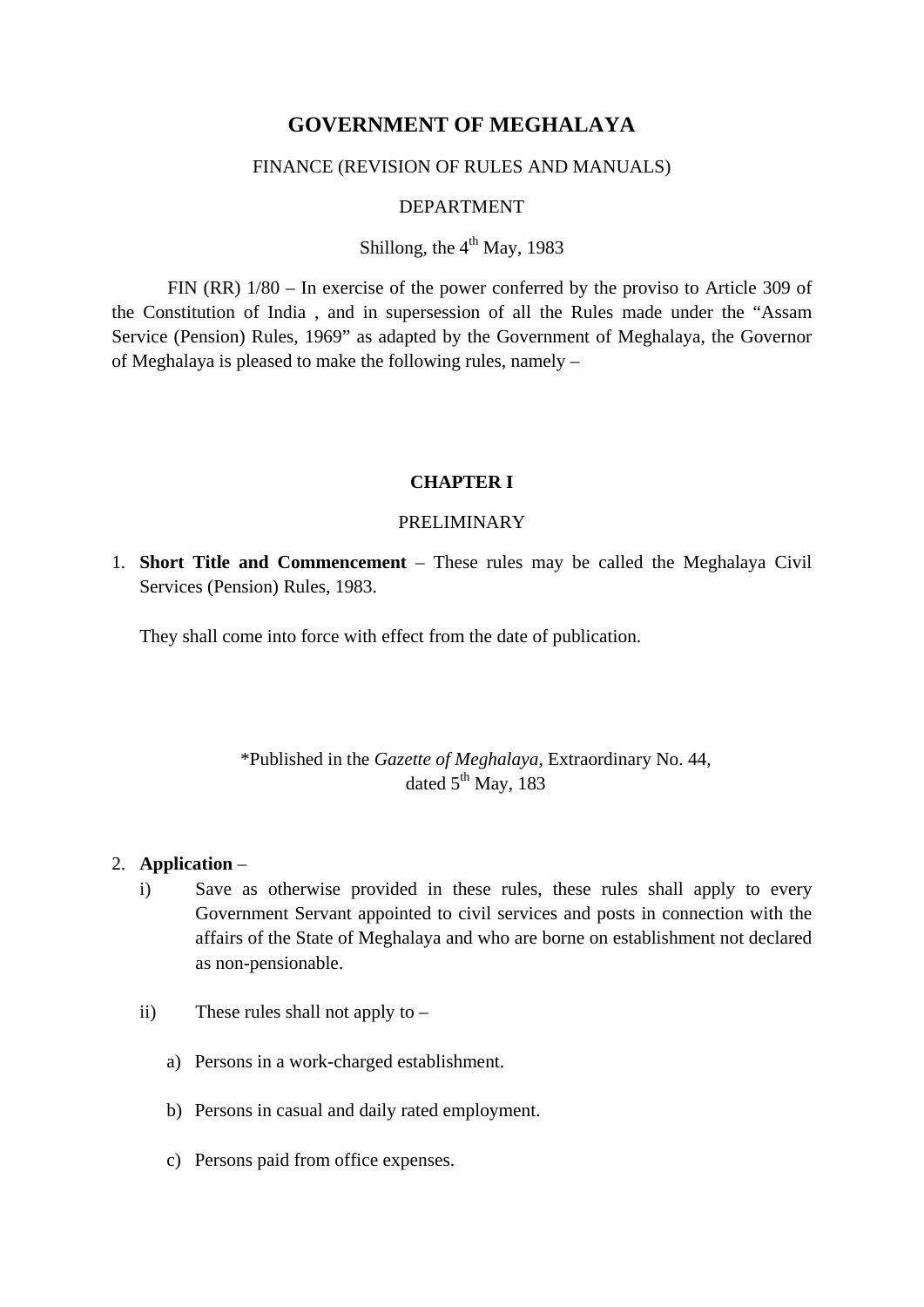# **GOVERNMENT OF MEGHALAYA**

## FINANCE (REVISION OF RULES AND MANUALS)

## DEPARTMENT

# Shillong, the  $4<sup>th</sup>$  May, 1983

FIN (RR) 1/80 – In exercise of the power conferred by the proviso to Article 309 of the Constitution of India , and in supersession of all the Rules made under the "Assam Service (Pension) Rules, 1969" as adapted by the Government of Meghalaya, the Governor of Meghalaya is pleased to make the following rules, namely –

#### **CHAPTER I**

# PRELIMINARY

1. **Short Title and Commencement** – These rules may be called the Meghalaya Civil Services (Pension) Rules, 1983.

They shall come into force with effect from the date of publication.

# \*Published in the *Gazette of Meghalaya*, Extraordinary No. 44, dated  $5<sup>th</sup>$  May, 183

#### 2. **Application** –

- i) Save as otherwise provided in these rules, these rules shall apply to every Government Servant appointed to civil services and posts in connection with the affairs of the State of Meghalaya and who are borne on establishment not declared as non-pensionable.
- ii) These rules shall not apply to
	- a) Persons in a work-charged establishment.
	- b) Persons in casual and daily rated employment.
	- c) Persons paid from office expenses.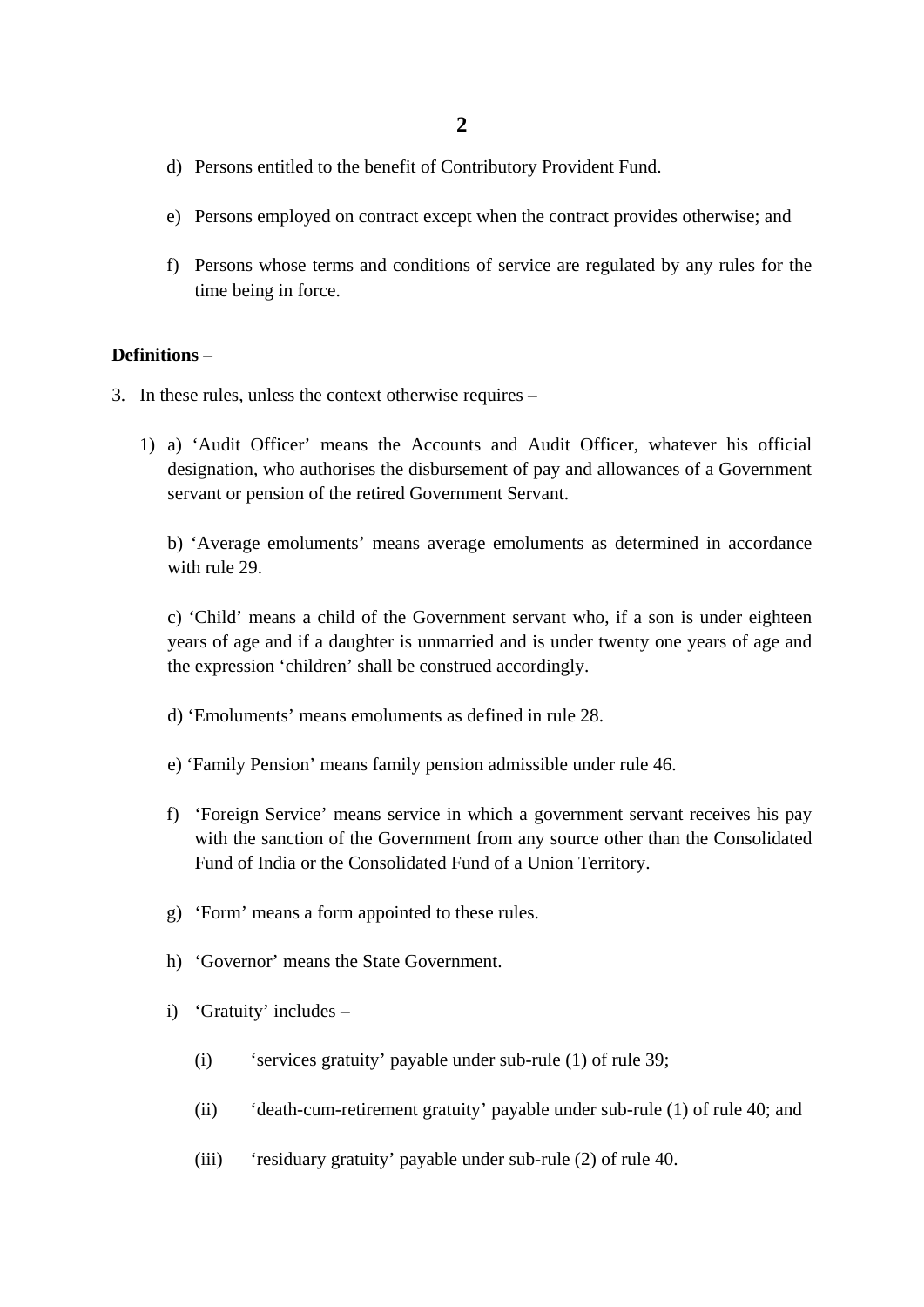- d) Persons entitled to the benefit of Contributory Provident Fund.
- e) Persons employed on contract except when the contract provides otherwise; and
- f) Persons whose terms and conditions of service are regulated by any rules for the time being in force.

#### **Definitions** –

- 3. In these rules, unless the context otherwise requires
	- 1) a) 'Audit Officer' means the Accounts and Audit Officer, whatever his official designation, who authorises the disbursement of pay and allowances of a Government servant or pension of the retired Government Servant.

b) 'Average emoluments' means average emoluments as determined in accordance with rule 29.

c) 'Child' means a child of the Government servant who, if a son is under eighteen years of age and if a daughter is unmarried and is under twenty one years of age and the expression 'children' shall be construed accordingly.

- d) 'Emoluments' means emoluments as defined in rule 28.
- e) 'Family Pension' means family pension admissible under rule 46.
- f) 'Foreign Service' means service in which a government servant receives his pay with the sanction of the Government from any source other than the Consolidated Fund of India or the Consolidated Fund of a Union Territory.
- g) 'Form' means a form appointed to these rules.
- h) 'Governor' means the State Government.
- i) 'Gratuity' includes
	- (i) 'services gratuity' payable under sub-rule (1) of rule 39;
	- (ii) 'death-cum-retirement gratuity' payable under sub-rule (1) of rule 40; and
	- (iii) 'residuary gratuity' payable under sub-rule (2) of rule 40.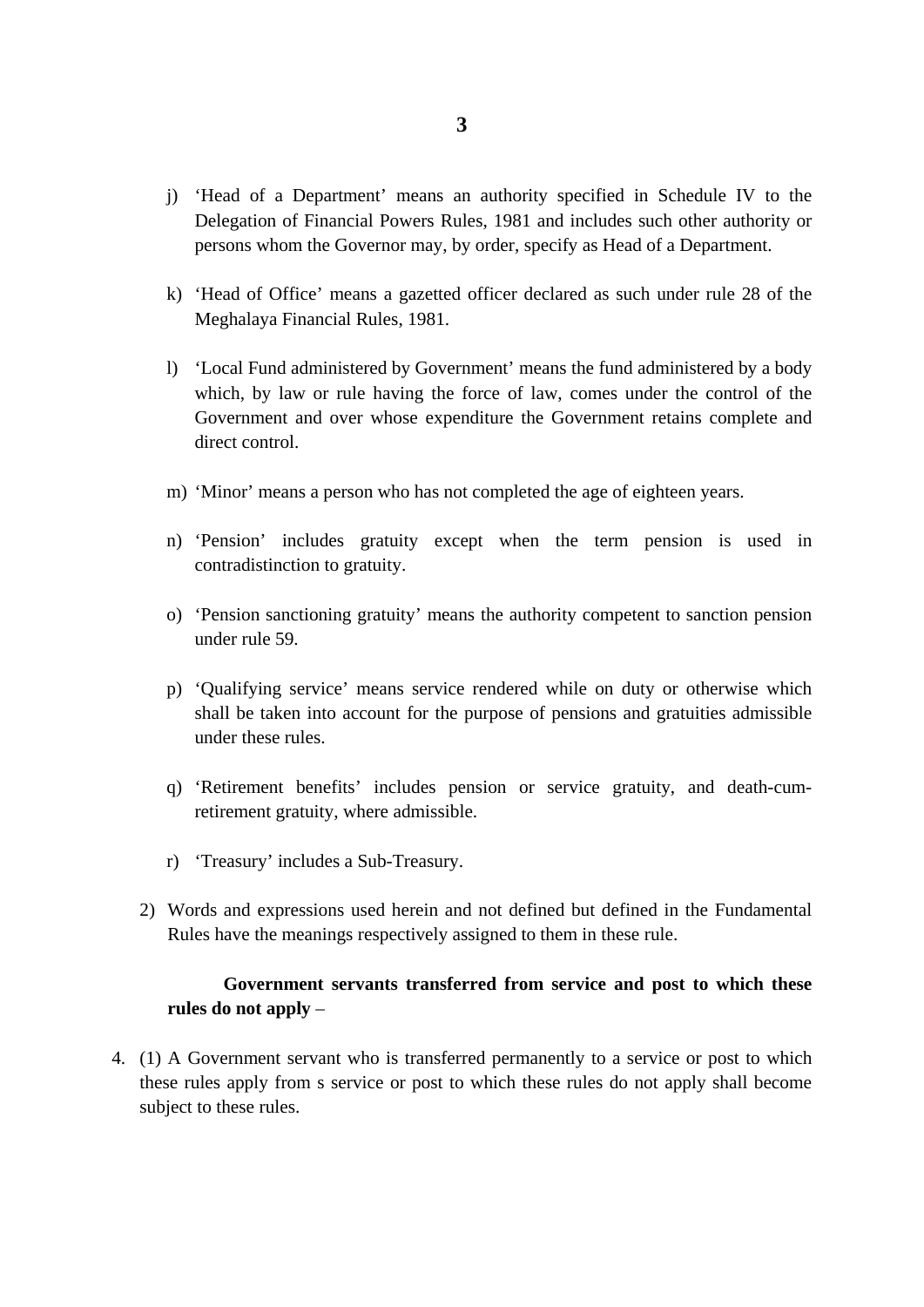- j) 'Head of a Department' means an authority specified in Schedule IV to the Delegation of Financial Powers Rules, 1981 and includes such other authority or persons whom the Governor may, by order, specify as Head of a Department.
- k) 'Head of Office' means a gazetted officer declared as such under rule 28 of the Meghalaya Financial Rules, 1981.
- l) 'Local Fund administered by Government' means the fund administered by a body which, by law or rule having the force of law, comes under the control of the Government and over whose expenditure the Government retains complete and direct control.
- m) 'Minor' means a person who has not completed the age of eighteen years.
- n) 'Pension' includes gratuity except when the term pension is used in contradistinction to gratuity.
- o) 'Pension sanctioning gratuity' means the authority competent to sanction pension under rule 59.
- p) 'Qualifying service' means service rendered while on duty or otherwise which shall be taken into account for the purpose of pensions and gratuities admissible under these rules.
- q) 'Retirement benefits' includes pension or service gratuity, and death-cumretirement gratuity, where admissible.
- r) 'Treasury' includes a Sub-Treasury.
- 2) Words and expressions used herein and not defined but defined in the Fundamental Rules have the meanings respectively assigned to them in these rule.

# **Government servants transferred from service and post to which these rules do not apply** –

4. (1) A Government servant who is transferred permanently to a service or post to which these rules apply from s service or post to which these rules do not apply shall become subject to these rules.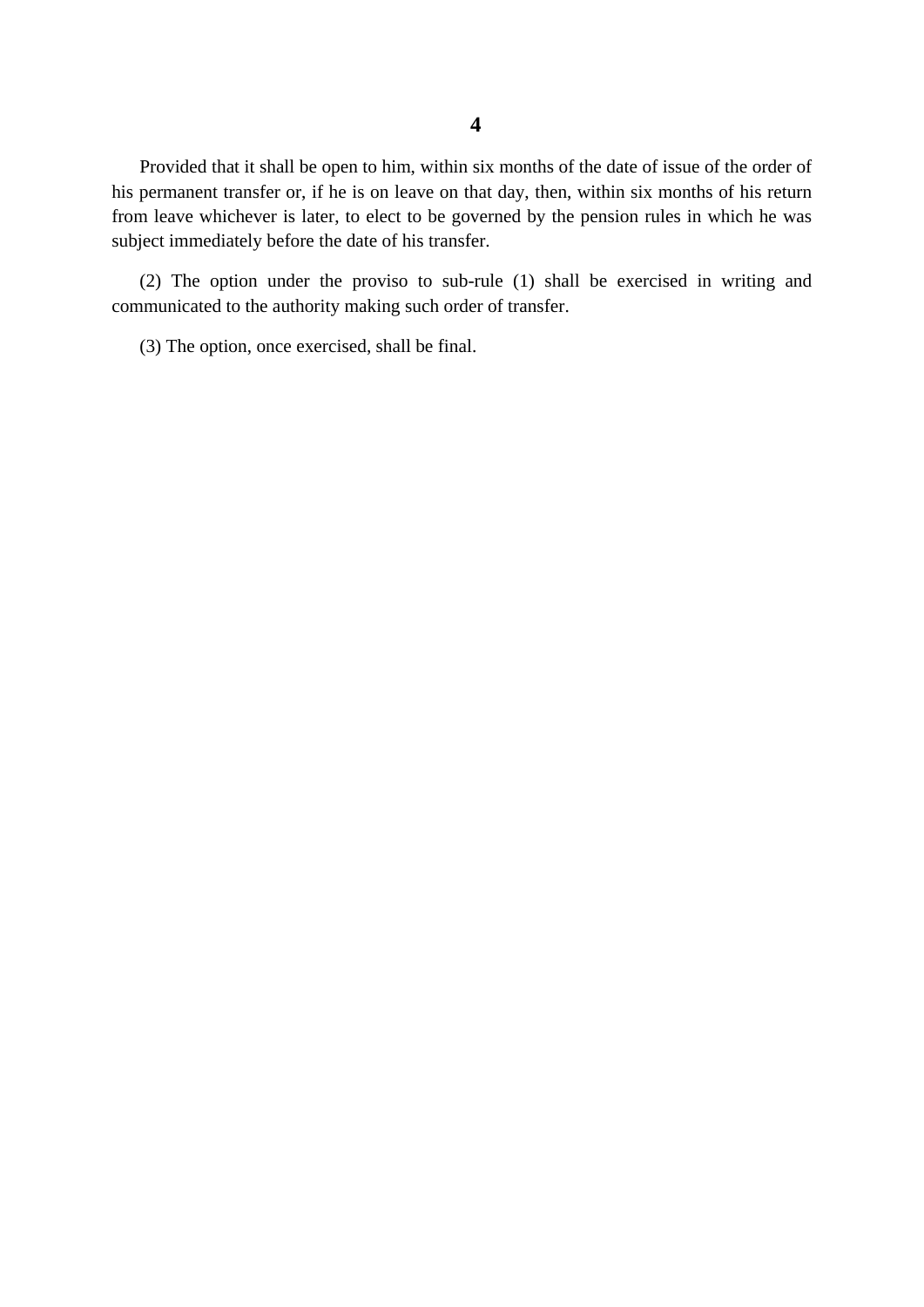Provided that it shall be open to him, within six months of the date of issue of the order of his permanent transfer or, if he is on leave on that day, then, within six months of his return from leave whichever is later, to elect to be governed by the pension rules in which he was subject immediately before the date of his transfer.

(2) The option under the proviso to sub-rule (1) shall be exercised in writing and communicated to the authority making such order of transfer.

(3) The option, once exercised, shall be final.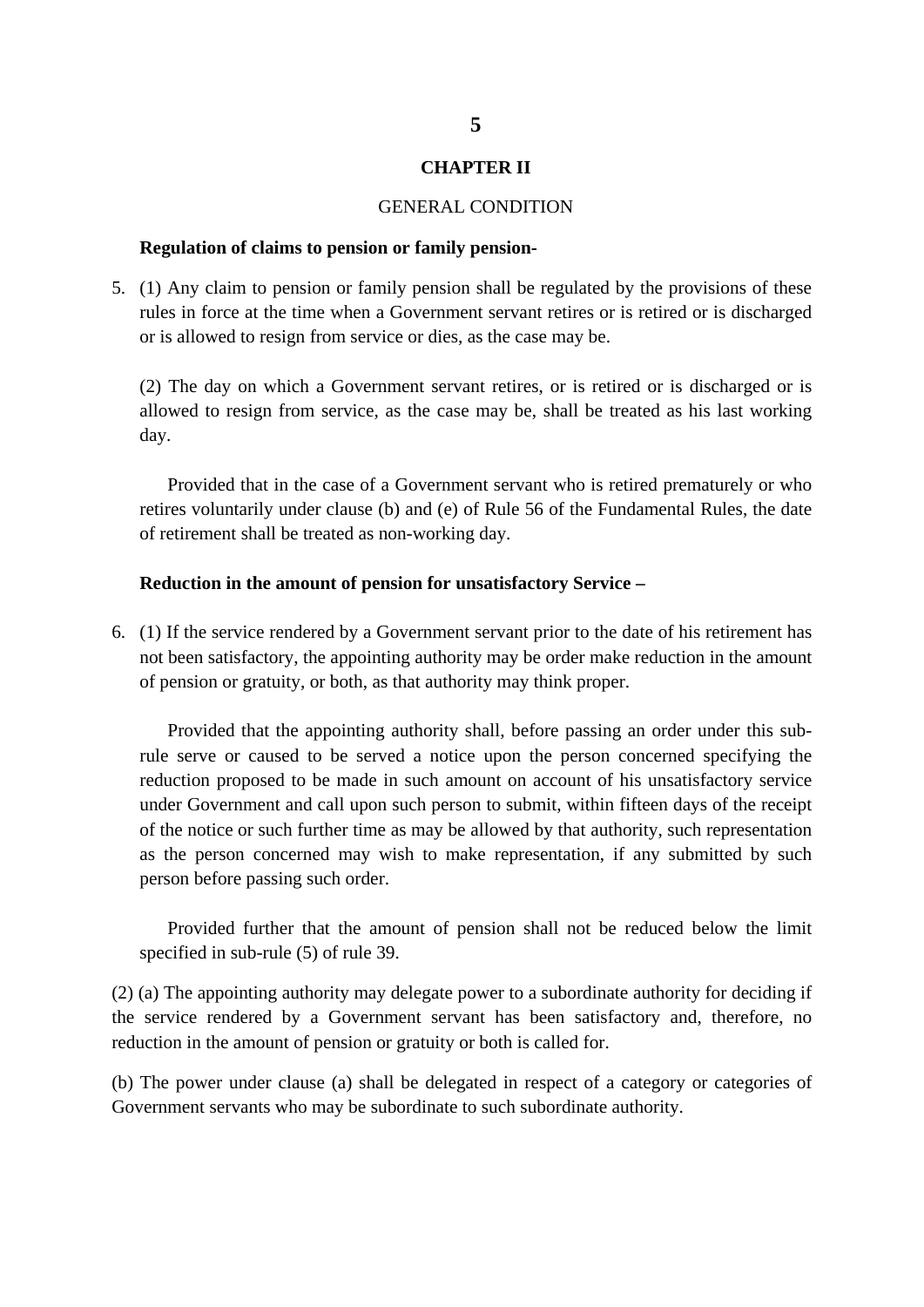#### **CHAPTER II**

#### GENERAL CONDITION

#### **Regulation of claims to pension or family pension-**

5. (1) Any claim to pension or family pension shall be regulated by the provisions of these rules in force at the time when a Government servant retires or is retired or is discharged or is allowed to resign from service or dies, as the case may be.

(2) The day on which a Government servant retires, or is retired or is discharged or is allowed to resign from service, as the case may be, shall be treated as his last working day.

Provided that in the case of a Government servant who is retired prematurely or who retires voluntarily under clause (b) and (e) of Rule 56 of the Fundamental Rules, the date of retirement shall be treated as non-working day.

#### **Reduction in the amount of pension for unsatisfactory Service –**

6. (1) If the service rendered by a Government servant prior to the date of his retirement has not been satisfactory, the appointing authority may be order make reduction in the amount of pension or gratuity, or both, as that authority may think proper.

Provided that the appointing authority shall, before passing an order under this subrule serve or caused to be served a notice upon the person concerned specifying the reduction proposed to be made in such amount on account of his unsatisfactory service under Government and call upon such person to submit, within fifteen days of the receipt of the notice or such further time as may be allowed by that authority, such representation as the person concerned may wish to make representation, if any submitted by such person before passing such order.

Provided further that the amount of pension shall not be reduced below the limit specified in sub-rule (5) of rule 39.

(2) (a) The appointing authority may delegate power to a subordinate authority for deciding if the service rendered by a Government servant has been satisfactory and, therefore, no reduction in the amount of pension or gratuity or both is called for.

(b) The power under clause (a) shall be delegated in respect of a category or categories of Government servants who may be subordinate to such subordinate authority.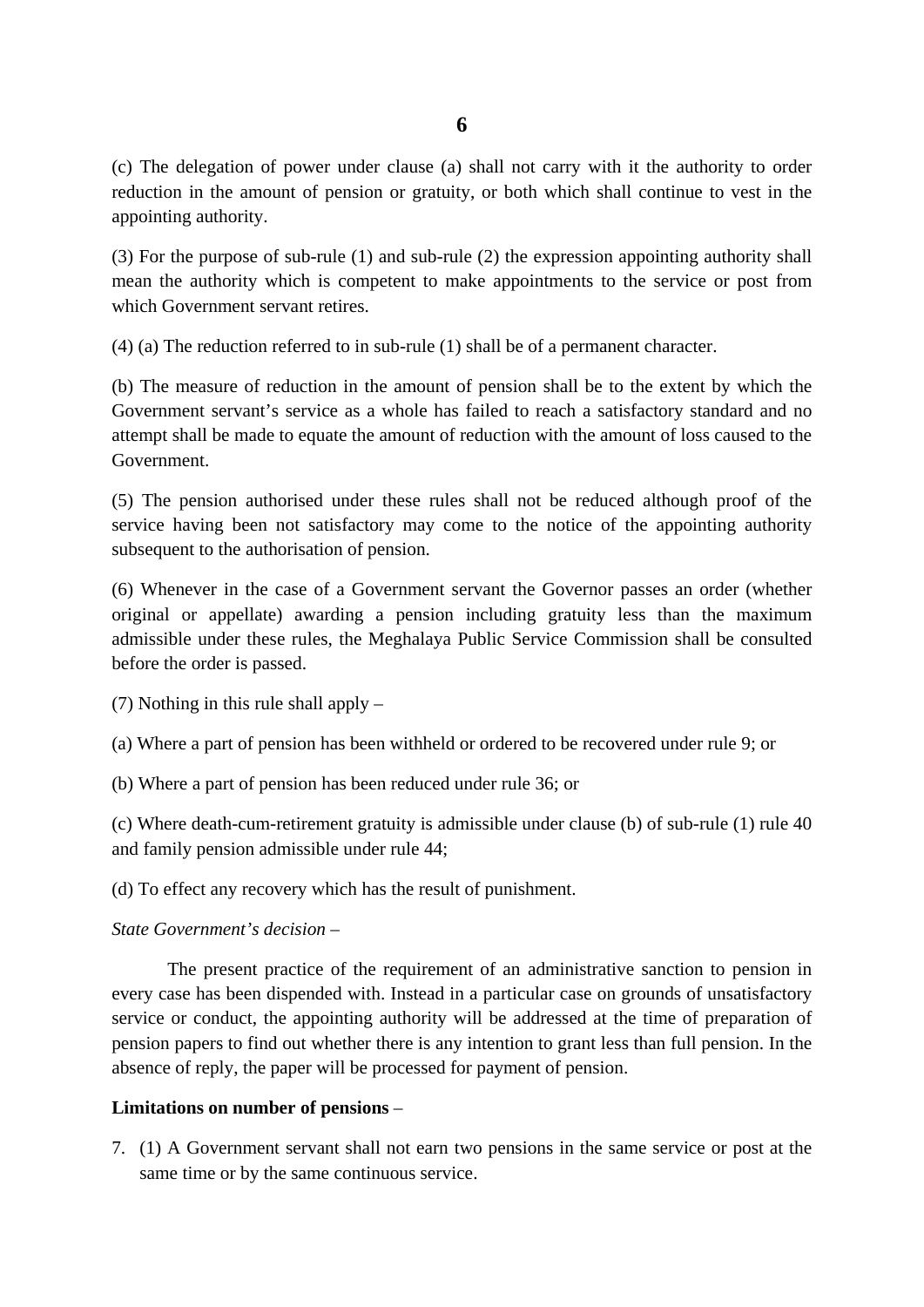(c) The delegation of power under clause (a) shall not carry with it the authority to order reduction in the amount of pension or gratuity, or both which shall continue to vest in the appointing authority.

(3) For the purpose of sub-rule (1) and sub-rule (2) the expression appointing authority shall mean the authority which is competent to make appointments to the service or post from which Government servant retires.

(4) (a) The reduction referred to in sub-rule (1) shall be of a permanent character.

(b) The measure of reduction in the amount of pension shall be to the extent by which the Government servant's service as a whole has failed to reach a satisfactory standard and no attempt shall be made to equate the amount of reduction with the amount of loss caused to the Government.

(5) The pension authorised under these rules shall not be reduced although proof of the service having been not satisfactory may come to the notice of the appointing authority subsequent to the authorisation of pension.

(6) Whenever in the case of a Government servant the Governor passes an order (whether original or appellate) awarding a pension including gratuity less than the maximum admissible under these rules, the Meghalaya Public Service Commission shall be consulted before the order is passed.

(7) Nothing in this rule shall apply –

(a) Where a part of pension has been withheld or ordered to be recovered under rule 9; or

(b) Where a part of pension has been reduced under rule 36; or

(c) Where death-cum-retirement gratuity is admissible under clause (b) of sub-rule (1) rule 40 and family pension admissible under rule 44;

(d) To effect any recovery which has the result of punishment.

*State Government's decision –*

The present practice of the requirement of an administrative sanction to pension in every case has been dispended with. Instead in a particular case on grounds of unsatisfactory service or conduct, the appointing authority will be addressed at the time of preparation of pension papers to find out whether there is any intention to grant less than full pension. In the absence of reply, the paper will be processed for payment of pension.

# **Limitations on number of pensions** –

7. (1) A Government servant shall not earn two pensions in the same service or post at the same time or by the same continuous service.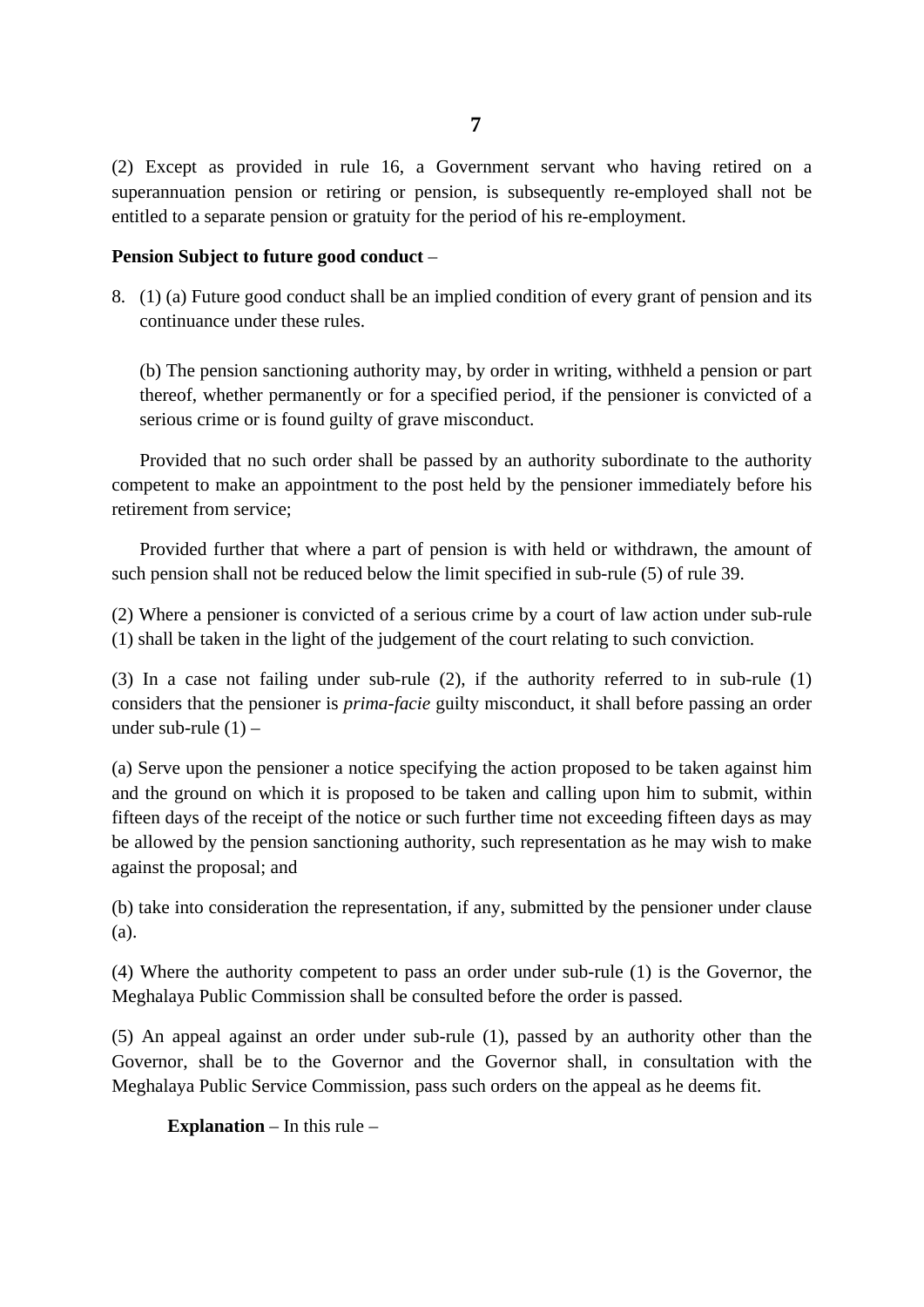(2) Except as provided in rule 16, a Government servant who having retired on a superannuation pension or retiring or pension, is subsequently re-employed shall not be entitled to a separate pension or gratuity for the period of his re-employment.

# **Pension Subject to future good conduct** –

8. (1) (a) Future good conduct shall be an implied condition of every grant of pension and its continuance under these rules.

(b) The pension sanctioning authority may, by order in writing, withheld a pension or part thereof, whether permanently or for a specified period, if the pensioner is convicted of a serious crime or is found guilty of grave misconduct.

Provided that no such order shall be passed by an authority subordinate to the authority competent to make an appointment to the post held by the pensioner immediately before his retirement from service;

Provided further that where a part of pension is with held or withdrawn, the amount of such pension shall not be reduced below the limit specified in sub-rule (5) of rule 39.

(2) Where a pensioner is convicted of a serious crime by a court of law action under sub-rule (1) shall be taken in the light of the judgement of the court relating to such conviction.

(3) In a case not failing under sub-rule (2), if the authority referred to in sub-rule (1) considers that the pensioner is *prima-facie* guilty misconduct, it shall before passing an order under sub-rule  $(1)$  –

(a) Serve upon the pensioner a notice specifying the action proposed to be taken against him and the ground on which it is proposed to be taken and calling upon him to submit, within fifteen days of the receipt of the notice or such further time not exceeding fifteen days as may be allowed by the pension sanctioning authority, such representation as he may wish to make against the proposal; and

(b) take into consideration the representation, if any, submitted by the pensioner under clause (a).

(4) Where the authority competent to pass an order under sub-rule (1) is the Governor, the Meghalaya Public Commission shall be consulted before the order is passed.

(5) An appeal against an order under sub-rule (1), passed by an authority other than the Governor, shall be to the Governor and the Governor shall, in consultation with the Meghalaya Public Service Commission, pass such orders on the appeal as he deems fit.

**Explanation** – In this rule –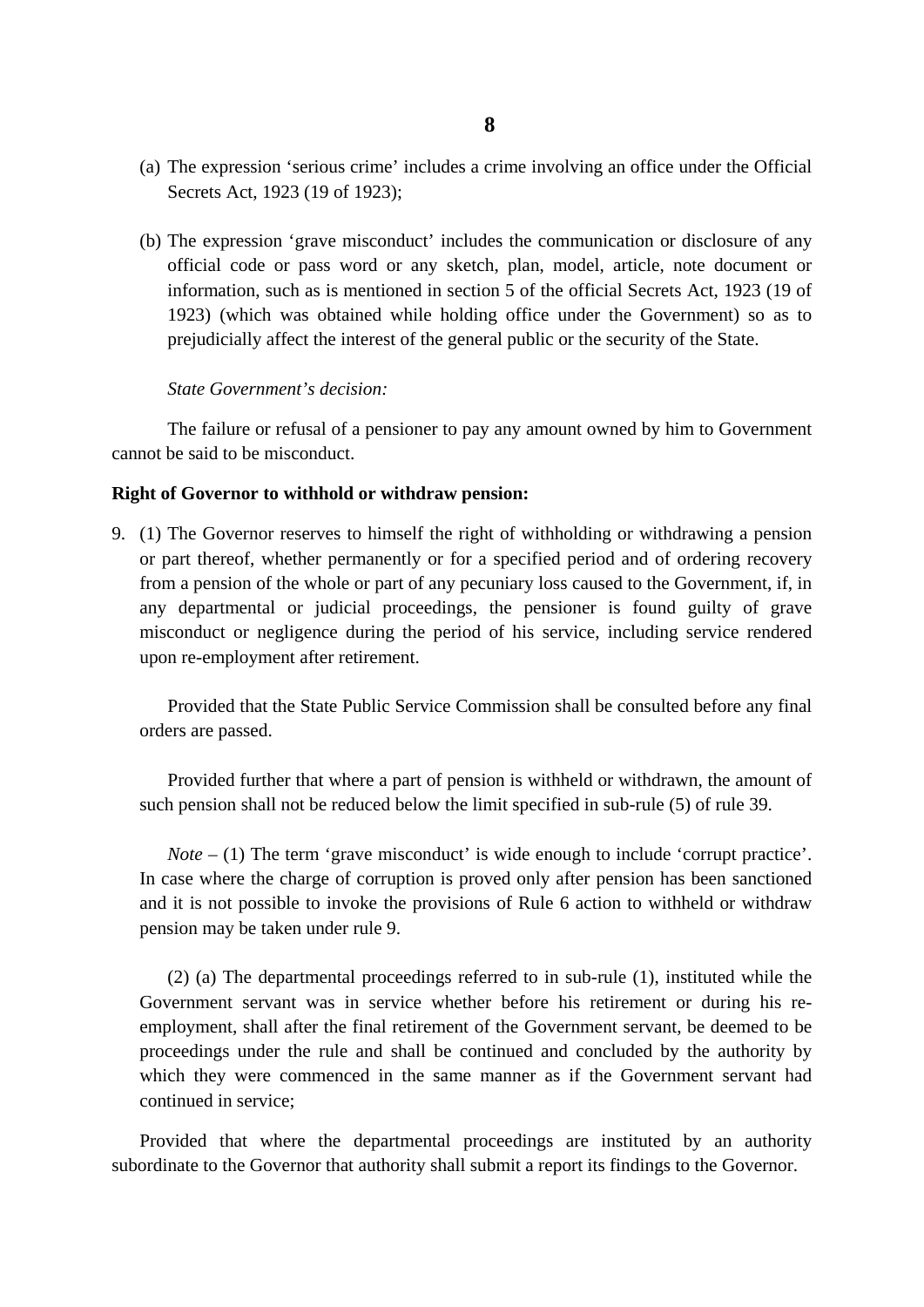- (a) The expression 'serious crime' includes a crime involving an office under the Official Secrets Act, 1923 (19 of 1923);
- (b) The expression 'grave misconduct' includes the communication or disclosure of any official code or pass word or any sketch, plan, model, article, note document or information, such as is mentioned in section 5 of the official Secrets Act, 1923 (19 of 1923) (which was obtained while holding office under the Government) so as to prejudicially affect the interest of the general public or the security of the State.

#### *State Government's decision:*

The failure or refusal of a pensioner to pay any amount owned by him to Government cannot be said to be misconduct.

#### **Right of Governor to withhold or withdraw pension:**

9. (1) The Governor reserves to himself the right of withholding or withdrawing a pension or part thereof, whether permanently or for a specified period and of ordering recovery from a pension of the whole or part of any pecuniary loss caused to the Government, if, in any departmental or judicial proceedings, the pensioner is found guilty of grave misconduct or negligence during the period of his service, including service rendered upon re-employment after retirement.

Provided that the State Public Service Commission shall be consulted before any final orders are passed.

Provided further that where a part of pension is withheld or withdrawn, the amount of such pension shall not be reduced below the limit specified in sub-rule (5) of rule 39.

*Note* – (1) The term 'grave misconduct' is wide enough to include 'corrupt practice'. In case where the charge of corruption is proved only after pension has been sanctioned and it is not possible to invoke the provisions of Rule 6 action to withheld or withdraw pension may be taken under rule 9.

(2) (a) The departmental proceedings referred to in sub-rule (1), instituted while the Government servant was in service whether before his retirement or during his reemployment, shall after the final retirement of the Government servant, be deemed to be proceedings under the rule and shall be continued and concluded by the authority by which they were commenced in the same manner as if the Government servant had continued in service;

Provided that where the departmental proceedings are instituted by an authority subordinate to the Governor that authority shall submit a report its findings to the Governor.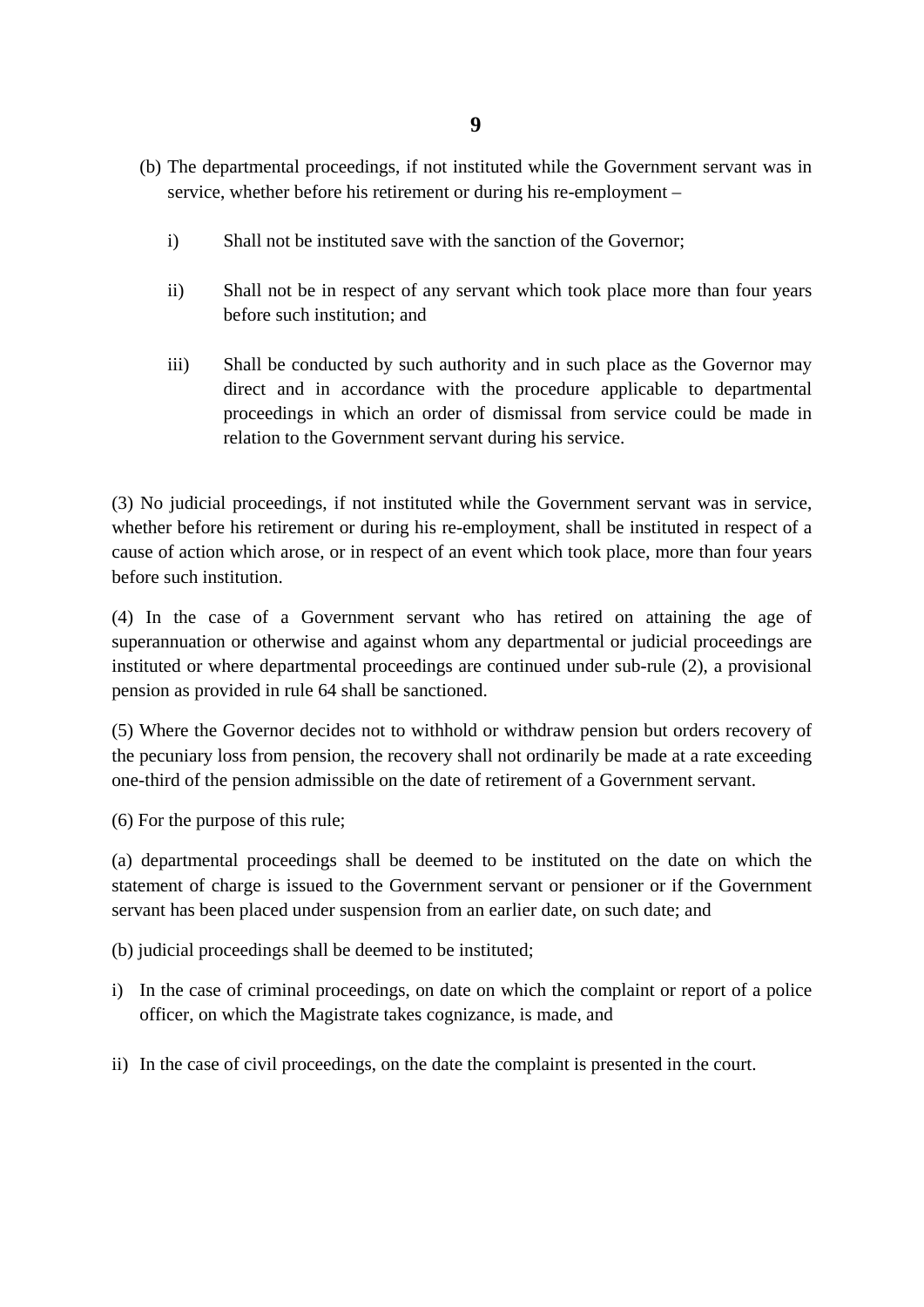- (b) The departmental proceedings, if not instituted while the Government servant was in service, whether before his retirement or during his re-employment –
	- i) Shall not be instituted save with the sanction of the Governor;
	- ii) Shall not be in respect of any servant which took place more than four years before such institution; and
	- iii) Shall be conducted by such authority and in such place as the Governor may direct and in accordance with the procedure applicable to departmental proceedings in which an order of dismissal from service could be made in relation to the Government servant during his service.

(3) No judicial proceedings, if not instituted while the Government servant was in service, whether before his retirement or during his re-employment, shall be instituted in respect of a cause of action which arose, or in respect of an event which took place, more than four years before such institution.

(4) In the case of a Government servant who has retired on attaining the age of superannuation or otherwise and against whom any departmental or judicial proceedings are instituted or where departmental proceedings are continued under sub-rule (2), a provisional pension as provided in rule 64 shall be sanctioned.

(5) Where the Governor decides not to withhold or withdraw pension but orders recovery of the pecuniary loss from pension, the recovery shall not ordinarily be made at a rate exceeding one-third of the pension admissible on the date of retirement of a Government servant.

(6) For the purpose of this rule;

(a) departmental proceedings shall be deemed to be instituted on the date on which the statement of charge is issued to the Government servant or pensioner or if the Government servant has been placed under suspension from an earlier date, on such date; and

(b) judicial proceedings shall be deemed to be instituted;

- i) In the case of criminal proceedings, on date on which the complaint or report of a police officer, on which the Magistrate takes cognizance, is made, and
- ii) In the case of civil proceedings, on the date the complaint is presented in the court.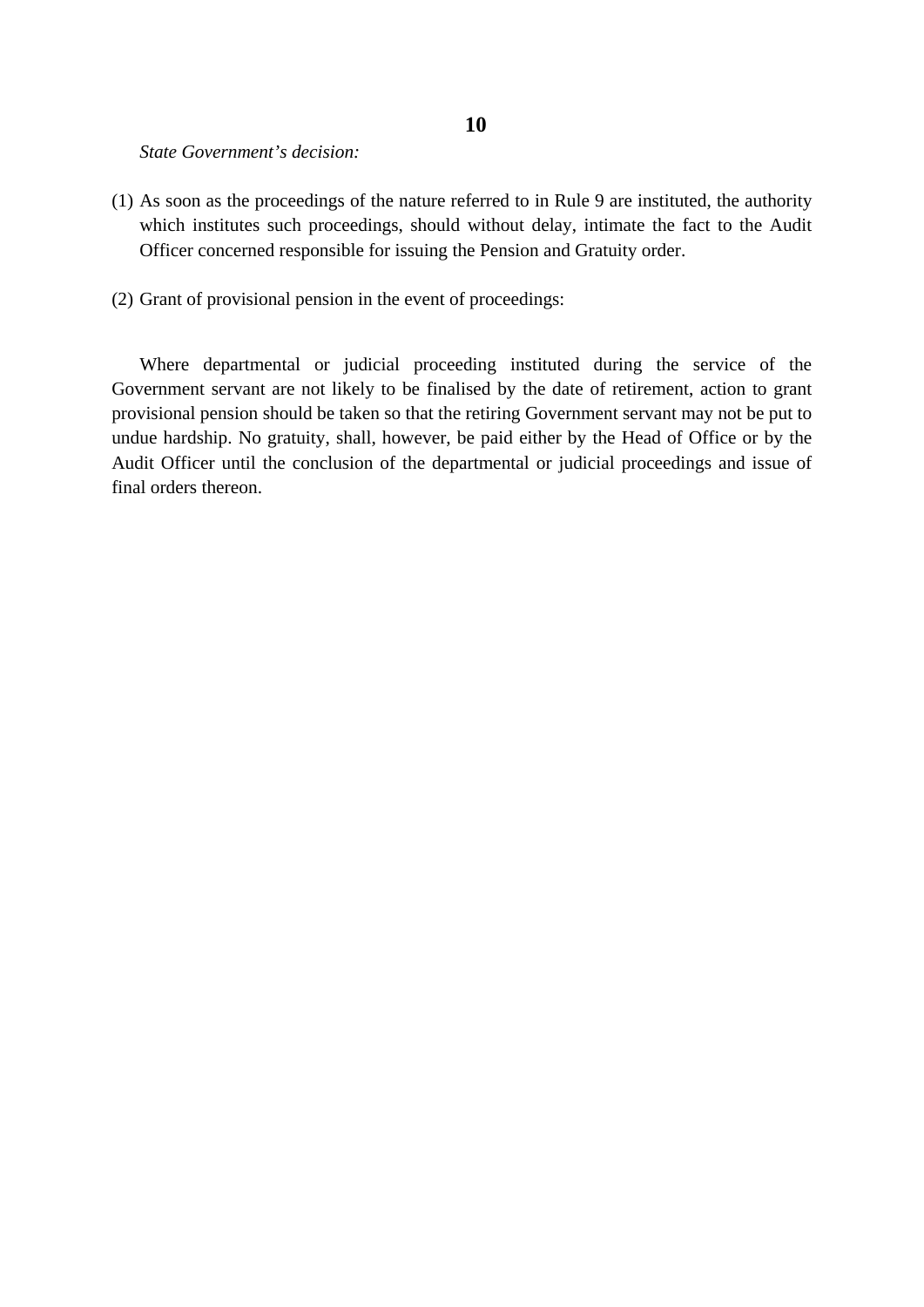## *State Government's decision:*

- (1) As soon as the proceedings of the nature referred to in Rule 9 are instituted, the authority which institutes such proceedings, should without delay, intimate the fact to the Audit Officer concerned responsible for issuing the Pension and Gratuity order.
- (2) Grant of provisional pension in the event of proceedings:

Where departmental or judicial proceeding instituted during the service of the Government servant are not likely to be finalised by the date of retirement, action to grant provisional pension should be taken so that the retiring Government servant may not be put to undue hardship. No gratuity, shall, however, be paid either by the Head of Office or by the Audit Officer until the conclusion of the departmental or judicial proceedings and issue of final orders thereon.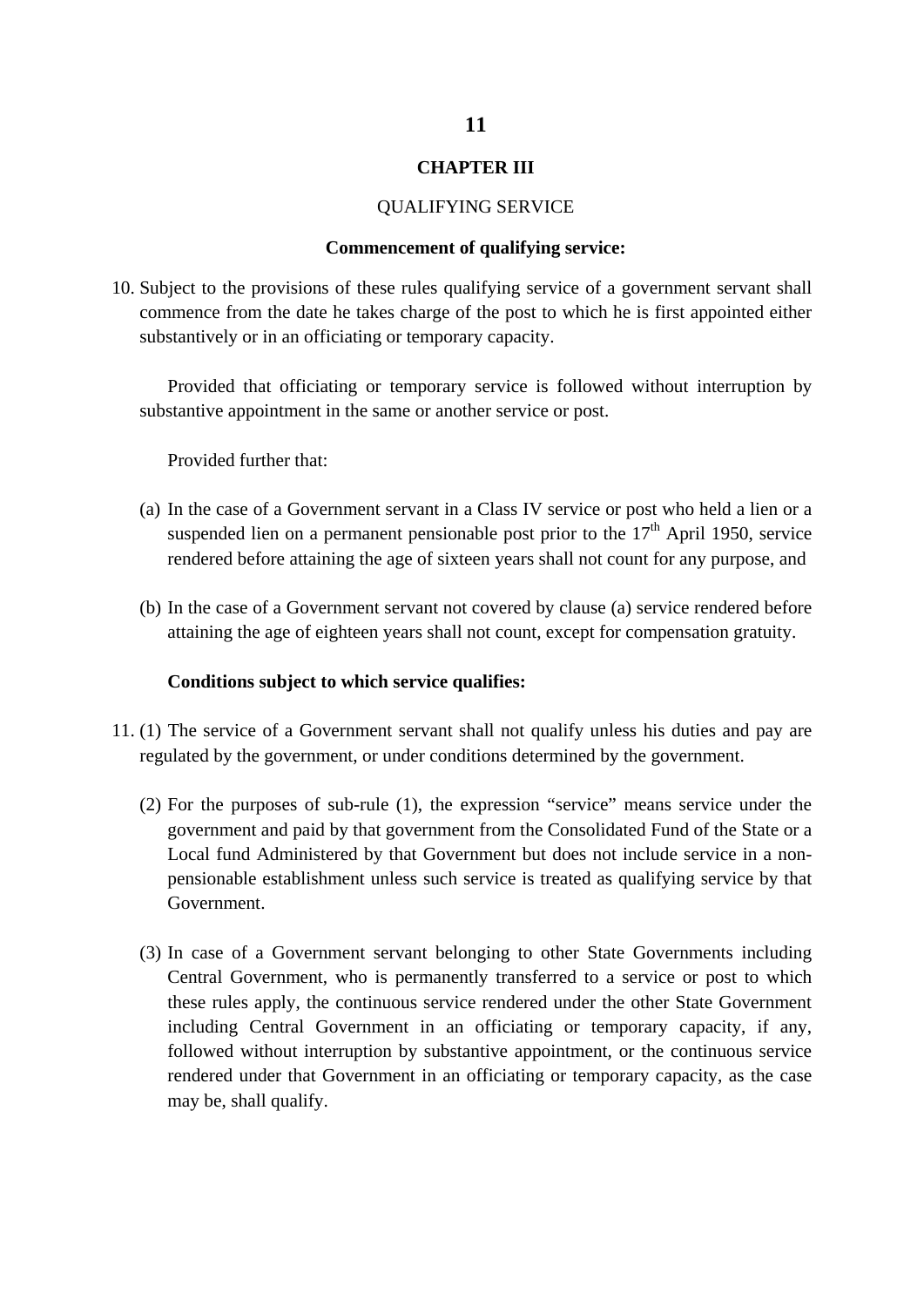## **CHAPTER III**

#### QUALIFYING SERVICE

#### **Commencement of qualifying service:**

10. Subject to the provisions of these rules qualifying service of a government servant shall commence from the date he takes charge of the post to which he is first appointed either substantively or in an officiating or temporary capacity.

Provided that officiating or temporary service is followed without interruption by substantive appointment in the same or another service or post.

Provided further that:

- (a) In the case of a Government servant in a Class IV service or post who held a lien or a suspended lien on a permanent pensionable post prior to the  $17<sup>th</sup>$  April 1950, service rendered before attaining the age of sixteen years shall not count for any purpose, and
- (b) In the case of a Government servant not covered by clause (a) service rendered before attaining the age of eighteen years shall not count, except for compensation gratuity.

#### **Conditions subject to which service qualifies:**

- 11. (1) The service of a Government servant shall not qualify unless his duties and pay are regulated by the government, or under conditions determined by the government.
	- (2) For the purposes of sub-rule (1), the expression "service" means service under the government and paid by that government from the Consolidated Fund of the State or a Local fund Administered by that Government but does not include service in a nonpensionable establishment unless such service is treated as qualifying service by that Government.
	- (3) In case of a Government servant belonging to other State Governments including Central Government, who is permanently transferred to a service or post to which these rules apply, the continuous service rendered under the other State Government including Central Government in an officiating or temporary capacity, if any, followed without interruption by substantive appointment, or the continuous service rendered under that Government in an officiating or temporary capacity, as the case may be, shall qualify.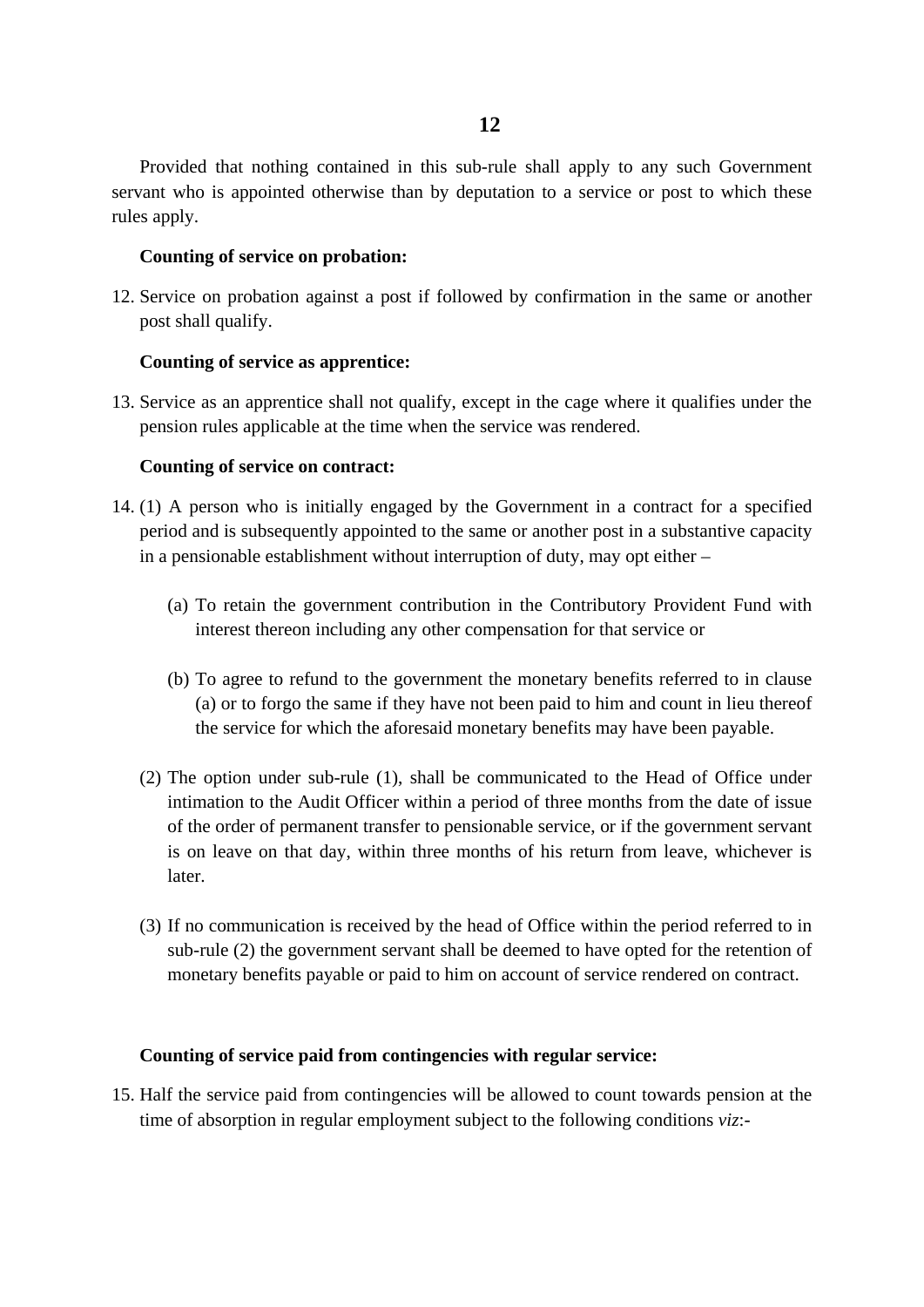Provided that nothing contained in this sub-rule shall apply to any such Government servant who is appointed otherwise than by deputation to a service or post to which these rules apply.

## **Counting of service on probation:**

12. Service on probation against a post if followed by confirmation in the same or another post shall qualify.

## **Counting of service as apprentice:**

13. Service as an apprentice shall not qualify, except in the cage where it qualifies under the pension rules applicable at the time when the service was rendered.

# **Counting of service on contract:**

- 14. (1) A person who is initially engaged by the Government in a contract for a specified period and is subsequently appointed to the same or another post in a substantive capacity in a pensionable establishment without interruption of duty, may opt either –
	- (a) To retain the government contribution in the Contributory Provident Fund with interest thereon including any other compensation for that service or
	- (b) To agree to refund to the government the monetary benefits referred to in clause (a) or to forgo the same if they have not been paid to him and count in lieu thereof the service for which the aforesaid monetary benefits may have been payable.
	- (2) The option under sub-rule (1), shall be communicated to the Head of Office under intimation to the Audit Officer within a period of three months from the date of issue of the order of permanent transfer to pensionable service, or if the government servant is on leave on that day, within three months of his return from leave, whichever is later.
	- (3) If no communication is received by the head of Office within the period referred to in sub-rule (2) the government servant shall be deemed to have opted for the retention of monetary benefits payable or paid to him on account of service rendered on contract.

#### **Counting of service paid from contingencies with regular service:**

15. Half the service paid from contingencies will be allowed to count towards pension at the time of absorption in regular employment subject to the following conditions *viz*:-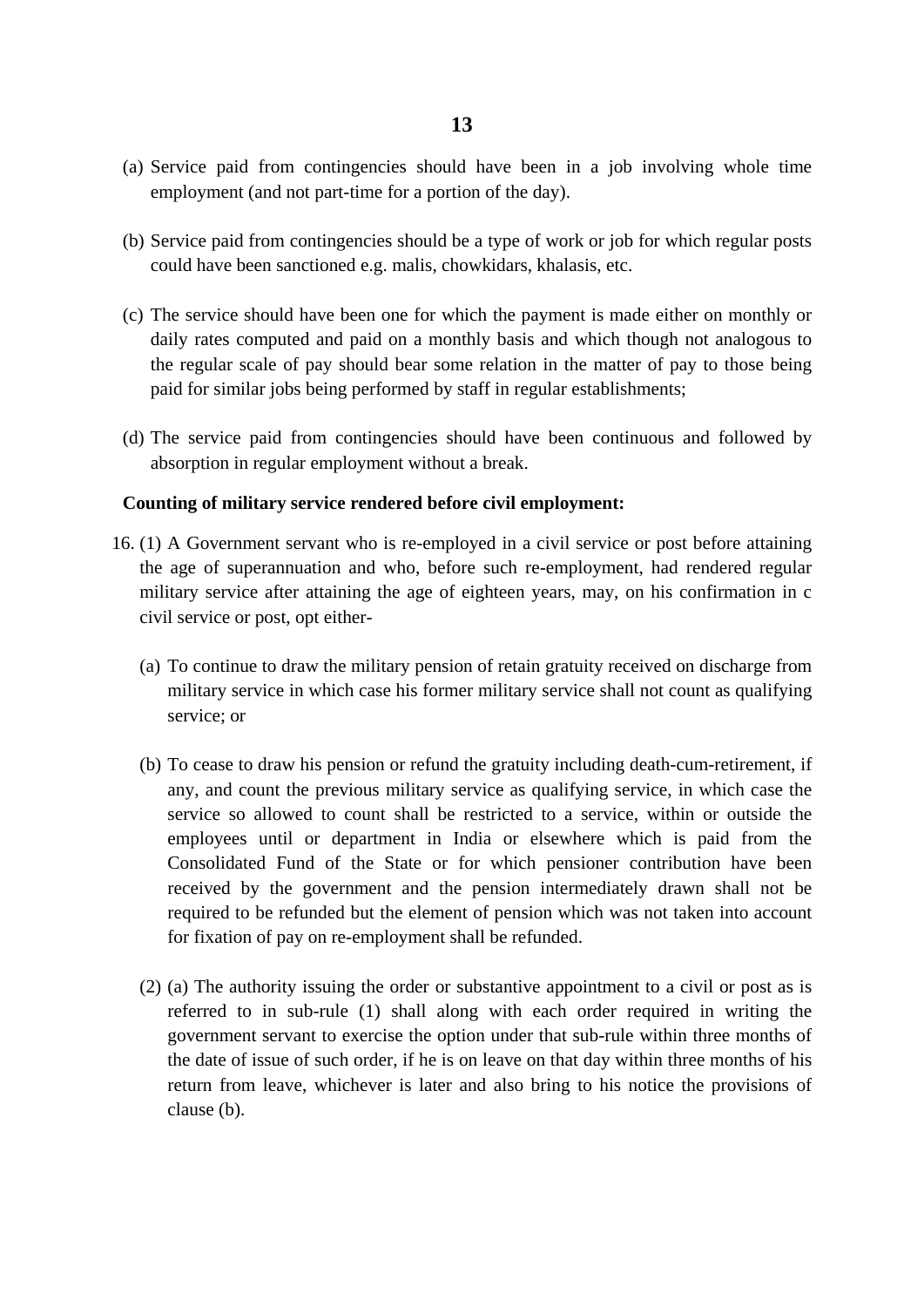- (a) Service paid from contingencies should have been in a job involving whole time employment (and not part-time for a portion of the day).
- (b) Service paid from contingencies should be a type of work or job for which regular posts could have been sanctioned e.g. malis, chowkidars, khalasis, etc.
- (c) The service should have been one for which the payment is made either on monthly or daily rates computed and paid on a monthly basis and which though not analogous to the regular scale of pay should bear some relation in the matter of pay to those being paid for similar jobs being performed by staff in regular establishments;
- (d) The service paid from contingencies should have been continuous and followed by absorption in regular employment without a break.

# **Counting of military service rendered before civil employment:**

- 16. (1) A Government servant who is re-employed in a civil service or post before attaining the age of superannuation and who, before such re-employment, had rendered regular military service after attaining the age of eighteen years, may, on his confirmation in c civil service or post, opt either-
	- (a) To continue to draw the military pension of retain gratuity received on discharge from military service in which case his former military service shall not count as qualifying service; or
	- (b) To cease to draw his pension or refund the gratuity including death-cum-retirement, if any, and count the previous military service as qualifying service, in which case the service so allowed to count shall be restricted to a service, within or outside the employees until or department in India or elsewhere which is paid from the Consolidated Fund of the State or for which pensioner contribution have been received by the government and the pension intermediately drawn shall not be required to be refunded but the element of pension which was not taken into account for fixation of pay on re-employment shall be refunded.
	- (2) (a) The authority issuing the order or substantive appointment to a civil or post as is referred to in sub-rule (1) shall along with each order required in writing the government servant to exercise the option under that sub-rule within three months of the date of issue of such order, if he is on leave on that day within three months of his return from leave, whichever is later and also bring to his notice the provisions of clause (b).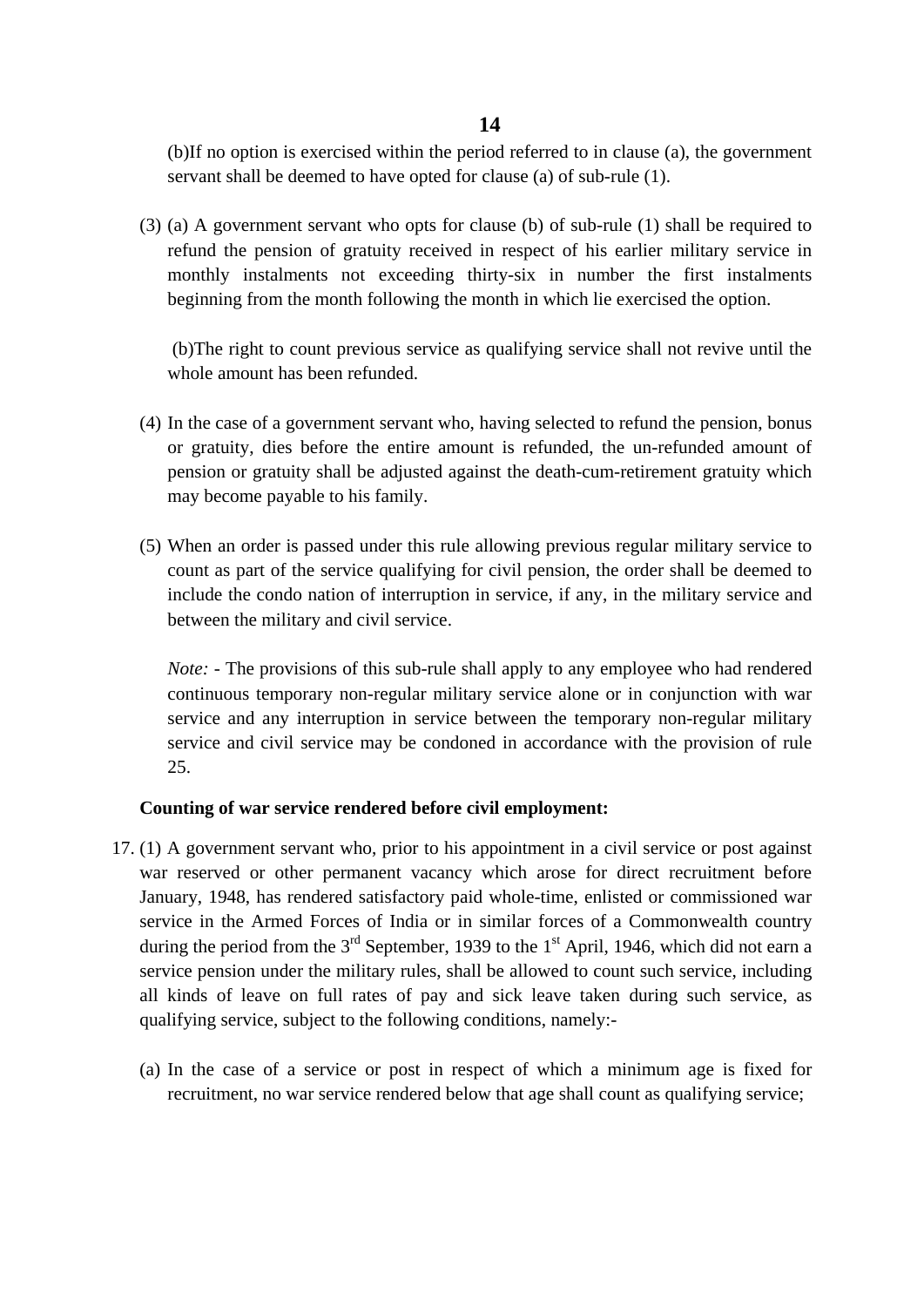# **14**

(b)If no option is exercised within the period referred to in clause (a), the government servant shall be deemed to have opted for clause (a) of sub-rule (1).

(3) (a) A government servant who opts for clause (b) of sub-rule (1) shall be required to refund the pension of gratuity received in respect of his earlier military service in monthly instalments not exceeding thirty-six in number the first instalments beginning from the month following the month in which lie exercised the option.

(b)The right to count previous service as qualifying service shall not revive until the whole amount has been refunded.

- (4) In the case of a government servant who, having selected to refund the pension, bonus or gratuity, dies before the entire amount is refunded, the un-refunded amount of pension or gratuity shall be adjusted against the death-cum-retirement gratuity which may become payable to his family.
- (5) When an order is passed under this rule allowing previous regular military service to count as part of the service qualifying for civil pension, the order shall be deemed to include the condo nation of interruption in service, if any, in the military service and between the military and civil service.

*Note:* - The provisions of this sub-rule shall apply to any employee who had rendered continuous temporary non-regular military service alone or in conjunction with war service and any interruption in service between the temporary non-regular military service and civil service may be condoned in accordance with the provision of rule 25.

# **Counting of war service rendered before civil employment:**

- 17. (1) A government servant who, prior to his appointment in a civil service or post against war reserved or other permanent vacancy which arose for direct recruitment before January, 1948, has rendered satisfactory paid whole-time, enlisted or commissioned war service in the Armed Forces of India or in similar forces of a Commonwealth country during the period from the  $3<sup>rd</sup>$  September, 1939 to the 1<sup>st</sup> April, 1946, which did not earn a service pension under the military rules, shall be allowed to count such service, including all kinds of leave on full rates of pay and sick leave taken during such service, as qualifying service, subject to the following conditions, namely:-
	- (a) In the case of a service or post in respect of which a minimum age is fixed for recruitment, no war service rendered below that age shall count as qualifying service;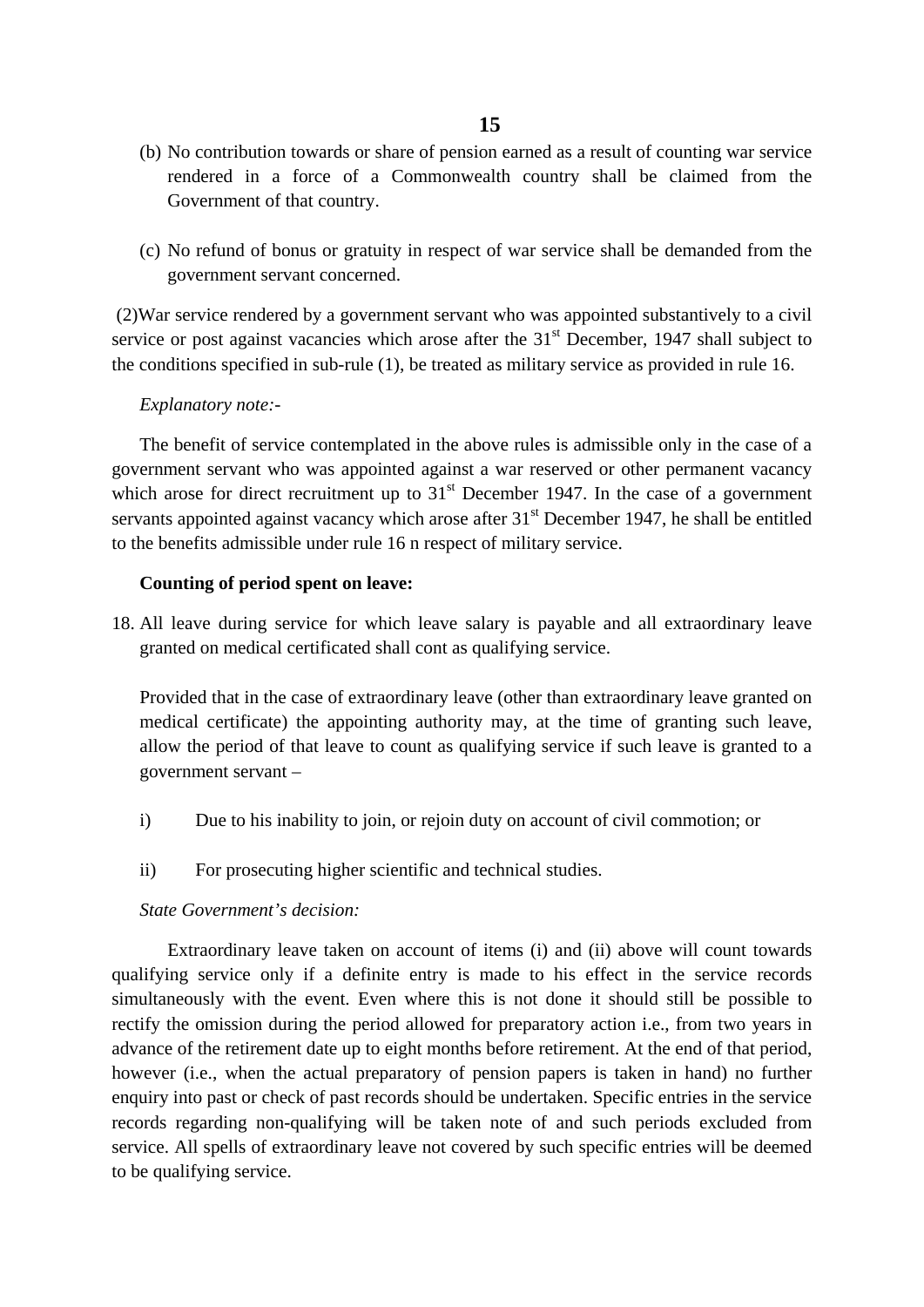# **15**

- (b) No contribution towards or share of pension earned as a result of counting war service rendered in a force of a Commonwealth country shall be claimed from the Government of that country.
- (c) No refund of bonus or gratuity in respect of war service shall be demanded from the government servant concerned.

(2)War service rendered by a government servant who was appointed substantively to a civil service or post against vacancies which arose after the  $31<sup>st</sup>$  December, 1947 shall subject to the conditions specified in sub-rule (1), be treated as military service as provided in rule 16.

# *Explanatory note:-*

The benefit of service contemplated in the above rules is admissible only in the case of a government servant who was appointed against a war reserved or other permanent vacancy which arose for direct recruitment up to  $31<sup>st</sup>$  December 1947. In the case of a government servants appointed against vacancy which arose after  $31<sup>st</sup>$  December 1947, he shall be entitled to the benefits admissible under rule 16 n respect of military service.

# **Counting of period spent on leave:**

18. All leave during service for which leave salary is payable and all extraordinary leave granted on medical certificated shall cont as qualifying service.

Provided that in the case of extraordinary leave (other than extraordinary leave granted on medical certificate) the appointing authority may, at the time of granting such leave, allow the period of that leave to count as qualifying service if such leave is granted to a government servant –

- i) Due to his inability to join, or rejoin duty on account of civil commotion; or
- ii) For prosecuting higher scientific and technical studies.

# *State Government's decision:*

Extraordinary leave taken on account of items (i) and (ii) above will count towards qualifying service only if a definite entry is made to his effect in the service records simultaneously with the event. Even where this is not done it should still be possible to rectify the omission during the period allowed for preparatory action i.e., from two years in advance of the retirement date up to eight months before retirement. At the end of that period, however (i.e., when the actual preparatory of pension papers is taken in hand) no further enquiry into past or check of past records should be undertaken. Specific entries in the service records regarding non-qualifying will be taken note of and such periods excluded from service. All spells of extraordinary leave not covered by such specific entries will be deemed to be qualifying service.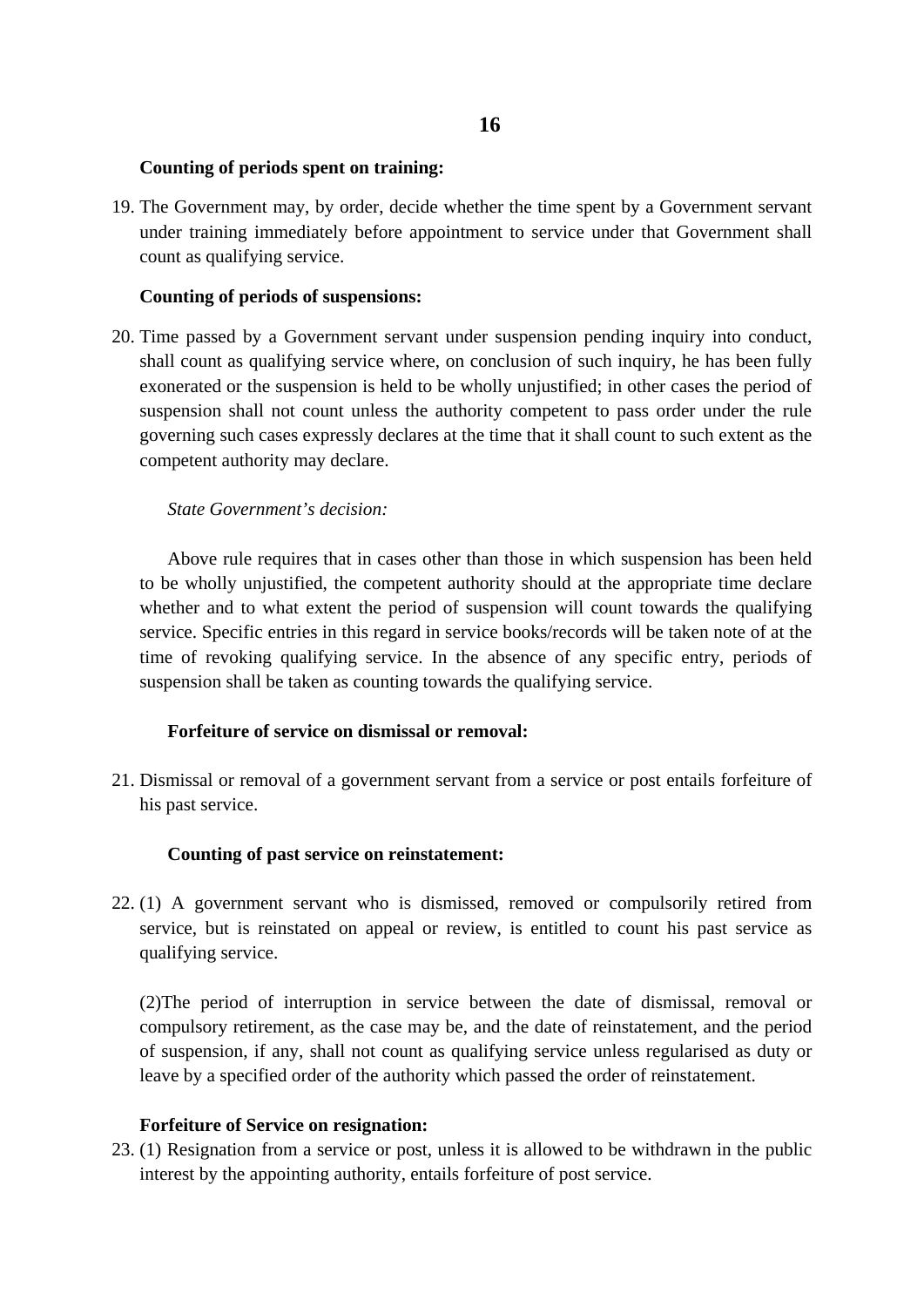# **Counting of periods spent on training:**

19. The Government may, by order, decide whether the time spent by a Government servant under training immediately before appointment to service under that Government shall count as qualifying service.

# **Counting of periods of suspensions:**

20. Time passed by a Government servant under suspension pending inquiry into conduct, shall count as qualifying service where, on conclusion of such inquiry, he has been fully exonerated or the suspension is held to be wholly unjustified; in other cases the period of suspension shall not count unless the authority competent to pass order under the rule governing such cases expressly declares at the time that it shall count to such extent as the competent authority may declare.

# *State Government's decision:*

Above rule requires that in cases other than those in which suspension has been held to be wholly unjustified, the competent authority should at the appropriate time declare whether and to what extent the period of suspension will count towards the qualifying service. Specific entries in this regard in service books/records will be taken note of at the time of revoking qualifying service. In the absence of any specific entry, periods of suspension shall be taken as counting towards the qualifying service.

# **Forfeiture of service on dismissal or removal:**

21. Dismissal or removal of a government servant from a service or post entails forfeiture of his past service.

# **Counting of past service on reinstatement:**

22. (1) A government servant who is dismissed, removed or compulsorily retired from service, but is reinstated on appeal or review, is entitled to count his past service as qualifying service.

(2)The period of interruption in service between the date of dismissal, removal or compulsory retirement, as the case may be, and the date of reinstatement, and the period of suspension, if any, shall not count as qualifying service unless regularised as duty or leave by a specified order of the authority which passed the order of reinstatement.

# **Forfeiture of Service on resignation:**

23. (1) Resignation from a service or post, unless it is allowed to be withdrawn in the public interest by the appointing authority, entails forfeiture of post service.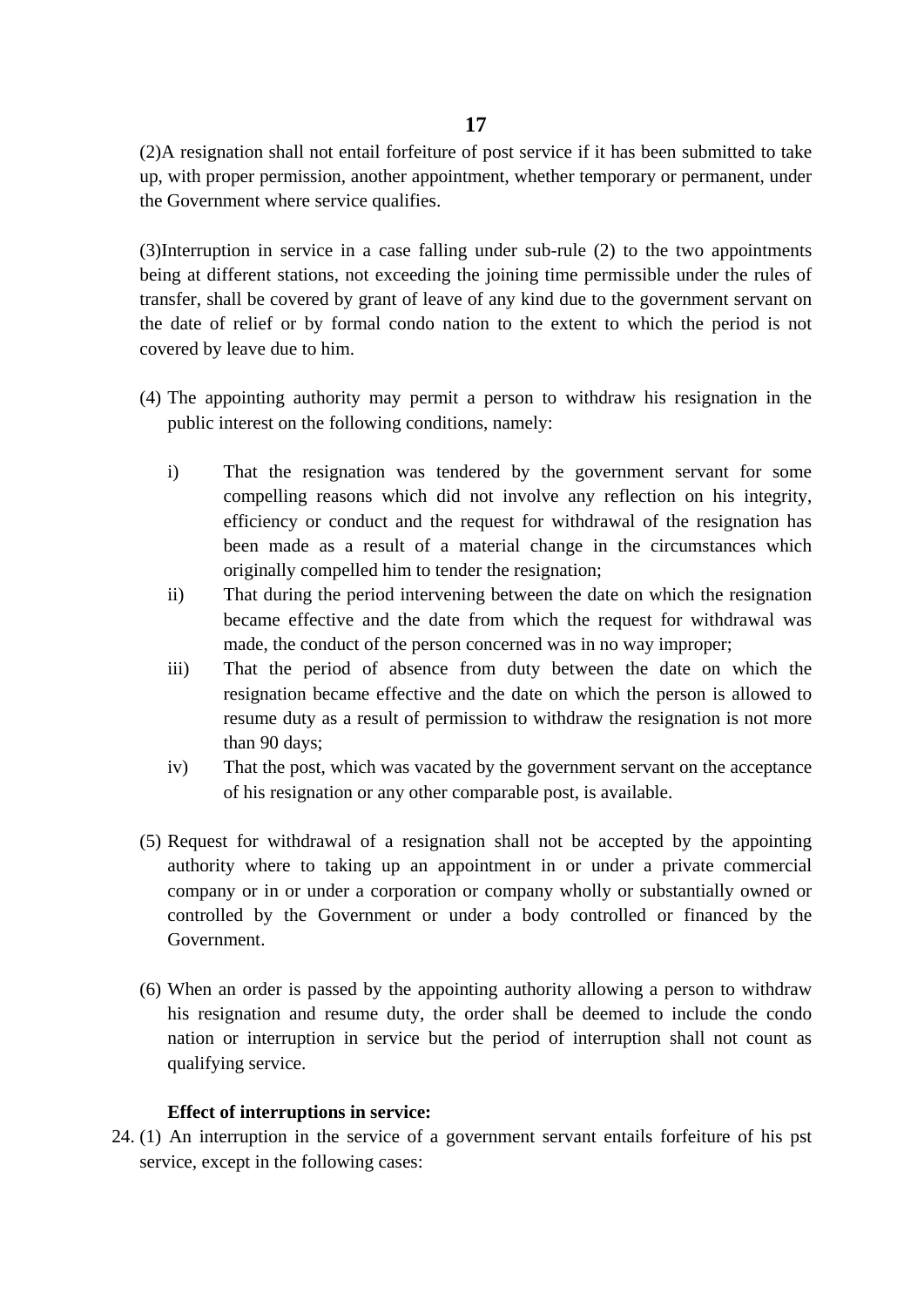(2)A resignation shall not entail forfeiture of post service if it has been submitted to take up, with proper permission, another appointment, whether temporary or permanent, under the Government where service qualifies.

(3)Interruption in service in a case falling under sub-rule (2) to the two appointments being at different stations, not exceeding the joining time permissible under the rules of transfer, shall be covered by grant of leave of any kind due to the government servant on the date of relief or by formal condo nation to the extent to which the period is not covered by leave due to him.

- (4) The appointing authority may permit a person to withdraw his resignation in the public interest on the following conditions, namely:
	- i) That the resignation was tendered by the government servant for some compelling reasons which did not involve any reflection on his integrity, efficiency or conduct and the request for withdrawal of the resignation has been made as a result of a material change in the circumstances which originally compelled him to tender the resignation;
	- ii) That during the period intervening between the date on which the resignation became effective and the date from which the request for withdrawal was made, the conduct of the person concerned was in no way improper;
	- iii) That the period of absence from duty between the date on which the resignation became effective and the date on which the person is allowed to resume duty as a result of permission to withdraw the resignation is not more than 90 days;
	- iv) That the post, which was vacated by the government servant on the acceptance of his resignation or any other comparable post, is available.
- (5) Request for withdrawal of a resignation shall not be accepted by the appointing authority where to taking up an appointment in or under a private commercial company or in or under a corporation or company wholly or substantially owned or controlled by the Government or under a body controlled or financed by the Government.
- (6) When an order is passed by the appointing authority allowing a person to withdraw his resignation and resume duty, the order shall be deemed to include the condo nation or interruption in service but the period of interruption shall not count as qualifying service.

# **Effect of interruptions in service:**

24. (1) An interruption in the service of a government servant entails forfeiture of his pst service, except in the following cases: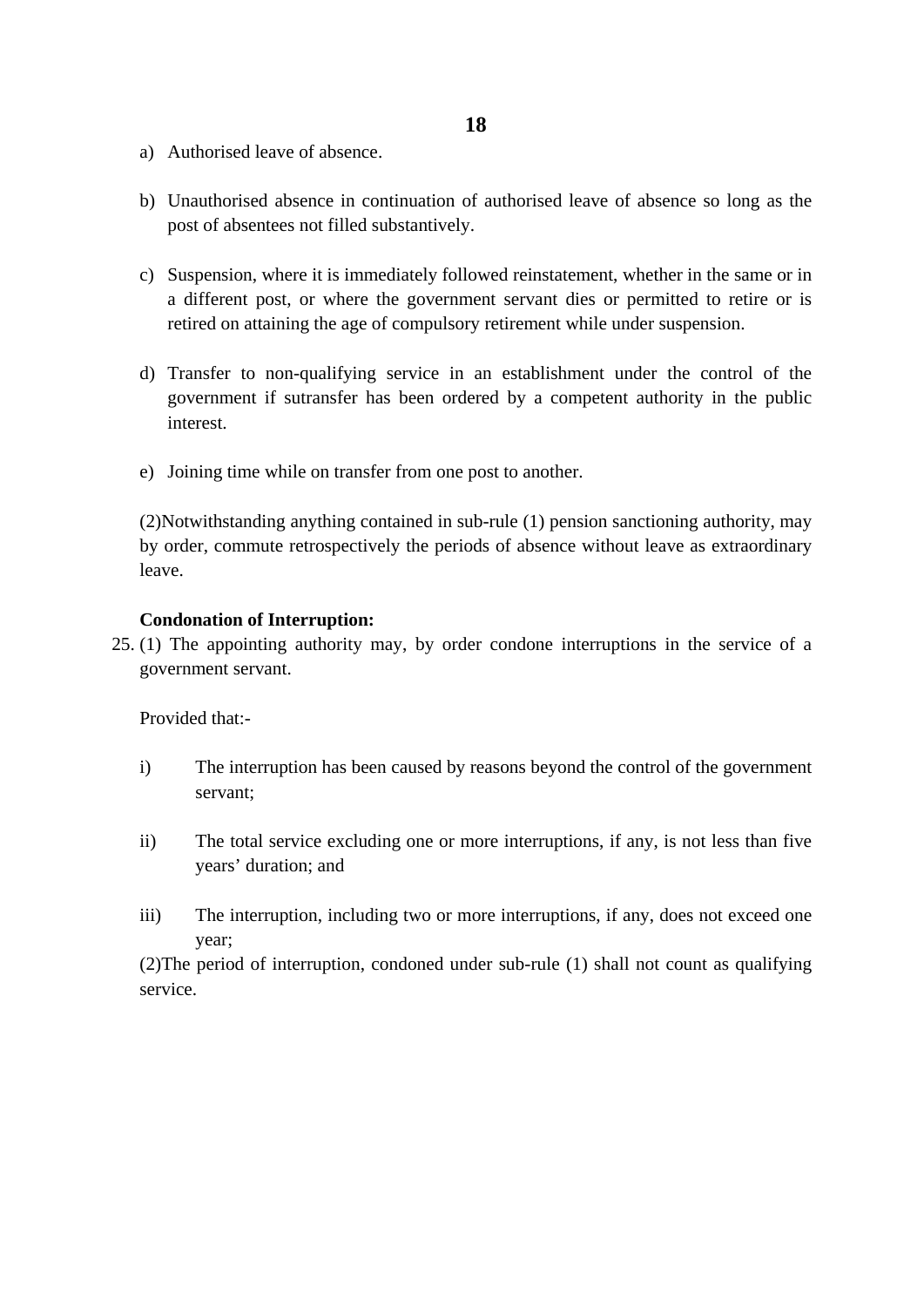- a) Authorised leave of absence.
- b) Unauthorised absence in continuation of authorised leave of absence so long as the post of absentees not filled substantively.
- c) Suspension, where it is immediately followed reinstatement, whether in the same or in a different post, or where the government servant dies or permitted to retire or is retired on attaining the age of compulsory retirement while under suspension.
- d) Transfer to non-qualifying service in an establishment under the control of the government if sutransfer has been ordered by a competent authority in the public interest.
- e) Joining time while on transfer from one post to another.

(2)Notwithstanding anything contained in sub-rule (1) pension sanctioning authority, may by order, commute retrospectively the periods of absence without leave as extraordinary leave.

## **Condonation of Interruption:**

25. (1) The appointing authority may, by order condone interruptions in the service of a government servant.

Provided that:-

- i) The interruption has been caused by reasons beyond the control of the government servant;
- ii) The total service excluding one or more interruptions, if any, is not less than five years' duration; and
- iii) The interruption, including two or more interruptions, if any, does not exceed one year;

(2)The period of interruption, condoned under sub-rule (1) shall not count as qualifying service.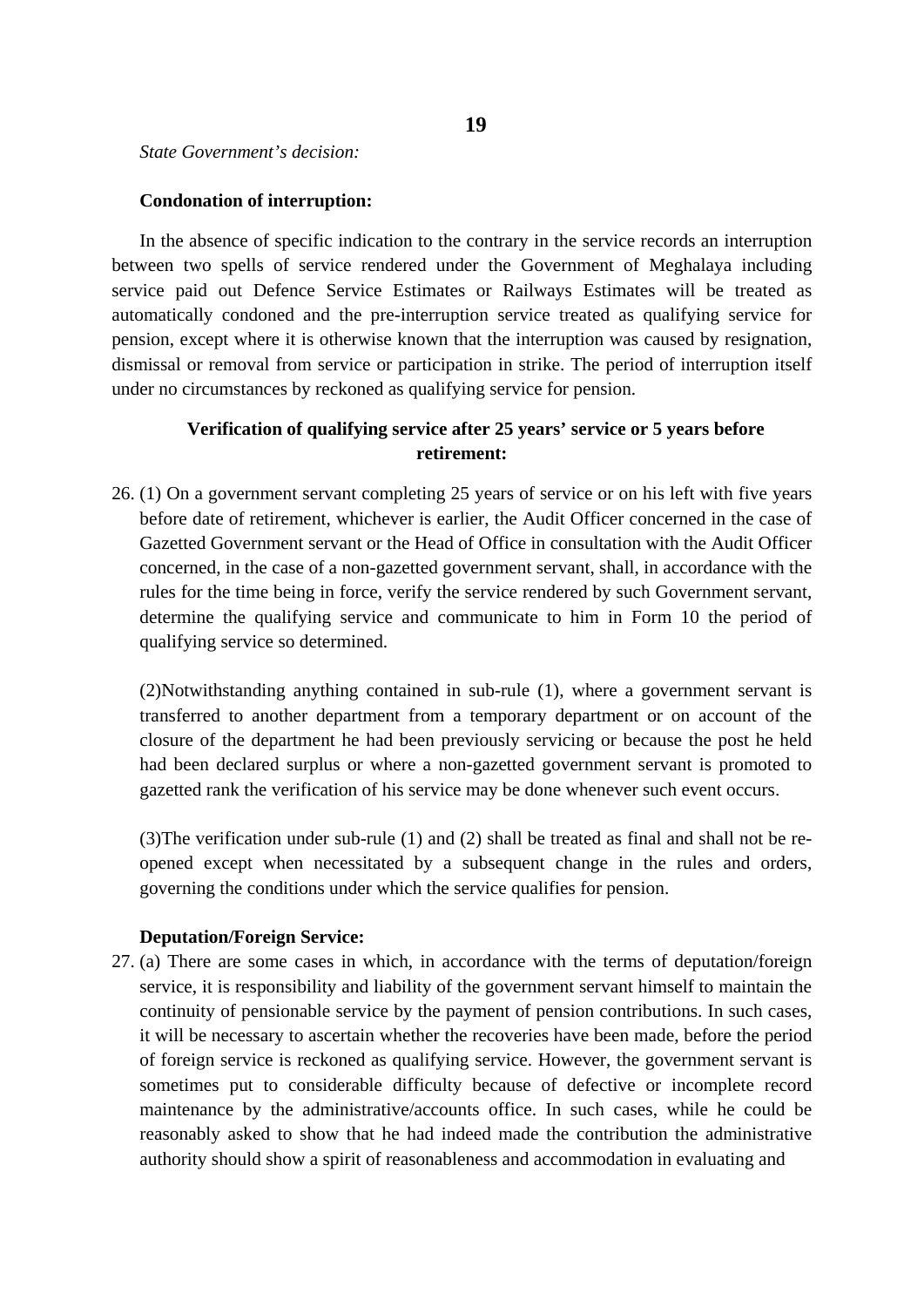*State Government's decision:*

## **Condonation of interruption:**

In the absence of specific indication to the contrary in the service records an interruption between two spells of service rendered under the Government of Meghalaya including service paid out Defence Service Estimates or Railways Estimates will be treated as automatically condoned and the pre-interruption service treated as qualifying service for pension, except where it is otherwise known that the interruption was caused by resignation, dismissal or removal from service or participation in strike. The period of interruption itself under no circumstances by reckoned as qualifying service for pension.

# **Verification of qualifying service after 25 years' service or 5 years before retirement:**

26. (1) On a government servant completing 25 years of service or on his left with five years before date of retirement, whichever is earlier, the Audit Officer concerned in the case of Gazetted Government servant or the Head of Office in consultation with the Audit Officer concerned, in the case of a non-gazetted government servant, shall, in accordance with the rules for the time being in force, verify the service rendered by such Government servant, determine the qualifying service and communicate to him in Form 10 the period of qualifying service so determined.

(2)Notwithstanding anything contained in sub-rule (1), where a government servant is transferred to another department from a temporary department or on account of the closure of the department he had been previously servicing or because the post he held had been declared surplus or where a non-gazetted government servant is promoted to gazetted rank the verification of his service may be done whenever such event occurs.

(3)The verification under sub-rule (1) and (2) shall be treated as final and shall not be reopened except when necessitated by a subsequent change in the rules and orders, governing the conditions under which the service qualifies for pension.

# **Deputation/Foreign Service:**

27. (a) There are some cases in which, in accordance with the terms of deputation/foreign service, it is responsibility and liability of the government servant himself to maintain the continuity of pensionable service by the payment of pension contributions. In such cases, it will be necessary to ascertain whether the recoveries have been made, before the period of foreign service is reckoned as qualifying service. However, the government servant is sometimes put to considerable difficulty because of defective or incomplete record maintenance by the administrative/accounts office. In such cases, while he could be reasonably asked to show that he had indeed made the contribution the administrative authority should show a spirit of reasonableness and accommodation in evaluating and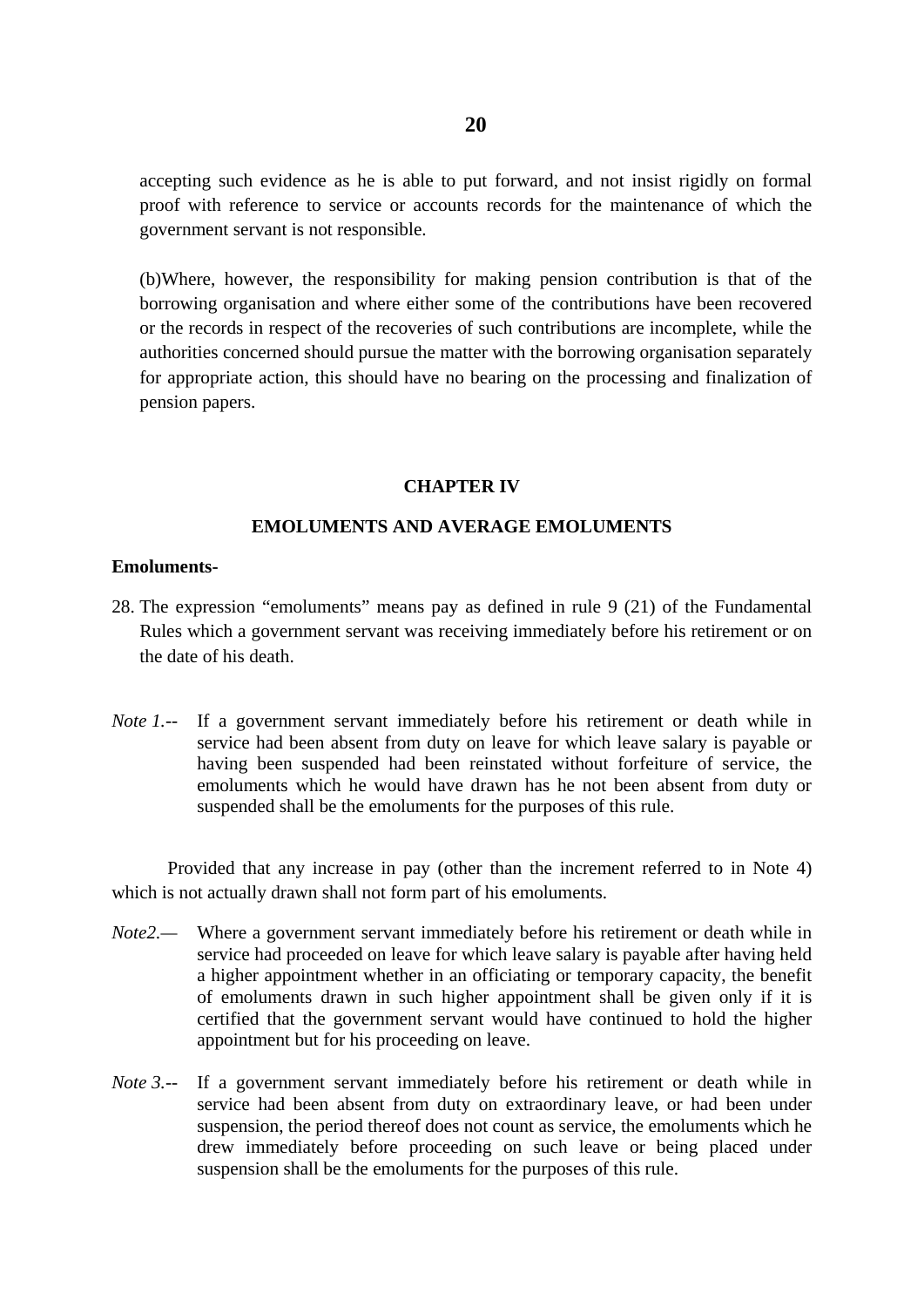accepting such evidence as he is able to put forward, and not insist rigidly on formal proof with reference to service or accounts records for the maintenance of which the government servant is not responsible.

(b)Where, however, the responsibility for making pension contribution is that of the borrowing organisation and where either some of the contributions have been recovered or the records in respect of the recoveries of such contributions are incomplete, while the authorities concerned should pursue the matter with the borrowing organisation separately for appropriate action, this should have no bearing on the processing and finalization of pension papers.

#### **CHAPTER IV**

## **EMOLUMENTS AND AVERAGE EMOLUMENTS**

#### **Emoluments-**

- 28. The expression "emoluments" means pay as defined in rule 9 (21) of the Fundamental Rules which a government servant was receiving immediately before his retirement or on the date of his death.
- *Note 1.--* If a government servant immediately before his retirement or death while in service had been absent from duty on leave for which leave salary is payable or having been suspended had been reinstated without forfeiture of service, the emoluments which he would have drawn has he not been absent from duty or suspended shall be the emoluments for the purposes of this rule.

Provided that any increase in pay (other than the increment referred to in Note 4) which is not actually drawn shall not form part of his emoluments.

- *Note2.—* Where a government servant immediately before his retirement or death while in service had proceeded on leave for which leave salary is payable after having held a higher appointment whether in an officiating or temporary capacity, the benefit of emoluments drawn in such higher appointment shall be given only if it is certified that the government servant would have continued to hold the higher appointment but for his proceeding on leave.
- *Note 3.--* If a government servant immediately before his retirement or death while in service had been absent from duty on extraordinary leave, or had been under suspension, the period thereof does not count as service, the emoluments which he drew immediately before proceeding on such leave or being placed under suspension shall be the emoluments for the purposes of this rule.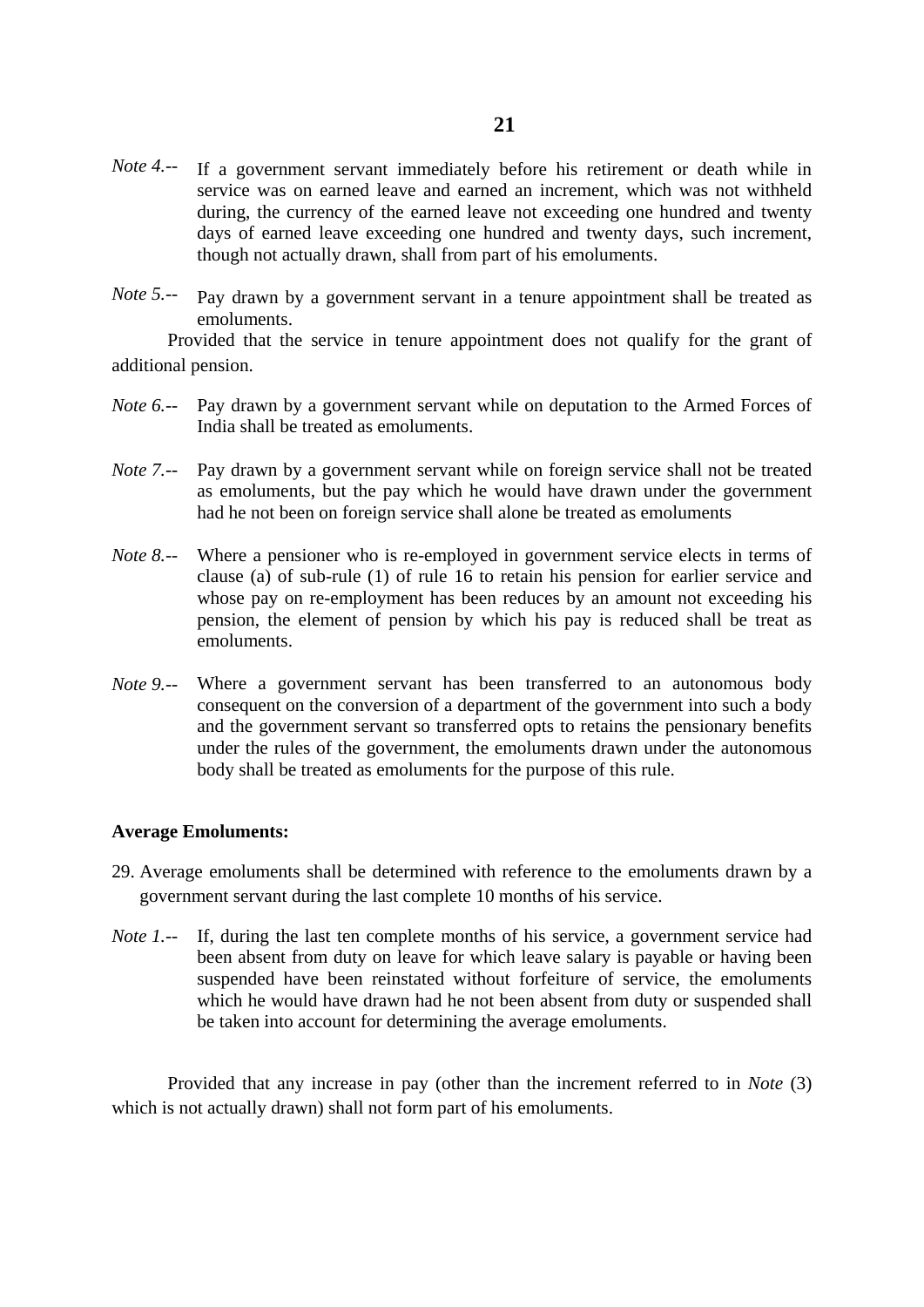- *Note 4.--* If a government servant immediately before his retirement or death while in service was on earned leave and earned an increment, which was not withheld during, the currency of the earned leave not exceeding one hundred and twenty days of earned leave exceeding one hundred and twenty days, such increment, though not actually drawn, shall from part of his emoluments.
- *Note 5.--* Pay drawn by a government servant in a tenure appointment shall be treated as emoluments.

Provided that the service in tenure appointment does not qualify for the grant of additional pension.

- *Note 6.--* Pay drawn by a government servant while on deputation to the Armed Forces of India shall be treated as emoluments.
- *Note 7.--* Pay drawn by a government servant while on foreign service shall not be treated as emoluments, but the pay which he would have drawn under the government had he not been on foreign service shall alone be treated as emoluments
- *Note 8.--* Where a pensioner who is re-employed in government service elects in terms of clause (a) of sub-rule (1) of rule 16 to retain his pension for earlier service and whose pay on re-employment has been reduces by an amount not exceeding his pension, the element of pension by which his pay is reduced shall be treat as emoluments.
- *Note 9.--* Where a government servant has been transferred to an autonomous body consequent on the conversion of a department of the government into such a body and the government servant so transferred opts to retains the pensionary benefits under the rules of the government, the emoluments drawn under the autonomous body shall be treated as emoluments for the purpose of this rule.

#### **Average Emoluments:**

- 29. Average emoluments shall be determined with reference to the emoluments drawn by a government servant during the last complete 10 months of his service.
- *Note 1.*-- If, during the last ten complete months of his service, a government service had been absent from duty on leave for which leave salary is payable or having been suspended have been reinstated without forfeiture of service, the emoluments which he would have drawn had he not been absent from duty or suspended shall be taken into account for determining the average emoluments.

Provided that any increase in pay (other than the increment referred to in *Note* (3) which is not actually drawn) shall not form part of his emoluments.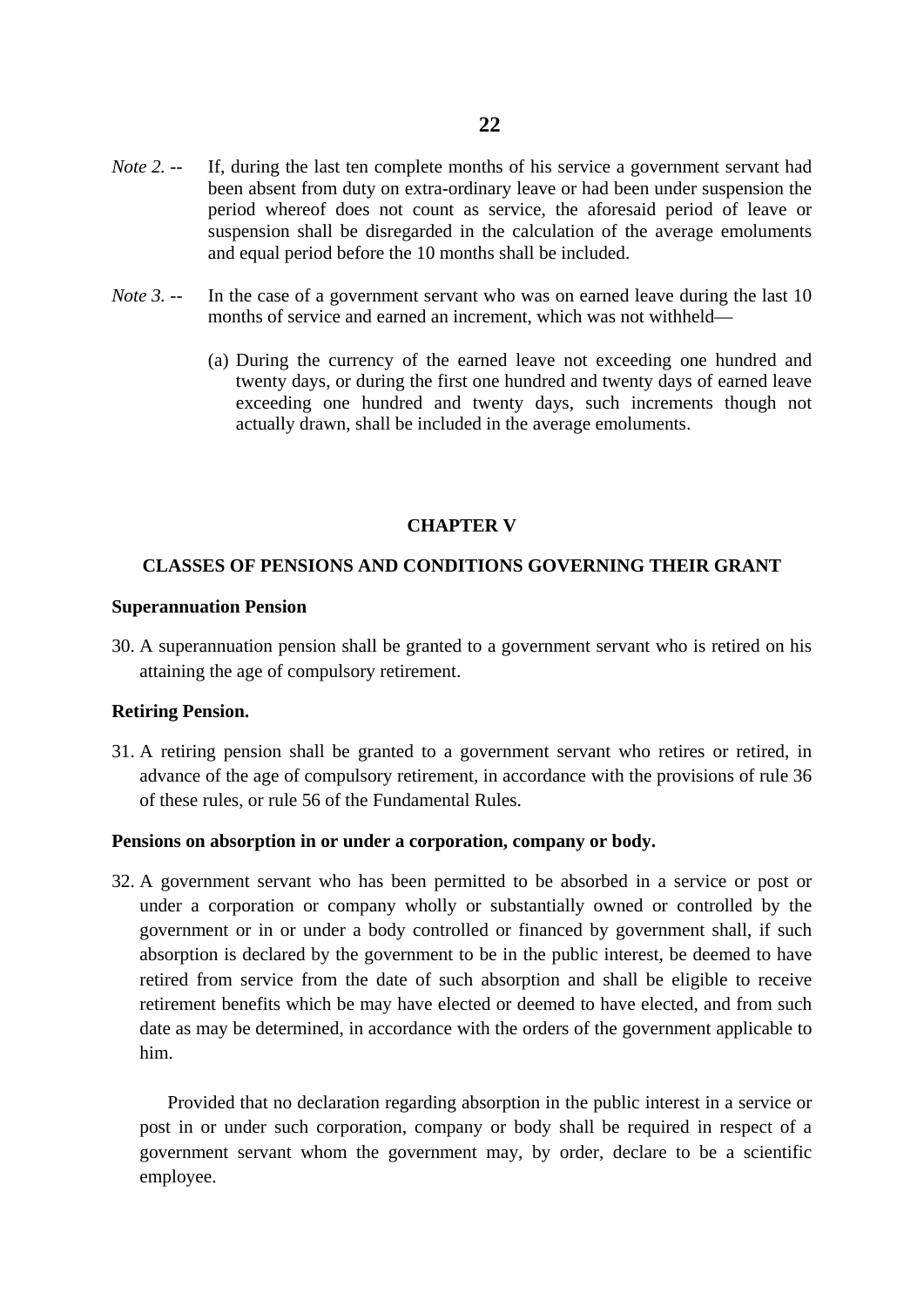- *Note 2. --* If, during the last ten complete months of his service a government servant had been absent from duty on extra-ordinary leave or had been under suspension the period whereof does not count as service, the aforesaid period of leave or suspension shall be disregarded in the calculation of the average emoluments and equal period before the 10 months shall be included.
- *Note 3. --* In the case of a government servant who was on earned leave during the last 10 months of service and earned an increment, which was not withheld—
	- (a) During the currency of the earned leave not exceeding one hundred and twenty days, or during the first one hundred and twenty days of earned leave exceeding one hundred and twenty days, such increments though not actually drawn, shall be included in the average emoluments.

# **CHAPTER V**

## **CLASSES OF PENSIONS AND CONDITIONS GOVERNING THEIR GRANT**

#### **Superannuation Pension**

30. A superannuation pension shall be granted to a government servant who is retired on his attaining the age of compulsory retirement.

#### **Retiring Pension.**

31. A retiring pension shall be granted to a government servant who retires or retired, in advance of the age of compulsory retirement, in accordance with the provisions of rule 36 of these rules, or rule 56 of the Fundamental Rules.

#### **Pensions on absorption in or under a corporation, company or body.**

32. A government servant who has been permitted to be absorbed in a service or post or under a corporation or company wholly or substantially owned or controlled by the government or in or under a body controlled or financed by government shall, if such absorption is declared by the government to be in the public interest, be deemed to have retired from service from the date of such absorption and shall be eligible to receive retirement benefits which be may have elected or deemed to have elected, and from such date as may be determined, in accordance with the orders of the government applicable to him.

Provided that no declaration regarding absorption in the public interest in a service or post in or under such corporation, company or body shall be required in respect of a government servant whom the government may, by order, declare to be a scientific employee.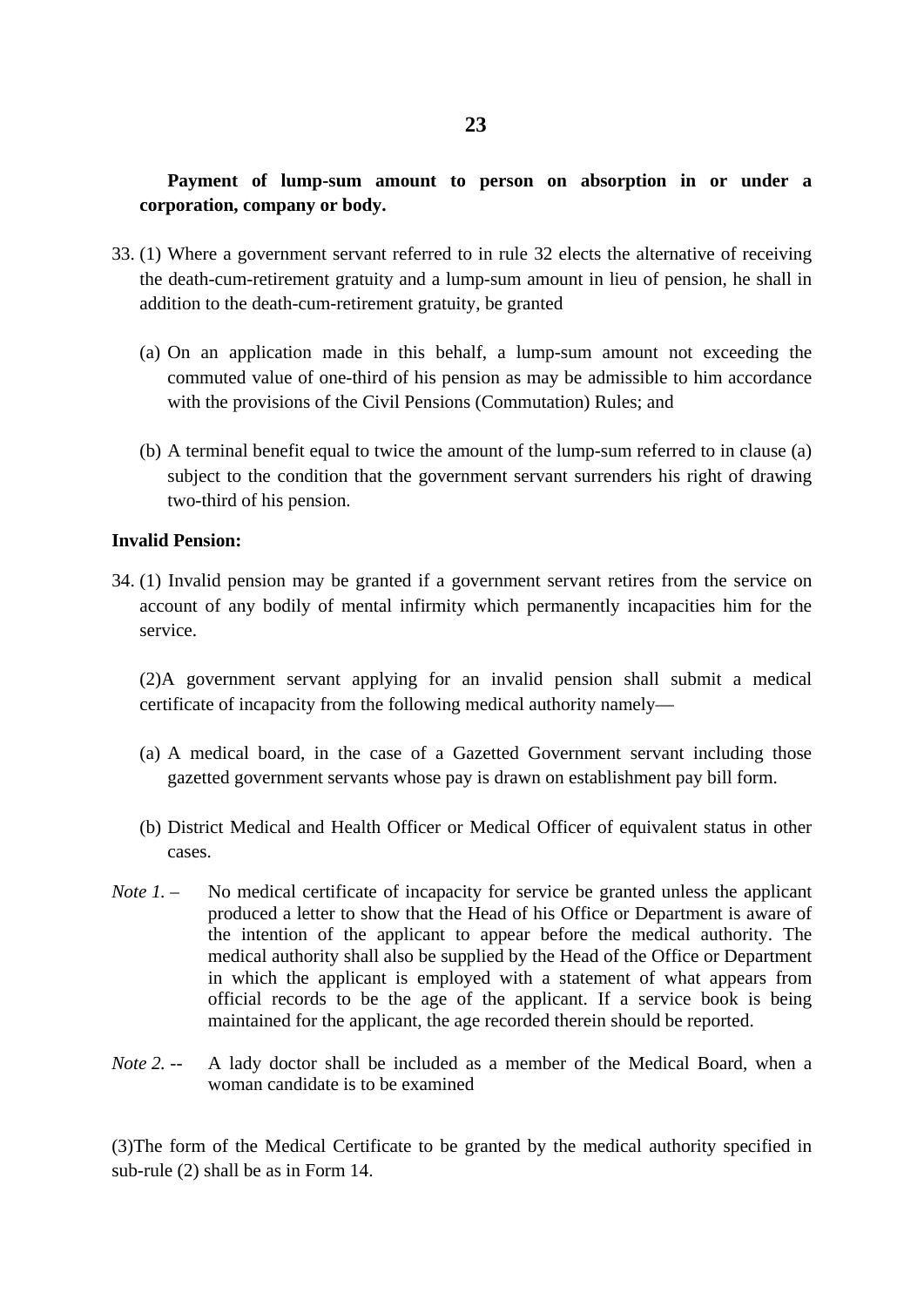# **Payment of lump-sum amount to person on absorption in or under a corporation, company or body.**

- 33. (1) Where a government servant referred to in rule 32 elects the alternative of receiving the death-cum-retirement gratuity and a lump-sum amount in lieu of pension, he shall in addition to the death-cum-retirement gratuity, be granted
	- (a) On an application made in this behalf, a lump-sum amount not exceeding the commuted value of one-third of his pension as may be admissible to him accordance with the provisions of the Civil Pensions (Commutation) Rules; and
	- (b) A terminal benefit equal to twice the amount of the lump-sum referred to in clause (a) subject to the condition that the government servant surrenders his right of drawing two-third of his pension.

# **Invalid Pension:**

34. (1) Invalid pension may be granted if a government servant retires from the service on account of any bodily of mental infirmity which permanently incapacities him for the service.

(2)A government servant applying for an invalid pension shall submit a medical certificate of incapacity from the following medical authority namely—

- (a) A medical board, in the case of a Gazetted Government servant including those gazetted government servants whose pay is drawn on establishment pay bill form.
- (b) District Medical and Health Officer or Medical Officer of equivalent status in other cases.
- *Note 1. –* No medical certificate of incapacity for service be granted unless the applicant produced a letter to show that the Head of his Office or Department is aware of the intention of the applicant to appear before the medical authority. The medical authority shall also be supplied by the Head of the Office or Department in which the applicant is employed with a statement of what appears from official records to be the age of the applicant. If a service book is being maintained for the applicant, the age recorded therein should be reported.
- *Note 2. --* A lady doctor shall be included as a member of the Medical Board, when a woman candidate is to be examined

(3)The form of the Medical Certificate to be granted by the medical authority specified in sub-rule (2) shall be as in Form 14.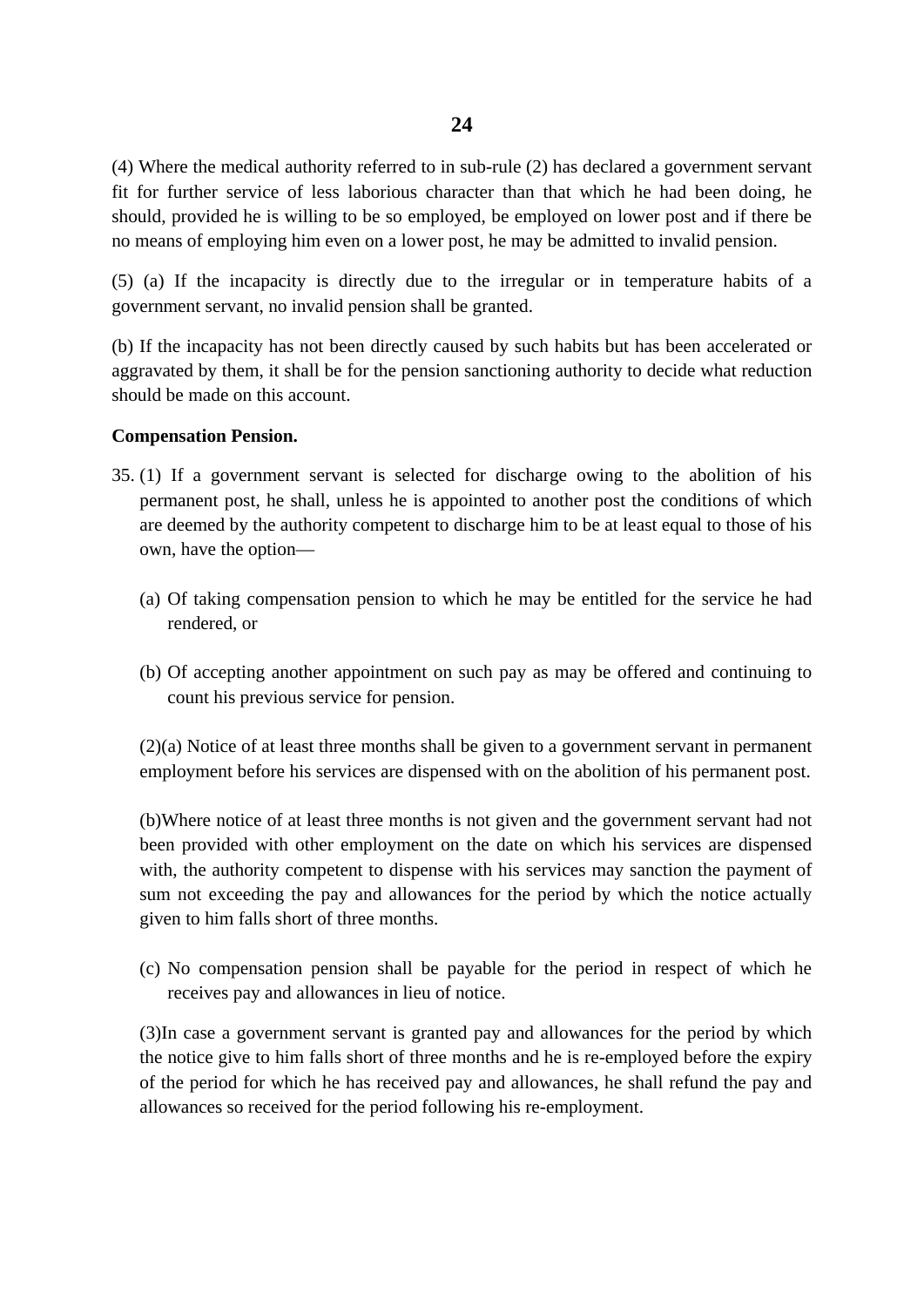(4) Where the medical authority referred to in sub-rule (2) has declared a government servant fit for further service of less laborious character than that which he had been doing, he should, provided he is willing to be so employed, be employed on lower post and if there be no means of employing him even on a lower post, he may be admitted to invalid pension.

(5) (a) If the incapacity is directly due to the irregular or in temperature habits of a government servant, no invalid pension shall be granted.

(b) If the incapacity has not been directly caused by such habits but has been accelerated or aggravated by them, it shall be for the pension sanctioning authority to decide what reduction should be made on this account.

# **Compensation Pension.**

- 35. (1) If a government servant is selected for discharge owing to the abolition of his permanent post, he shall, unless he is appointed to another post the conditions of which are deemed by the authority competent to discharge him to be at least equal to those of his own, have the option—
	- (a) Of taking compensation pension to which he may be entitled for the service he had rendered, or
	- (b) Of accepting another appointment on such pay as may be offered and continuing to count his previous service for pension.

(2)(a) Notice of at least three months shall be given to a government servant in permanent employment before his services are dispensed with on the abolition of his permanent post.

(b)Where notice of at least three months is not given and the government servant had not been provided with other employment on the date on which his services are dispensed with, the authority competent to dispense with his services may sanction the payment of sum not exceeding the pay and allowances for the period by which the notice actually given to him falls short of three months.

(c) No compensation pension shall be payable for the period in respect of which he receives pay and allowances in lieu of notice.

(3)In case a government servant is granted pay and allowances for the period by which the notice give to him falls short of three months and he is re-employed before the expiry of the period for which he has received pay and allowances, he shall refund the pay and allowances so received for the period following his re-employment.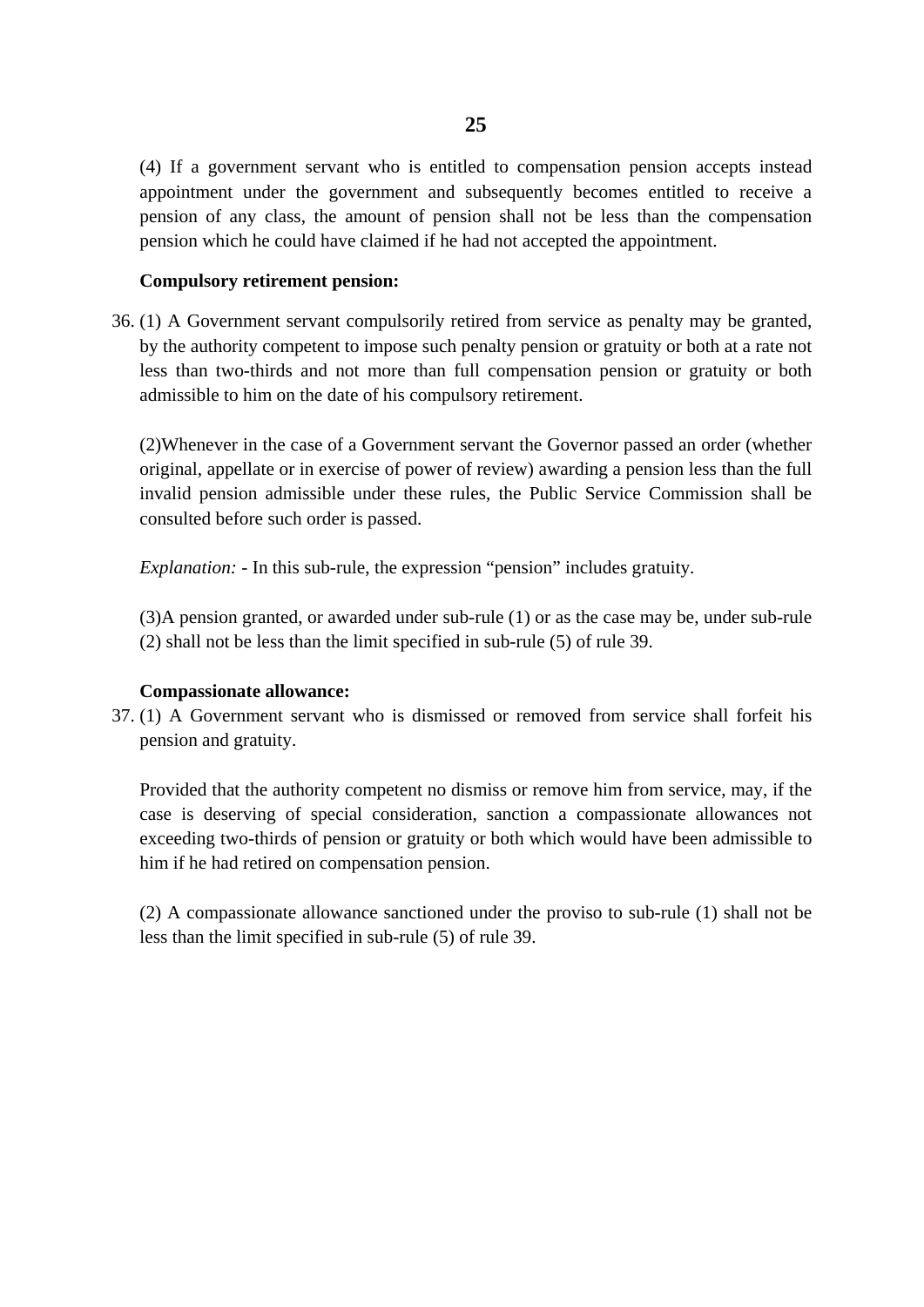(4) If a government servant who is entitled to compensation pension accepts instead appointment under the government and subsequently becomes entitled to receive a pension of any class, the amount of pension shall not be less than the compensation pension which he could have claimed if he had not accepted the appointment.

#### **Compulsory retirement pension:**

36. (1) A Government servant compulsorily retired from service as penalty may be granted, by the authority competent to impose such penalty pension or gratuity or both at a rate not less than two-thirds and not more than full compensation pension or gratuity or both admissible to him on the date of his compulsory retirement.

(2)Whenever in the case of a Government servant the Governor passed an order (whether original, appellate or in exercise of power of review) awarding a pension less than the full invalid pension admissible under these rules, the Public Service Commission shall be consulted before such order is passed.

*Explanation: -* In this sub-rule, the expression "pension" includes gratuity.

(3)A pension granted, or awarded under sub-rule (1) or as the case may be, under sub-rule (2) shall not be less than the limit specified in sub-rule (5) of rule 39.

#### **Compassionate allowance:**

37. (1) A Government servant who is dismissed or removed from service shall forfeit his pension and gratuity.

Provided that the authority competent no dismiss or remove him from service, may, if the case is deserving of special consideration, sanction a compassionate allowances not exceeding two-thirds of pension or gratuity or both which would have been admissible to him if he had retired on compensation pension.

(2) A compassionate allowance sanctioned under the proviso to sub-rule (1) shall not be less than the limit specified in sub-rule (5) of rule 39.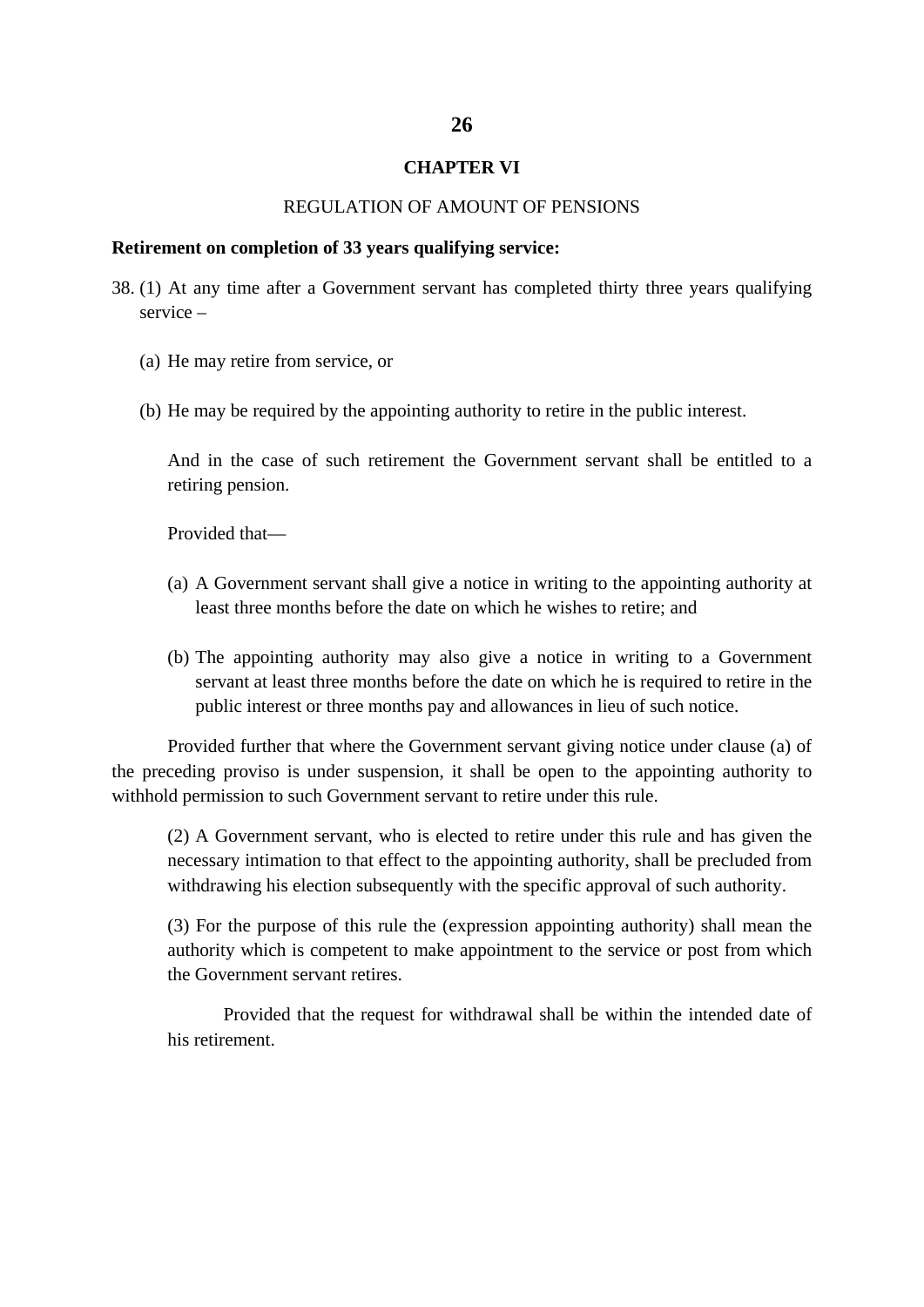#### **CHAPTER VI**

#### REGULATION OF AMOUNT OF PENSIONS

#### **Retirement on completion of 33 years qualifying service:**

- 38. (1) At any time after a Government servant has completed thirty three years qualifying service –
	- (a) He may retire from service, or
	- (b) He may be required by the appointing authority to retire in the public interest.

And in the case of such retirement the Government servant shall be entitled to a retiring pension.

Provided that—

- (a) A Government servant shall give a notice in writing to the appointing authority at least three months before the date on which he wishes to retire; and
- (b) The appointing authority may also give a notice in writing to a Government servant at least three months before the date on which he is required to retire in the public interest or three months pay and allowances in lieu of such notice.

Provided further that where the Government servant giving notice under clause (a) of the preceding proviso is under suspension, it shall be open to the appointing authority to withhold permission to such Government servant to retire under this rule.

(2) A Government servant, who is elected to retire under this rule and has given the necessary intimation to that effect to the appointing authority, shall be precluded from withdrawing his election subsequently with the specific approval of such authority.

(3) For the purpose of this rule the (expression appointing authority) shall mean the authority which is competent to make appointment to the service or post from which the Government servant retires.

Provided that the request for withdrawal shall be within the intended date of his retirement.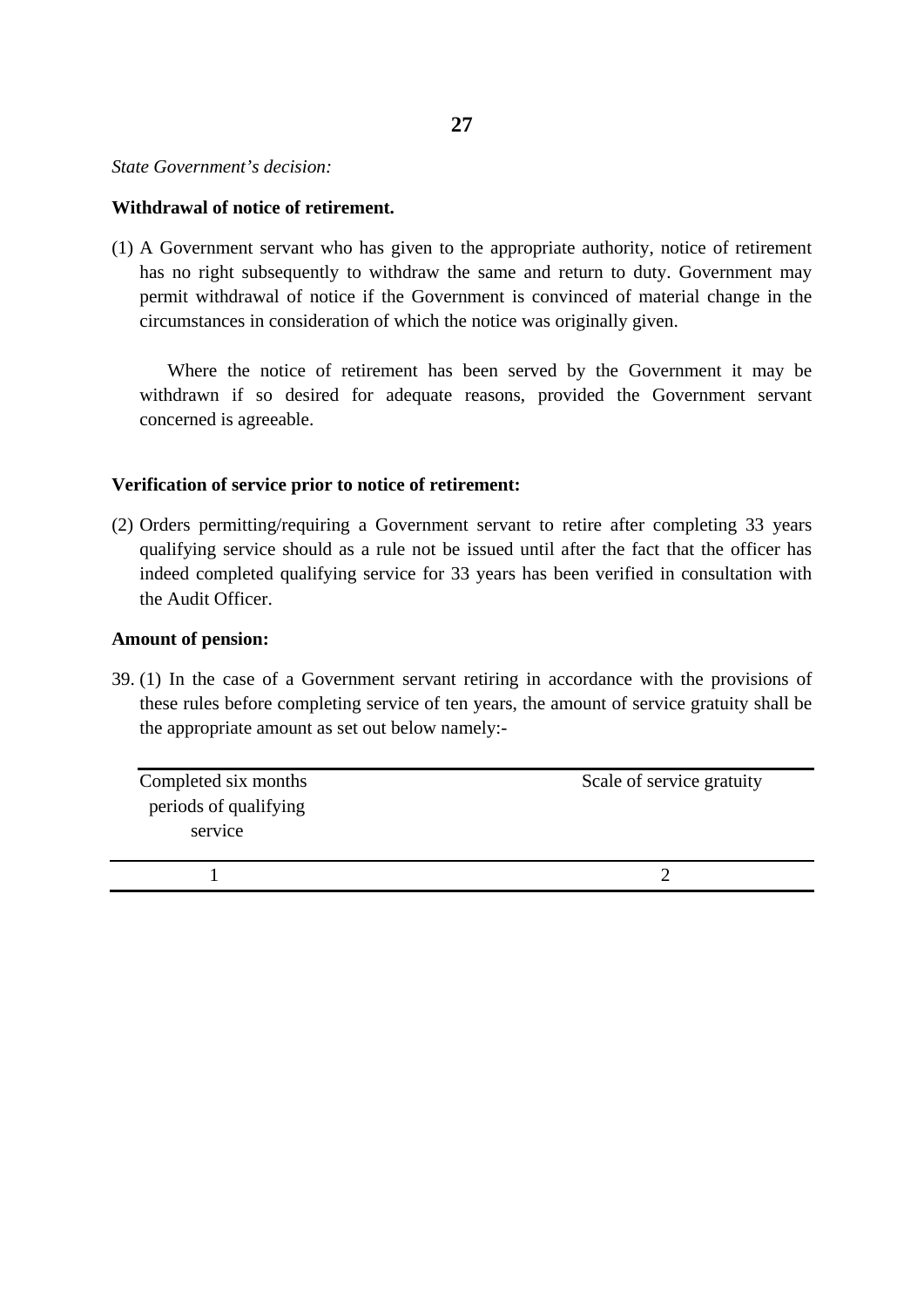#### *State Government's decision:*

#### **Withdrawal of notice of retirement.**

(1) A Government servant who has given to the appropriate authority, notice of retirement has no right subsequently to withdraw the same and return to duty. Government may permit withdrawal of notice if the Government is convinced of material change in the circumstances in consideration of which the notice was originally given.

Where the notice of retirement has been served by the Government it may be withdrawn if so desired for adequate reasons, provided the Government servant concerned is agreeable.

# **Verification of service prior to notice of retirement:**

(2) Orders permitting/requiring a Government servant to retire after completing 33 years qualifying service should as a rule not be issued until after the fact that the officer has indeed completed qualifying service for 33 years has been verified in consultation with the Audit Officer.

# **Amount of pension:**

39. (1) In the case of a Government servant retiring in accordance with the provisions of these rules before completing service of ten years, the amount of service gratuity shall be the appropriate amount as set out below namely:-

| Completed six months<br>periods of qualifying<br>service | Scale of service gratuity |
|----------------------------------------------------------|---------------------------|
|                                                          |                           |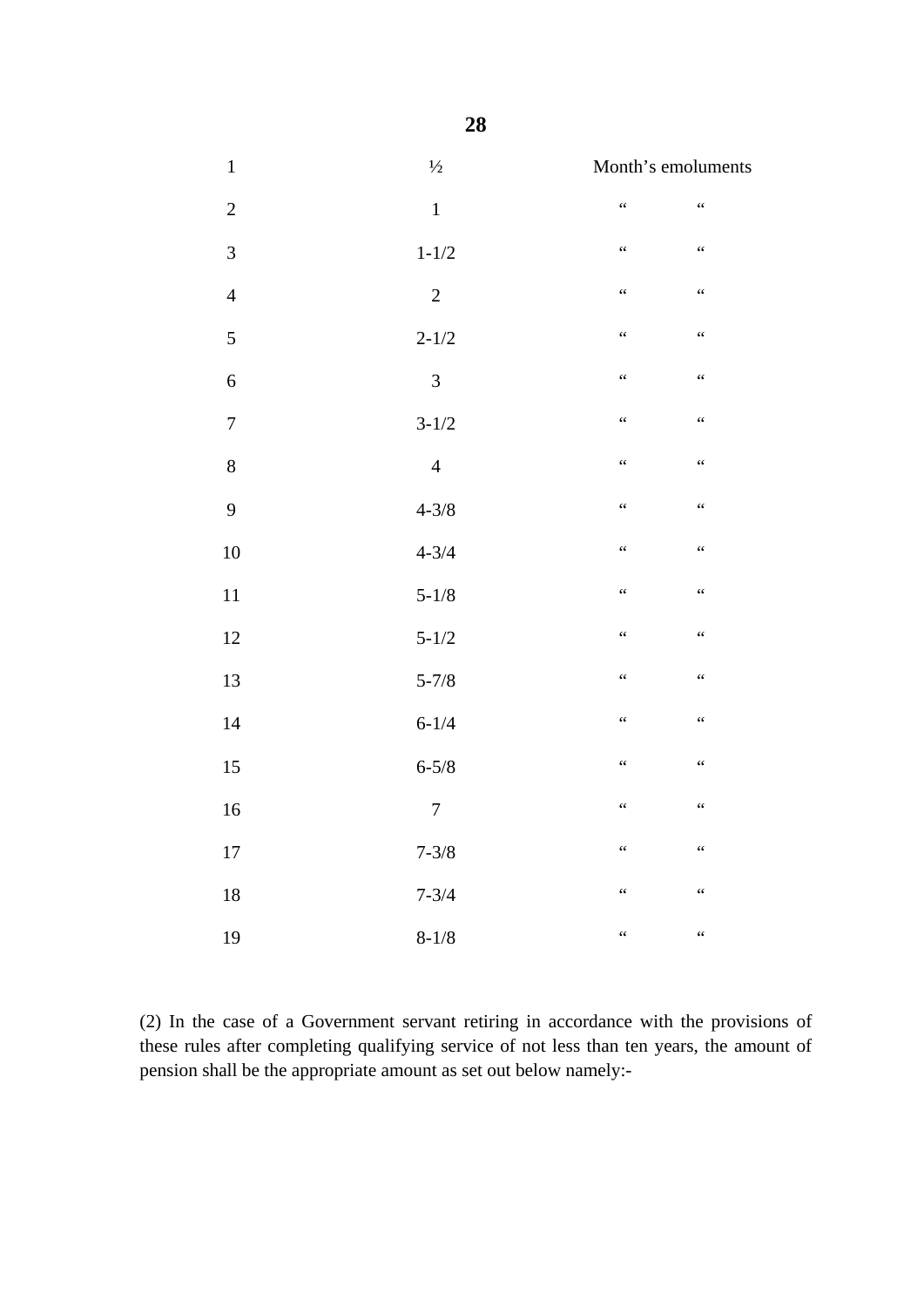| $\,1\,$        | $1/2$          | Month's emoluments                                   |                                                      |
|----------------|----------------|------------------------------------------------------|------------------------------------------------------|
| $\overline{2}$ | $\mathbf 1$    | $\ddot{\phantom{0}}$                                 | $\ddot{\phantom{0}}\!\!\!\phantom{0}\!\!\!\!\!\!\!s$ |
| $\mathfrak{Z}$ | $1 - 1/2$      | $\ddot{\phantom{0}}$                                 | $\ddot{\phantom{0}}\!\!\!\phantom{0}\!\!\!\!\!\!\!s$ |
| $\overline{4}$ | $\overline{2}$ | $\ddot{\phantom{0}}$                                 | $\ddot{\phantom{a}}$                                 |
| 5              | $2 - 1/2$      | $\ddot{\phantom{a}}$                                 | $\zeta \zeta$                                        |
| $\sqrt{6}$     | $\overline{3}$ | $\ddot{\phantom{0}}\!\!\!\phantom{0}\!\!\!\!\!\!\!s$ | $\zeta \zeta$                                        |
| $\tau$         | $3 - 1/2$      | $\ddot{\phantom{0}}\!\!\!\phantom{0}\!\!\!\!\!\!\!s$ | $\zeta \zeta$                                        |
| $\,8$          | $\overline{4}$ | $\zeta$ $\zeta$                                      | $\zeta \zeta$                                        |
| 9              | $4 - 3/8$      | $\zeta$ $\zeta$                                      | $\ddot{\phantom{0}}\!\!\!\phantom{0}\!\!\!\!\!\!s$   |
| 10             | $4 - 3/4$      | $\zeta$ $\zeta$                                      | $\ddot{\phantom{0}}\!\!\!\phantom{0}\!\!\!\!\!\!\!s$ |
| 11             | $5 - 1/8$      | $\zeta$ $\zeta$                                      | $\ddot{\phantom{0}}\!\!\!\phantom{0}\!\!\!\!\!\!\!s$ |
| $12\,$         | $5 - 1/2$      | $\zeta$ $\zeta$                                      | $\zeta$ $\zeta$                                      |
| 13             | $5 - 7/8$      | $\ddot{\phantom{0}}$                                 | $\ddot{\phantom{0}}\!\!\!\phantom{0}\!\!\!\!\!\!\!s$ |
| 14             | $6 - 1/4$      | $\ddot{\phantom{0}}$                                 | $\ddot{\phantom{0}}\!\!\!\phantom{0}\!\!\!\!\!\!\!s$ |
| 15             | $6 - 5/8$      | $\ddot{\phantom{0}}$                                 | $\ddot{\phantom{0}}\!\!\!\phantom{0}\!\!\!\!\!\!\!s$ |
| $16\,$         | $\overline{7}$ | $\zeta$ $\zeta$                                      | $\zeta$ $\zeta$                                      |
| 17             | $7 - 3/8$      | $\ddot{\phantom{a}}$                                 | $\ddot{\phantom{0}}\!\!\!\phantom{0}\!\!\!\!\!\!\!s$ |
| $18\,$         | $7 - 3/4$      | $\ddot{\phantom{0}}$                                 | $\ddot{\phantom{0}}\!\!\!\phantom{0}\!\!\!\!\!\!\!s$ |
| 19             | $8 - 1/8$      | $\epsilon$                                           | $\ddot{\phantom{a}}$                                 |

(2) In the case of a Government servant retiring in accordance with the provisions of these rules after completing qualifying service of not less than ten years, the amount of pension shall be the appropriate amount as set out below namely:-

**28**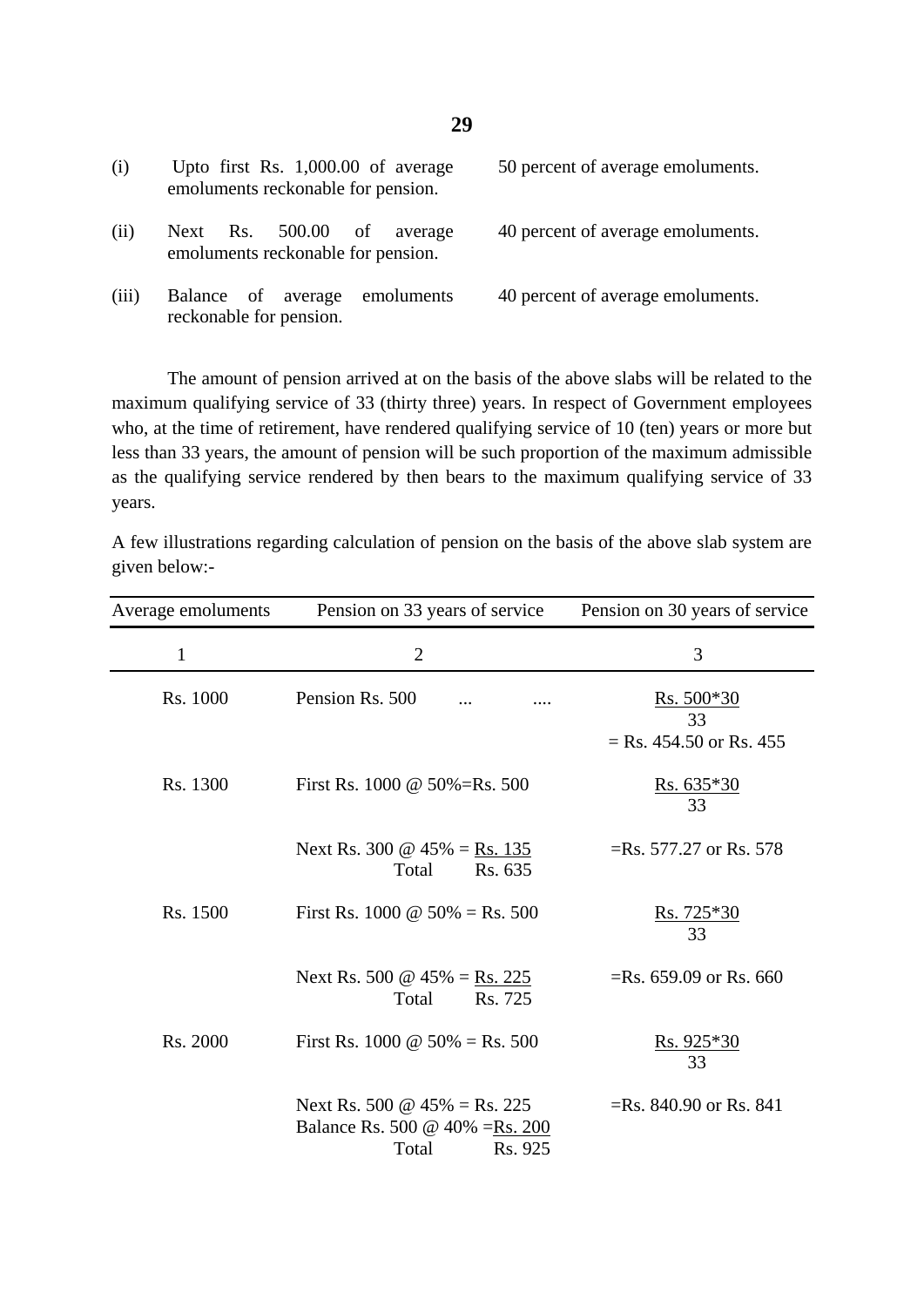| (i)   | Upto first Rs. $1,000.00$ of average<br>emoluments reckonable for pension. | 50 percent of average emoluments. |
|-------|----------------------------------------------------------------------------|-----------------------------------|
| (i)   | Next Rs. 500.00 of<br>average<br>emoluments reckonable for pension.        | 40 percent of average emoluments. |
| (iii) | emoluments<br>Balance of average<br>reckonable for pension.                | 40 percent of average emoluments. |

The amount of pension arrived at on the basis of the above slabs will be related to the maximum qualifying service of 33 (thirty three) years. In respect of Government employees who, at the time of retirement, have rendered qualifying service of 10 (ten) years or more but less than 33 years, the amount of pension will be such proportion of the maximum admissible as the qualifying service rendered by then bears to the maximum qualifying service of 33 years.

A few illustrations regarding calculation of pension on the basis of the above slab system are given below:-

| Average emoluments | Pension on 33 years of service                                                             | Pension on 30 years of service                                    |
|--------------------|--------------------------------------------------------------------------------------------|-------------------------------------------------------------------|
| $\mathbf{1}$       | $\overline{2}$                                                                             | 3                                                                 |
| Rs. 1000           | Pension Rs. 500                                                                            | <u>Rs. 500<math>*30</math></u><br>33<br>$=$ Rs. 454.50 or Rs. 455 |
| Rs. 1300           | First Rs. $1000 \& 50\% = Rs. 500$                                                         | <u>Rs. 635<math>*30</math></u><br>33                              |
|                    | Next Rs. 300 @ $45\% = \text{Rs. } 135$<br>Total<br>Rs. 635                                | $=$ Rs. 577.27 or Rs. 578                                         |
| Rs. 1500           | First Rs. 1000 $\omega$ 50% = Rs. 500                                                      | $Rs.725*30$<br>33                                                 |
|                    | Next Rs. 500 $\omega$ 45% = Rs. 225<br>Rs. 725<br>Total                                    | $=$ Rs. 659.09 or Rs. 660                                         |
| Rs. 2000           | First Rs. 1000 @ $50\% = \text{Rs. } 500$                                                  | <u>Rs. 925<math>*30</math></u><br>33                              |
|                    | Next Rs. 500 $\omega$ 45% = Rs. 225<br>Balance Rs. 500 @ 40% = Rs. 200<br>Rs. 925<br>Total | $=$ Rs. 840.90 or Rs. 841                                         |

**29**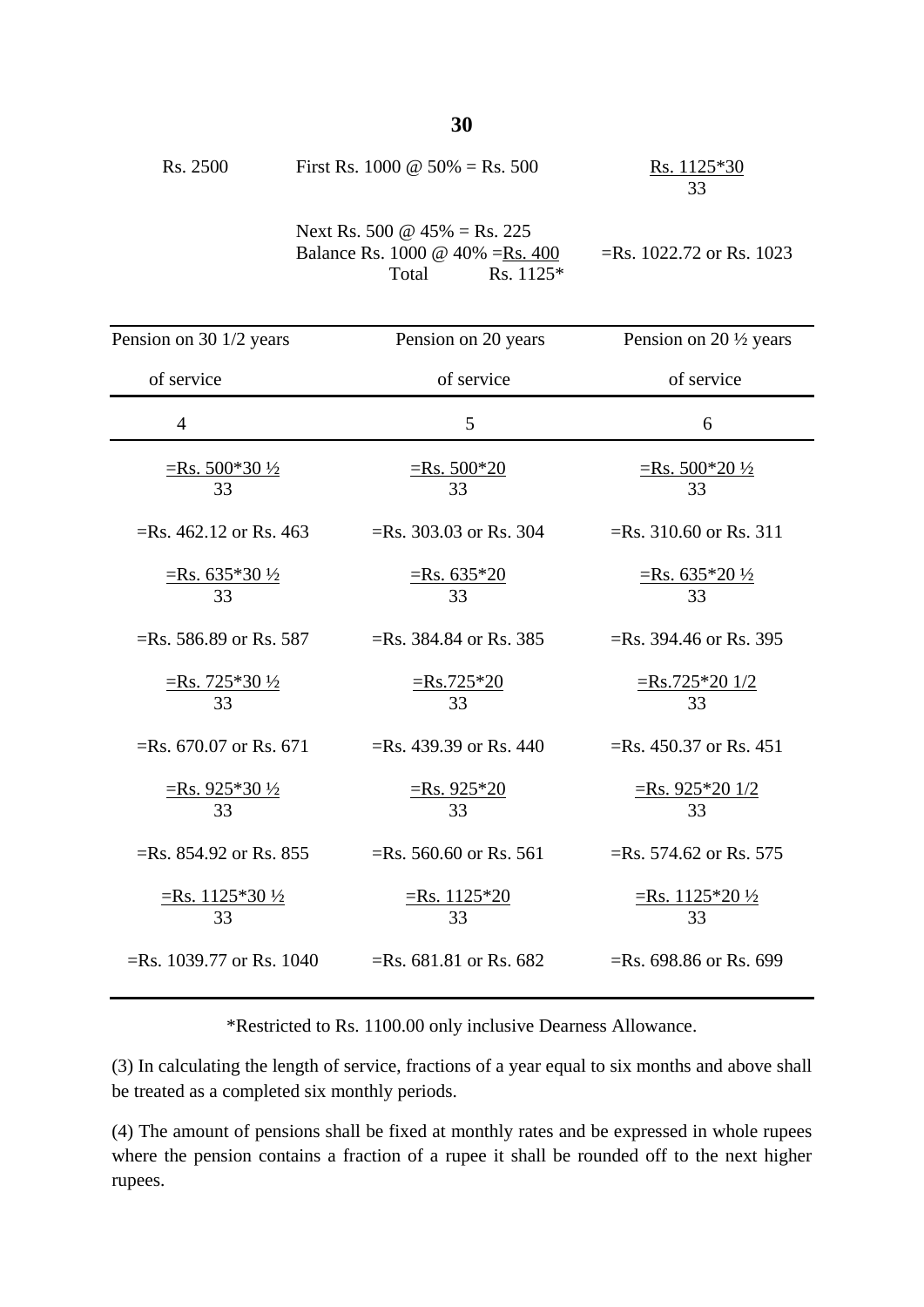| Rs. 2500 | First Rs. 1000 @ $50\% = \text{Rs. } 500$ | Rs. 1125*30<br>33 |
|----------|-------------------------------------------|-------------------|
|          | Next Rs. 500 @ $45\% = \text{Rs. } 225$   |                   |

| Balance Rs. 1000 @ 40% = Rs. 400 |       |             |
|----------------------------------|-------|-------------|
|                                  | Total | $Rs. 1125*$ |

=Rs. 1022.72 or Rs. 1023

| Pension on 30 1/2 years                         | Pension on 20 years            | Pension on 20 $\frac{1}{2}$ years       |
|-------------------------------------------------|--------------------------------|-----------------------------------------|
| of service                                      | of service                     | of service                              |
| $\overline{4}$                                  | 5                              | 6                                       |
| $\equiv$ Rs. 500*30 ½<br>33                     | $\equiv$ Rs. 500*20<br>33      | <u>=Rs. 500*20 ½</u><br>33              |
| $=$ Rs. 462.12 or Rs. 463                       | $=$ Rs. 303.03 or Rs. 304      | $=$ Rs. 310.60 or Rs. 311               |
| $\equiv$ Rs. 635*30 $\frac{1}{2}$<br>33         | $=$ Rs. 635*20<br>33           | $\equiv$ Rs. 635*20 $\frac{1}{2}$<br>33 |
| $=$ Rs. 586.89 or Rs. 587                       | $=$ Rs. 384.84 or Rs. 385      | $=$ Rs. 394.46 or Rs. 395               |
| $\frac{\text{Rs. } 725*30\frac{1}{2}}{2}$<br>33 | $=Rs.725*20$<br>33             | $\equiv$ Rs.725*20 1/2<br>33            |
| $=$ Rs. 670.07 or Rs. 671                       | $=$ Rs. 439.39 or Rs. 440      | $=$ Rs. 450.37 or Rs. 451               |
| $\frac{\text{Rs. }925*30\frac{1}{2}}{33}$       | $\frac{\text{Rs. }925*20}{33}$ | $\frac{\text{Rs. }925*201/2}{33}$       |
| $=$ Rs. 854.92 or Rs. 855                       | $=$ Rs. 560.60 or Rs. 561      | $=$ Rs. 574.62 or Rs. 575               |
| <u>=Rs. 1125*30 ½</u><br>33                     | $=$ Rs. 1125*20<br>33          | <u>=Rs. 1125*20 ½</u><br>33             |
| $=$ Rs. 1039.77 or Rs. 1040                     | $=$ Rs. 681.81 or Rs. 682      | $=$ Rs. 698.86 or Rs. 699               |

\*Restricted to Rs. 1100.00 only inclusive Dearness Allowance.

(3) In calculating the length of service, fractions of a year equal to six months and above shall be treated as a completed six monthly periods.

(4) The amount of pensions shall be fixed at monthly rates and be expressed in whole rupees where the pension contains a fraction of a rupee it shall be rounded off to the next higher rupees.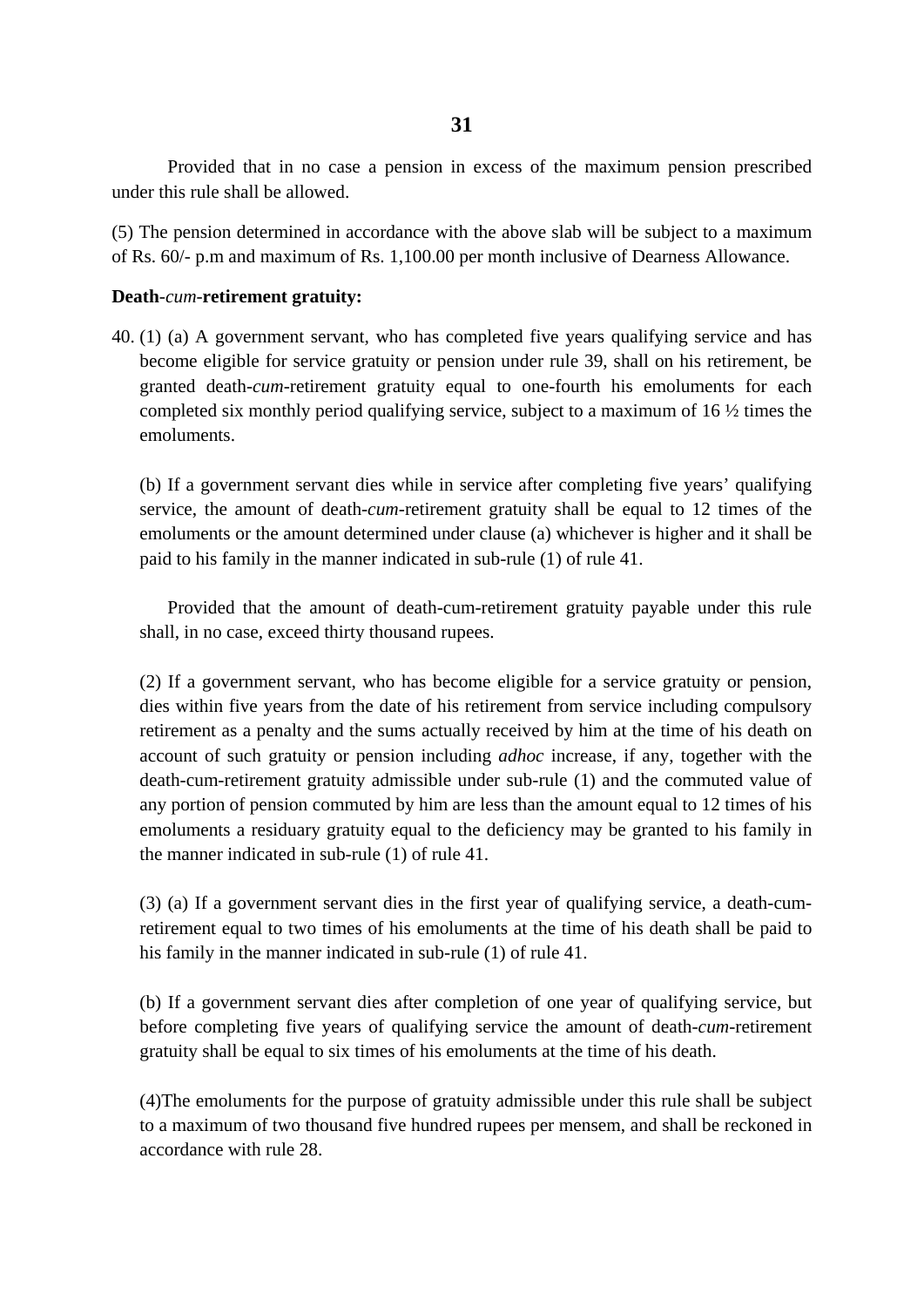Provided that in no case a pension in excess of the maximum pension prescribed under this rule shall be allowed.

(5) The pension determined in accordance with the above slab will be subject to a maximum of Rs. 60/- p.m and maximum of Rs. 1,100.00 per month inclusive of Dearness Allowance.

#### **Death**-*cum*-**retirement gratuity:**

40. (1) (a) A government servant, who has completed five years qualifying service and has become eligible for service gratuity or pension under rule 39, shall on his retirement, be granted death-*cum*-retirement gratuity equal to one-fourth his emoluments for each completed six monthly period qualifying service, subject to a maximum of 16 ½ times the emoluments.

(b) If a government servant dies while in service after completing five years' qualifying service, the amount of death-*cum*-retirement gratuity shall be equal to 12 times of the emoluments or the amount determined under clause (a) whichever is higher and it shall be paid to his family in the manner indicated in sub-rule (1) of rule 41.

Provided that the amount of death-cum-retirement gratuity payable under this rule shall, in no case, exceed thirty thousand rupees.

(2) If a government servant, who has become eligible for a service gratuity or pension, dies within five years from the date of his retirement from service including compulsory retirement as a penalty and the sums actually received by him at the time of his death on account of such gratuity or pension including *adhoc* increase, if any, together with the death-cum-retirement gratuity admissible under sub-rule (1) and the commuted value of any portion of pension commuted by him are less than the amount equal to 12 times of his emoluments a residuary gratuity equal to the deficiency may be granted to his family in the manner indicated in sub-rule (1) of rule 41.

(3) (a) If a government servant dies in the first year of qualifying service, a death-cumretirement equal to two times of his emoluments at the time of his death shall be paid to his family in the manner indicated in sub-rule (1) of rule 41.

(b) If a government servant dies after completion of one year of qualifying service, but before completing five years of qualifying service the amount of death-*cum*-retirement gratuity shall be equal to six times of his emoluments at the time of his death.

(4)The emoluments for the purpose of gratuity admissible under this rule shall be subject to a maximum of two thousand five hundred rupees per mensem, and shall be reckoned in accordance with rule 28.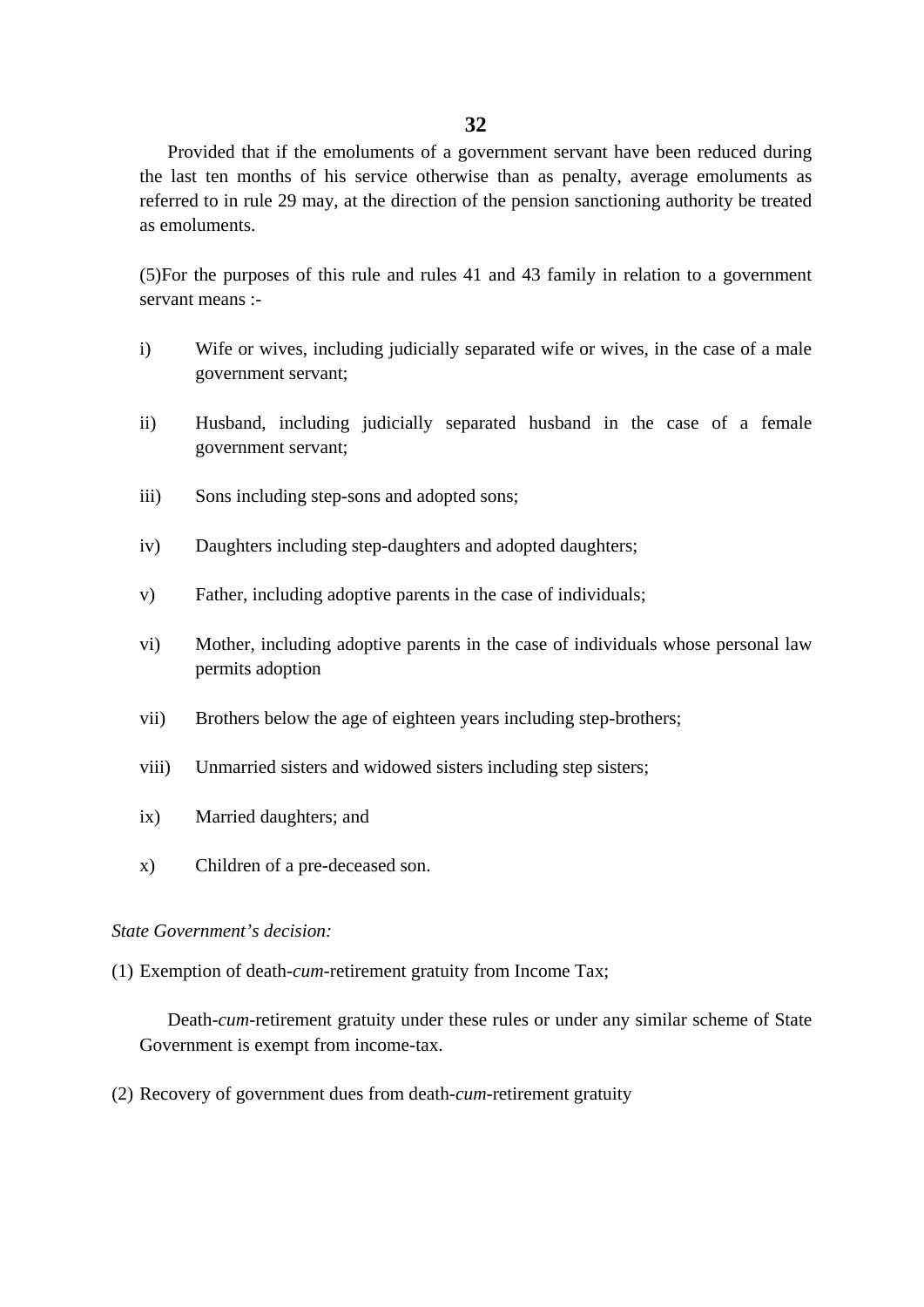Provided that if the emoluments of a government servant have been reduced during the last ten months of his service otherwise than as penalty, average emoluments as referred to in rule 29 may, at the direction of the pension sanctioning authority be treated as emoluments.

(5)For the purposes of this rule and rules 41 and 43 family in relation to a government servant means :-

- i) Wife or wives, including judicially separated wife or wives, in the case of a male government servant;
- ii) Husband, including judicially separated husband in the case of a female government servant;
- iii) Sons including step-sons and adopted sons;
- iv) Daughters including step-daughters and adopted daughters;
- v) Father, including adoptive parents in the case of individuals;
- vi) Mother, including adoptive parents in the case of individuals whose personal law permits adoption
- vii) Brothers below the age of eighteen years including step-brothers;
- viii) Unmarried sisters and widowed sisters including step sisters;
- ix) Married daughters; and
- x) Children of a pre-deceased son.

### *State Government's decision:*

(1) Exemption of death-*cum*-retirement gratuity from Income Tax;

Death-*cum*-retirement gratuity under these rules or under any similar scheme of State Government is exempt from income-tax.

(2) Recovery of government dues from death-*cum*-retirement gratuity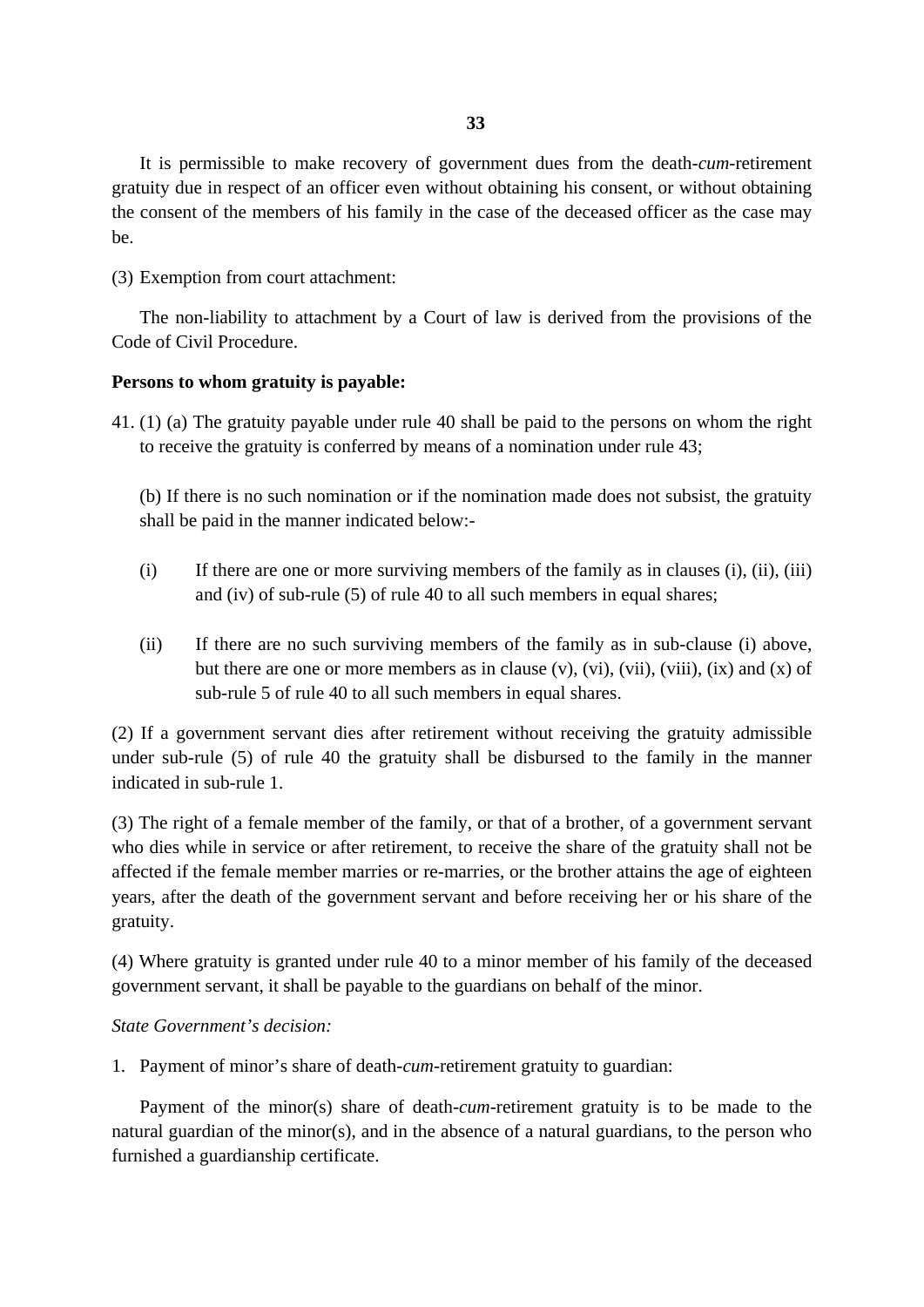It is permissible to make recovery of government dues from the death-*cum*-retirement gratuity due in respect of an officer even without obtaining his consent, or without obtaining the consent of the members of his family in the case of the deceased officer as the case may be.

(3) Exemption from court attachment:

The non-liability to attachment by a Court of law is derived from the provisions of the Code of Civil Procedure.

# **Persons to whom gratuity is payable:**

41. (1) (a) The gratuity payable under rule 40 shall be paid to the persons on whom the right to receive the gratuity is conferred by means of a nomination under rule 43;

(b) If there is no such nomination or if the nomination made does not subsist, the gratuity shall be paid in the manner indicated below:-

- $(i)$  If there are one or more surviving members of the family as in clauses  $(i)$ ,  $(ii)$ ,  $(iii)$ and (iv) of sub-rule (5) of rule 40 to all such members in equal shares;
- (ii) If there are no such surviving members of the family as in sub-clause (i) above, but there are one or more members as in clause  $(v)$ ,  $(vi)$ ,  $(vii)$ ,  $(viii)$ ,  $(ix)$  and  $(x)$  of sub-rule 5 of rule 40 to all such members in equal shares.

(2) If a government servant dies after retirement without receiving the gratuity admissible under sub-rule (5) of rule 40 the gratuity shall be disbursed to the family in the manner indicated in sub-rule 1.

(3) The right of a female member of the family, or that of a brother, of a government servant who dies while in service or after retirement, to receive the share of the gratuity shall not be affected if the female member marries or re-marries, or the brother attains the age of eighteen years, after the death of the government servant and before receiving her or his share of the gratuity.

(4) Where gratuity is granted under rule 40 to a minor member of his family of the deceased government servant, it shall be payable to the guardians on behalf of the minor.

# *State Government's decision:*

1. Payment of minor's share of death-*cum*-retirement gratuity to guardian:

Payment of the minor(s) share of death-*cum*-retirement gratuity is to be made to the natural guardian of the minor(s), and in the absence of a natural guardians, to the person who furnished a guardianship certificate.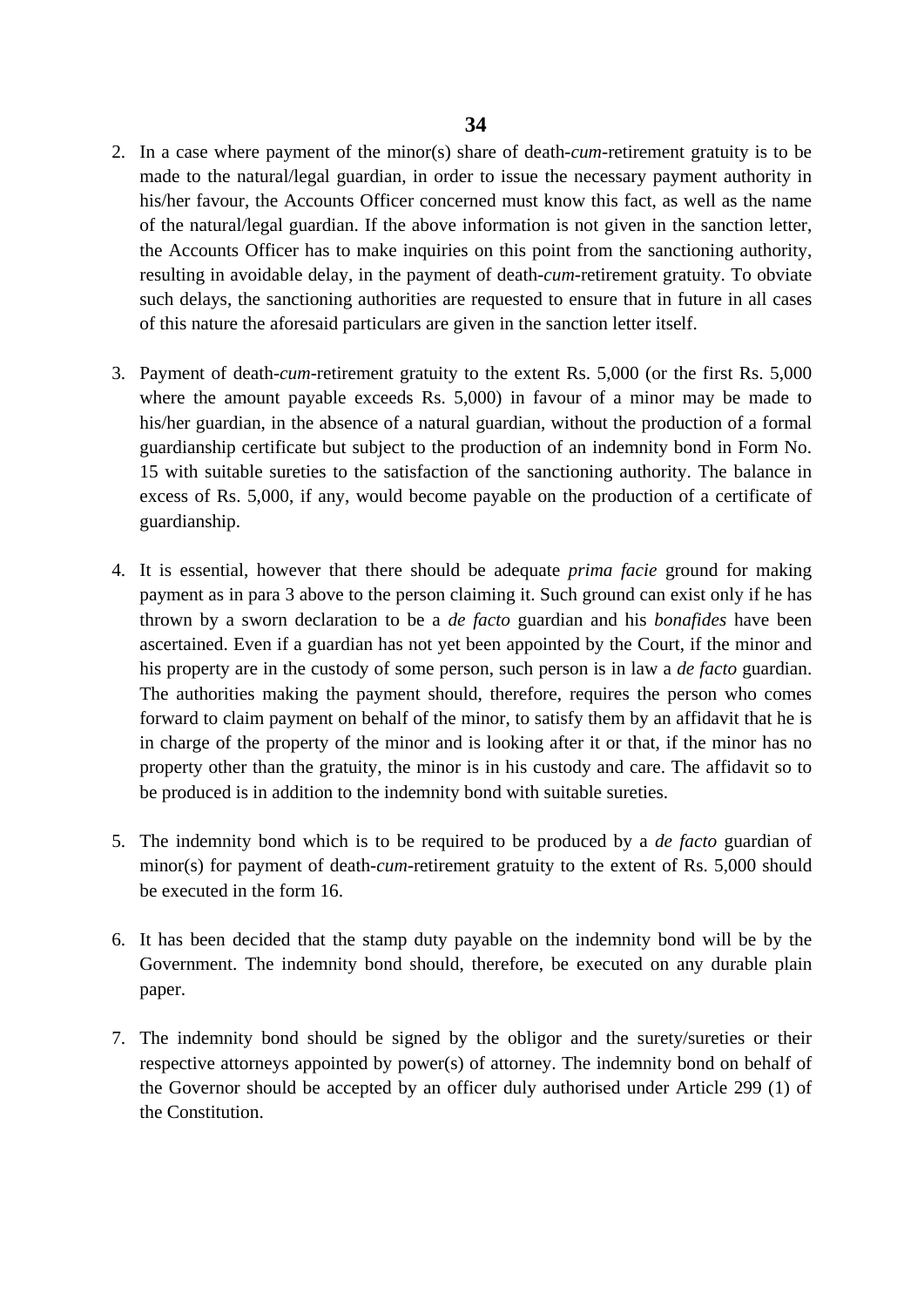- 2. In a case where payment of the minor(s) share of death-*cum*-retirement gratuity is to be made to the natural/legal guardian, in order to issue the necessary payment authority in his/her favour, the Accounts Officer concerned must know this fact, as well as the name of the natural/legal guardian. If the above information is not given in the sanction letter, the Accounts Officer has to make inquiries on this point from the sanctioning authority, resulting in avoidable delay, in the payment of death-*cum*-retirement gratuity. To obviate such delays, the sanctioning authorities are requested to ensure that in future in all cases of this nature the aforesaid particulars are given in the sanction letter itself.
- 3. Payment of death-*cum*-retirement gratuity to the extent Rs. 5,000 (or the first Rs. 5,000 where the amount payable exceeds Rs. 5,000) in favour of a minor may be made to his/her guardian, in the absence of a natural guardian, without the production of a formal guardianship certificate but subject to the production of an indemnity bond in Form No. 15 with suitable sureties to the satisfaction of the sanctioning authority. The balance in excess of Rs. 5,000, if any, would become payable on the production of a certificate of guardianship.
- 4. It is essential, however that there should be adequate *prima facie* ground for making payment as in para 3 above to the person claiming it. Such ground can exist only if he has thrown by a sworn declaration to be a *de facto* guardian and his *bonafides* have been ascertained. Even if a guardian has not yet been appointed by the Court, if the minor and his property are in the custody of some person, such person is in law a *de facto* guardian. The authorities making the payment should, therefore, requires the person who comes forward to claim payment on behalf of the minor, to satisfy them by an affidavit that he is in charge of the property of the minor and is looking after it or that, if the minor has no property other than the gratuity, the minor is in his custody and care. The affidavit so to be produced is in addition to the indemnity bond with suitable sureties.
- 5. The indemnity bond which is to be required to be produced by a *de facto* guardian of minor(s) for payment of death-*cum*-retirement gratuity to the extent of Rs. 5,000 should be executed in the form 16.
- 6. It has been decided that the stamp duty payable on the indemnity bond will be by the Government. The indemnity bond should, therefore, be executed on any durable plain paper.
- 7. The indemnity bond should be signed by the obligor and the surety/sureties or their respective attorneys appointed by power(s) of attorney. The indemnity bond on behalf of the Governor should be accepted by an officer duly authorised under Article 299 (1) of the Constitution.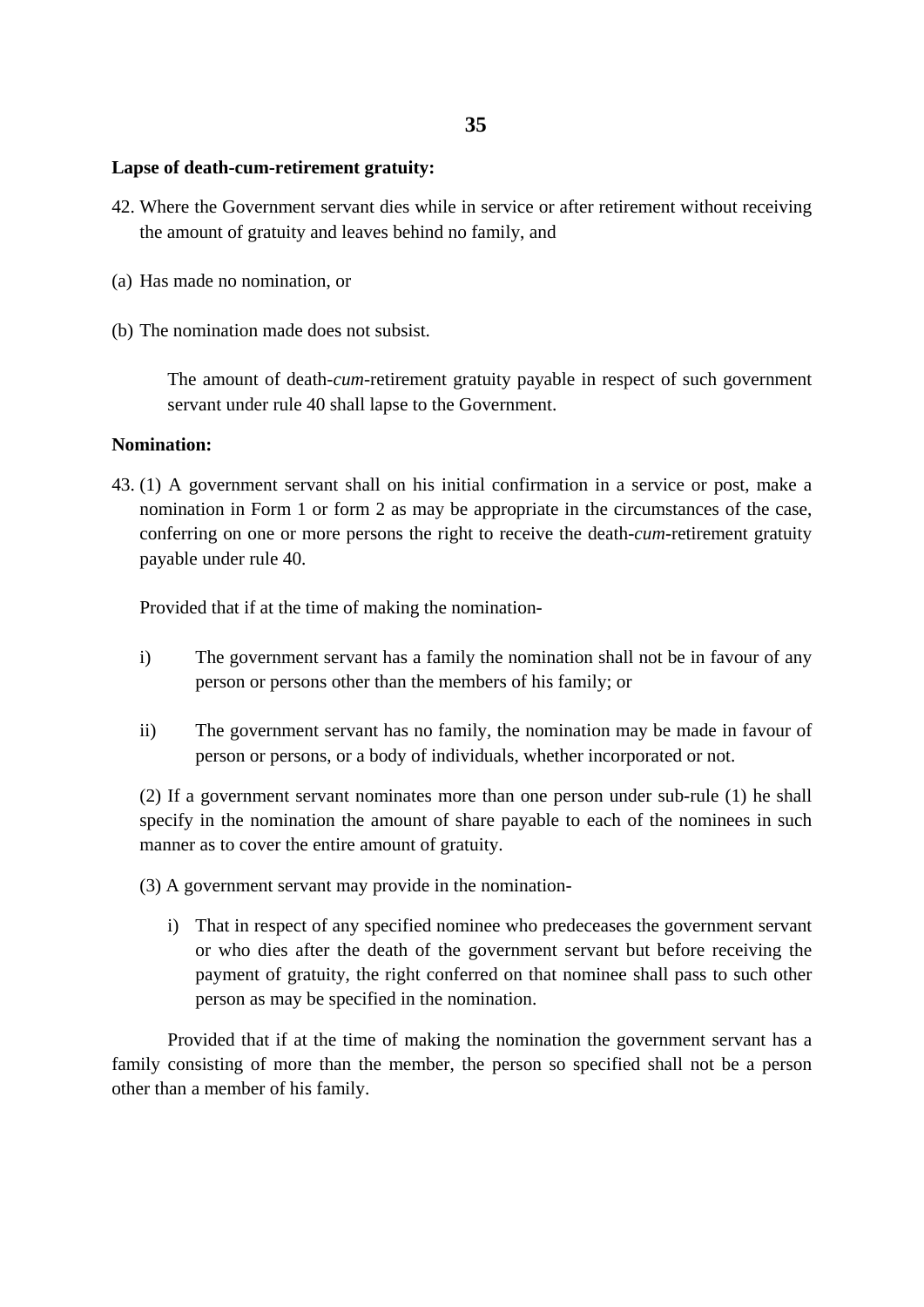### **Lapse of death-cum-retirement gratuity:**

- 42. Where the Government servant dies while in service or after retirement without receiving the amount of gratuity and leaves behind no family, and
- (a) Has made no nomination, or
- (b) The nomination made does not subsist.

The amount of death-*cum*-retirement gratuity payable in respect of such government servant under rule 40 shall lapse to the Government.

### **Nomination:**

43. (1) A government servant shall on his initial confirmation in a service or post, make a nomination in Form 1 or form 2 as may be appropriate in the circumstances of the case, conferring on one or more persons the right to receive the death-*cum*-retirement gratuity payable under rule 40.

Provided that if at the time of making the nomination-

- i) The government servant has a family the nomination shall not be in favour of any person or persons other than the members of his family; or
- ii) The government servant has no family, the nomination may be made in favour of person or persons, or a body of individuals, whether incorporated or not.

(2) If a government servant nominates more than one person under sub-rule (1) he shall specify in the nomination the amount of share payable to each of the nominees in such manner as to cover the entire amount of gratuity.

- (3) A government servant may provide in the nomination
	- i) That in respect of any specified nominee who predeceases the government servant or who dies after the death of the government servant but before receiving the payment of gratuity, the right conferred on that nominee shall pass to such other person as may be specified in the nomination.

Provided that if at the time of making the nomination the government servant has a family consisting of more than the member, the person so specified shall not be a person other than a member of his family.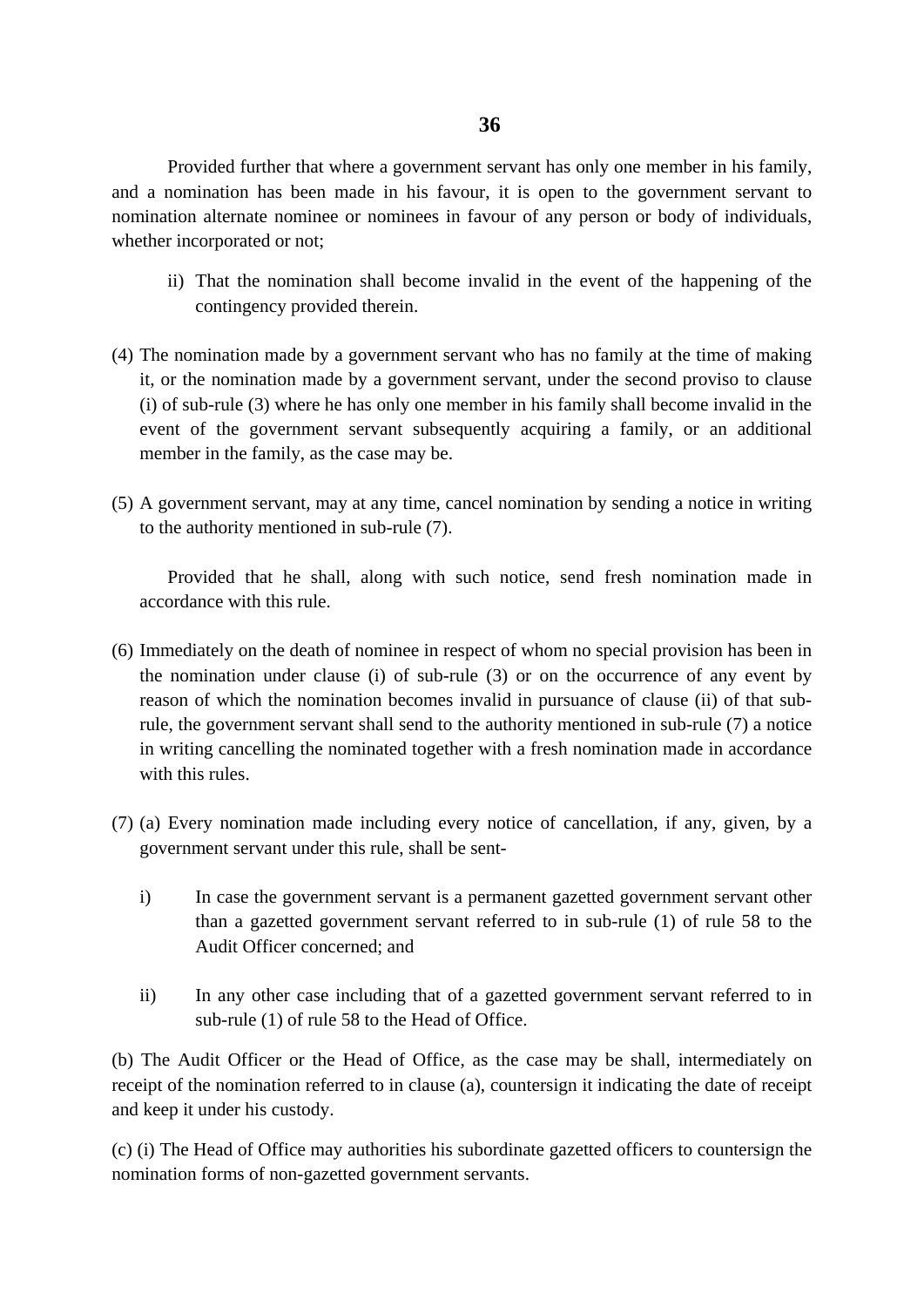Provided further that where a government servant has only one member in his family, and a nomination has been made in his favour, it is open to the government servant to nomination alternate nominee or nominees in favour of any person or body of individuals, whether incorporated or not;

- ii) That the nomination shall become invalid in the event of the happening of the contingency provided therein.
- (4) The nomination made by a government servant who has no family at the time of making it, or the nomination made by a government servant, under the second proviso to clause (i) of sub-rule (3) where he has only one member in his family shall become invalid in the event of the government servant subsequently acquiring a family, or an additional member in the family, as the case may be.
- (5) A government servant, may at any time, cancel nomination by sending a notice in writing to the authority mentioned in sub-rule (7).

Provided that he shall, along with such notice, send fresh nomination made in accordance with this rule.

- (6) Immediately on the death of nominee in respect of whom no special provision has been in the nomination under clause (i) of sub-rule (3) or on the occurrence of any event by reason of which the nomination becomes invalid in pursuance of clause (ii) of that subrule, the government servant shall send to the authority mentioned in sub-rule (7) a notice in writing cancelling the nominated together with a fresh nomination made in accordance with this rules.
- (7) (a) Every nomination made including every notice of cancellation, if any, given, by a government servant under this rule, shall be sent
	- i) In case the government servant is a permanent gazetted government servant other than a gazetted government servant referred to in sub-rule (1) of rule 58 to the Audit Officer concerned; and
	- ii) In any other case including that of a gazetted government servant referred to in sub-rule (1) of rule 58 to the Head of Office.

(b) The Audit Officer or the Head of Office, as the case may be shall, intermediately on receipt of the nomination referred to in clause (a), countersign it indicating the date of receipt and keep it under his custody.

(c) (i) The Head of Office may authorities his subordinate gazetted officers to countersign the nomination forms of non-gazetted government servants.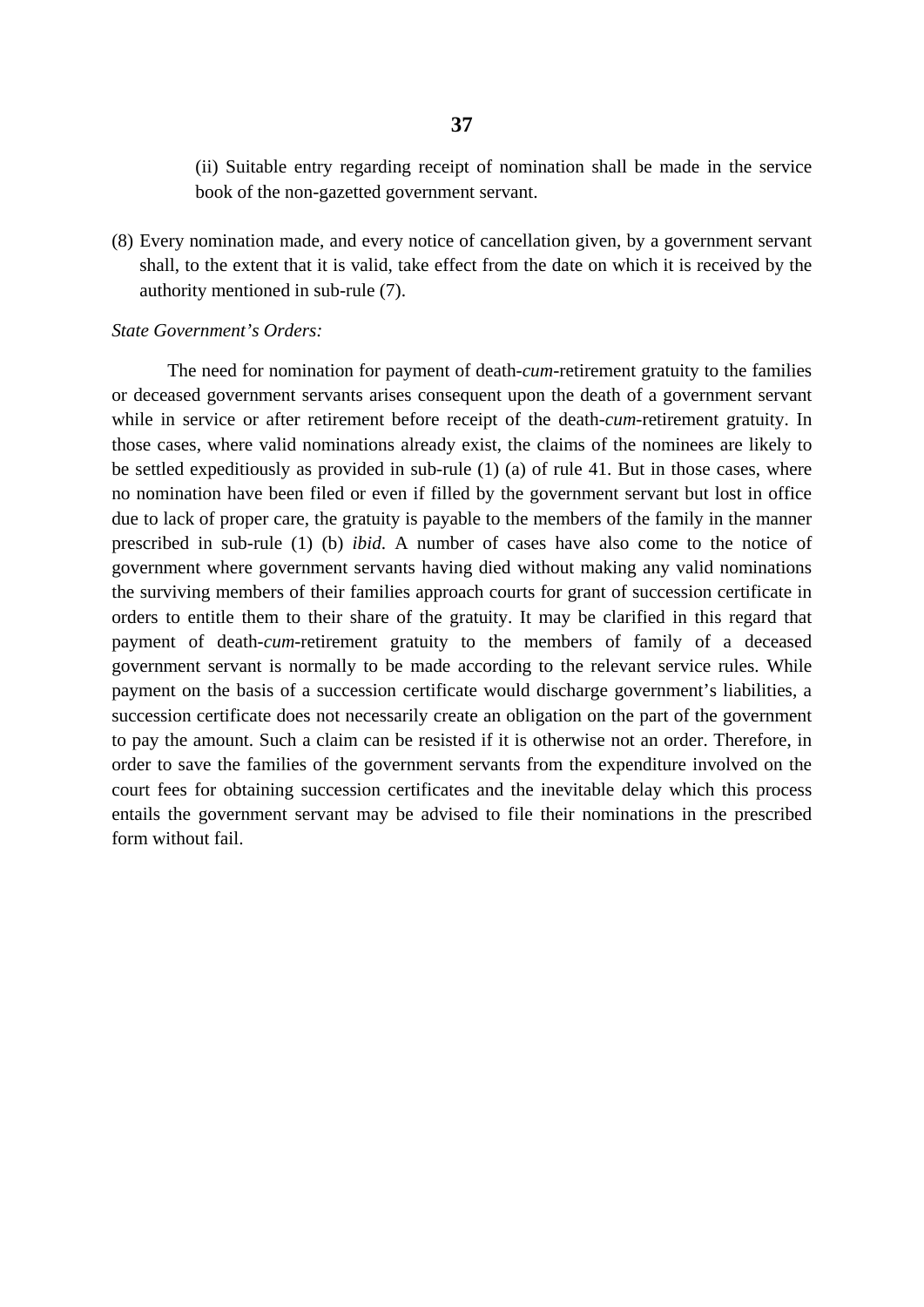(ii) Suitable entry regarding receipt of nomination shall be made in the service book of the non-gazetted government servant.

(8) Every nomination made, and every notice of cancellation given, by a government servant shall, to the extent that it is valid, take effect from the date on which it is received by the authority mentioned in sub-rule (7).

#### *State Government's Orders:*

The need for nomination for payment of death-*cum*-retirement gratuity to the families or deceased government servants arises consequent upon the death of a government servant while in service or after retirement before receipt of the death-*cum*-retirement gratuity. In those cases, where valid nominations already exist, the claims of the nominees are likely to be settled expeditiously as provided in sub-rule (1) (a) of rule 41. But in those cases, where no nomination have been filed or even if filled by the government servant but lost in office due to lack of proper care, the gratuity is payable to the members of the family in the manner prescribed in sub-rule (1) (b) *ibid*. A number of cases have also come to the notice of government where government servants having died without making any valid nominations the surviving members of their families approach courts for grant of succession certificate in orders to entitle them to their share of the gratuity. It may be clarified in this regard that payment of death-*cum*-retirement gratuity to the members of family of a deceased government servant is normally to be made according to the relevant service rules. While payment on the basis of a succession certificate would discharge government's liabilities, a succession certificate does not necessarily create an obligation on the part of the government to pay the amount. Such a claim can be resisted if it is otherwise not an order. Therefore, in order to save the families of the government servants from the expenditure involved on the court fees for obtaining succession certificates and the inevitable delay which this process entails the government servant may be advised to file their nominations in the prescribed form without fail.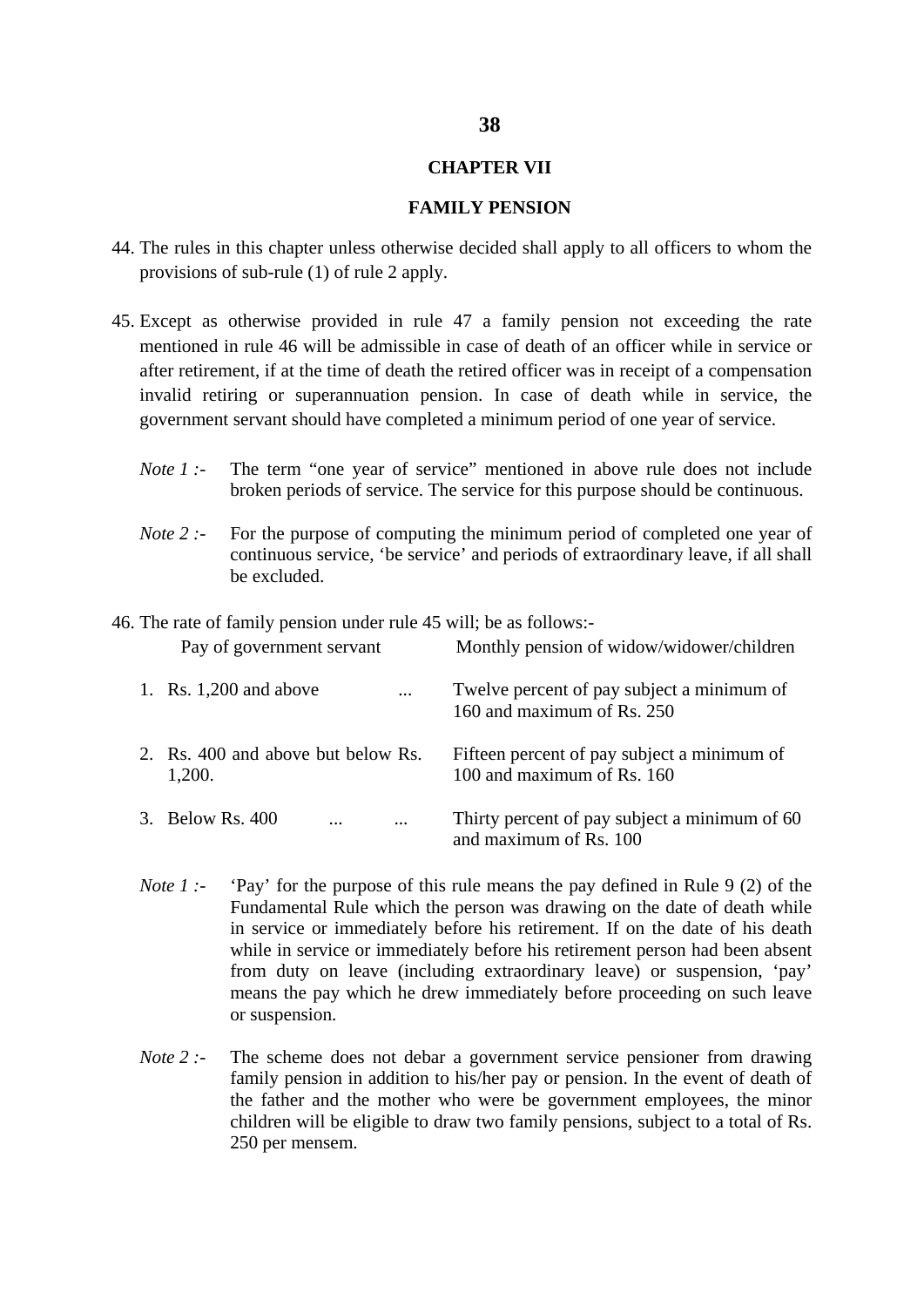### **CHAPTER VII**

### **FAMILY PENSION**

- 44. The rules in this chapter unless otherwise decided shall apply to all officers to whom the provisions of sub-rule (1) of rule 2 apply.
- 45. Except as otherwise provided in rule 47 a family pension not exceeding the rate mentioned in rule 46 will be admissible in case of death of an officer while in service or after retirement, if at the time of death the retired officer was in receipt of a compensation invalid retiring or superannuation pension. In case of death while in service, the government servant should have completed a minimum period of one year of service.
	- *Note 1 :-* The term "one year of service" mentioned in above rule does not include broken periods of service. The service for this purpose should be continuous.
	- *Note 2 :-* For the purpose of computing the minimum period of completed one year of continuous service, 'be service' and periods of extraordinary leave, if all shall be excluded.

46. The rate of family pension under rule 45 will; be as follows:-

| Pay of government servant          | Monthly pension of widow/widower/children     |
|------------------------------------|-----------------------------------------------|
| 1. Rs. $1,200$ and above           | Twelve percent of pay subject a minimum of    |
| $\cdots$                           | 160 and maximum of Rs. 250                    |
| 2. Rs. 400 and above but below Rs. | Fifteen percent of pay subject a minimum of   |
| 1,200.                             | 100 and maximum of Rs. 160                    |
| 3. Below Rs. 400                   | Thirty percent of pay subject a minimum of 60 |
| $\cdots$                           | and maximum of Rs. 100                        |

- *Note 1 :-* 'Pay' for the purpose of this rule means the pay defined in Rule 9 (2) of the Fundamental Rule which the person was drawing on the date of death while in service or immediately before his retirement. If on the date of his death while in service or immediately before his retirement person had been absent from duty on leave (including extraordinary leave) or suspension, 'pay' means the pay which he drew immediately before proceeding on such leave or suspension.
- *Note 2 :-* The scheme does not debar a government service pensioner from drawing family pension in addition to his/her pay or pension. In the event of death of the father and the mother who were be government employees, the minor children will be eligible to draw two family pensions, subject to a total of Rs. 250 per mensem.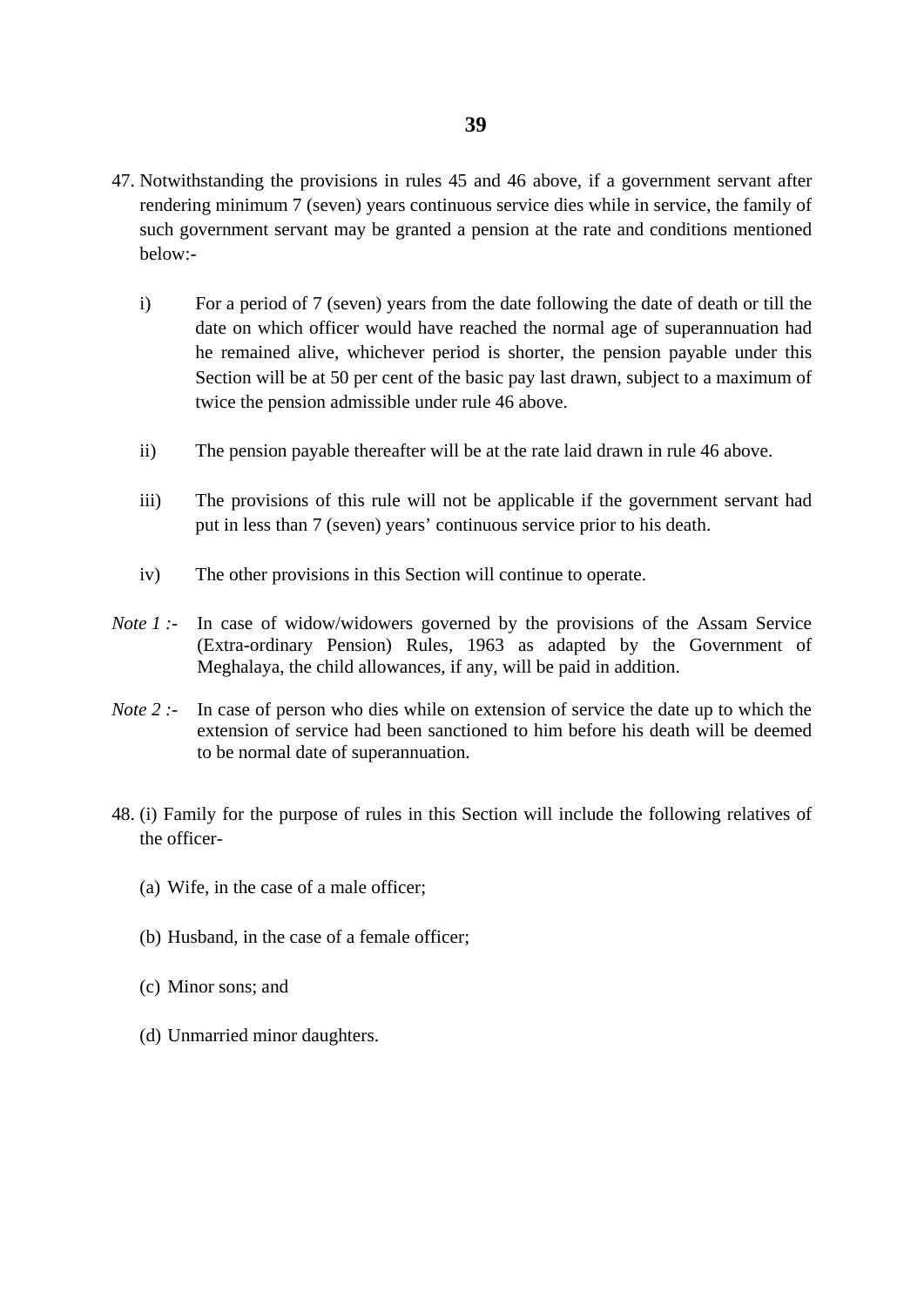- 47. Notwithstanding the provisions in rules 45 and 46 above, if a government servant after rendering minimum 7 (seven) years continuous service dies while in service, the family of such government servant may be granted a pension at the rate and conditions mentioned below:
	- i) For a period of 7 (seven) years from the date following the date of death or till the date on which officer would have reached the normal age of superannuation had he remained alive, whichever period is shorter, the pension payable under this Section will be at 50 per cent of the basic pay last drawn, subject to a maximum of twice the pension admissible under rule 46 above.
	- ii) The pension payable thereafter will be at the rate laid drawn in rule 46 above.
	- iii) The provisions of this rule will not be applicable if the government servant had put in less than 7 (seven) years' continuous service prior to his death.
	- iv) The other provisions in this Section will continue to operate.
- *Note 1 :-* In case of widow/widowers governed by the provisions of the Assam Service (Extra-ordinary Pension) Rules, 1963 as adapted by the Government of Meghalaya, the child allowances, if any, will be paid in addition.
- *Note 2 :-* In case of person who dies while on extension of service the date up to which the extension of service had been sanctioned to him before his death will be deemed to be normal date of superannuation.
- 48. (i) Family for the purpose of rules in this Section will include the following relatives of the officer-
	- (a) Wife, in the case of a male officer;
	- (b) Husband, in the case of a female officer;
	- (c) Minor sons; and
	- (d) Unmarried minor daughters.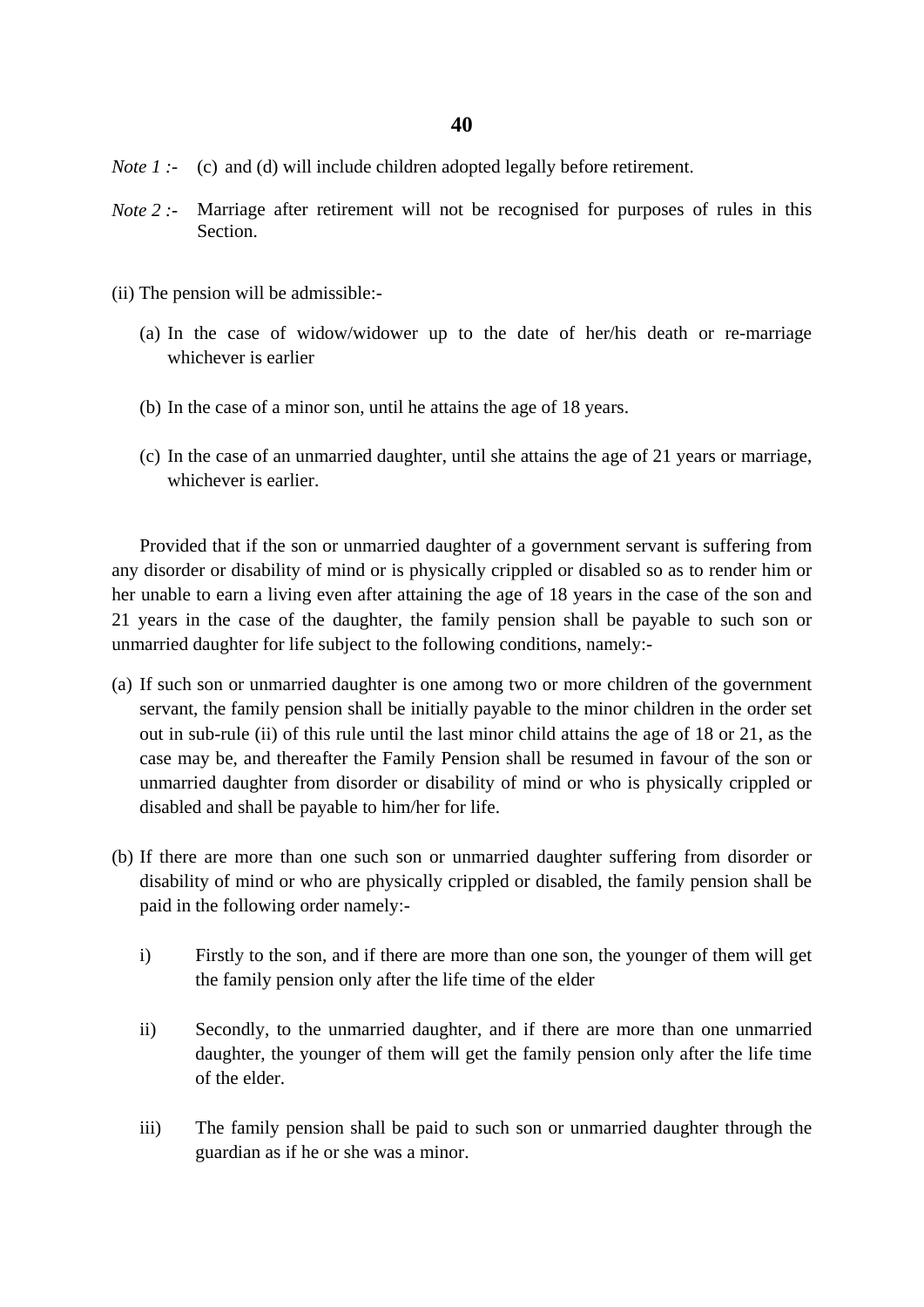- *Note 1* :- (c) and (d) will include children adopted legally before retirement.
- *Note 2 :-* Marriage after retirement will not be recognised for purposes of rules in this Section.
- (ii) The pension will be admissible:-
	- (a) In the case of widow/widower up to the date of her/his death or re-marriage whichever is earlier
	- (b) In the case of a minor son, until he attains the age of 18 years.
	- (c) In the case of an unmarried daughter, until she attains the age of 21 years or marriage, whichever is earlier.

Provided that if the son or unmarried daughter of a government servant is suffering from any disorder or disability of mind or is physically crippled or disabled so as to render him or her unable to earn a living even after attaining the age of 18 years in the case of the son and 21 years in the case of the daughter, the family pension shall be payable to such son or unmarried daughter for life subject to the following conditions, namely:-

- (a) If such son or unmarried daughter is one among two or more children of the government servant, the family pension shall be initially payable to the minor children in the order set out in sub-rule (ii) of this rule until the last minor child attains the age of 18 or 21, as the case may be, and thereafter the Family Pension shall be resumed in favour of the son or unmarried daughter from disorder or disability of mind or who is physically crippled or disabled and shall be payable to him/her for life.
- (b) If there are more than one such son or unmarried daughter suffering from disorder or disability of mind or who are physically crippled or disabled, the family pension shall be paid in the following order namely:
	- i) Firstly to the son, and if there are more than one son, the younger of them will get the family pension only after the life time of the elder
	- ii) Secondly, to the unmarried daughter, and if there are more than one unmarried daughter, the younger of them will get the family pension only after the life time of the elder.
	- iii) The family pension shall be paid to such son or unmarried daughter through the guardian as if he or she was a minor.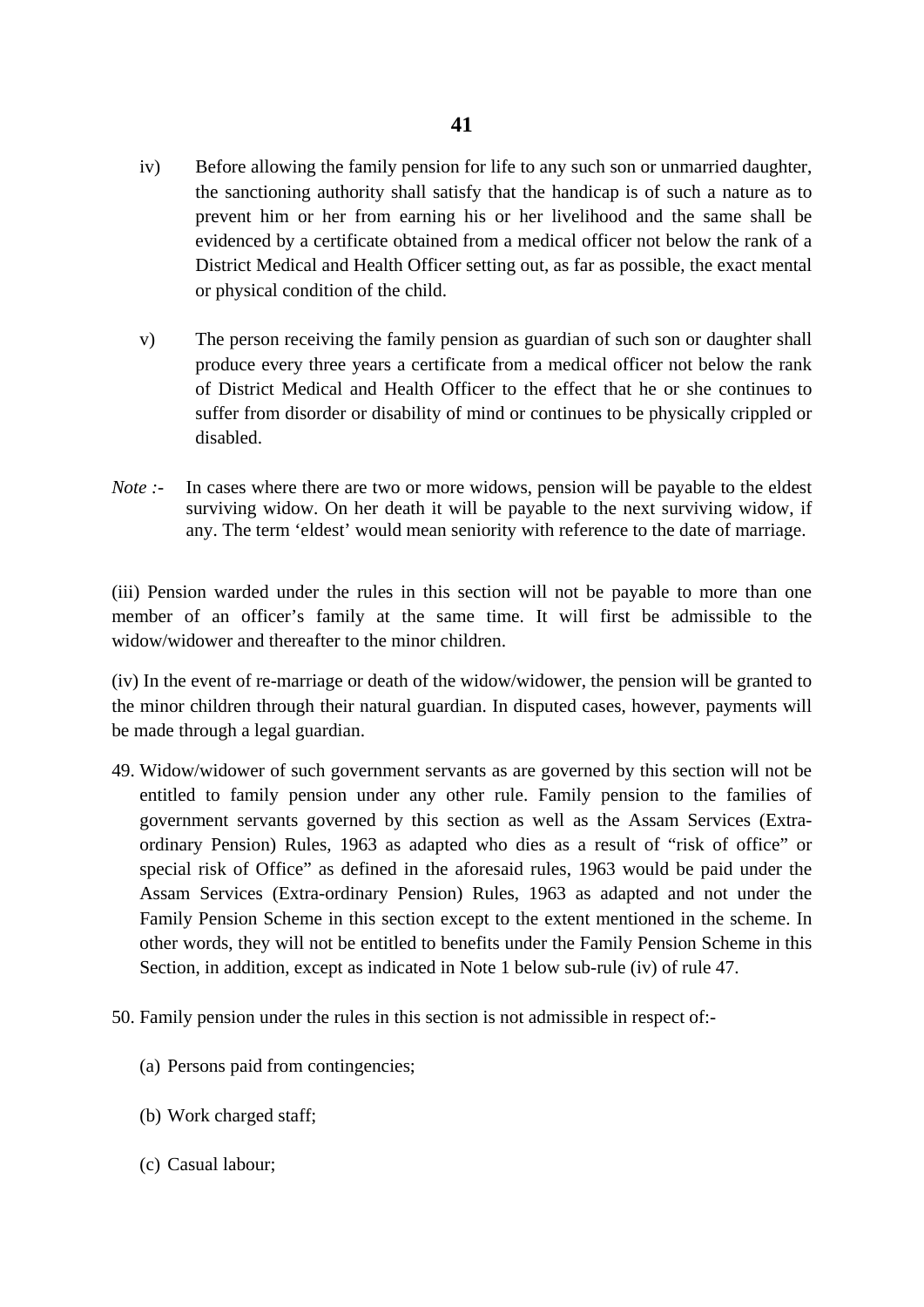- iv) Before allowing the family pension for life to any such son or unmarried daughter, the sanctioning authority shall satisfy that the handicap is of such a nature as to prevent him or her from earning his or her livelihood and the same shall be evidenced by a certificate obtained from a medical officer not below the rank of a District Medical and Health Officer setting out, as far as possible, the exact mental or physical condition of the child.
- v) The person receiving the family pension as guardian of such son or daughter shall produce every three years a certificate from a medical officer not below the rank of District Medical and Health Officer to the effect that he or she continues to suffer from disorder or disability of mind or continues to be physically crippled or disabled.
- *Note* :- In cases where there are two or more widows, pension will be payable to the eldest surviving widow. On her death it will be payable to the next surviving widow, if any. The term 'eldest' would mean seniority with reference to the date of marriage.

(iii) Pension warded under the rules in this section will not be payable to more than one member of an officer's family at the same time. It will first be admissible to the widow/widower and thereafter to the minor children.

(iv) In the event of re-marriage or death of the widow/widower, the pension will be granted to the minor children through their natural guardian. In disputed cases, however, payments will be made through a legal guardian.

- 49. Widow/widower of such government servants as are governed by this section will not be entitled to family pension under any other rule. Family pension to the families of government servants governed by this section as well as the Assam Services (Extraordinary Pension) Rules, 1963 as adapted who dies as a result of "risk of office" or special risk of Office" as defined in the aforesaid rules, 1963 would be paid under the Assam Services (Extra-ordinary Pension) Rules, 1963 as adapted and not under the Family Pension Scheme in this section except to the extent mentioned in the scheme. In other words, they will not be entitled to benefits under the Family Pension Scheme in this Section, in addition, except as indicated in Note 1 below sub-rule (iv) of rule 47.
- 50. Family pension under the rules in this section is not admissible in respect of:-
	- (a) Persons paid from contingencies;
	- (b) Work charged staff;
	- (c) Casual labour;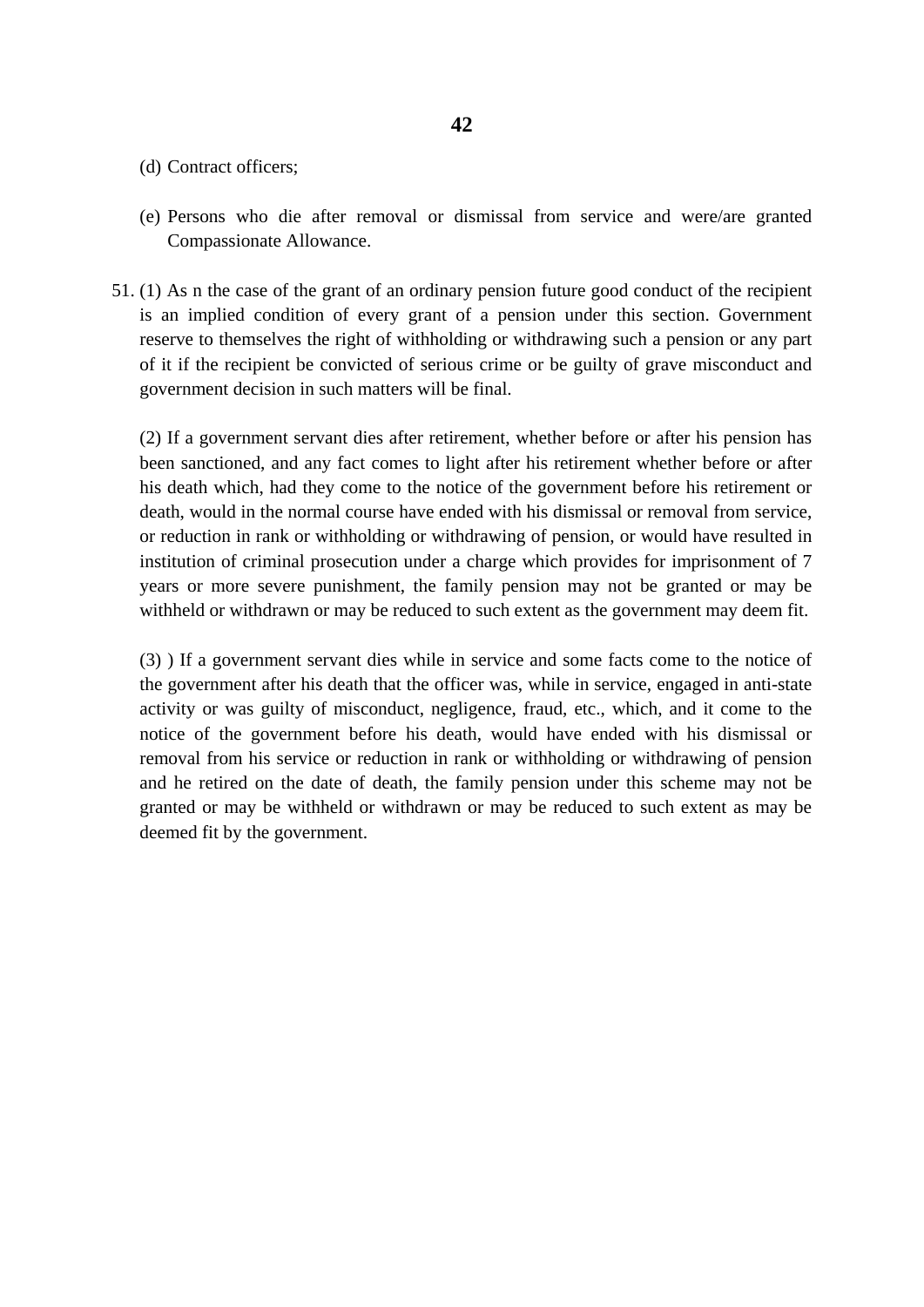- (d) Contract officers;
- (e) Persons who die after removal or dismissal from service and were/are granted Compassionate Allowance.
- 51. (1) As n the case of the grant of an ordinary pension future good conduct of the recipient is an implied condition of every grant of a pension under this section. Government reserve to themselves the right of withholding or withdrawing such a pension or any part of it if the recipient be convicted of serious crime or be guilty of grave misconduct and government decision in such matters will be final.

(2) If a government servant dies after retirement, whether before or after his pension has been sanctioned, and any fact comes to light after his retirement whether before or after his death which, had they come to the notice of the government before his retirement or death, would in the normal course have ended with his dismissal or removal from service, or reduction in rank or withholding or withdrawing of pension, or would have resulted in institution of criminal prosecution under a charge which provides for imprisonment of 7 years or more severe punishment, the family pension may not be granted or may be withheld or withdrawn or may be reduced to such extent as the government may deem fit.

(3) ) If a government servant dies while in service and some facts come to the notice of the government after his death that the officer was, while in service, engaged in anti-state activity or was guilty of misconduct, negligence, fraud, etc., which, and it come to the notice of the government before his death, would have ended with his dismissal or removal from his service or reduction in rank or withholding or withdrawing of pension and he retired on the date of death, the family pension under this scheme may not be granted or may be withheld or withdrawn or may be reduced to such extent as may be deemed fit by the government.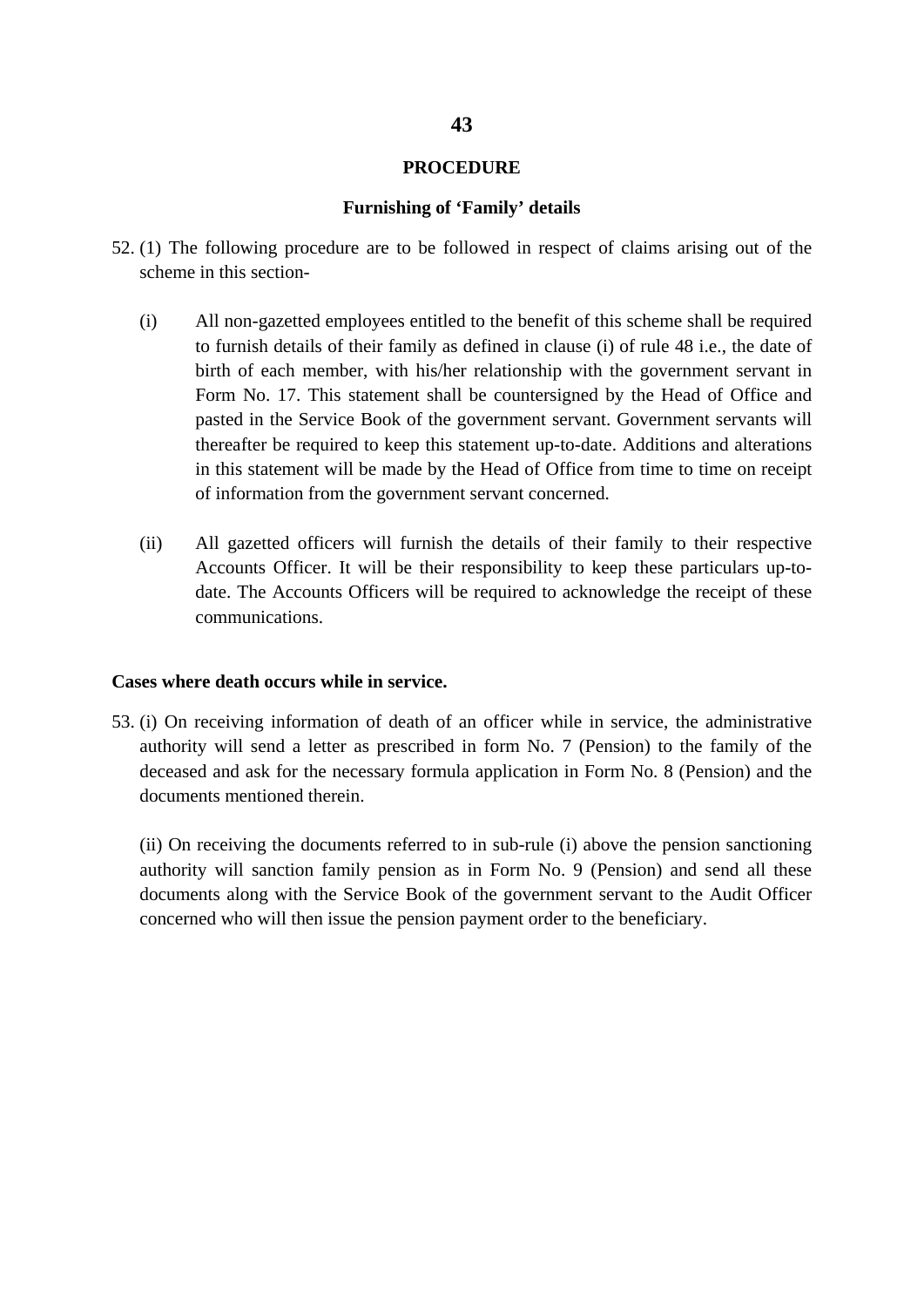### **PROCEDURE**

### **Furnishing of 'Family' details**

- 52. (1) The following procedure are to be followed in respect of claims arising out of the scheme in this section-
	- (i) All non-gazetted employees entitled to the benefit of this scheme shall be required to furnish details of their family as defined in clause (i) of rule 48 i.e., the date of birth of each member, with his/her relationship with the government servant in Form No. 17. This statement shall be countersigned by the Head of Office and pasted in the Service Book of the government servant. Government servants will thereafter be required to keep this statement up-to-date. Additions and alterations in this statement will be made by the Head of Office from time to time on receipt of information from the government servant concerned.
	- (ii) All gazetted officers will furnish the details of their family to their respective Accounts Officer. It will be their responsibility to keep these particulars up-todate. The Accounts Officers will be required to acknowledge the receipt of these communications.

#### **Cases where death occurs while in service.**

53. (i) On receiving information of death of an officer while in service, the administrative authority will send a letter as prescribed in form No. 7 (Pension) to the family of the deceased and ask for the necessary formula application in Form No. 8 (Pension) and the documents mentioned therein.

(ii) On receiving the documents referred to in sub-rule (i) above the pension sanctioning authority will sanction family pension as in Form No. 9 (Pension) and send all these documents along with the Service Book of the government servant to the Audit Officer concerned who will then issue the pension payment order to the beneficiary.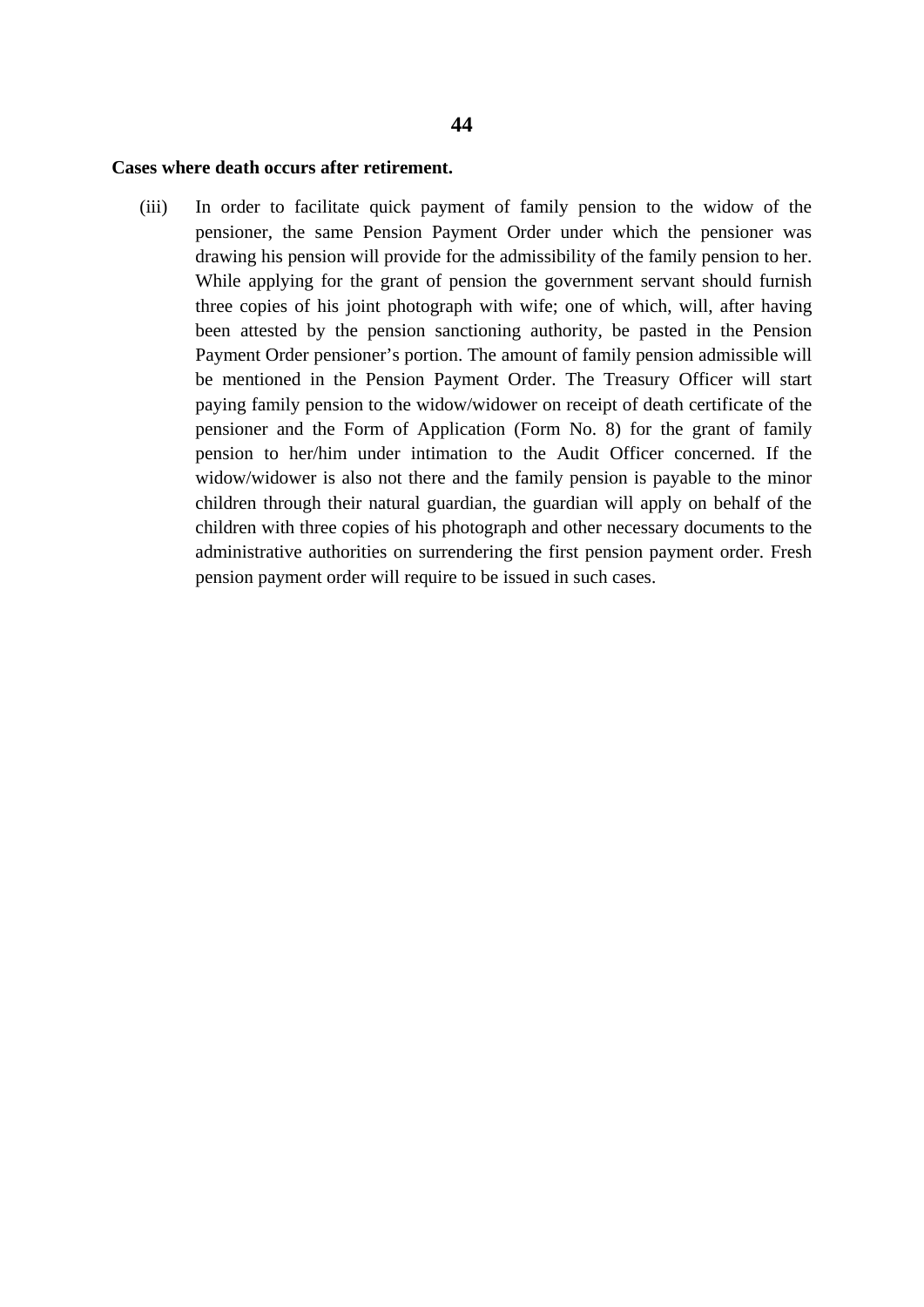# **Cases where death occurs after retirement.**

(iii) In order to facilitate quick payment of family pension to the widow of the pensioner, the same Pension Payment Order under which the pensioner was drawing his pension will provide for the admissibility of the family pension to her. While applying for the grant of pension the government servant should furnish three copies of his joint photograph with wife; one of which, will, after having been attested by the pension sanctioning authority, be pasted in the Pension Payment Order pensioner's portion. The amount of family pension admissible will be mentioned in the Pension Payment Order. The Treasury Officer will start paying family pension to the widow/widower on receipt of death certificate of the pensioner and the Form of Application (Form No. 8) for the grant of family pension to her/him under intimation to the Audit Officer concerned. If the widow/widower is also not there and the family pension is payable to the minor children through their natural guardian, the guardian will apply on behalf of the children with three copies of his photograph and other necessary documents to the administrative authorities on surrendering the first pension payment order. Fresh pension payment order will require to be issued in such cases.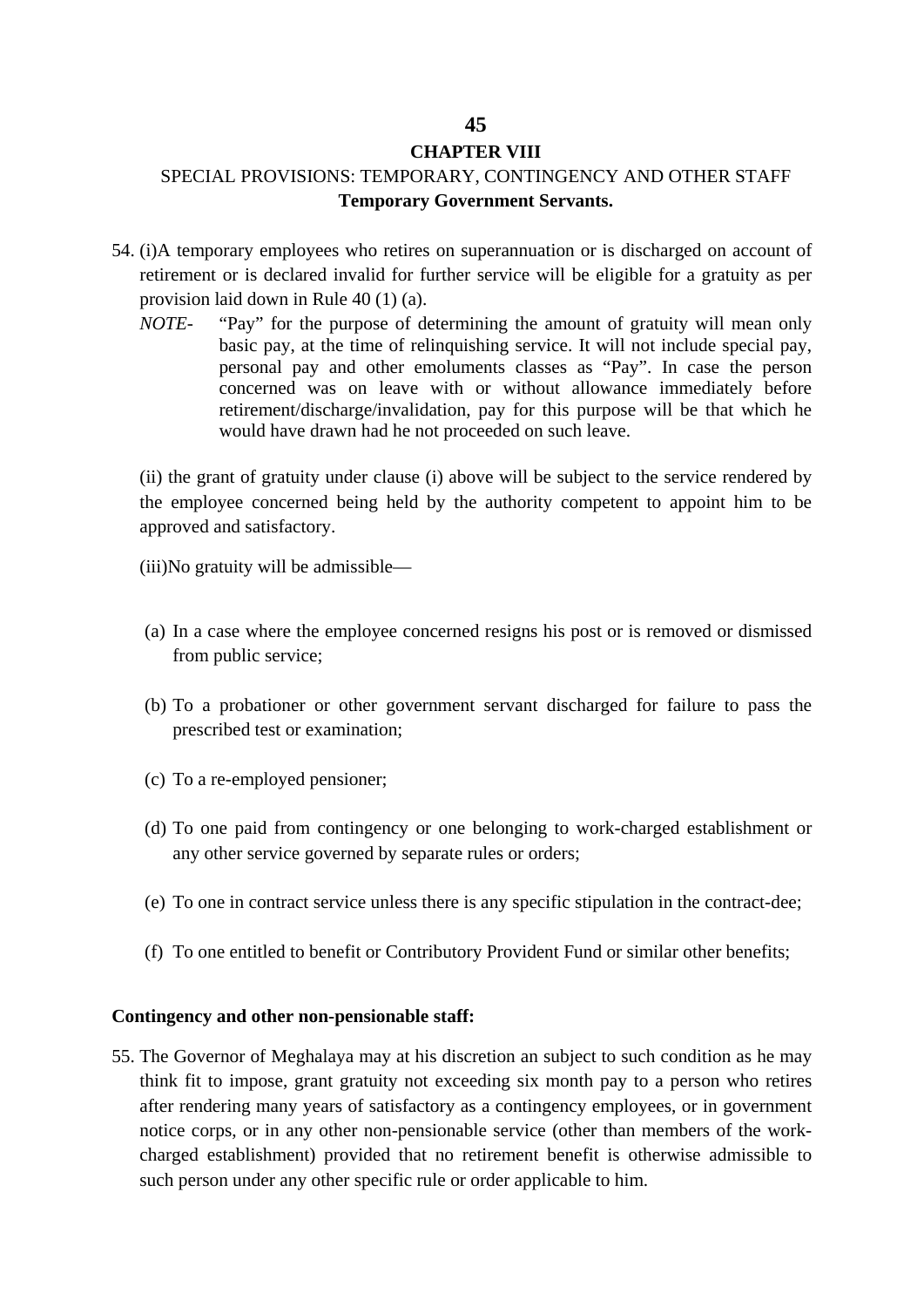# **45**

# **CHAPTER VIII**

# SPECIAL PROVISIONS: TEMPORARY, CONTINGENCY AND OTHER STAFF **Temporary Government Servants.**

- 54. (i)A temporary employees who retires on superannuation or is discharged on account of retirement or is declared invalid for further service will be eligible for a gratuity as per provision laid down in Rule 40 (1) (a).
	- *NOTE-* "Pay" for the purpose of determining the amount of gratuity will mean only basic pay, at the time of relinquishing service. It will not include special pay, personal pay and other emoluments classes as "Pay". In case the person concerned was on leave with or without allowance immediately before retirement/discharge/invalidation, pay for this purpose will be that which he would have drawn had he not proceeded on such leave.

(ii) the grant of gratuity under clause (i) above will be subject to the service rendered by the employee concerned being held by the authority competent to appoint him to be approved and satisfactory.

(iii)No gratuity will be admissible—

- (a) In a case where the employee concerned resigns his post or is removed or dismissed from public service;
- (b) To a probationer or other government servant discharged for failure to pass the prescribed test or examination;
- (c) To a re-employed pensioner;
- (d) To one paid from contingency or one belonging to work-charged establishment or any other service governed by separate rules or orders;
- (e) To one in contract service unless there is any specific stipulation in the contract-dee;
- (f) To one entitled to benefit or Contributory Provident Fund or similar other benefits;

# **Contingency and other non-pensionable staff:**

55. The Governor of Meghalaya may at his discretion an subject to such condition as he may think fit to impose, grant gratuity not exceeding six month pay to a person who retires after rendering many years of satisfactory as a contingency employees, or in government notice corps, or in any other non-pensionable service (other than members of the workcharged establishment) provided that no retirement benefit is otherwise admissible to such person under any other specific rule or order applicable to him.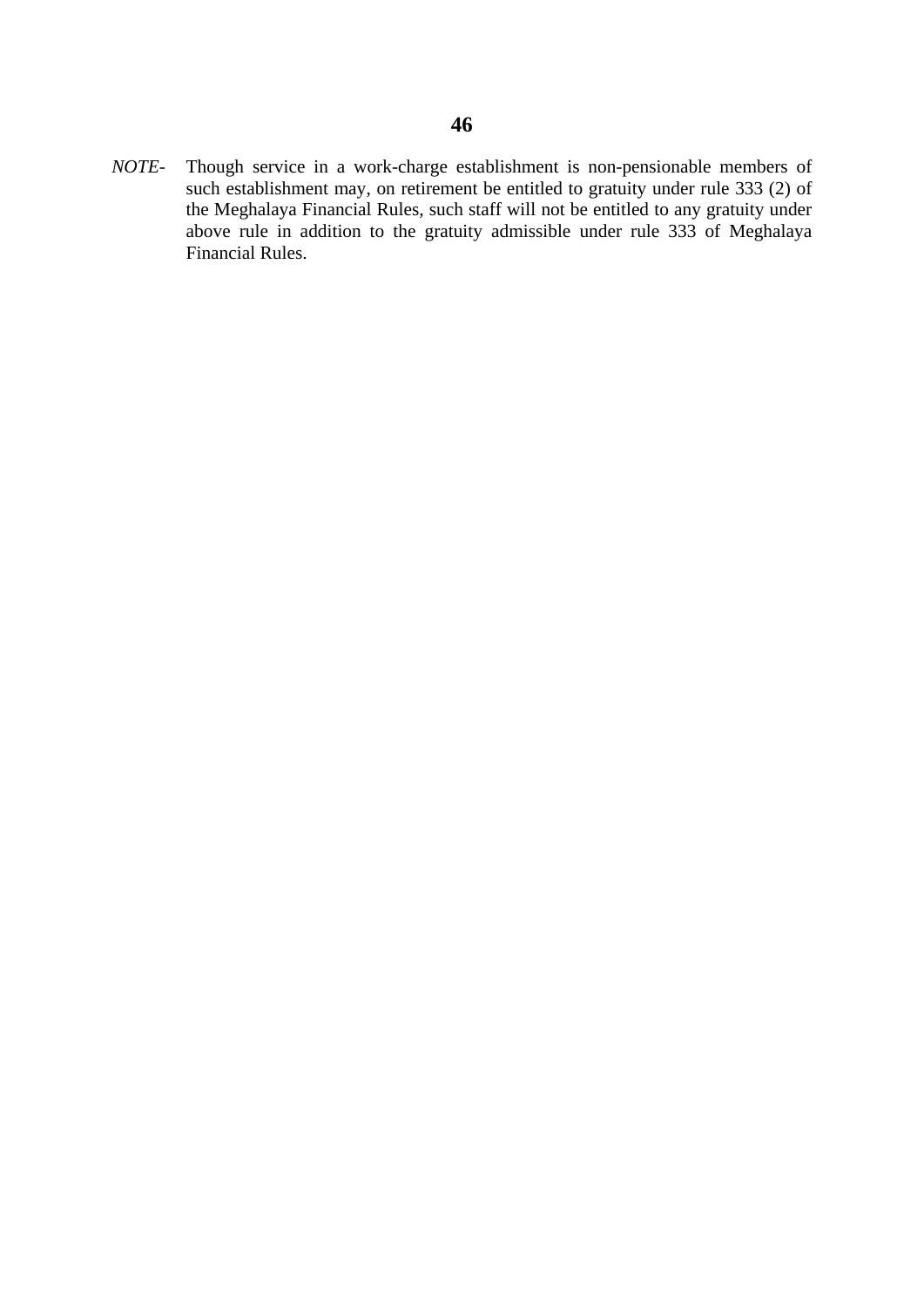*NOTE-* Though service in a work-charge establishment is non-pensionable members of such establishment may, on retirement be entitled to gratuity under rule 333 (2) of the Meghalaya Financial Rules, such staff will not be entitled to any gratuity under above rule in addition to the gratuity admissible under rule 333 of Meghalaya Financial Rules.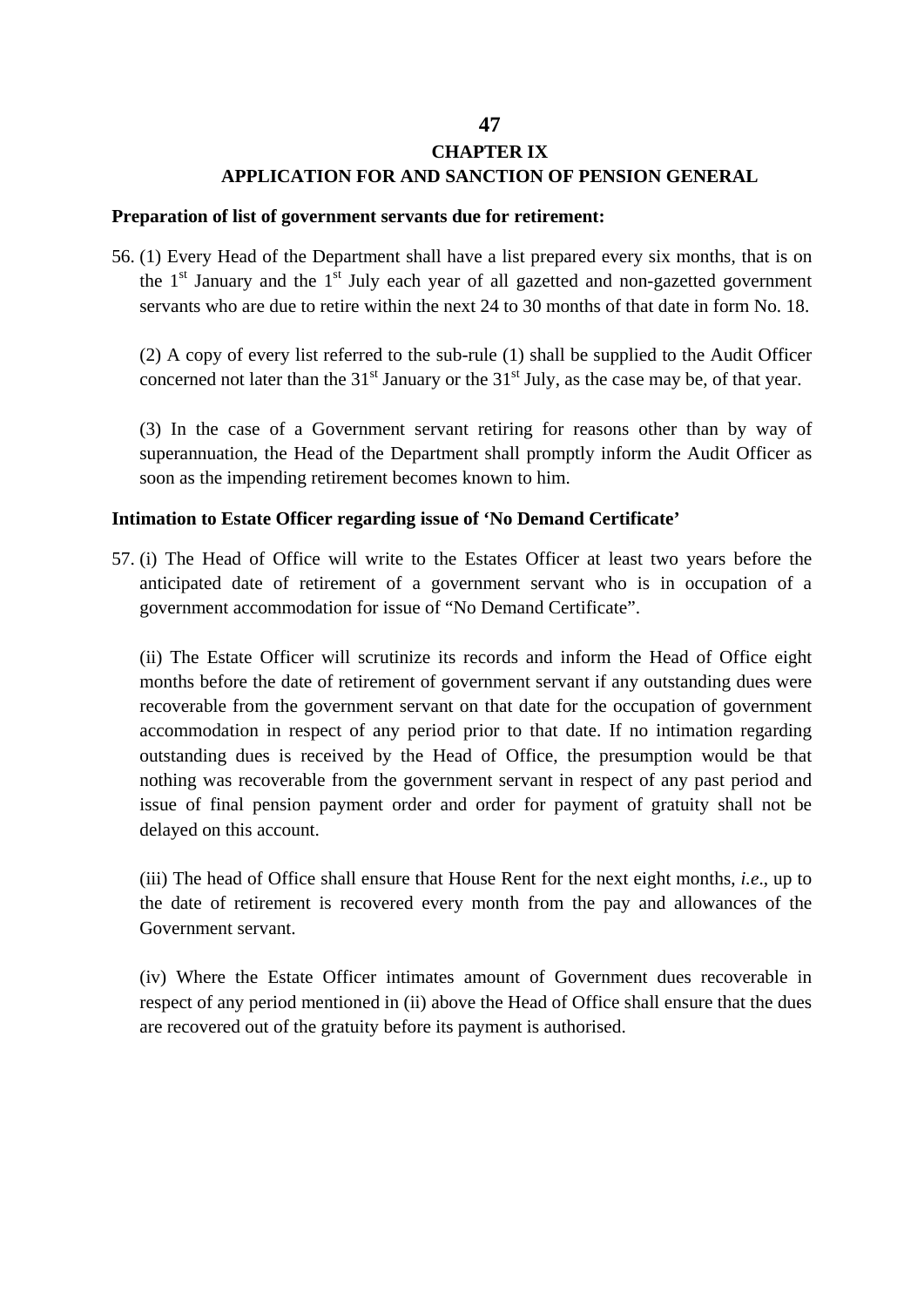# **47**

# **CHAPTER IX**

# **APPLICATION FOR AND SANCTION OF PENSION GENERAL**

### **Preparation of list of government servants due for retirement:**

56. (1) Every Head of the Department shall have a list prepared every six months, that is on the  $1<sup>st</sup>$  January and the  $1<sup>st</sup>$  July each year of all gazetted and non-gazetted government servants who are due to retire within the next 24 to 30 months of that date in form No. 18.

(2) A copy of every list referred to the sub-rule (1) shall be supplied to the Audit Officer concerned not later than the  $31<sup>st</sup>$  January or the  $31<sup>st</sup>$  July, as the case may be, of that year.

(3) In the case of a Government servant retiring for reasons other than by way of superannuation, the Head of the Department shall promptly inform the Audit Officer as soon as the impending retirement becomes known to him.

# **Intimation to Estate Officer regarding issue of 'No Demand Certificate'**

57. (i) The Head of Office will write to the Estates Officer at least two years before the anticipated date of retirement of a government servant who is in occupation of a government accommodation for issue of "No Demand Certificate".

(ii) The Estate Officer will scrutinize its records and inform the Head of Office eight months before the date of retirement of government servant if any outstanding dues were recoverable from the government servant on that date for the occupation of government accommodation in respect of any period prior to that date. If no intimation regarding outstanding dues is received by the Head of Office, the presumption would be that nothing was recoverable from the government servant in respect of any past period and issue of final pension payment order and order for payment of gratuity shall not be delayed on this account.

(iii) The head of Office shall ensure that House Rent for the next eight months, *i.e*., up to the date of retirement is recovered every month from the pay and allowances of the Government servant.

(iv) Where the Estate Officer intimates amount of Government dues recoverable in respect of any period mentioned in (ii) above the Head of Office shall ensure that the dues are recovered out of the gratuity before its payment is authorised.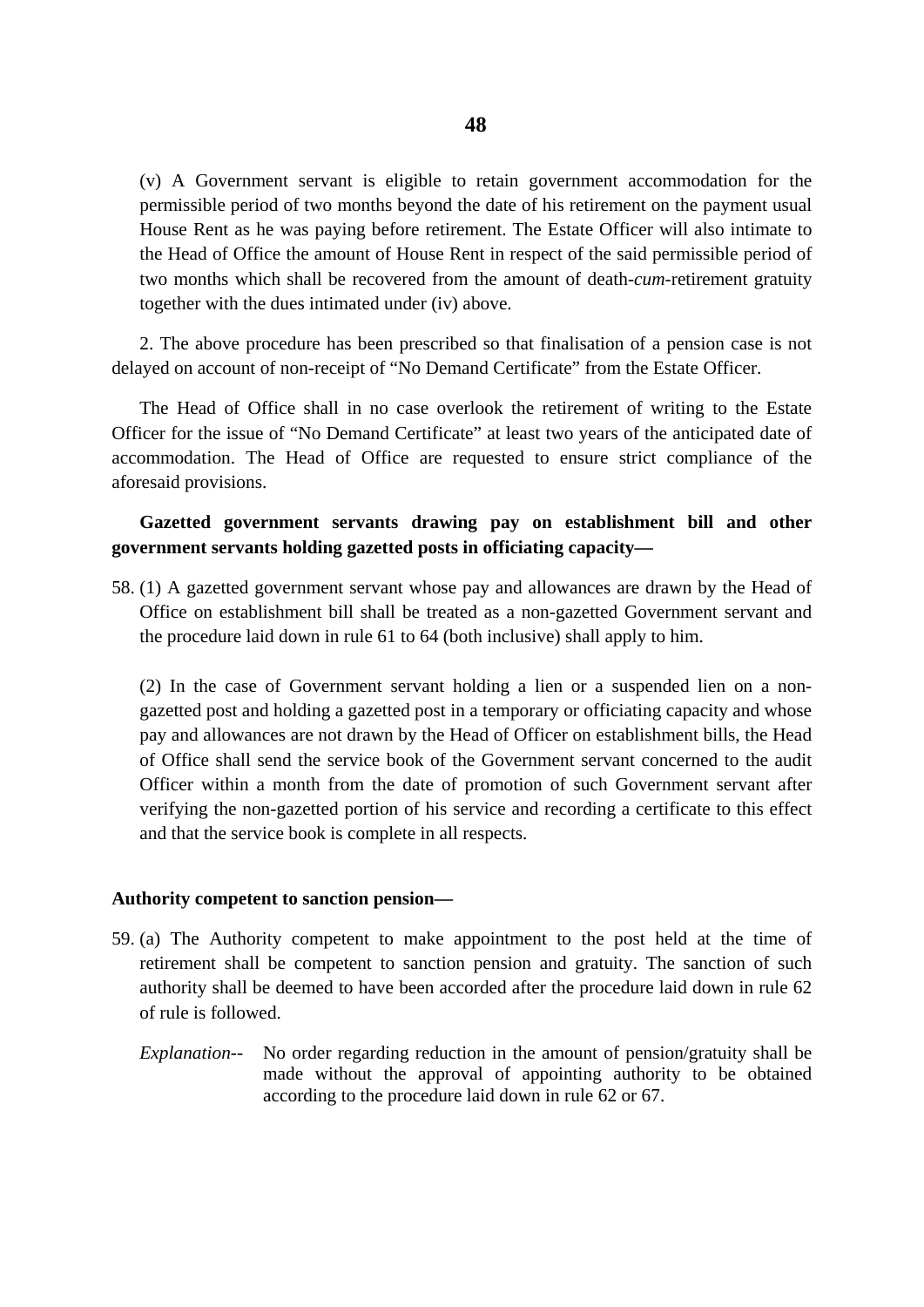(v) A Government servant is eligible to retain government accommodation for the permissible period of two months beyond the date of his retirement on the payment usual House Rent as he was paying before retirement. The Estate Officer will also intimate to the Head of Office the amount of House Rent in respect of the said permissible period of two months which shall be recovered from the amount of death-*cum*-retirement gratuity together with the dues intimated under (iv) above.

2. The above procedure has been prescribed so that finalisation of a pension case is not delayed on account of non-receipt of "No Demand Certificate" from the Estate Officer.

The Head of Office shall in no case overlook the retirement of writing to the Estate Officer for the issue of "No Demand Certificate" at least two years of the anticipated date of accommodation. The Head of Office are requested to ensure strict compliance of the aforesaid provisions.

# **Gazetted government servants drawing pay on establishment bill and other government servants holding gazetted posts in officiating capacity—**

58. (1) A gazetted government servant whose pay and allowances are drawn by the Head of Office on establishment bill shall be treated as a non-gazetted Government servant and the procedure laid down in rule 61 to 64 (both inclusive) shall apply to him.

(2) In the case of Government servant holding a lien or a suspended lien on a nongazetted post and holding a gazetted post in a temporary or officiating capacity and whose pay and allowances are not drawn by the Head of Officer on establishment bills, the Head of Office shall send the service book of the Government servant concerned to the audit Officer within a month from the date of promotion of such Government servant after verifying the non-gazetted portion of his service and recording a certificate to this effect and that the service book is complete in all respects.

### **Authority competent to sanction pension—**

- 59. (a) The Authority competent to make appointment to the post held at the time of retirement shall be competent to sanction pension and gratuity. The sanction of such authority shall be deemed to have been accorded after the procedure laid down in rule 62 of rule is followed.
	- *Explanation--* No order regarding reduction in the amount of pension/gratuity shall be made without the approval of appointing authority to be obtained according to the procedure laid down in rule 62 or 67.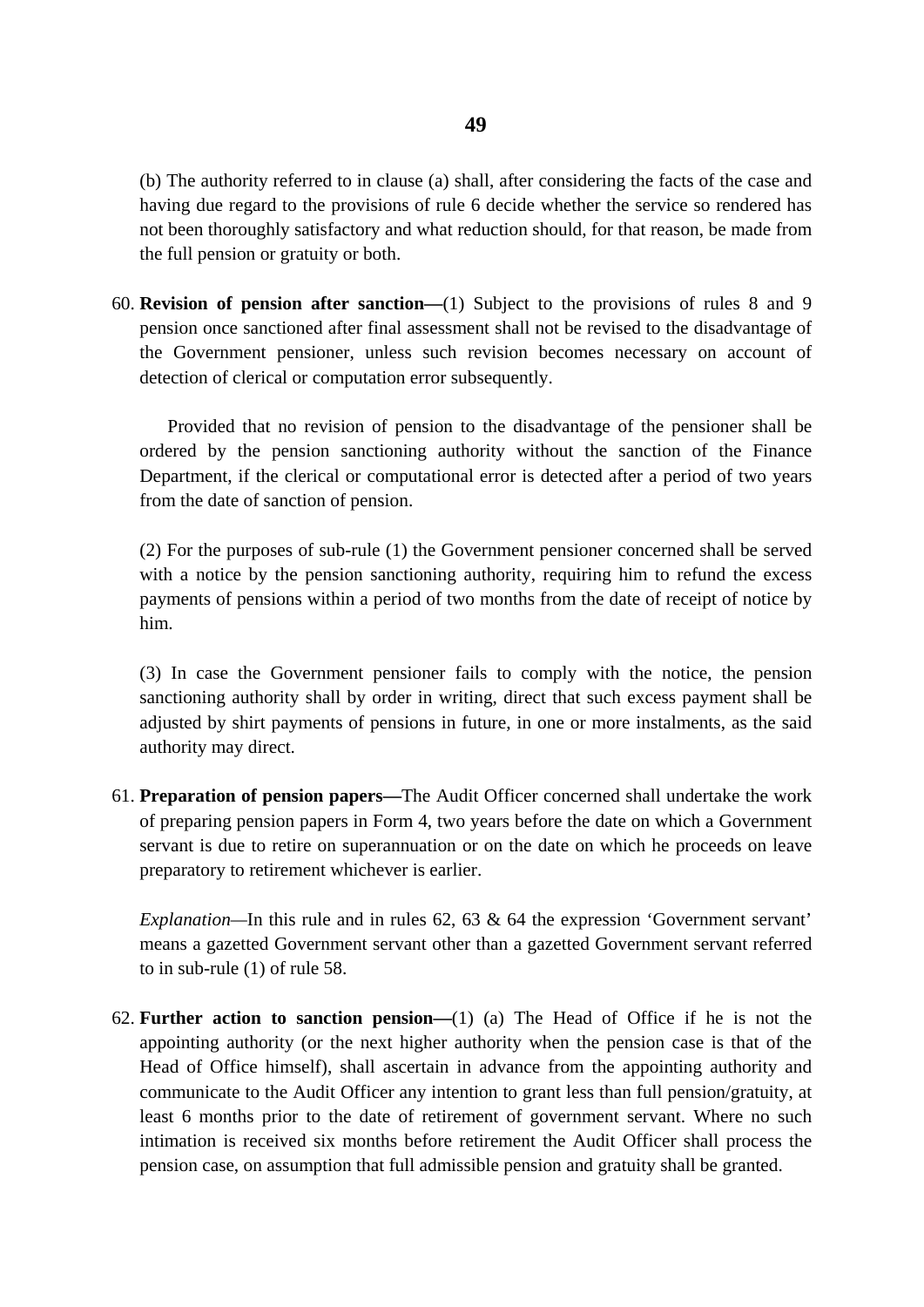(b) The authority referred to in clause (a) shall, after considering the facts of the case and having due regard to the provisions of rule 6 decide whether the service so rendered has not been thoroughly satisfactory and what reduction should, for that reason, be made from the full pension or gratuity or both.

60. **Revision of pension after sanction—**(1) Subject to the provisions of rules 8 and 9 pension once sanctioned after final assessment shall not be revised to the disadvantage of the Government pensioner, unless such revision becomes necessary on account of detection of clerical or computation error subsequently.

Provided that no revision of pension to the disadvantage of the pensioner shall be ordered by the pension sanctioning authority without the sanction of the Finance Department, if the clerical or computational error is detected after a period of two years from the date of sanction of pension.

(2) For the purposes of sub-rule (1) the Government pensioner concerned shall be served with a notice by the pension sanctioning authority, requiring him to refund the excess payments of pensions within a period of two months from the date of receipt of notice by him.

(3) In case the Government pensioner fails to comply with the notice, the pension sanctioning authority shall by order in writing, direct that such excess payment shall be adjusted by shirt payments of pensions in future, in one or more instalments, as the said authority may direct.

61. **Preparation of pension papers—**The Audit Officer concerned shall undertake the work of preparing pension papers in Form 4, two years before the date on which a Government servant is due to retire on superannuation or on the date on which he proceeds on leave preparatory to retirement whichever is earlier.

*Explanation—*In this rule and in rules 62, 63 & 64 the expression 'Government servant' means a gazetted Government servant other than a gazetted Government servant referred to in sub-rule (1) of rule 58.

62. **Further action to sanction pension—**(1) (a) The Head of Office if he is not the appointing authority (or the next higher authority when the pension case is that of the Head of Office himself), shall ascertain in advance from the appointing authority and communicate to the Audit Officer any intention to grant less than full pension/gratuity, at least 6 months prior to the date of retirement of government servant. Where no such intimation is received six months before retirement the Audit Officer shall process the pension case, on assumption that full admissible pension and gratuity shall be granted.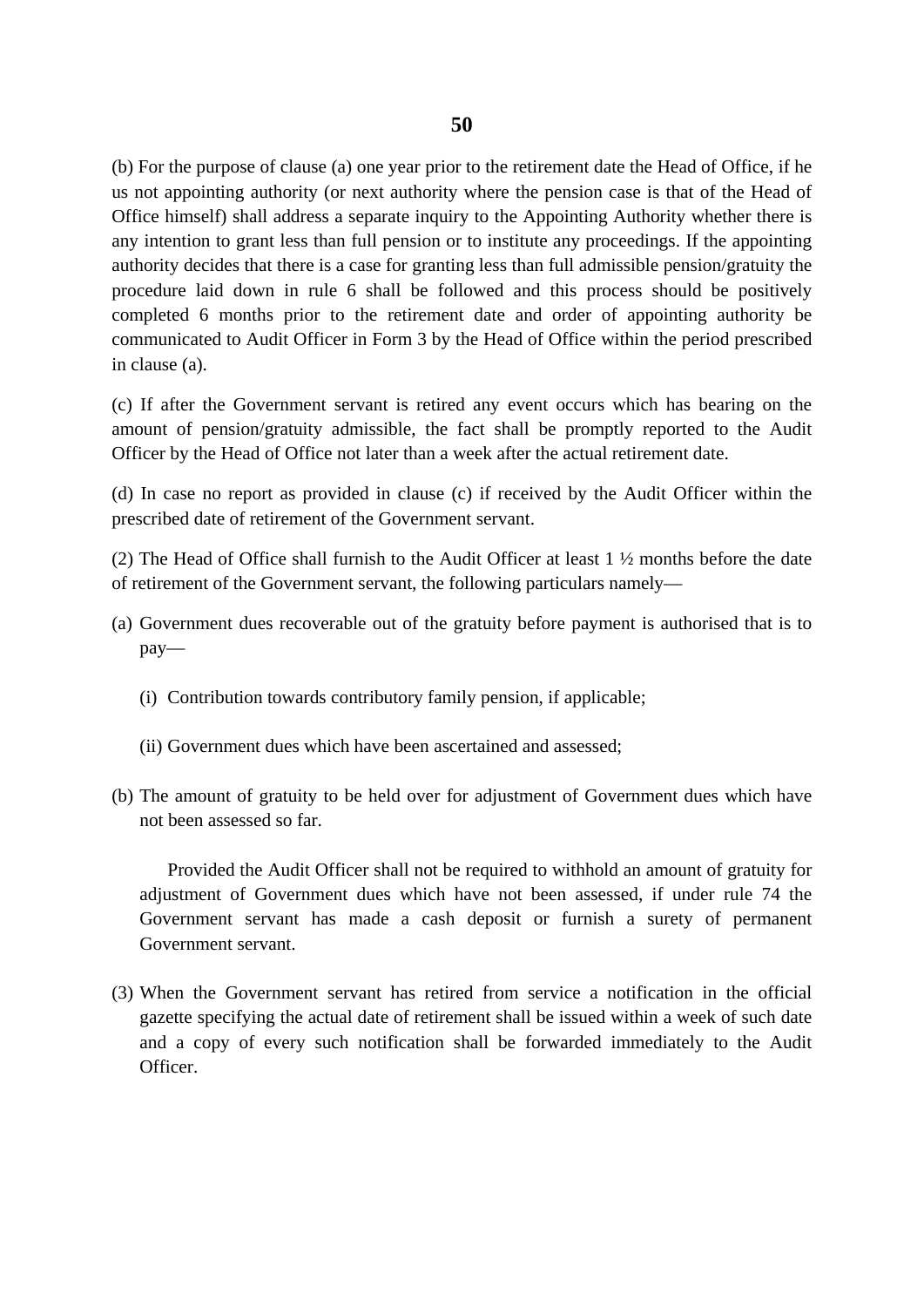(b) For the purpose of clause (a) one year prior to the retirement date the Head of Office, if he us not appointing authority (or next authority where the pension case is that of the Head of Office himself) shall address a separate inquiry to the Appointing Authority whether there is any intention to grant less than full pension or to institute any proceedings. If the appointing authority decides that there is a case for granting less than full admissible pension/gratuity the procedure laid down in rule 6 shall be followed and this process should be positively completed 6 months prior to the retirement date and order of appointing authority be communicated to Audit Officer in Form 3 by the Head of Office within the period prescribed in clause (a).

(c) If after the Government servant is retired any event occurs which has bearing on the amount of pension/gratuity admissible, the fact shall be promptly reported to the Audit Officer by the Head of Office not later than a week after the actual retirement date.

(d) In case no report as provided in clause (c) if received by the Audit Officer within the prescribed date of retirement of the Government servant.

(2) The Head of Office shall furnish to the Audit Officer at least 1 ½ months before the date of retirement of the Government servant, the following particulars namely—

- (a) Government dues recoverable out of the gratuity before payment is authorised that is to pay—
	- (i) Contribution towards contributory family pension, if applicable;
	- (ii) Government dues which have been ascertained and assessed;
- (b) The amount of gratuity to be held over for adjustment of Government dues which have not been assessed so far.

Provided the Audit Officer shall not be required to withhold an amount of gratuity for adjustment of Government dues which have not been assessed, if under rule 74 the Government servant has made a cash deposit or furnish a surety of permanent Government servant.

(3) When the Government servant has retired from service a notification in the official gazette specifying the actual date of retirement shall be issued within a week of such date and a copy of every such notification shall be forwarded immediately to the Audit Officer.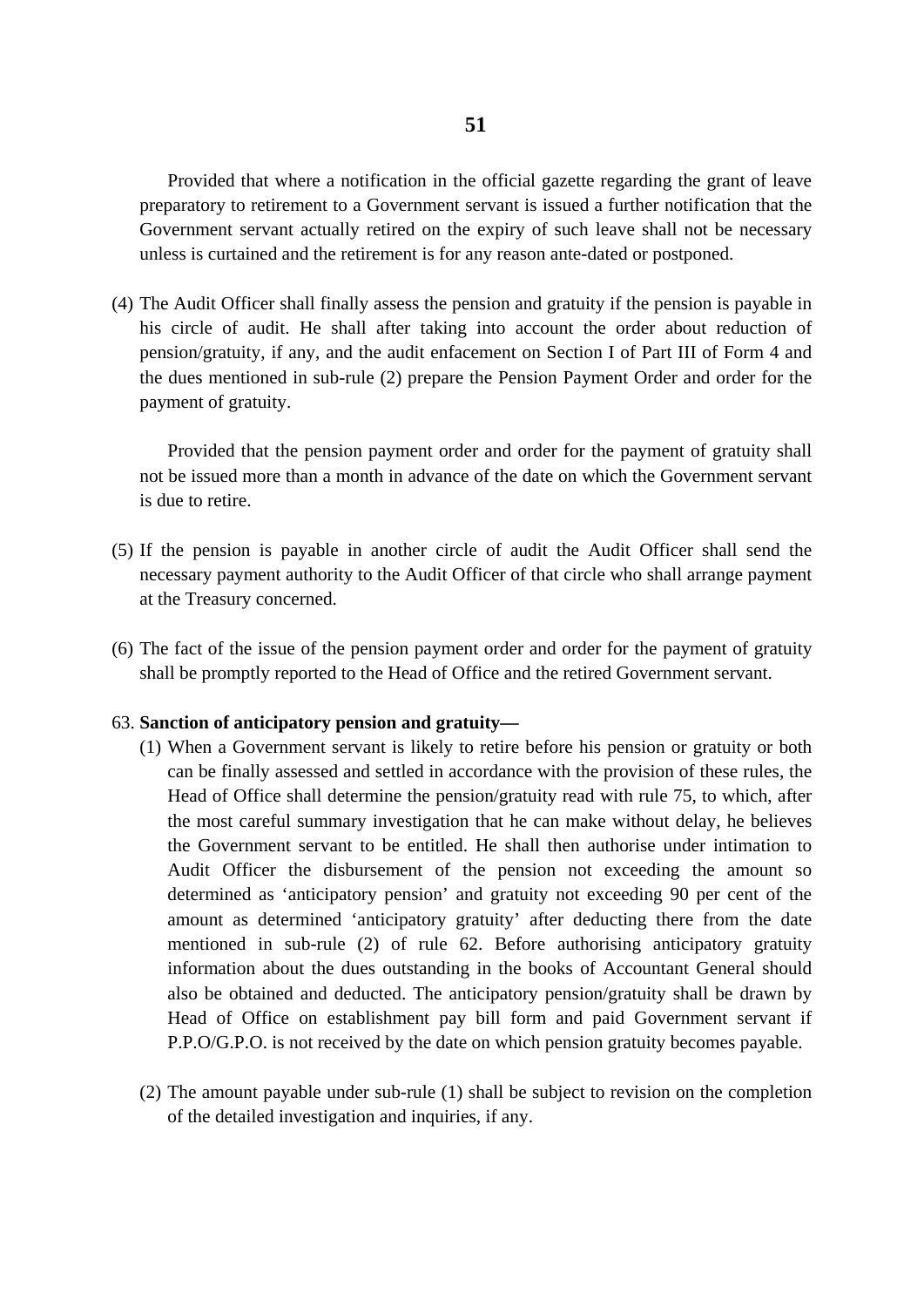Provided that where a notification in the official gazette regarding the grant of leave preparatory to retirement to a Government servant is issued a further notification that the Government servant actually retired on the expiry of such leave shall not be necessary unless is curtained and the retirement is for any reason ante-dated or postponed.

(4) The Audit Officer shall finally assess the pension and gratuity if the pension is payable in his circle of audit. He shall after taking into account the order about reduction of pension/gratuity, if any, and the audit enfacement on Section I of Part III of Form 4 and the dues mentioned in sub-rule (2) prepare the Pension Payment Order and order for the payment of gratuity.

Provided that the pension payment order and order for the payment of gratuity shall not be issued more than a month in advance of the date on which the Government servant is due to retire.

- (5) If the pension is payable in another circle of audit the Audit Officer shall send the necessary payment authority to the Audit Officer of that circle who shall arrange payment at the Treasury concerned.
- (6) The fact of the issue of the pension payment order and order for the payment of gratuity shall be promptly reported to the Head of Office and the retired Government servant.

### 63. **Sanction of anticipatory pension and gratuity—**

- (1) When a Government servant is likely to retire before his pension or gratuity or both can be finally assessed and settled in accordance with the provision of these rules, the Head of Office shall determine the pension/gratuity read with rule 75, to which, after the most careful summary investigation that he can make without delay, he believes the Government servant to be entitled. He shall then authorise under intimation to Audit Officer the disbursement of the pension not exceeding the amount so determined as 'anticipatory pension' and gratuity not exceeding 90 per cent of the amount as determined 'anticipatory gratuity' after deducting there from the date mentioned in sub-rule (2) of rule 62. Before authorising anticipatory gratuity information about the dues outstanding in the books of Accountant General should also be obtained and deducted. The anticipatory pension/gratuity shall be drawn by Head of Office on establishment pay bill form and paid Government servant if P.P.O/G.P.O. is not received by the date on which pension gratuity becomes payable.
- (2) The amount payable under sub-rule (1) shall be subject to revision on the completion of the detailed investigation and inquiries, if any.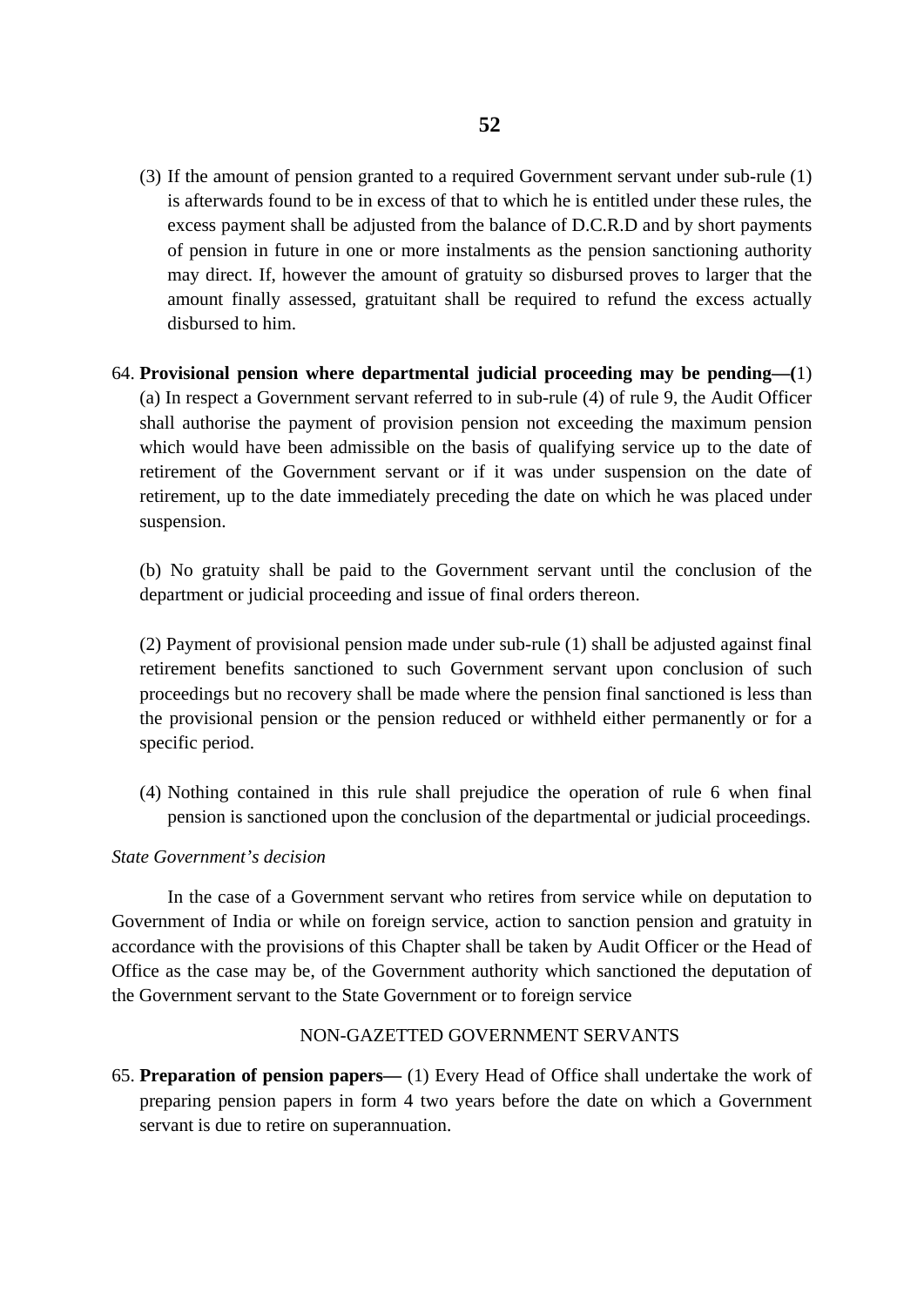- (3) If the amount of pension granted to a required Government servant under sub-rule (1) is afterwards found to be in excess of that to which he is entitled under these rules, the excess payment shall be adjusted from the balance of D.C.R.D and by short payments of pension in future in one or more instalments as the pension sanctioning authority may direct. If, however the amount of gratuity so disbursed proves to larger that the amount finally assessed, gratuitant shall be required to refund the excess actually disbursed to him.
- 64. **Provisional pension where departmental judicial proceeding may be pending—(**1) (a) In respect a Government servant referred to in sub-rule (4) of rule 9, the Audit Officer shall authorise the payment of provision pension not exceeding the maximum pension which would have been admissible on the basis of qualifying service up to the date of retirement of the Government servant or if it was under suspension on the date of retirement, up to the date immediately preceding the date on which he was placed under suspension.

(b) No gratuity shall be paid to the Government servant until the conclusion of the department or judicial proceeding and issue of final orders thereon.

(2) Payment of provisional pension made under sub-rule (1) shall be adjusted against final retirement benefits sanctioned to such Government servant upon conclusion of such proceedings but no recovery shall be made where the pension final sanctioned is less than the provisional pension or the pension reduced or withheld either permanently or for a specific period.

(4) Nothing contained in this rule shall prejudice the operation of rule 6 when final pension is sanctioned upon the conclusion of the departmental or judicial proceedings.

### *State Government's decision*

In the case of a Government servant who retires from service while on deputation to Government of India or while on foreign service, action to sanction pension and gratuity in accordance with the provisions of this Chapter shall be taken by Audit Officer or the Head of Office as the case may be, of the Government authority which sanctioned the deputation of the Government servant to the State Government or to foreign service

### NON-GAZETTED GOVERNMENT SERVANTS

65. **Preparation of pension papers—** (1) Every Head of Office shall undertake the work of preparing pension papers in form 4 two years before the date on which a Government servant is due to retire on superannuation.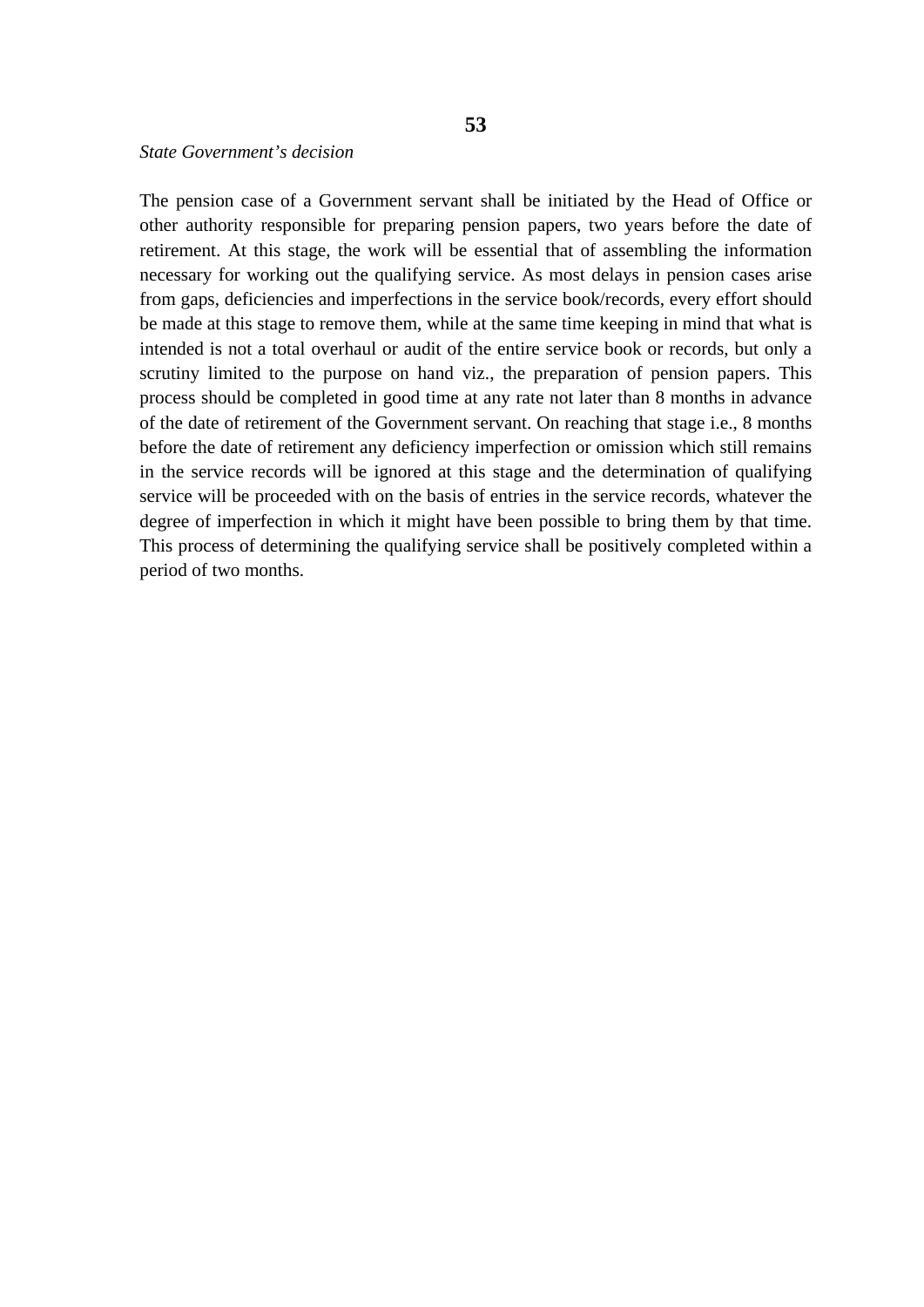The pension case of a Government servant shall be initiated by the Head of Office or other authority responsible for preparing pension papers, two years before the date of retirement. At this stage, the work will be essential that of assembling the information necessary for working out the qualifying service. As most delays in pension cases arise from gaps, deficiencies and imperfections in the service book/records, every effort should be made at this stage to remove them, while at the same time keeping in mind that what is intended is not a total overhaul or audit of the entire service book or records, but only a scrutiny limited to the purpose on hand viz., the preparation of pension papers. This process should be completed in good time at any rate not later than 8 months in advance of the date of retirement of the Government servant. On reaching that stage i.e., 8 months before the date of retirement any deficiency imperfection or omission which still remains in the service records will be ignored at this stage and the determination of qualifying service will be proceeded with on the basis of entries in the service records, whatever the degree of imperfection in which it might have been possible to bring them by that time. This process of determining the qualifying service shall be positively completed within a period of two months.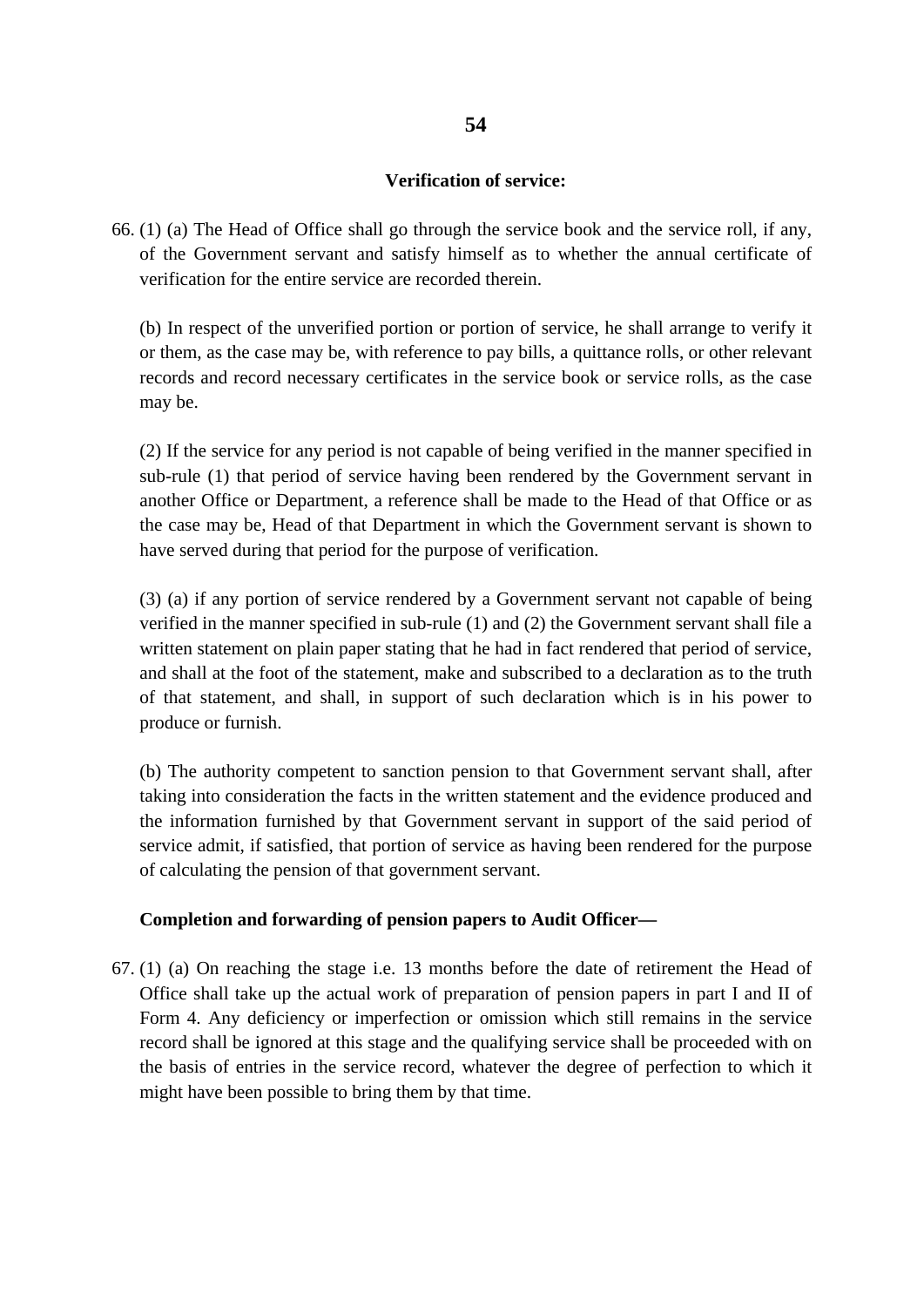### **Verification of service:**

66. (1) (a) The Head of Office shall go through the service book and the service roll, if any, of the Government servant and satisfy himself as to whether the annual certificate of verification for the entire service are recorded therein.

(b) In respect of the unverified portion or portion of service, he shall arrange to verify it or them, as the case may be, with reference to pay bills, a quittance rolls, or other relevant records and record necessary certificates in the service book or service rolls, as the case may be.

(2) If the service for any period is not capable of being verified in the manner specified in sub-rule (1) that period of service having been rendered by the Government servant in another Office or Department, a reference shall be made to the Head of that Office or as the case may be, Head of that Department in which the Government servant is shown to have served during that period for the purpose of verification.

(3) (a) if any portion of service rendered by a Government servant not capable of being verified in the manner specified in sub-rule (1) and (2) the Government servant shall file a written statement on plain paper stating that he had in fact rendered that period of service, and shall at the foot of the statement, make and subscribed to a declaration as to the truth of that statement, and shall, in support of such declaration which is in his power to produce or furnish.

(b) The authority competent to sanction pension to that Government servant shall, after taking into consideration the facts in the written statement and the evidence produced and the information furnished by that Government servant in support of the said period of service admit, if satisfied, that portion of service as having been rendered for the purpose of calculating the pension of that government servant.

# **Completion and forwarding of pension papers to Audit Officer—**

67. (1) (a) On reaching the stage i.e. 13 months before the date of retirement the Head of Office shall take up the actual work of preparation of pension papers in part I and II of Form 4. Any deficiency or imperfection or omission which still remains in the service record shall be ignored at this stage and the qualifying service shall be proceeded with on the basis of entries in the service record, whatever the degree of perfection to which it might have been possible to bring them by that time.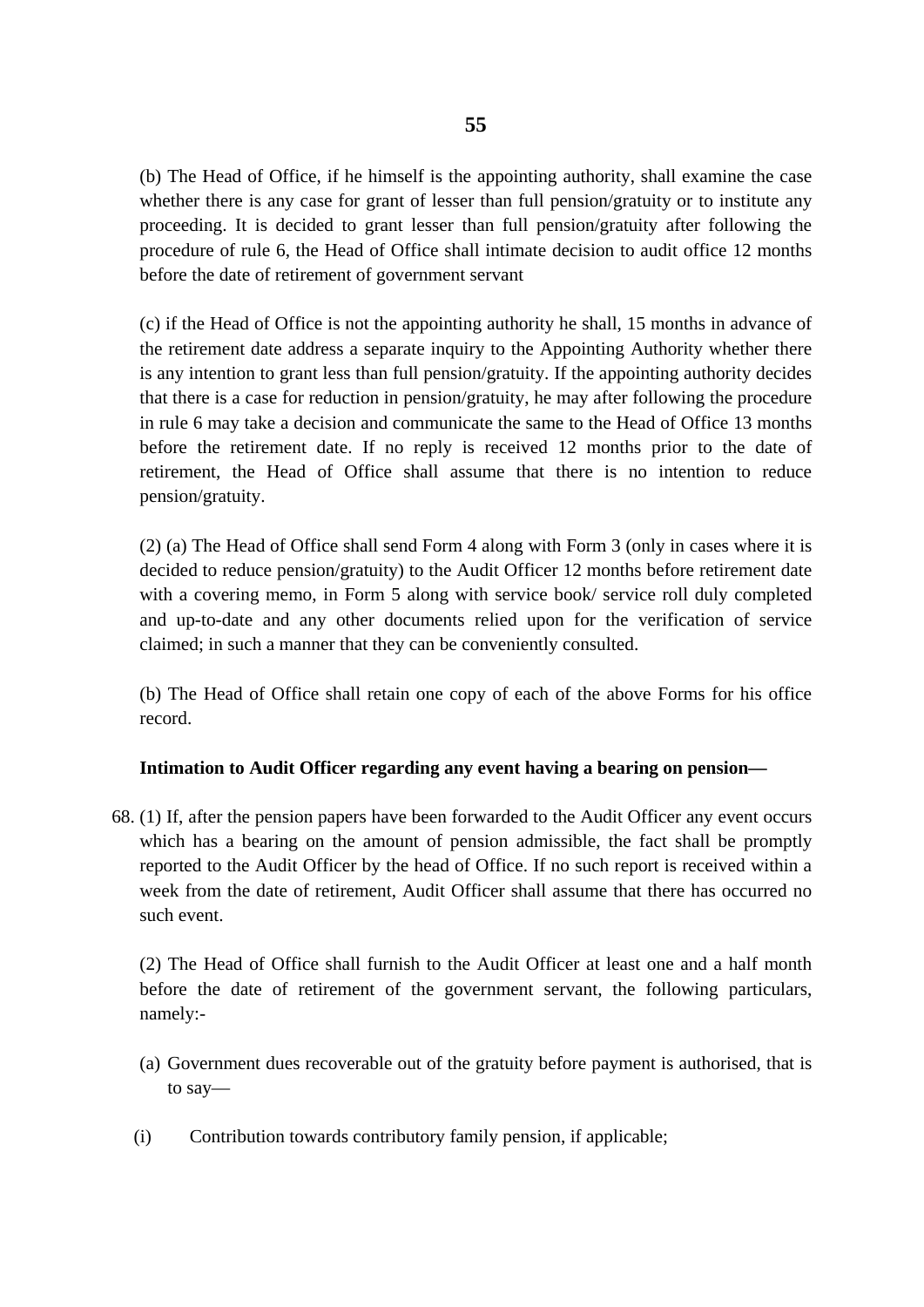(b) The Head of Office, if he himself is the appointing authority, shall examine the case whether there is any case for grant of lesser than full pension/gratuity or to institute any proceeding. It is decided to grant lesser than full pension/gratuity after following the procedure of rule 6, the Head of Office shall intimate decision to audit office 12 months before the date of retirement of government servant

(c) if the Head of Office is not the appointing authority he shall, 15 months in advance of the retirement date address a separate inquiry to the Appointing Authority whether there is any intention to grant less than full pension/gratuity. If the appointing authority decides that there is a case for reduction in pension/gratuity, he may after following the procedure in rule 6 may take a decision and communicate the same to the Head of Office 13 months before the retirement date. If no reply is received 12 months prior to the date of retirement, the Head of Office shall assume that there is no intention to reduce pension/gratuity.

(2) (a) The Head of Office shall send Form 4 along with Form 3 (only in cases where it is decided to reduce pension/gratuity) to the Audit Officer 12 months before retirement date with a covering memo, in Form 5 along with service book/ service roll duly completed and up-to-date and any other documents relied upon for the verification of service claimed; in such a manner that they can be conveniently consulted.

(b) The Head of Office shall retain one copy of each of the above Forms for his office record.

# **Intimation to Audit Officer regarding any event having a bearing on pension—**

68. (1) If, after the pension papers have been forwarded to the Audit Officer any event occurs which has a bearing on the amount of pension admissible, the fact shall be promptly reported to the Audit Officer by the head of Office. If no such report is received within a week from the date of retirement, Audit Officer shall assume that there has occurred no such event.

(2) The Head of Office shall furnish to the Audit Officer at least one and a half month before the date of retirement of the government servant, the following particulars, namely:-

- (a) Government dues recoverable out of the gratuity before payment is authorised, that is to say—
- (i) Contribution towards contributory family pension, if applicable;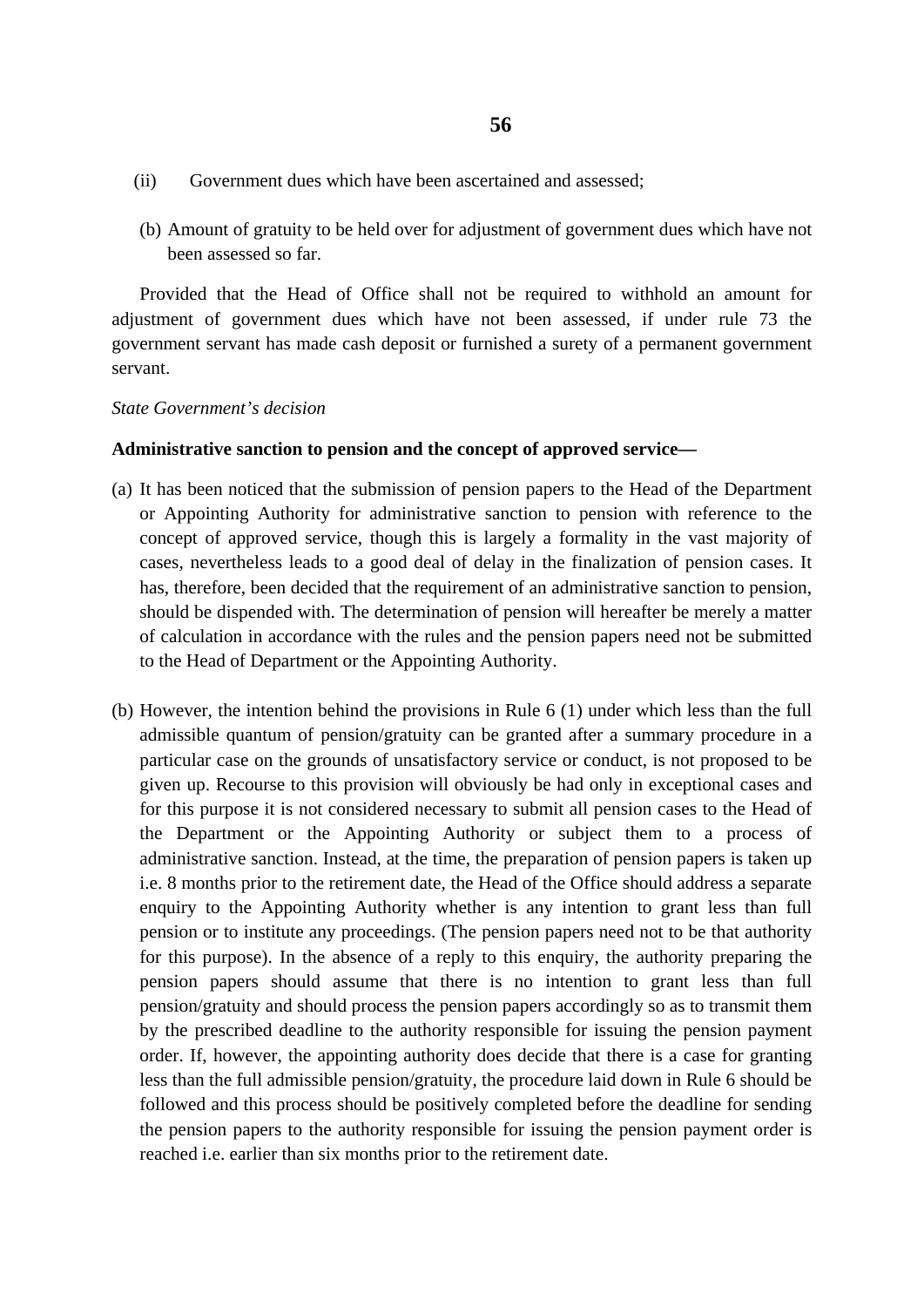- (ii) Government dues which have been ascertained and assessed;
- (b) Amount of gratuity to be held over for adjustment of government dues which have not been assessed so far.

Provided that the Head of Office shall not be required to withhold an amount for adjustment of government dues which have not been assessed, if under rule 73 the government servant has made cash deposit or furnished a surety of a permanent government servant.

*State Government's decision* 

### **Administrative sanction to pension and the concept of approved service—**

- (a) It has been noticed that the submission of pension papers to the Head of the Department or Appointing Authority for administrative sanction to pension with reference to the concept of approved service, though this is largely a formality in the vast majority of cases, nevertheless leads to a good deal of delay in the finalization of pension cases. It has, therefore, been decided that the requirement of an administrative sanction to pension, should be dispended with. The determination of pension will hereafter be merely a matter of calculation in accordance with the rules and the pension papers need not be submitted to the Head of Department or the Appointing Authority.
- (b) However, the intention behind the provisions in Rule 6 (1) under which less than the full admissible quantum of pension/gratuity can be granted after a summary procedure in a particular case on the grounds of unsatisfactory service or conduct, is not proposed to be given up. Recourse to this provision will obviously be had only in exceptional cases and for this purpose it is not considered necessary to submit all pension cases to the Head of the Department or the Appointing Authority or subject them to a process of administrative sanction. Instead, at the time, the preparation of pension papers is taken up i.e. 8 months prior to the retirement date, the Head of the Office should address a separate enquiry to the Appointing Authority whether is any intention to grant less than full pension or to institute any proceedings. (The pension papers need not to be that authority for this purpose). In the absence of a reply to this enquiry, the authority preparing the pension papers should assume that there is no intention to grant less than full pension/gratuity and should process the pension papers accordingly so as to transmit them by the prescribed deadline to the authority responsible for issuing the pension payment order. If, however, the appointing authority does decide that there is a case for granting less than the full admissible pension/gratuity, the procedure laid down in Rule 6 should be followed and this process should be positively completed before the deadline for sending the pension papers to the authority responsible for issuing the pension payment order is reached i.e. earlier than six months prior to the retirement date.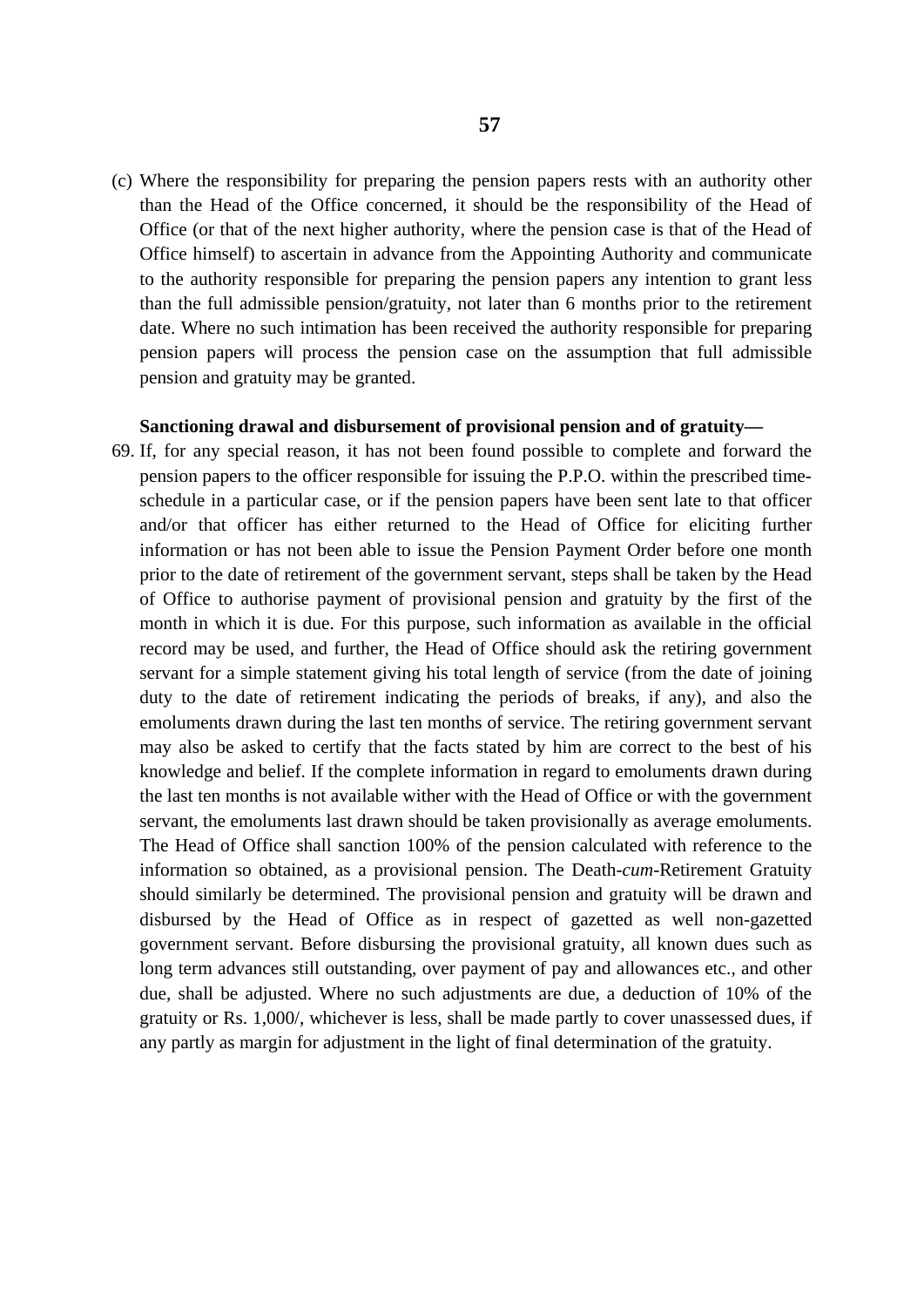(c) Where the responsibility for preparing the pension papers rests with an authority other than the Head of the Office concerned, it should be the responsibility of the Head of Office (or that of the next higher authority, where the pension case is that of the Head of Office himself) to ascertain in advance from the Appointing Authority and communicate to the authority responsible for preparing the pension papers any intention to grant less than the full admissible pension/gratuity, not later than 6 months prior to the retirement date. Where no such intimation has been received the authority responsible for preparing pension papers will process the pension case on the assumption that full admissible pension and gratuity may be granted.

#### **Sanctioning drawal and disbursement of provisional pension and of gratuity—**

69. If, for any special reason, it has not been found possible to complete and forward the pension papers to the officer responsible for issuing the P.P.O. within the prescribed timeschedule in a particular case, or if the pension papers have been sent late to that officer and/or that officer has either returned to the Head of Office for eliciting further information or has not been able to issue the Pension Payment Order before one month prior to the date of retirement of the government servant, steps shall be taken by the Head of Office to authorise payment of provisional pension and gratuity by the first of the month in which it is due. For this purpose, such information as available in the official record may be used, and further, the Head of Office should ask the retiring government servant for a simple statement giving his total length of service (from the date of joining duty to the date of retirement indicating the periods of breaks, if any), and also the emoluments drawn during the last ten months of service. The retiring government servant may also be asked to certify that the facts stated by him are correct to the best of his knowledge and belief. If the complete information in regard to emoluments drawn during the last ten months is not available wither with the Head of Office or with the government servant, the emoluments last drawn should be taken provisionally as average emoluments. The Head of Office shall sanction 100% of the pension calculated with reference to the information so obtained, as a provisional pension. The Death-*cum*-Retirement Gratuity should similarly be determined. The provisional pension and gratuity will be drawn and disbursed by the Head of Office as in respect of gazetted as well non-gazetted government servant. Before disbursing the provisional gratuity, all known dues such as long term advances still outstanding, over payment of pay and allowances etc., and other due, shall be adjusted. Where no such adjustments are due, a deduction of 10% of the gratuity or Rs. 1,000/, whichever is less, shall be made partly to cover unassessed dues, if any partly as margin for adjustment in the light of final determination of the gratuity.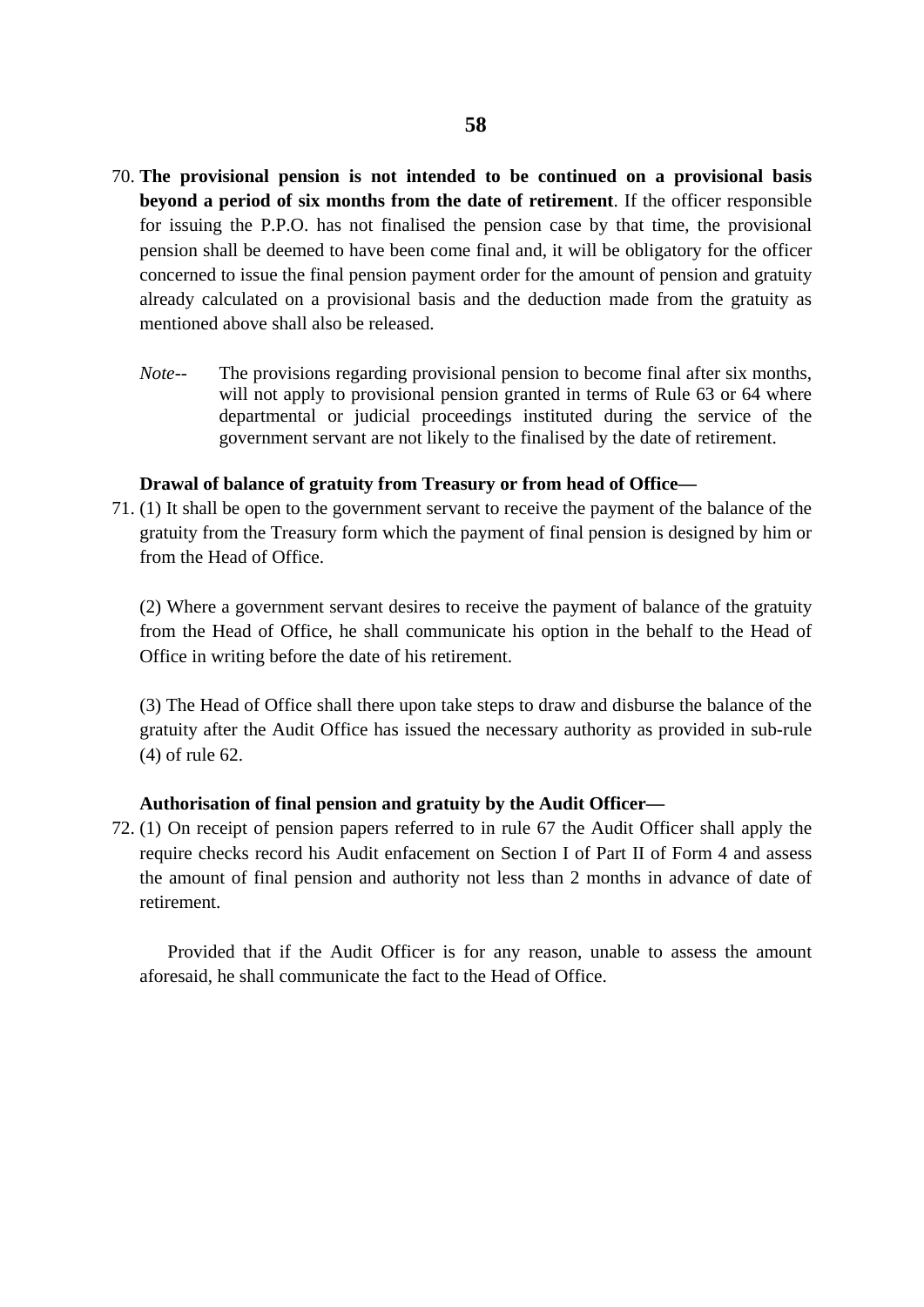- 70. **The provisional pension is not intended to be continued on a provisional basis beyond a period of six months from the date of retirement**. If the officer responsible for issuing the P.P.O. has not finalised the pension case by that time, the provisional pension shall be deemed to have been come final and, it will be obligatory for the officer concerned to issue the final pension payment order for the amount of pension and gratuity already calculated on a provisional basis and the deduction made from the gratuity as mentioned above shall also be released.
	- *Note--* The provisions regarding provisional pension to become final after six months, will not apply to provisional pension granted in terms of Rule 63 or 64 where departmental or judicial proceedings instituted during the service of the government servant are not likely to the finalised by the date of retirement.

### **Drawal of balance of gratuity from Treasury or from head of Office—**

71. (1) It shall be open to the government servant to receive the payment of the balance of the gratuity from the Treasury form which the payment of final pension is designed by him or from the Head of Office.

(2) Where a government servant desires to receive the payment of balance of the gratuity from the Head of Office, he shall communicate his option in the behalf to the Head of Office in writing before the date of his retirement.

(3) The Head of Office shall there upon take steps to draw and disburse the balance of the gratuity after the Audit Office has issued the necessary authority as provided in sub-rule (4) of rule 62.

### **Authorisation of final pension and gratuity by the Audit Officer—**

72. (1) On receipt of pension papers referred to in rule 67 the Audit Officer shall apply the require checks record his Audit enfacement on Section I of Part II of Form 4 and assess the amount of final pension and authority not less than 2 months in advance of date of retirement.

Provided that if the Audit Officer is for any reason, unable to assess the amount aforesaid, he shall communicate the fact to the Head of Office.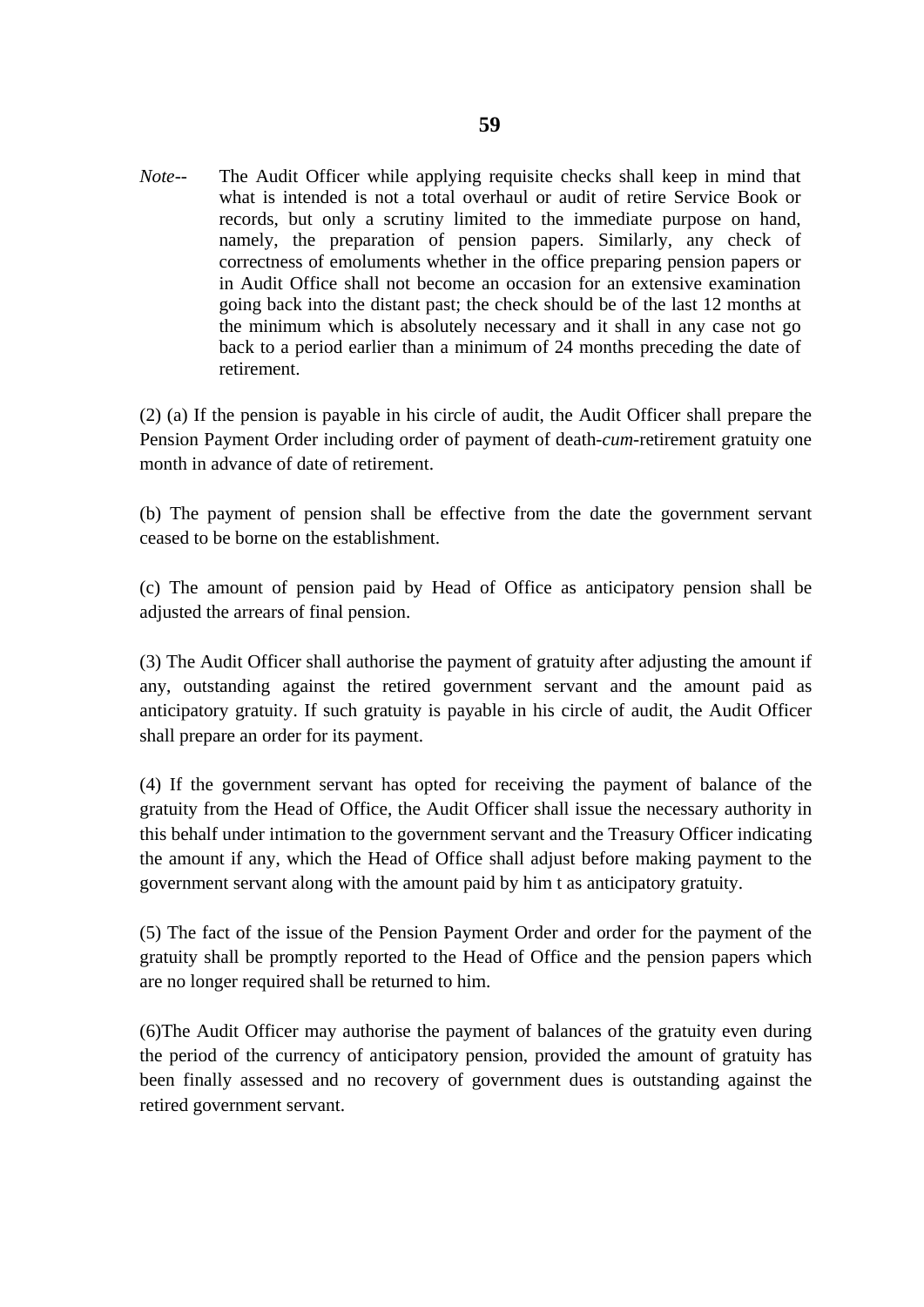*Note--* The Audit Officer while applying requisite checks shall keep in mind that what is intended is not a total overhaul or audit of retire Service Book or records, but only a scrutiny limited to the immediate purpose on hand, namely, the preparation of pension papers. Similarly, any check of correctness of emoluments whether in the office preparing pension papers or in Audit Office shall not become an occasion for an extensive examination going back into the distant past; the check should be of the last 12 months at the minimum which is absolutely necessary and it shall in any case not go back to a period earlier than a minimum of 24 months preceding the date of retirement.

(2) (a) If the pension is payable in his circle of audit, the Audit Officer shall prepare the Pension Payment Order including order of payment of death-*cum*-retirement gratuity one month in advance of date of retirement.

(b) The payment of pension shall be effective from the date the government servant ceased to be borne on the establishment.

(c) The amount of pension paid by Head of Office as anticipatory pension shall be adjusted the arrears of final pension.

(3) The Audit Officer shall authorise the payment of gratuity after adjusting the amount if any, outstanding against the retired government servant and the amount paid as anticipatory gratuity. If such gratuity is payable in his circle of audit, the Audit Officer shall prepare an order for its payment.

(4) If the government servant has opted for receiving the payment of balance of the gratuity from the Head of Office, the Audit Officer shall issue the necessary authority in this behalf under intimation to the government servant and the Treasury Officer indicating the amount if any, which the Head of Office shall adjust before making payment to the government servant along with the amount paid by him t as anticipatory gratuity.

(5) The fact of the issue of the Pension Payment Order and order for the payment of the gratuity shall be promptly reported to the Head of Office and the pension papers which are no longer required shall be returned to him.

(6)The Audit Officer may authorise the payment of balances of the gratuity even during the period of the currency of anticipatory pension, provided the amount of gratuity has been finally assessed and no recovery of government dues is outstanding against the retired government servant.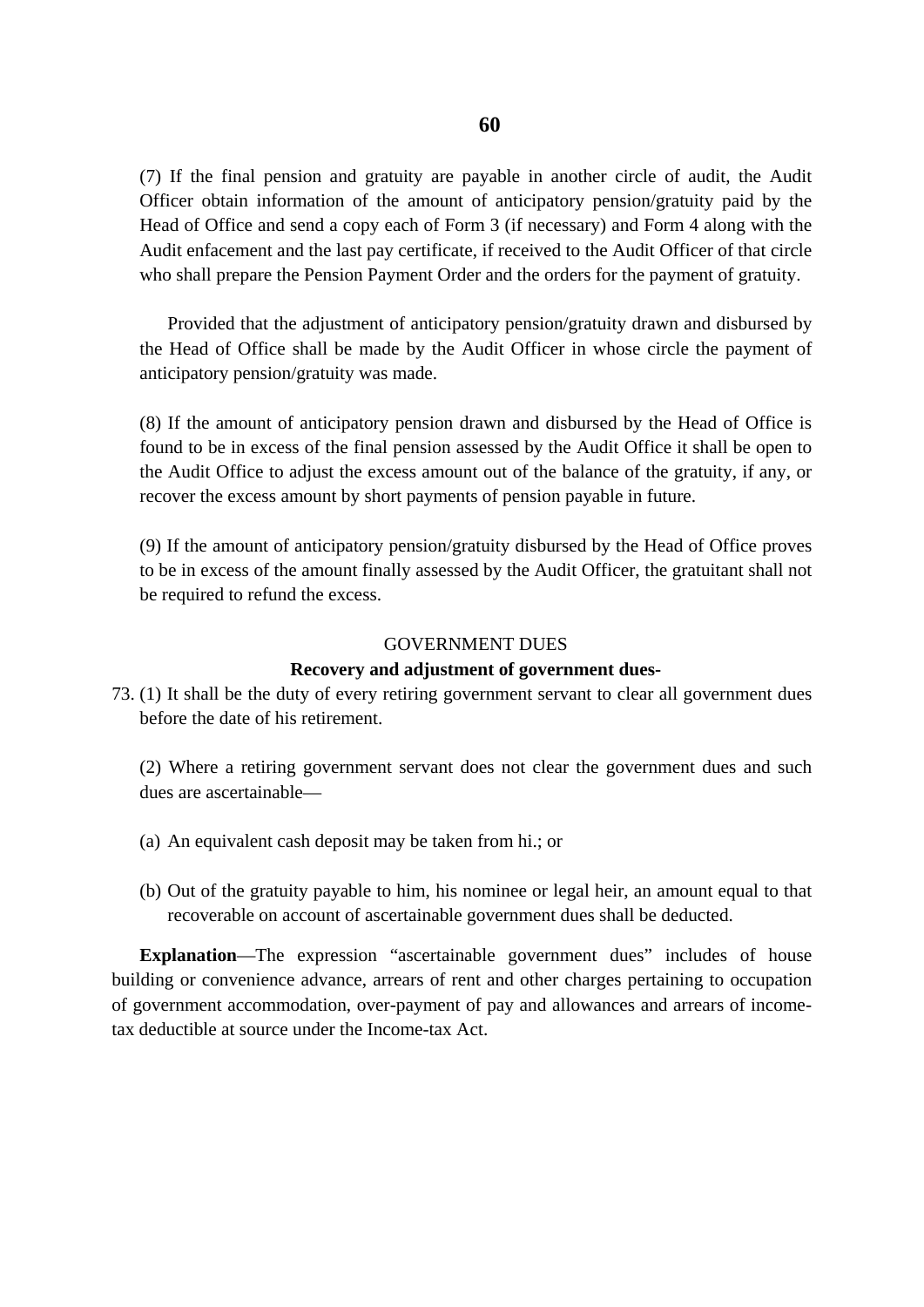(7) If the final pension and gratuity are payable in another circle of audit, the Audit Officer obtain information of the amount of anticipatory pension/gratuity paid by the Head of Office and send a copy each of Form 3 (if necessary) and Form 4 along with the Audit enfacement and the last pay certificate, if received to the Audit Officer of that circle who shall prepare the Pension Payment Order and the orders for the payment of gratuity.

Provided that the adjustment of anticipatory pension/gratuity drawn and disbursed by the Head of Office shall be made by the Audit Officer in whose circle the payment of anticipatory pension/gratuity was made.

(8) If the amount of anticipatory pension drawn and disbursed by the Head of Office is found to be in excess of the final pension assessed by the Audit Office it shall be open to the Audit Office to adjust the excess amount out of the balance of the gratuity, if any, or recover the excess amount by short payments of pension payable in future.

(9) If the amount of anticipatory pension/gratuity disbursed by the Head of Office proves to be in excess of the amount finally assessed by the Audit Officer, the gratuitant shall not be required to refund the excess.

### GOVERNMENT DUES

#### **Recovery and adjustment of government dues-**

73. (1) It shall be the duty of every retiring government servant to clear all government dues before the date of his retirement.

(2) Where a retiring government servant does not clear the government dues and such dues are ascertainable—

- (a) An equivalent cash deposit may be taken from hi.; or
- (b) Out of the gratuity payable to him, his nominee or legal heir, an amount equal to that recoverable on account of ascertainable government dues shall be deducted.

**Explanation—The expression "ascertainable government dues" includes of house** building or convenience advance, arrears of rent and other charges pertaining to occupation of government accommodation, over-payment of pay and allowances and arrears of incometax deductible at source under the Income-tax Act.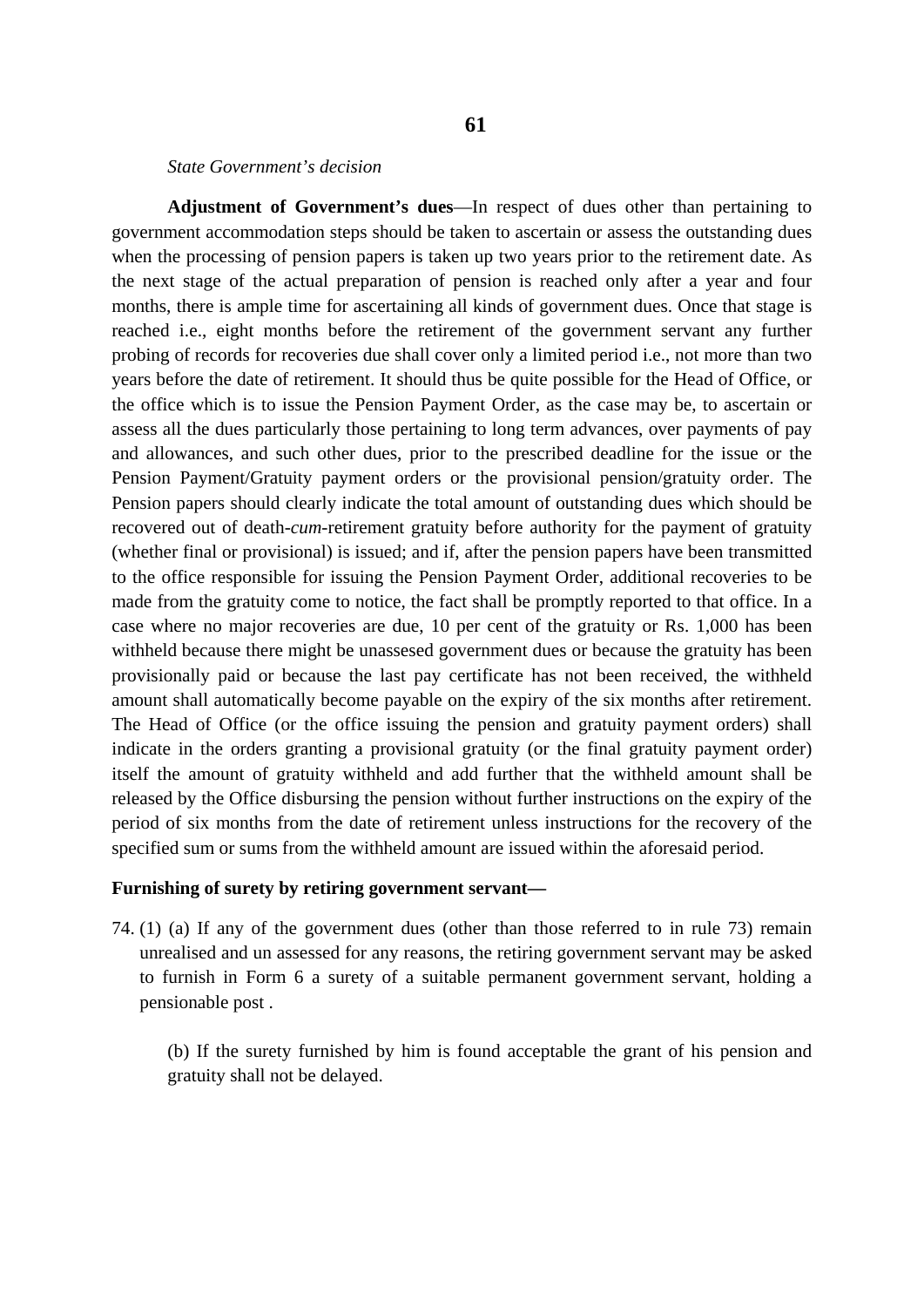#### *State Government's decision*

**Adjustment of Government's dues**—In respect of dues other than pertaining to government accommodation steps should be taken to ascertain or assess the outstanding dues when the processing of pension papers is taken up two years prior to the retirement date. As the next stage of the actual preparation of pension is reached only after a year and four months, there is ample time for ascertaining all kinds of government dues. Once that stage is reached i.e., eight months before the retirement of the government servant any further probing of records for recoveries due shall cover only a limited period i.e., not more than two years before the date of retirement. It should thus be quite possible for the Head of Office, or the office which is to issue the Pension Payment Order, as the case may be, to ascertain or assess all the dues particularly those pertaining to long term advances, over payments of pay and allowances, and such other dues, prior to the prescribed deadline for the issue or the Pension Payment/Gratuity payment orders or the provisional pension/gratuity order. The Pension papers should clearly indicate the total amount of outstanding dues which should be recovered out of death-*cum*-retirement gratuity before authority for the payment of gratuity (whether final or provisional) is issued; and if, after the pension papers have been transmitted to the office responsible for issuing the Pension Payment Order, additional recoveries to be made from the gratuity come to notice, the fact shall be promptly reported to that office. In a case where no major recoveries are due, 10 per cent of the gratuity or Rs. 1,000 has been withheld because there might be unassesed government dues or because the gratuity has been provisionally paid or because the last pay certificate has not been received, the withheld amount shall automatically become payable on the expiry of the six months after retirement. The Head of Office (or the office issuing the pension and gratuity payment orders) shall indicate in the orders granting a provisional gratuity (or the final gratuity payment order) itself the amount of gratuity withheld and add further that the withheld amount shall be released by the Office disbursing the pension without further instructions on the expiry of the period of six months from the date of retirement unless instructions for the recovery of the specified sum or sums from the withheld amount are issued within the aforesaid period.

#### **Furnishing of surety by retiring government servant—**

74. (1) (a) If any of the government dues (other than those referred to in rule 73) remain unrealised and un assessed for any reasons, the retiring government servant may be asked to furnish in Form 6 a surety of a suitable permanent government servant, holding a pensionable post .

(b) If the surety furnished by him is found acceptable the grant of his pension and gratuity shall not be delayed.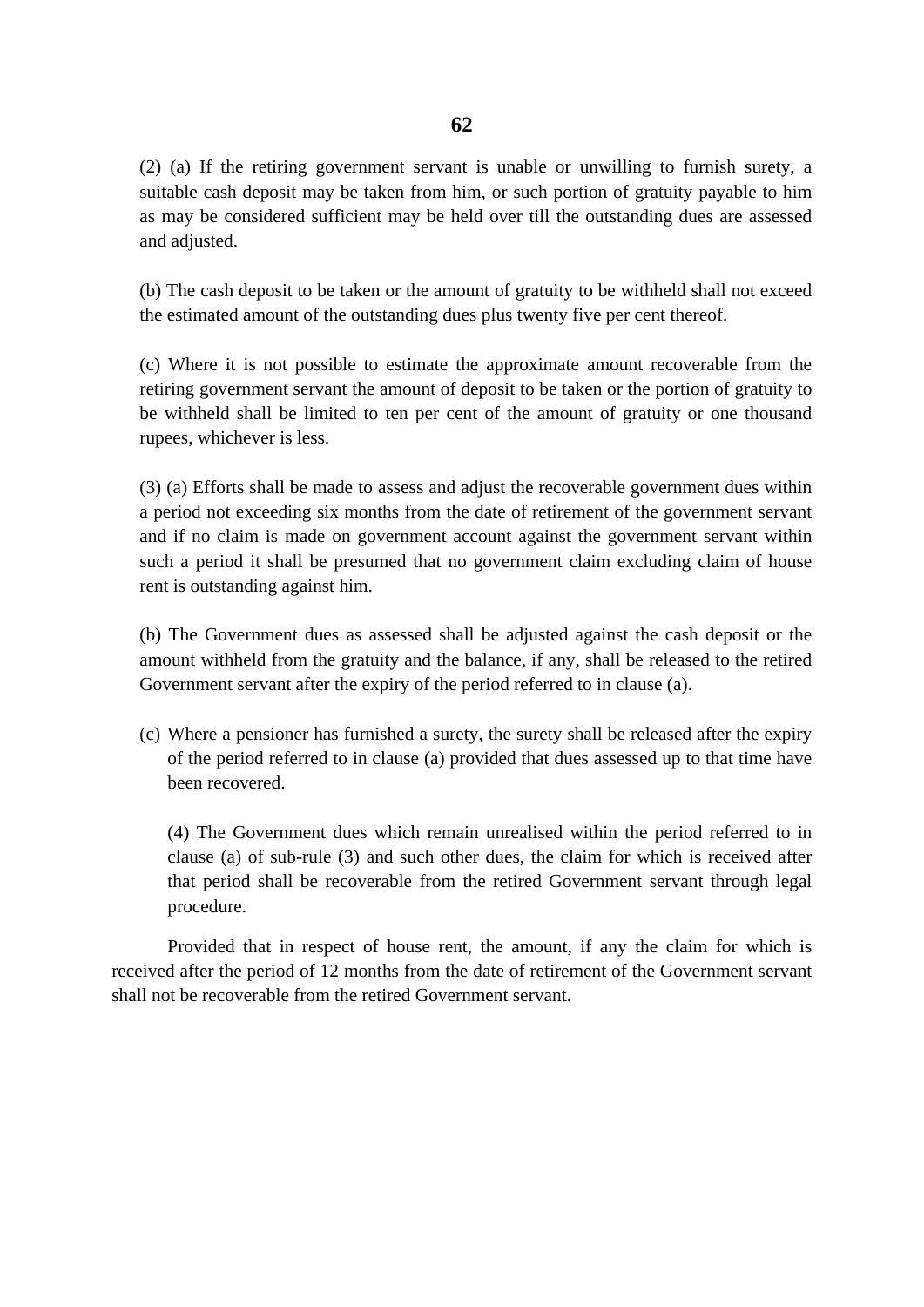(2) (a) If the retiring government servant is unable or unwilling to furnish surety, a suitable cash deposit may be taken from him, or such portion of gratuity payable to him as may be considered sufficient may be held over till the outstanding dues are assessed and adjusted.

(b) The cash deposit to be taken or the amount of gratuity to be withheld shall not exceed the estimated amount of the outstanding dues plus twenty five per cent thereof.

(c) Where it is not possible to estimate the approximate amount recoverable from the retiring government servant the amount of deposit to be taken or the portion of gratuity to be withheld shall be limited to ten per cent of the amount of gratuity or one thousand rupees, whichever is less.

(3) (a) Efforts shall be made to assess and adjust the recoverable government dues within a period not exceeding six months from the date of retirement of the government servant and if no claim is made on government account against the government servant within such a period it shall be presumed that no government claim excluding claim of house rent is outstanding against him.

(b) The Government dues as assessed shall be adjusted against the cash deposit or the amount withheld from the gratuity and the balance, if any, shall be released to the retired Government servant after the expiry of the period referred to in clause (a).

(c) Where a pensioner has furnished a surety, the surety shall be released after the expiry of the period referred to in clause (a) provided that dues assessed up to that time have been recovered.

(4) The Government dues which remain unrealised within the period referred to in clause (a) of sub-rule (3) and such other dues, the claim for which is received after that period shall be recoverable from the retired Government servant through legal procedure.

Provided that in respect of house rent, the amount, if any the claim for which is received after the period of 12 months from the date of retirement of the Government servant shall not be recoverable from the retired Government servant.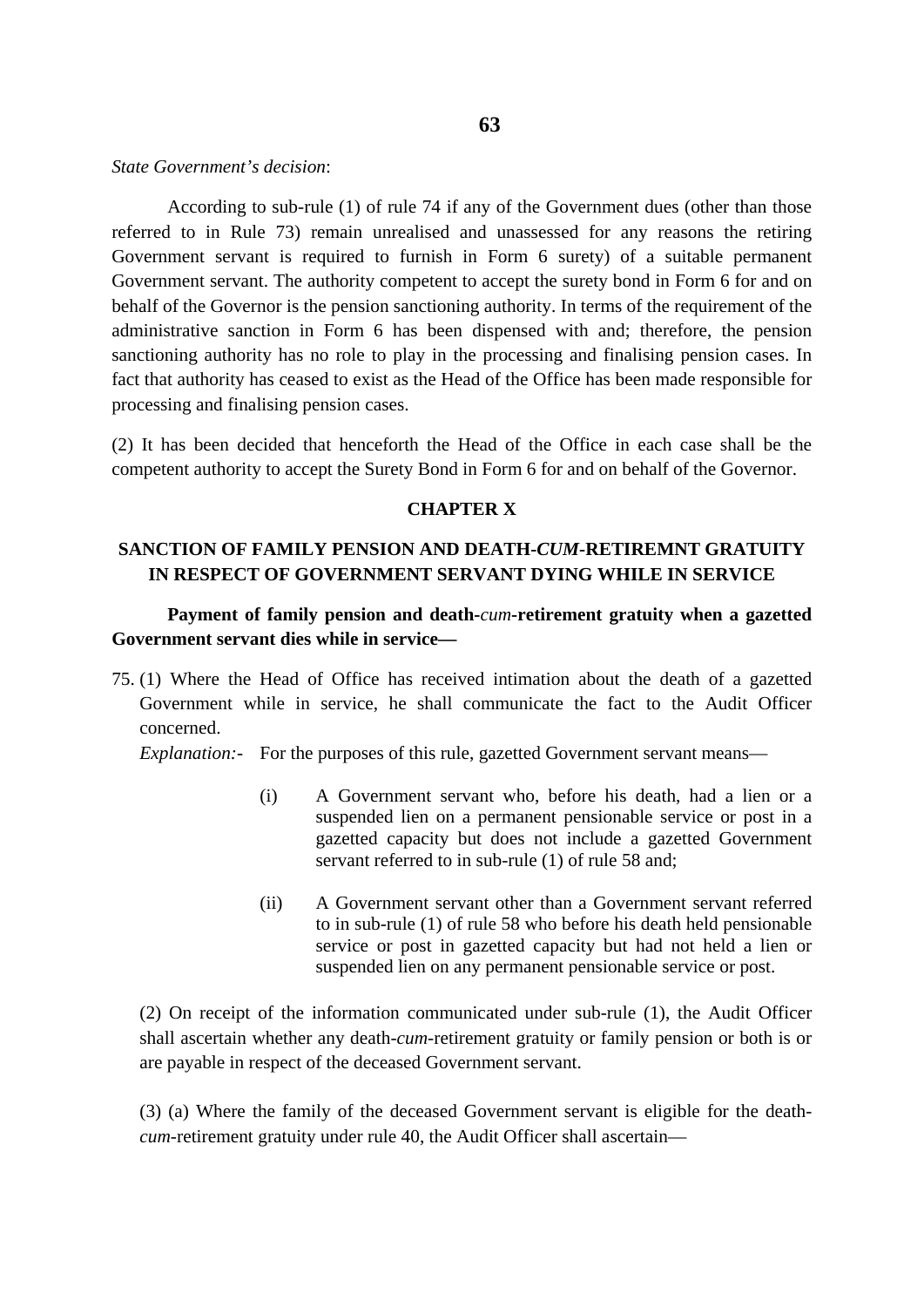### *State Government's decision*:

According to sub-rule (1) of rule 74 if any of the Government dues (other than those referred to in Rule 73) remain unrealised and unassessed for any reasons the retiring Government servant is required to furnish in Form 6 surety) of a suitable permanent Government servant. The authority competent to accept the surety bond in Form 6 for and on behalf of the Governor is the pension sanctioning authority. In terms of the requirement of the administrative sanction in Form 6 has been dispensed with and; therefore, the pension sanctioning authority has no role to play in the processing and finalising pension cases. In fact that authority has ceased to exist as the Head of the Office has been made responsible for processing and finalising pension cases.

(2) It has been decided that henceforth the Head of the Office in each case shall be the competent authority to accept the Surety Bond in Form 6 for and on behalf of the Governor.

### **CHAPTER X**

# **SANCTION OF FAMILY PENSION AND DEATH-***CUM***-RETIREMNT GRATUITY IN RESPECT OF GOVERNMENT SERVANT DYING WHILE IN SERVICE**

**Payment of family pension and death-***cum***-retirement gratuity when a gazetted Government servant dies while in service—**

75. (1) Where the Head of Office has received intimation about the death of a gazetted Government while in service, he shall communicate the fact to the Audit Officer concerned.

*Explanation:-* For the purposes of this rule, gazetted Government servant means—

- (i) A Government servant who, before his death, had a lien or a suspended lien on a permanent pensionable service or post in a gazetted capacity but does not include a gazetted Government servant referred to in sub-rule (1) of rule 58 and;
- (ii) A Government servant other than a Government servant referred to in sub-rule (1) of rule 58 who before his death held pensionable service or post in gazetted capacity but had not held a lien or suspended lien on any permanent pensionable service or post.

(2) On receipt of the information communicated under sub-rule (1), the Audit Officer shall ascertain whether any death-*cum*-retirement gratuity or family pension or both is or are payable in respect of the deceased Government servant.

(3) (a) Where the family of the deceased Government servant is eligible for the death*cum*-retirement gratuity under rule 40, the Audit Officer shall ascertain—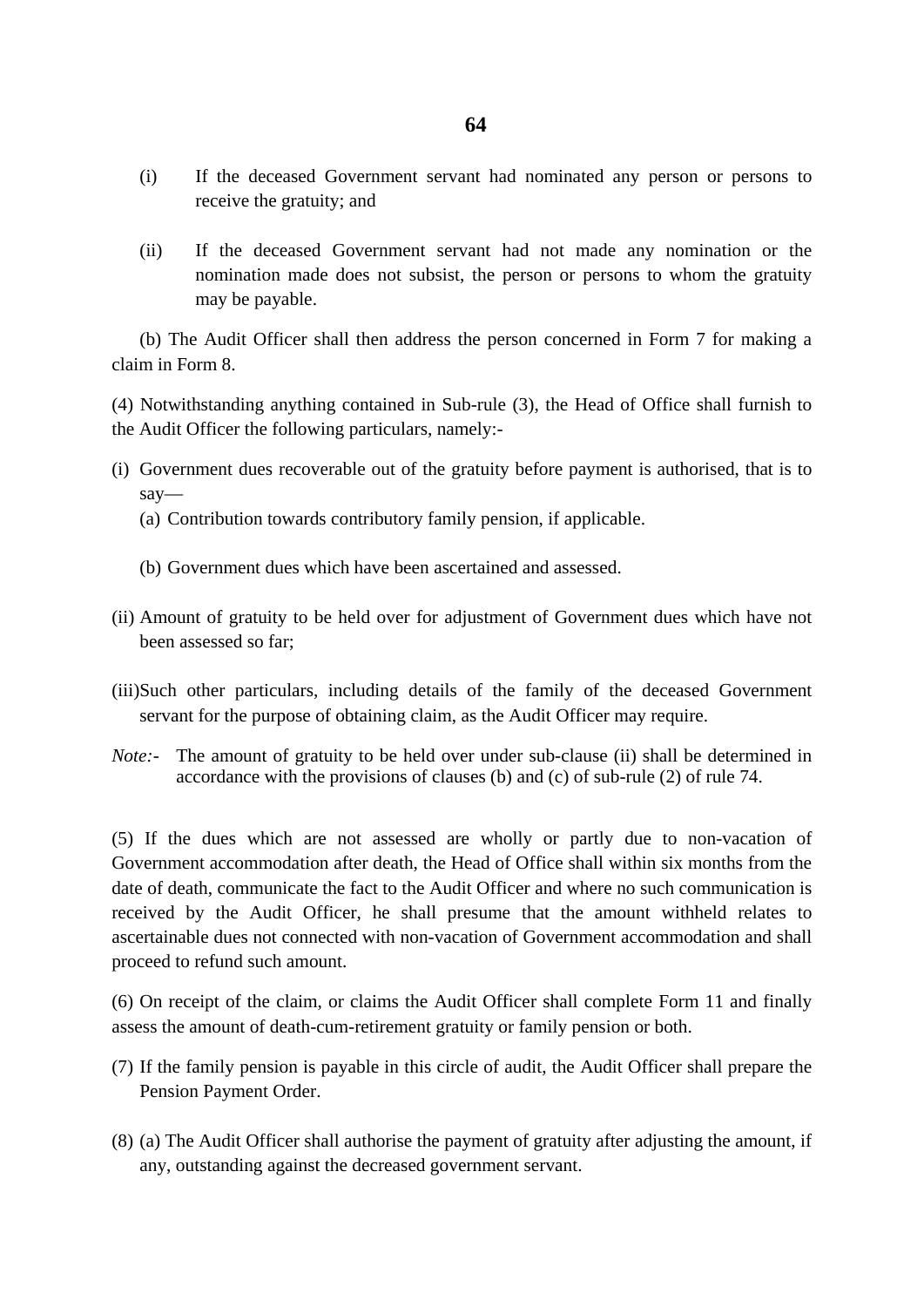- (i) If the deceased Government servant had nominated any person or persons to receive the gratuity; and
- (ii) If the deceased Government servant had not made any nomination or the nomination made does not subsist, the person or persons to whom the gratuity may be payable.

 (b) The Audit Officer shall then address the person concerned in Form 7 for making a claim in Form 8.

(4) Notwithstanding anything contained in Sub-rule (3), the Head of Office shall furnish to the Audit Officer the following particulars, namely:-

- (i) Government dues recoverable out of the gratuity before payment is authorised, that is to say—
	- (a) Contribution towards contributory family pension, if applicable.
	- (b) Government dues which have been ascertained and assessed.
- (ii) Amount of gratuity to be held over for adjustment of Government dues which have not been assessed so far;
- (iii)Such other particulars, including details of the family of the deceased Government servant for the purpose of obtaining claim, as the Audit Officer may require.
- *Note*:- The amount of gratuity to be held over under sub-clause (ii) shall be determined in accordance with the provisions of clauses (b) and (c) of sub-rule (2) of rule 74.

(5) If the dues which are not assessed are wholly or partly due to non-vacation of Government accommodation after death, the Head of Office shall within six months from the date of death, communicate the fact to the Audit Officer and where no such communication is received by the Audit Officer, he shall presume that the amount withheld relates to ascertainable dues not connected with non-vacation of Government accommodation and shall proceed to refund such amount.

(6) On receipt of the claim, or claims the Audit Officer shall complete Form 11 and finally assess the amount of death-cum-retirement gratuity or family pension or both.

- (7) If the family pension is payable in this circle of audit, the Audit Officer shall prepare the Pension Payment Order.
- (8) (a) The Audit Officer shall authorise the payment of gratuity after adjusting the amount, if any, outstanding against the decreased government servant.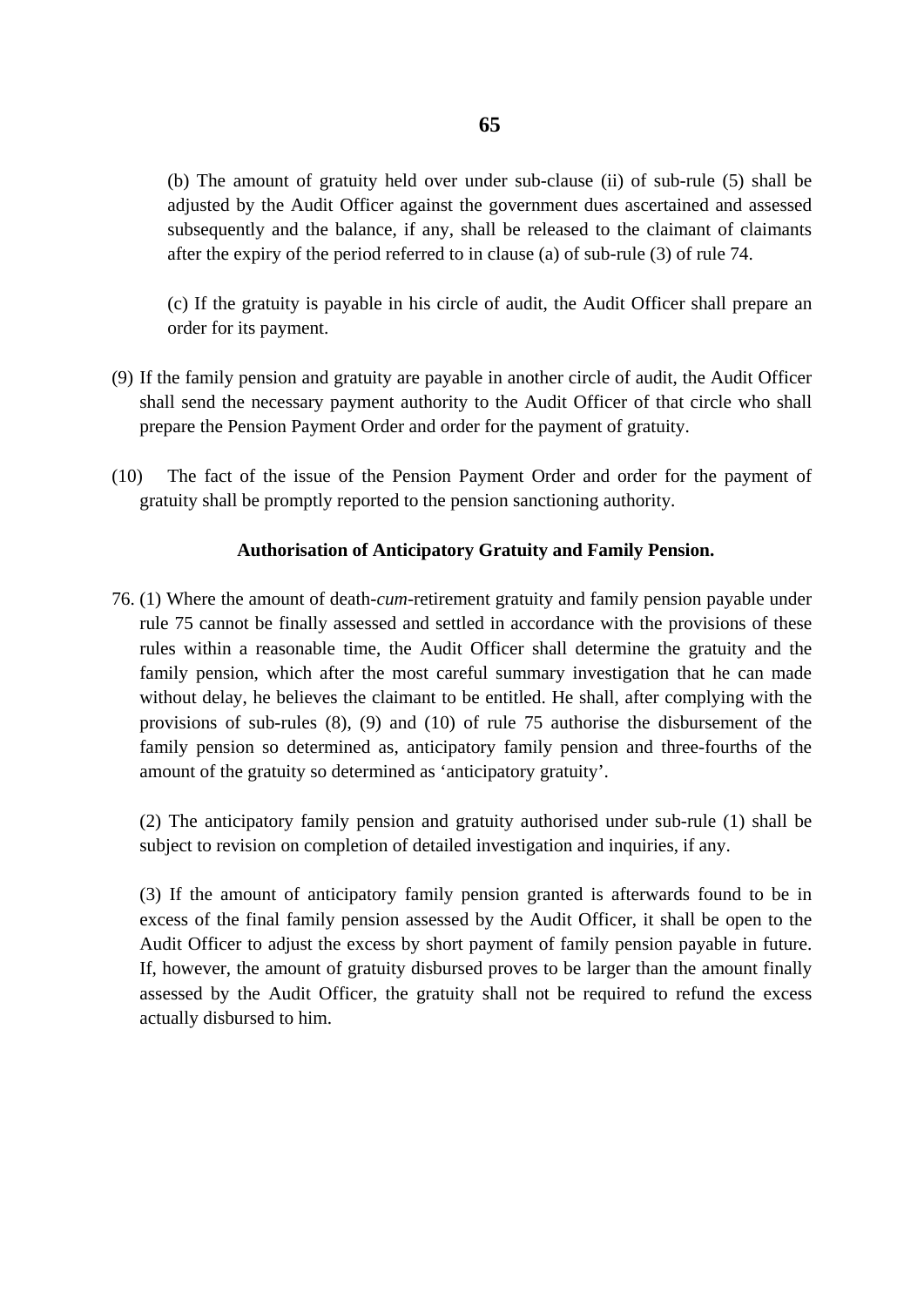(b) The amount of gratuity held over under sub-clause (ii) of sub-rule (5) shall be adjusted by the Audit Officer against the government dues ascertained and assessed subsequently and the balance, if any, shall be released to the claimant of claimants after the expiry of the period referred to in clause (a) of sub-rule (3) of rule 74.

(c) If the gratuity is payable in his circle of audit, the Audit Officer shall prepare an order for its payment.

- (9) If the family pension and gratuity are payable in another circle of audit, the Audit Officer shall send the necessary payment authority to the Audit Officer of that circle who shall prepare the Pension Payment Order and order for the payment of gratuity.
- (10) The fact of the issue of the Pension Payment Order and order for the payment of gratuity shall be promptly reported to the pension sanctioning authority.

#### **Authorisation of Anticipatory Gratuity and Family Pension.**

76. (1) Where the amount of death-*cum*-retirement gratuity and family pension payable under rule 75 cannot be finally assessed and settled in accordance with the provisions of these rules within a reasonable time, the Audit Officer shall determine the gratuity and the family pension, which after the most careful summary investigation that he can made without delay, he believes the claimant to be entitled. He shall, after complying with the provisions of sub-rules (8), (9) and (10) of rule 75 authorise the disbursement of the family pension so determined as, anticipatory family pension and three-fourths of the amount of the gratuity so determined as 'anticipatory gratuity'.

(2) The anticipatory family pension and gratuity authorised under sub-rule (1) shall be subject to revision on completion of detailed investigation and inquiries, if any.

(3) If the amount of anticipatory family pension granted is afterwards found to be in excess of the final family pension assessed by the Audit Officer, it shall be open to the Audit Officer to adjust the excess by short payment of family pension payable in future. If, however, the amount of gratuity disbursed proves to be larger than the amount finally assessed by the Audit Officer, the gratuity shall not be required to refund the excess actually disbursed to him.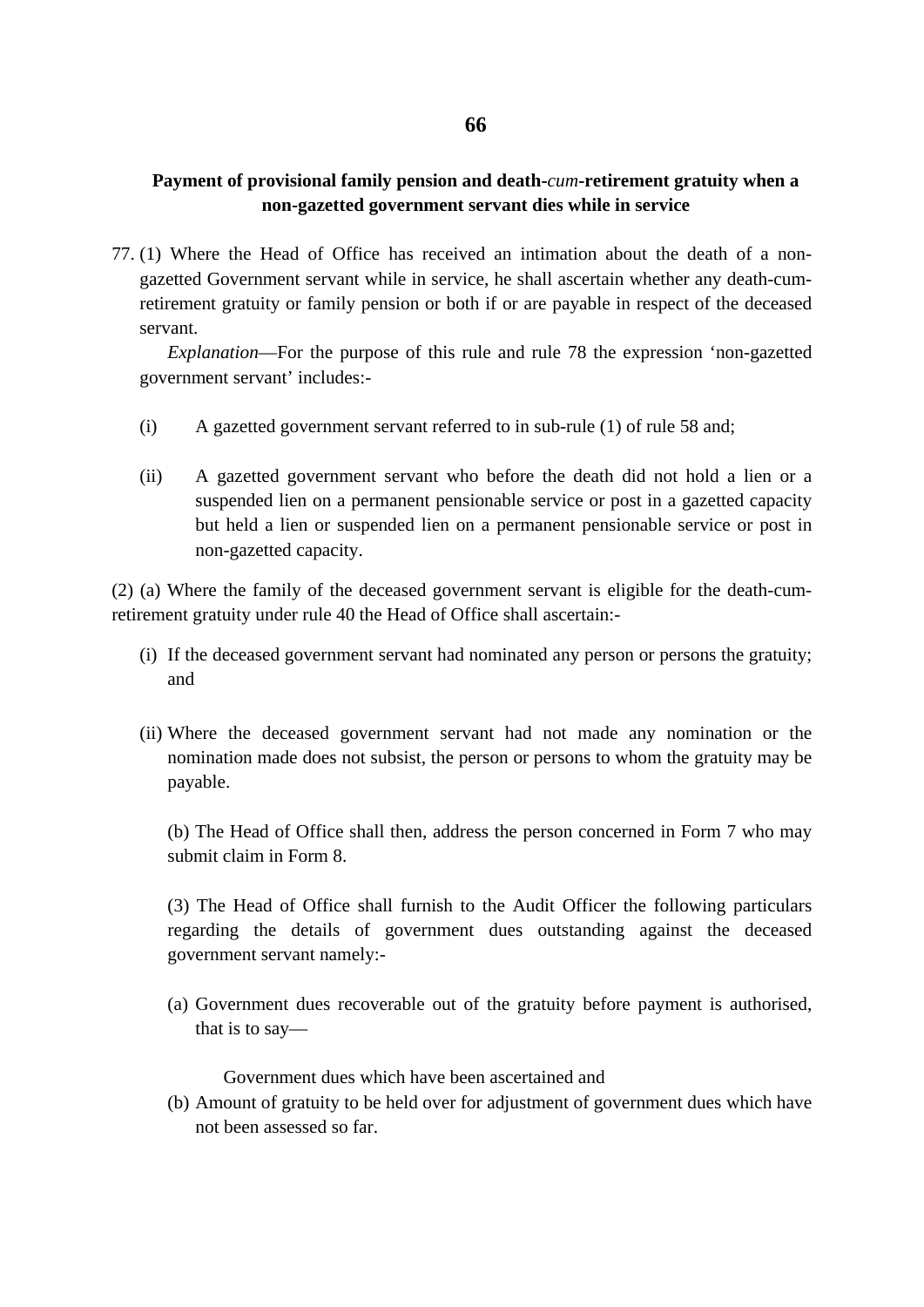## **Payment of provisional family pension and death-***cum***-retirement gratuity when a non-gazetted government servant dies while in service**

77. (1) Where the Head of Office has received an intimation about the death of a nongazetted Government servant while in service, he shall ascertain whether any death-cumretirement gratuity or family pension or both if or are payable in respect of the deceased servant.

*Explanation*—For the purpose of this rule and rule 78 the expression 'non-gazetted government servant' includes:-

- (i) A gazetted government servant referred to in sub-rule (1) of rule 58 and;
- (ii) A gazetted government servant who before the death did not hold a lien or a suspended lien on a permanent pensionable service or post in a gazetted capacity but held a lien or suspended lien on a permanent pensionable service or post in non-gazetted capacity.

(2) (a) Where the family of the deceased government servant is eligible for the death-cumretirement gratuity under rule 40 the Head of Office shall ascertain:-

- (i) If the deceased government servant had nominated any person or persons the gratuity; and
- (ii) Where the deceased government servant had not made any nomination or the nomination made does not subsist, the person or persons to whom the gratuity may be payable.

(b) The Head of Office shall then, address the person concerned in Form 7 who may submit claim in Form 8.

(3) The Head of Office shall furnish to the Audit Officer the following particulars regarding the details of government dues outstanding against the deceased government servant namely:-

(a) Government dues recoverable out of the gratuity before payment is authorised, that is to say—

Government dues which have been ascertained and

(b) Amount of gratuity to be held over for adjustment of government dues which have not been assessed so far.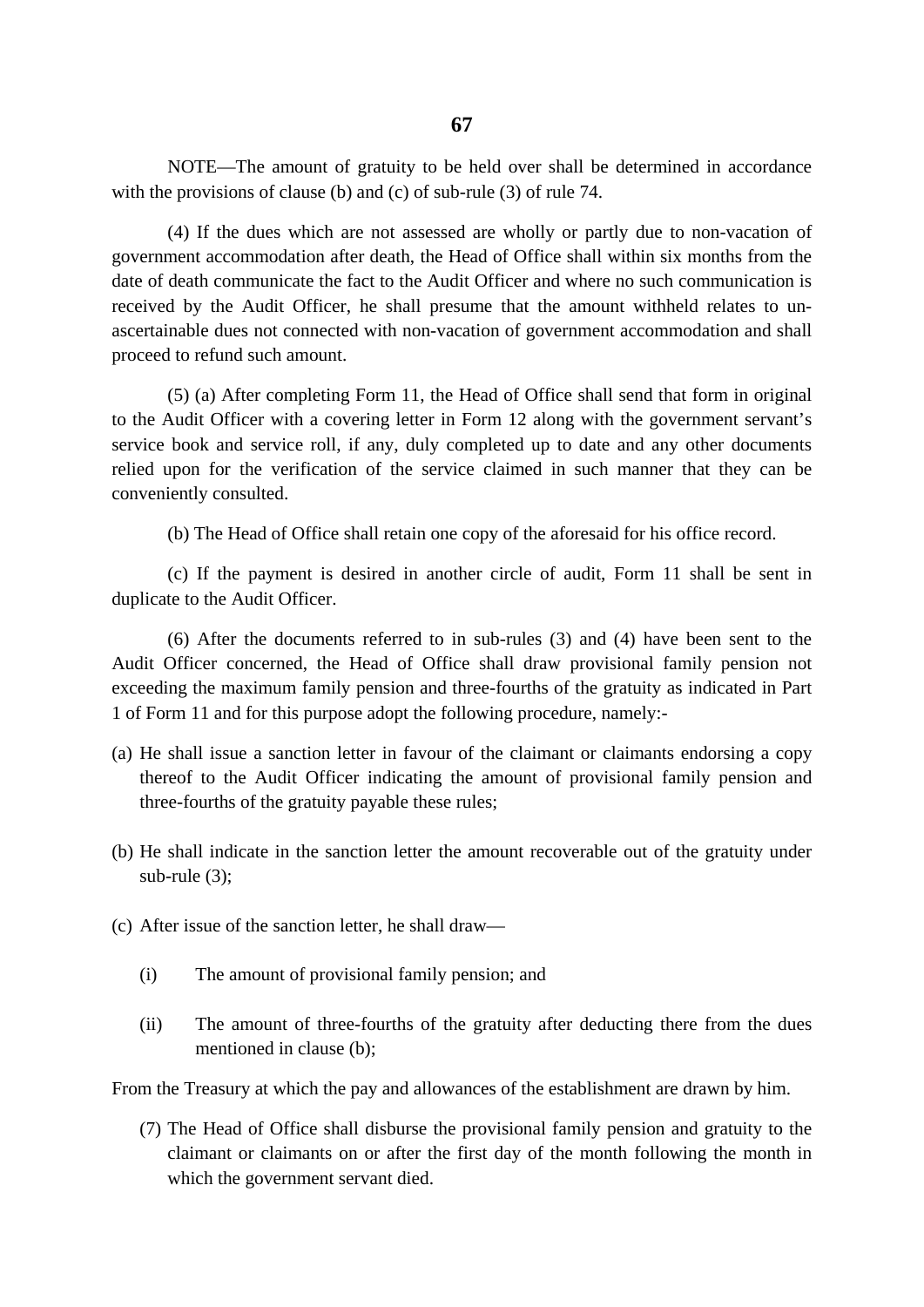NOTE—The amount of gratuity to be held over shall be determined in accordance with the provisions of clause (b) and (c) of sub-rule (3) of rule 74.

(4) If the dues which are not assessed are wholly or partly due to non-vacation of government accommodation after death, the Head of Office shall within six months from the date of death communicate the fact to the Audit Officer and where no such communication is received by the Audit Officer, he shall presume that the amount withheld relates to unascertainable dues not connected with non-vacation of government accommodation and shall proceed to refund such amount.

(5) (a) After completing Form 11, the Head of Office shall send that form in original to the Audit Officer with a covering letter in Form 12 along with the government servant's service book and service roll, if any, duly completed up to date and any other documents relied upon for the verification of the service claimed in such manner that they can be conveniently consulted.

(b) The Head of Office shall retain one copy of the aforesaid for his office record.

(c) If the payment is desired in another circle of audit, Form 11 shall be sent in duplicate to the Audit Officer.

(6) After the documents referred to in sub-rules (3) and (4) have been sent to the Audit Officer concerned, the Head of Office shall draw provisional family pension not exceeding the maximum family pension and three-fourths of the gratuity as indicated in Part 1 of Form 11 and for this purpose adopt the following procedure, namely:-

- (a) He shall issue a sanction letter in favour of the claimant or claimants endorsing a copy thereof to the Audit Officer indicating the amount of provisional family pension and three-fourths of the gratuity payable these rules;
- (b) He shall indicate in the sanction letter the amount recoverable out of the gratuity under sub-rule (3);
- (c) After issue of the sanction letter, he shall draw—
	- (i) The amount of provisional family pension; and
	- (ii) The amount of three-fourths of the gratuity after deducting there from the dues mentioned in clause (b);

From the Treasury at which the pay and allowances of the establishment are drawn by him.

(7) The Head of Office shall disburse the provisional family pension and gratuity to the claimant or claimants on or after the first day of the month following the month in which the government servant died.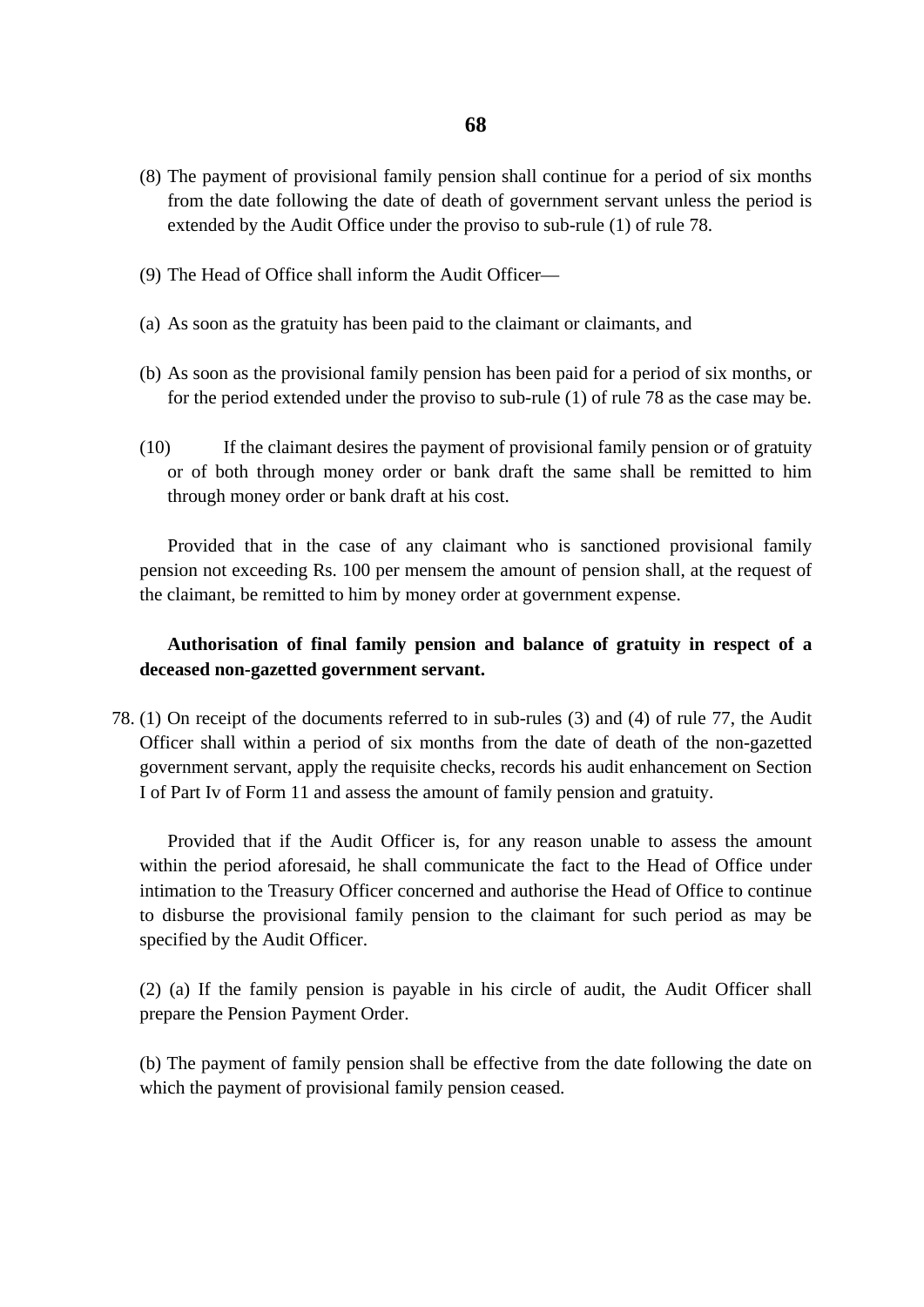- (8) The payment of provisional family pension shall continue for a period of six months from the date following the date of death of government servant unless the period is extended by the Audit Office under the proviso to sub-rule (1) of rule 78.
- (9) The Head of Office shall inform the Audit Officer—
- (a) As soon as the gratuity has been paid to the claimant or claimants, and
- (b) As soon as the provisional family pension has been paid for a period of six months, or for the period extended under the proviso to sub-rule (1) of rule 78 as the case may be.
- (10) If the claimant desires the payment of provisional family pension or of gratuity or of both through money order or bank draft the same shall be remitted to him through money order or bank draft at his cost.

Provided that in the case of any claimant who is sanctioned provisional family pension not exceeding Rs. 100 per mensem the amount of pension shall, at the request of the claimant, be remitted to him by money order at government expense.

## **Authorisation of final family pension and balance of gratuity in respect of a deceased non-gazetted government servant.**

78. (1) On receipt of the documents referred to in sub-rules (3) and (4) of rule 77, the Audit Officer shall within a period of six months from the date of death of the non-gazetted government servant, apply the requisite checks, records his audit enhancement on Section I of Part Iv of Form 11 and assess the amount of family pension and gratuity.

Provided that if the Audit Officer is, for any reason unable to assess the amount within the period aforesaid, he shall communicate the fact to the Head of Office under intimation to the Treasury Officer concerned and authorise the Head of Office to continue to disburse the provisional family pension to the claimant for such period as may be specified by the Audit Officer.

(2) (a) If the family pension is payable in his circle of audit, the Audit Officer shall prepare the Pension Payment Order.

(b) The payment of family pension shall be effective from the date following the date on which the payment of provisional family pension ceased.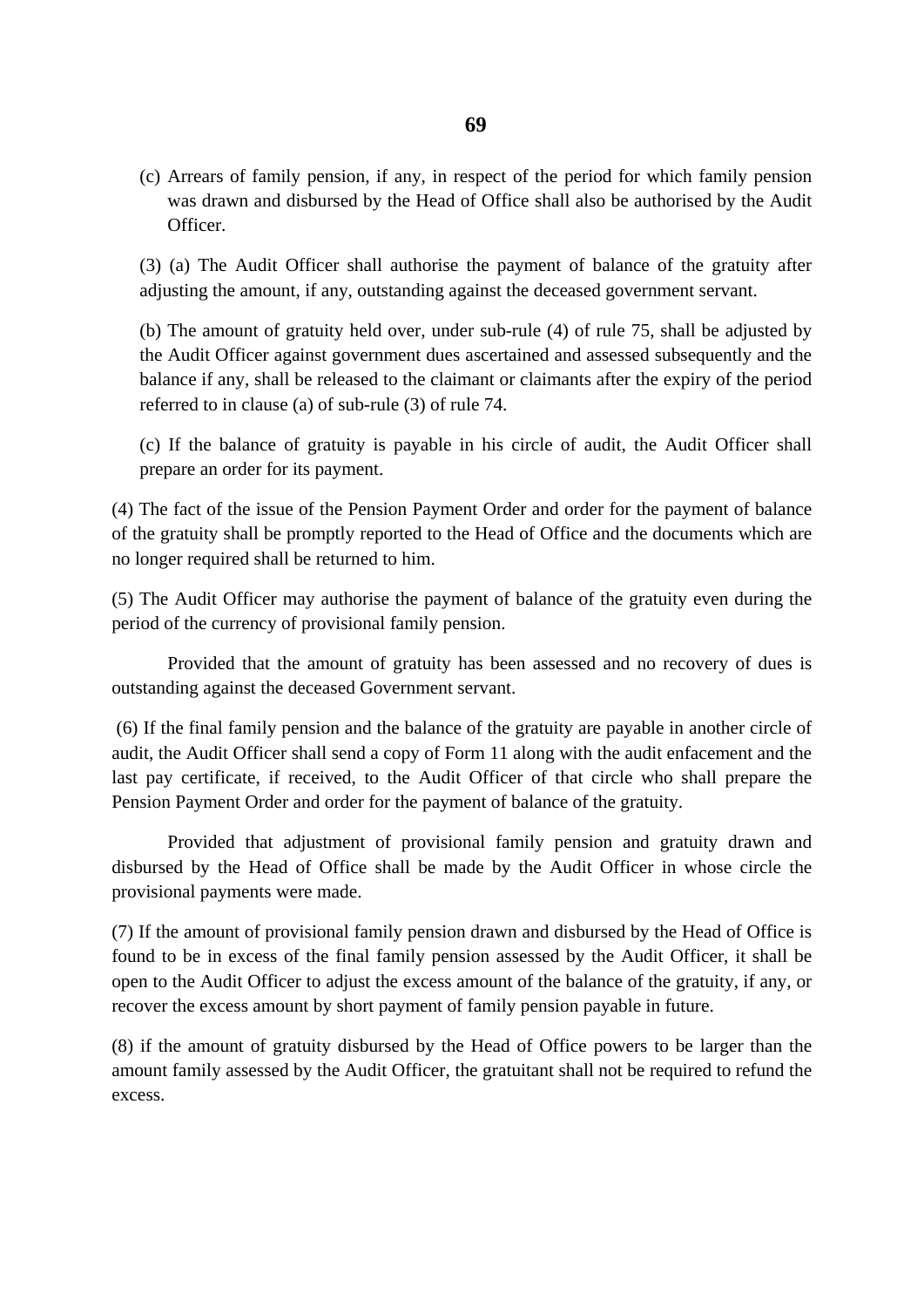(c) Arrears of family pension, if any, in respect of the period for which family pension was drawn and disbursed by the Head of Office shall also be authorised by the Audit Officer.

(3) (a) The Audit Officer shall authorise the payment of balance of the gratuity after adjusting the amount, if any, outstanding against the deceased government servant.

(b) The amount of gratuity held over, under sub-rule (4) of rule 75, shall be adjusted by the Audit Officer against government dues ascertained and assessed subsequently and the balance if any, shall be released to the claimant or claimants after the expiry of the period referred to in clause (a) of sub-rule (3) of rule 74.

(c) If the balance of gratuity is payable in his circle of audit, the Audit Officer shall prepare an order for its payment.

(4) The fact of the issue of the Pension Payment Order and order for the payment of balance of the gratuity shall be promptly reported to the Head of Office and the documents which are no longer required shall be returned to him.

(5) The Audit Officer may authorise the payment of balance of the gratuity even during the period of the currency of provisional family pension.

Provided that the amount of gratuity has been assessed and no recovery of dues is outstanding against the deceased Government servant.

(6) If the final family pension and the balance of the gratuity are payable in another circle of audit, the Audit Officer shall send a copy of Form 11 along with the audit enfacement and the last pay certificate, if received, to the Audit Officer of that circle who shall prepare the Pension Payment Order and order for the payment of balance of the gratuity.

Provided that adjustment of provisional family pension and gratuity drawn and disbursed by the Head of Office shall be made by the Audit Officer in whose circle the provisional payments were made.

(7) If the amount of provisional family pension drawn and disbursed by the Head of Office is found to be in excess of the final family pension assessed by the Audit Officer, it shall be open to the Audit Officer to adjust the excess amount of the balance of the gratuity, if any, or recover the excess amount by short payment of family pension payable in future.

(8) if the amount of gratuity disbursed by the Head of Office powers to be larger than the amount family assessed by the Audit Officer, the gratuitant shall not be required to refund the excess.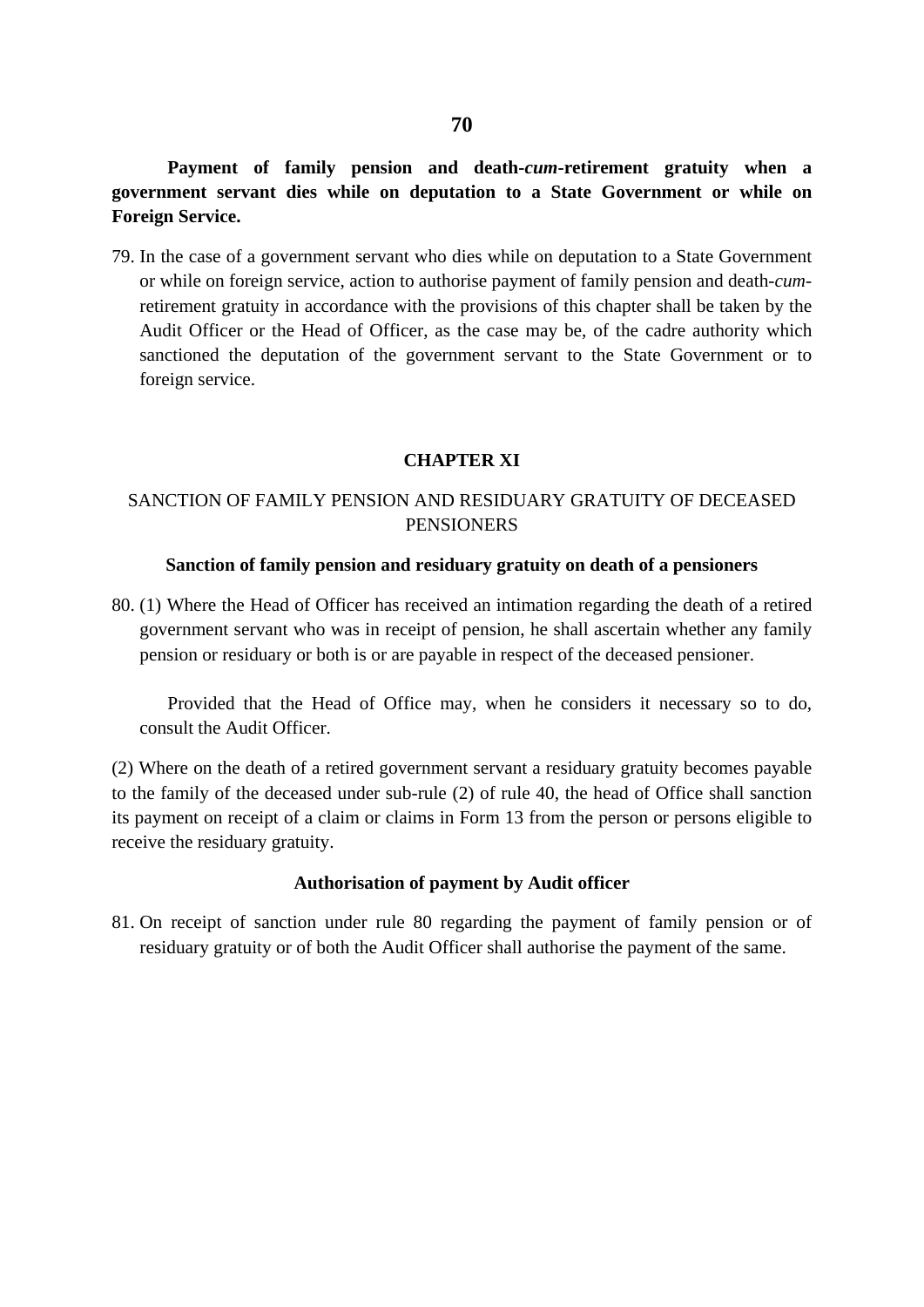**Payment of family pension and death-***cum***-retirement gratuity when a government servant dies while on deputation to a State Government or while on Foreign Service.** 

79. In the case of a government servant who dies while on deputation to a State Government or while on foreign service, action to authorise payment of family pension and death-*cum*retirement gratuity in accordance with the provisions of this chapter shall be taken by the Audit Officer or the Head of Officer, as the case may be, of the cadre authority which sanctioned the deputation of the government servant to the State Government or to foreign service.

#### **CHAPTER XI**

## SANCTION OF FAMILY PENSION AND RESIDUARY GRATUITY OF DECEASED **PENSIONERS**

#### **Sanction of family pension and residuary gratuity on death of a pensioners**

80. (1) Where the Head of Officer has received an intimation regarding the death of a retired government servant who was in receipt of pension, he shall ascertain whether any family pension or residuary or both is or are payable in respect of the deceased pensioner.

Provided that the Head of Office may, when he considers it necessary so to do, consult the Audit Officer.

(2) Where on the death of a retired government servant a residuary gratuity becomes payable to the family of the deceased under sub-rule (2) of rule 40, the head of Office shall sanction its payment on receipt of a claim or claims in Form 13 from the person or persons eligible to receive the residuary gratuity.

#### **Authorisation of payment by Audit officer**

81. On receipt of sanction under rule 80 regarding the payment of family pension or of residuary gratuity or of both the Audit Officer shall authorise the payment of the same.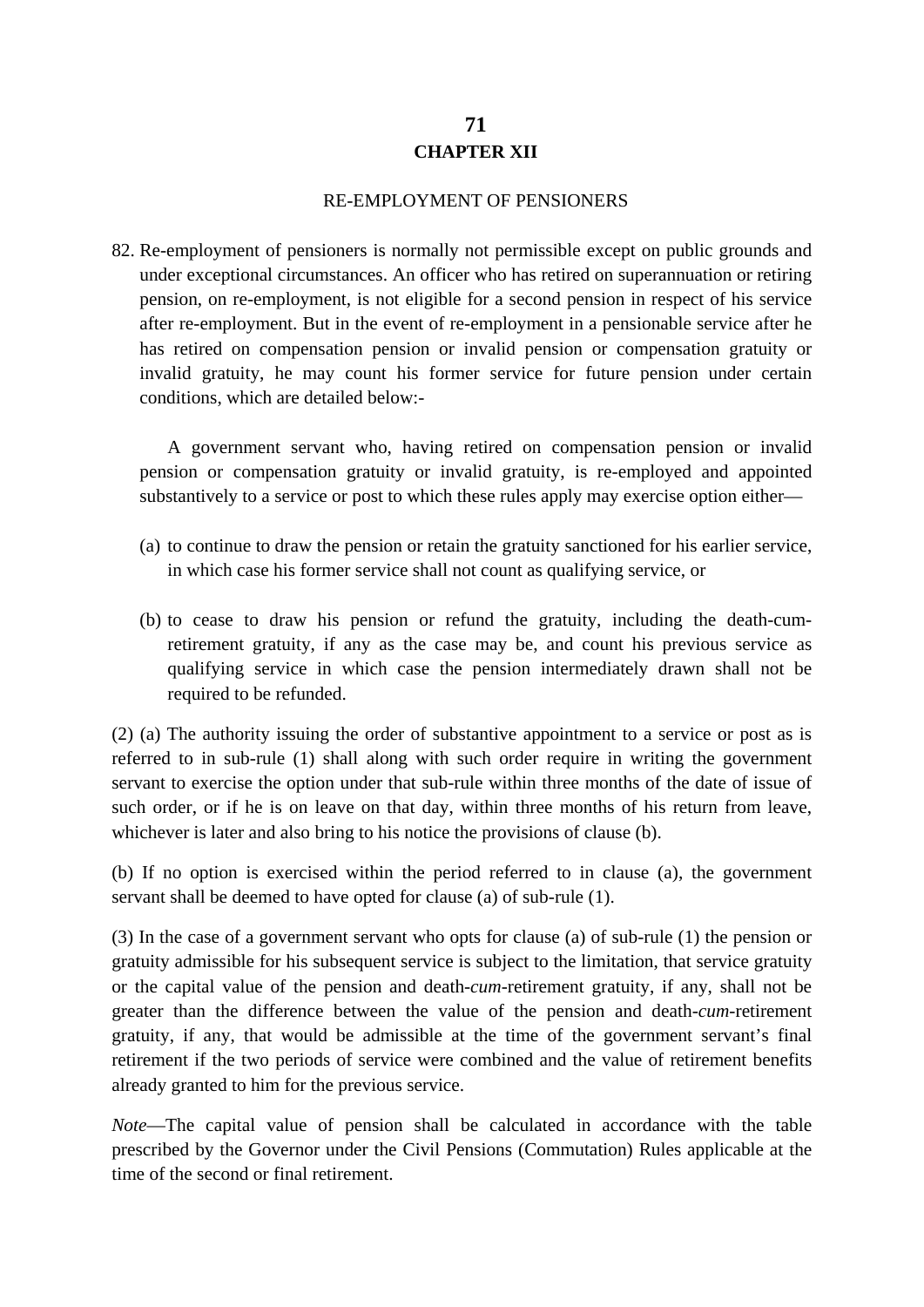# **71 CHAPTER XII**

#### RE-EMPLOYMENT OF PENSIONERS

82. Re-employment of pensioners is normally not permissible except on public grounds and under exceptional circumstances. An officer who has retired on superannuation or retiring pension, on re-employment, is not eligible for a second pension in respect of his service after re-employment. But in the event of re-employment in a pensionable service after he has retired on compensation pension or invalid pension or compensation gratuity or invalid gratuity, he may count his former service for future pension under certain conditions, which are detailed below:-

A government servant who, having retired on compensation pension or invalid pension or compensation gratuity or invalid gratuity, is re-employed and appointed substantively to a service or post to which these rules apply may exercise option either—

- (a) to continue to draw the pension or retain the gratuity sanctioned for his earlier service, in which case his former service shall not count as qualifying service, or
- (b) to cease to draw his pension or refund the gratuity, including the death-cumretirement gratuity, if any as the case may be, and count his previous service as qualifying service in which case the pension intermediately drawn shall not be required to be refunded.

(2) (a) The authority issuing the order of substantive appointment to a service or post as is referred to in sub-rule (1) shall along with such order require in writing the government servant to exercise the option under that sub-rule within three months of the date of issue of such order, or if he is on leave on that day, within three months of his return from leave, whichever is later and also bring to his notice the provisions of clause (b).

(b) If no option is exercised within the period referred to in clause (a), the government servant shall be deemed to have opted for clause (a) of sub-rule (1).

(3) In the case of a government servant who opts for clause (a) of sub-rule (1) the pension or gratuity admissible for his subsequent service is subject to the limitation, that service gratuity or the capital value of the pension and death-*cum*-retirement gratuity, if any, shall not be greater than the difference between the value of the pension and death-*cum*-retirement gratuity, if any, that would be admissible at the time of the government servant's final retirement if the two periods of service were combined and the value of retirement benefits already granted to him for the previous service.

*Note*—The capital value of pension shall be calculated in accordance with the table prescribed by the Governor under the Civil Pensions (Commutation) Rules applicable at the time of the second or final retirement.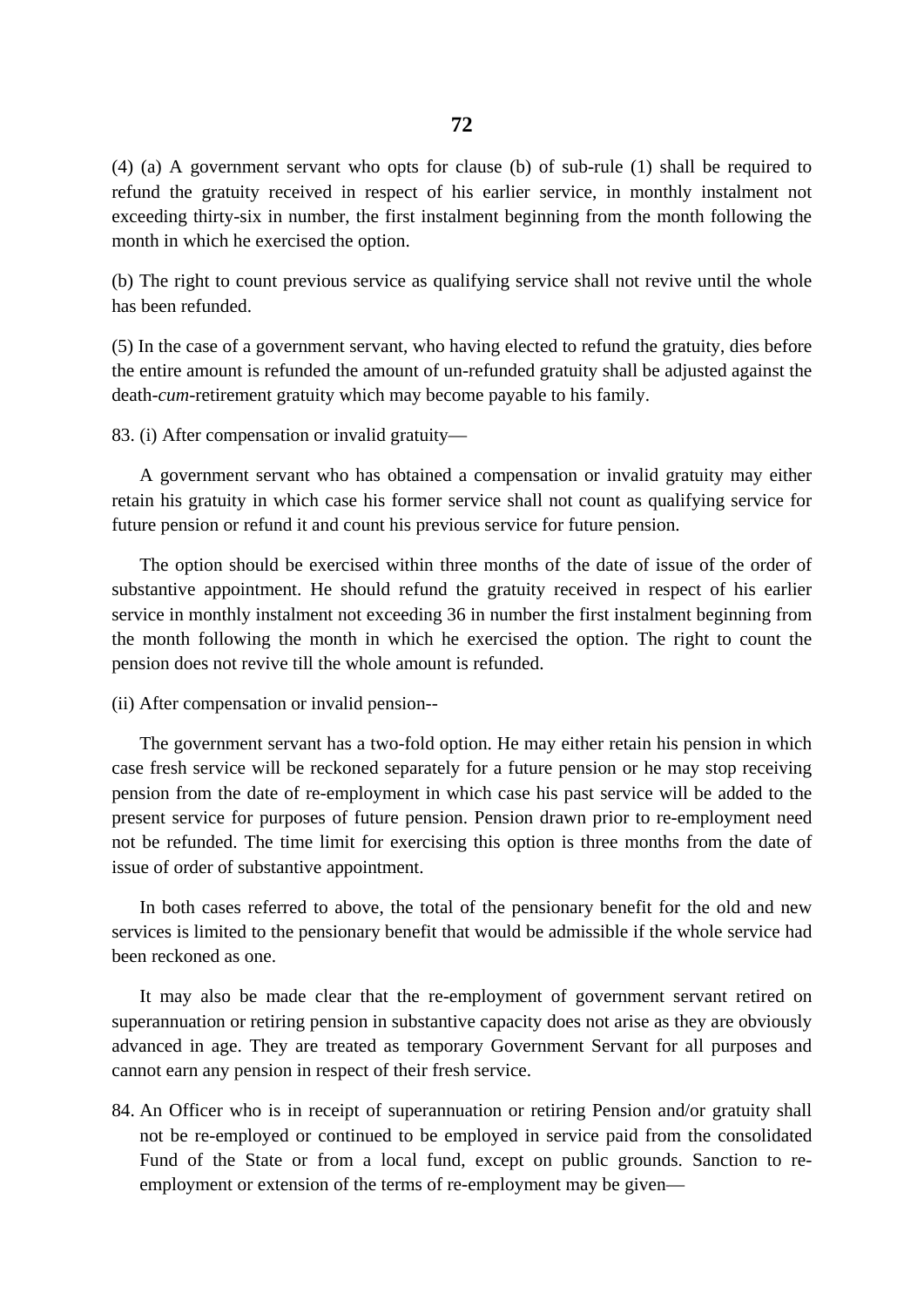(4) (a) A government servant who opts for clause (b) of sub-rule (1) shall be required to refund the gratuity received in respect of his earlier service, in monthly instalment not exceeding thirty-six in number, the first instalment beginning from the month following the month in which he exercised the option.

(b) The right to count previous service as qualifying service shall not revive until the whole has been refunded.

(5) In the case of a government servant, who having elected to refund the gratuity, dies before the entire amount is refunded the amount of un-refunded gratuity shall be adjusted against the death-*cum*-retirement gratuity which may become payable to his family.

83. (i) After compensation or invalid gratuity—

A government servant who has obtained a compensation or invalid gratuity may either retain his gratuity in which case his former service shall not count as qualifying service for future pension or refund it and count his previous service for future pension.

The option should be exercised within three months of the date of issue of the order of substantive appointment. He should refund the gratuity received in respect of his earlier service in monthly instalment not exceeding 36 in number the first instalment beginning from the month following the month in which he exercised the option. The right to count the pension does not revive till the whole amount is refunded.

(ii) After compensation or invalid pension--

The government servant has a two-fold option. He may either retain his pension in which case fresh service will be reckoned separately for a future pension or he may stop receiving pension from the date of re-employment in which case his past service will be added to the present service for purposes of future pension. Pension drawn prior to re-employment need not be refunded. The time limit for exercising this option is three months from the date of issue of order of substantive appointment.

In both cases referred to above, the total of the pensionary benefit for the old and new services is limited to the pensionary benefit that would be admissible if the whole service had been reckoned as one.

It may also be made clear that the re-employment of government servant retired on superannuation or retiring pension in substantive capacity does not arise as they are obviously advanced in age. They are treated as temporary Government Servant for all purposes and cannot earn any pension in respect of their fresh service.

84. An Officer who is in receipt of superannuation or retiring Pension and/or gratuity shall not be re-employed or continued to be employed in service paid from the consolidated Fund of the State or from a local fund, except on public grounds. Sanction to reemployment or extension of the terms of re-employment may be given—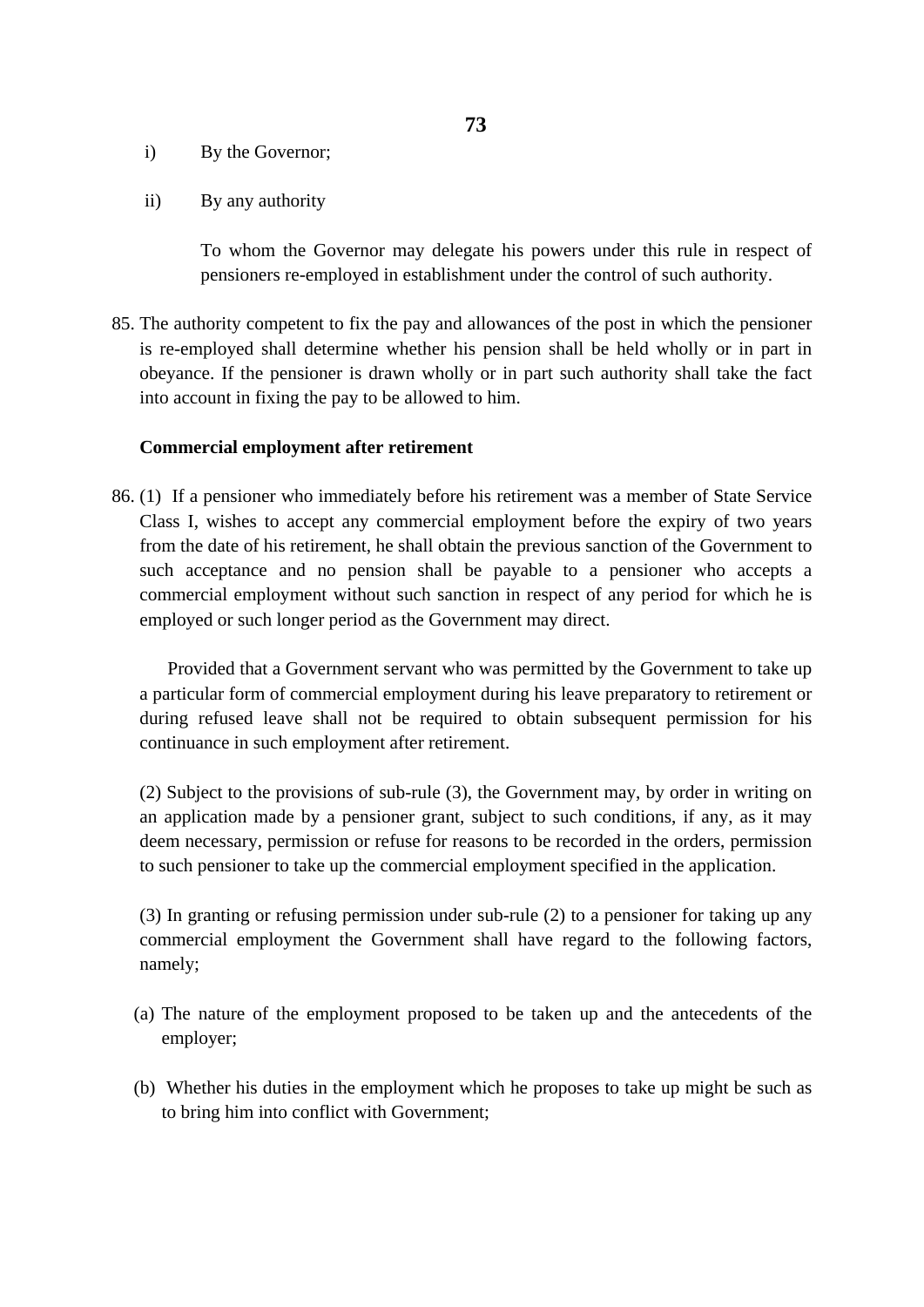- i) By the Governor;
- ii) By any authority

To whom the Governor may delegate his powers under this rule in respect of pensioners re-employed in establishment under the control of such authority.

85. The authority competent to fix the pay and allowances of the post in which the pensioner is re-employed shall determine whether his pension shall be held wholly or in part in obeyance. If the pensioner is drawn wholly or in part such authority shall take the fact into account in fixing the pay to be allowed to him.

#### **Commercial employment after retirement**

86. (1) If a pensioner who immediately before his retirement was a member of State Service Class I, wishes to accept any commercial employment before the expiry of two years from the date of his retirement, he shall obtain the previous sanction of the Government to such acceptance and no pension shall be payable to a pensioner who accepts a commercial employment without such sanction in respect of any period for which he is employed or such longer period as the Government may direct.

Provided that a Government servant who was permitted by the Government to take up a particular form of commercial employment during his leave preparatory to retirement or during refused leave shall not be required to obtain subsequent permission for his continuance in such employment after retirement.

(2) Subject to the provisions of sub-rule (3), the Government may, by order in writing on an application made by a pensioner grant, subject to such conditions, if any, as it may deem necessary, permission or refuse for reasons to be recorded in the orders, permission to such pensioner to take up the commercial employment specified in the application.

(3) In granting or refusing permission under sub-rule (2) to a pensioner for taking up any commercial employment the Government shall have regard to the following factors, namely;

- (a) The nature of the employment proposed to be taken up and the antecedents of the employer;
- (b) Whether his duties in the employment which he proposes to take up might be such as to bring him into conflict with Government;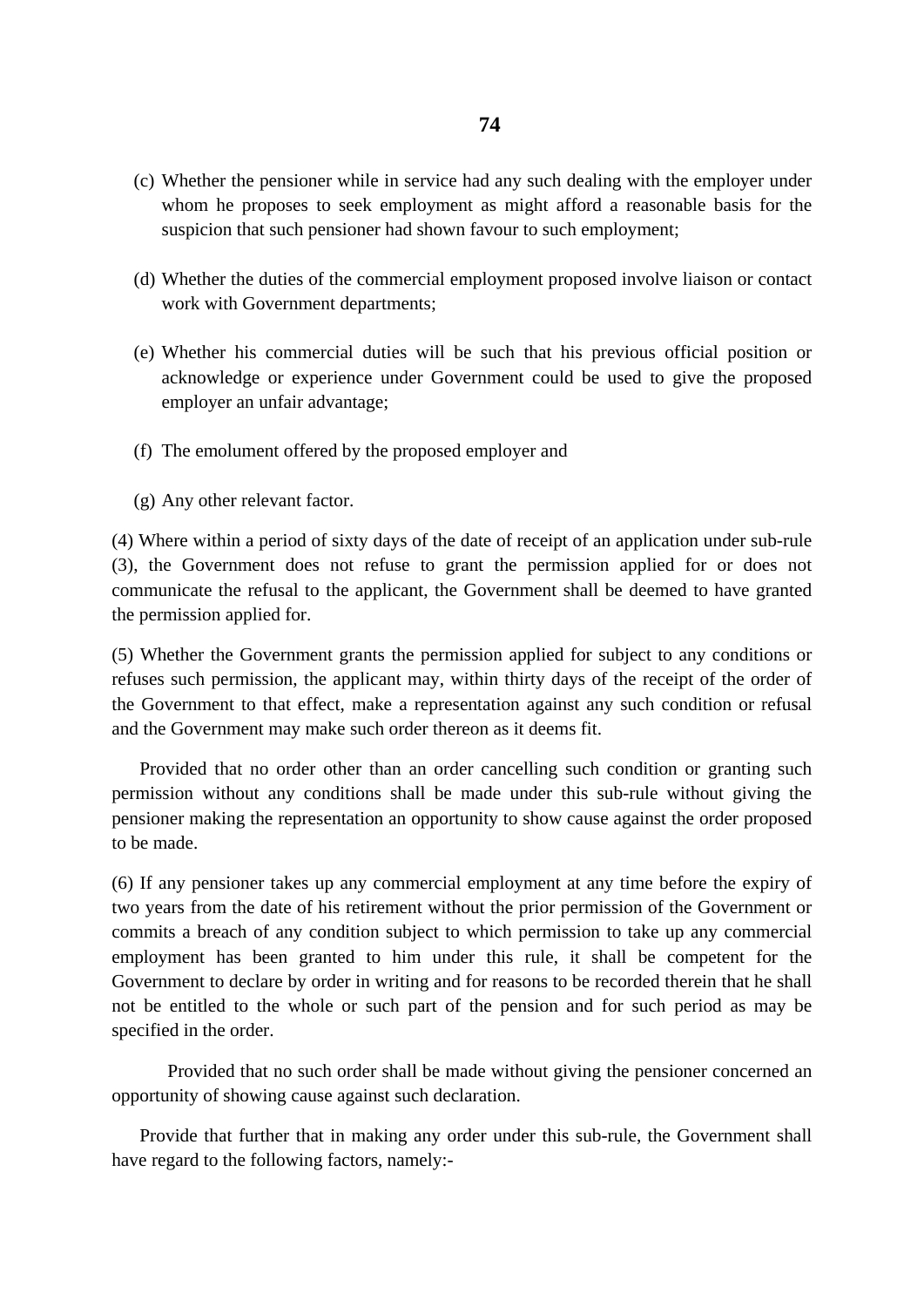- (c) Whether the pensioner while in service had any such dealing with the employer under whom he proposes to seek employment as might afford a reasonable basis for the suspicion that such pensioner had shown favour to such employment;
- (d) Whether the duties of the commercial employment proposed involve liaison or contact work with Government departments;
- (e) Whether his commercial duties will be such that his previous official position or acknowledge or experience under Government could be used to give the proposed employer an unfair advantage;
- (f) The emolument offered by the proposed employer and
- (g) Any other relevant factor.

(4) Where within a period of sixty days of the date of receipt of an application under sub-rule (3), the Government does not refuse to grant the permission applied for or does not communicate the refusal to the applicant, the Government shall be deemed to have granted the permission applied for.

(5) Whether the Government grants the permission applied for subject to any conditions or refuses such permission, the applicant may, within thirty days of the receipt of the order of the Government to that effect, make a representation against any such condition or refusal and the Government may make such order thereon as it deems fit.

Provided that no order other than an order cancelling such condition or granting such permission without any conditions shall be made under this sub-rule without giving the pensioner making the representation an opportunity to show cause against the order proposed to be made.

(6) If any pensioner takes up any commercial employment at any time before the expiry of two years from the date of his retirement without the prior permission of the Government or commits a breach of any condition subject to which permission to take up any commercial employment has been granted to him under this rule, it shall be competent for the Government to declare by order in writing and for reasons to be recorded therein that he shall not be entitled to the whole or such part of the pension and for such period as may be specified in the order.

Provided that no such order shall be made without giving the pensioner concerned an opportunity of showing cause against such declaration.

Provide that further that in making any order under this sub-rule, the Government shall have regard to the following factors, namely:-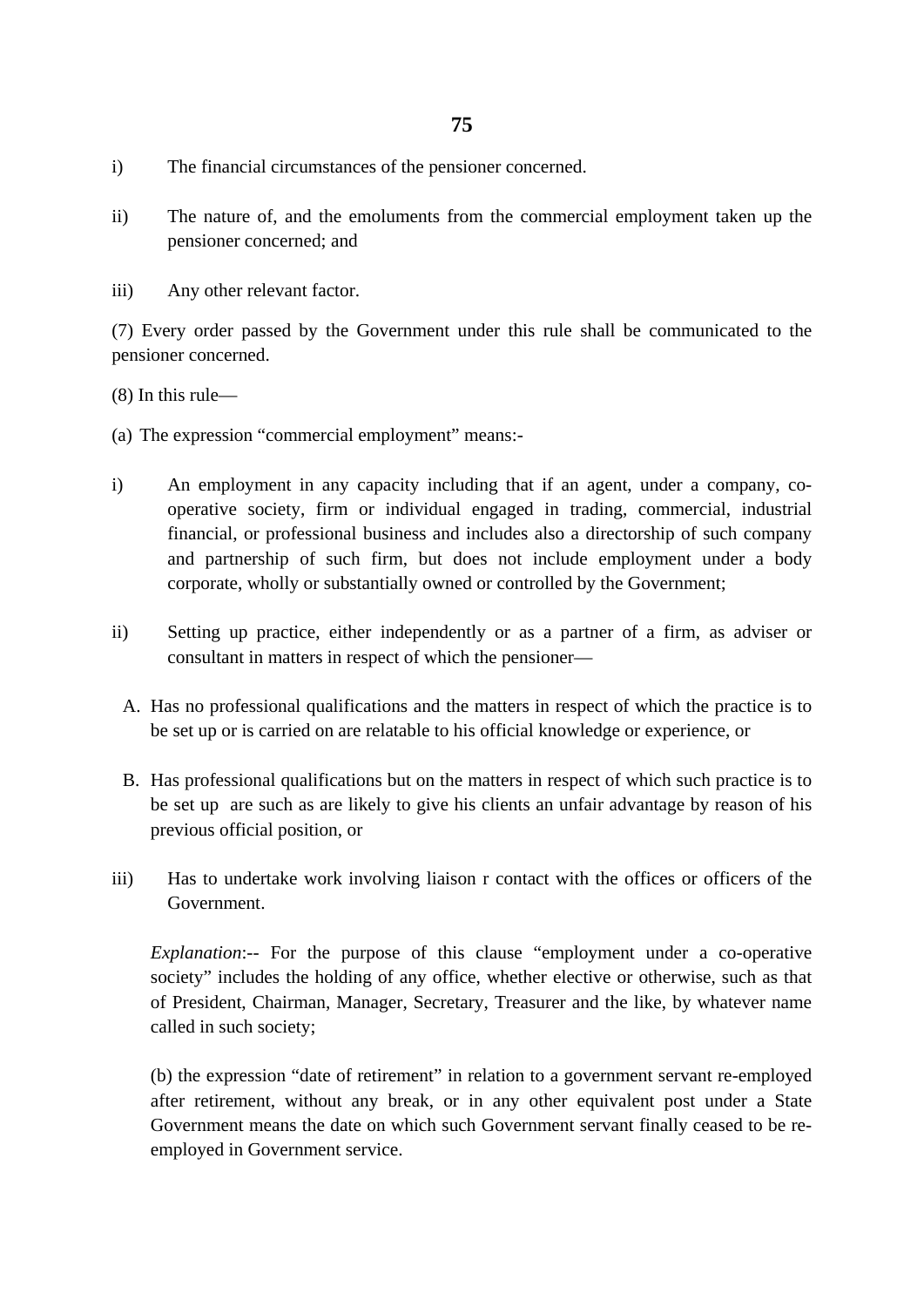- i) The financial circumstances of the pensioner concerned.
- ii) The nature of, and the emoluments from the commercial employment taken up the pensioner concerned; and
- iii) Any other relevant factor.

(7) Every order passed by the Government under this rule shall be communicated to the pensioner concerned.

(8) In this rule—

- (a) The expression "commercial employment" means:-
- i) An employment in any capacity including that if an agent, under a company, cooperative society, firm or individual engaged in trading, commercial, industrial financial, or professional business and includes also a directorship of such company and partnership of such firm, but does not include employment under a body corporate, wholly or substantially owned or controlled by the Government;
- ii) Setting up practice, either independently or as a partner of a firm, as adviser or consultant in matters in respect of which the pensioner—
	- A. Has no professional qualifications and the matters in respect of which the practice is to be set up or is carried on are relatable to his official knowledge or experience, or
	- B. Has professional qualifications but on the matters in respect of which such practice is to be set up are such as are likely to give his clients an unfair advantage by reason of his previous official position, or
- iii) Has to undertake work involving liaison r contact with the offices or officers of the Government.

*Explanation*:-- For the purpose of this clause "employment under a co-operative society" includes the holding of any office, whether elective or otherwise, such as that of President, Chairman, Manager, Secretary, Treasurer and the like, by whatever name called in such society;

(b) the expression "date of retirement" in relation to a government servant re-employed after retirement, without any break, or in any other equivalent post under a State Government means the date on which such Government servant finally ceased to be reemployed in Government service.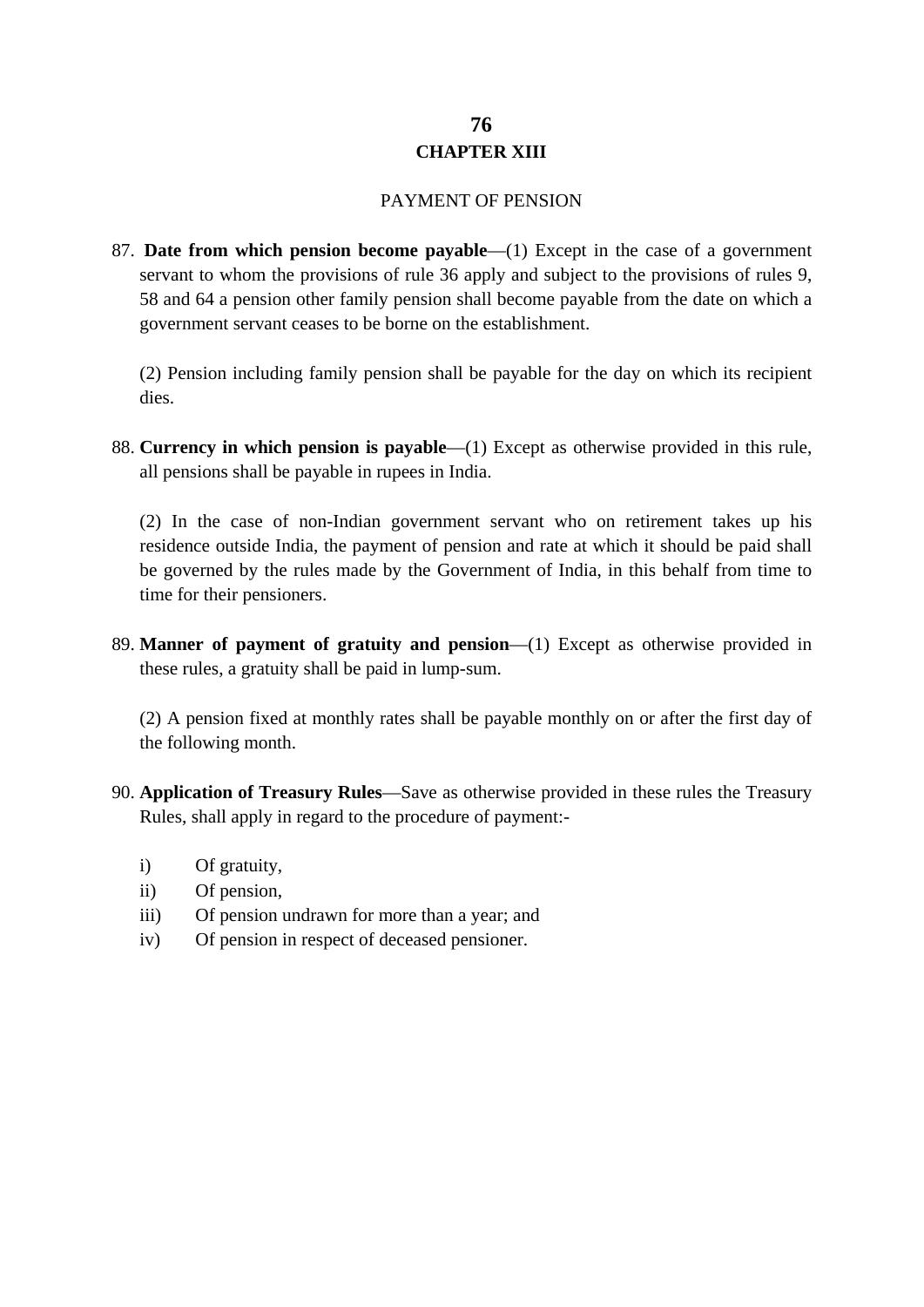# **76 CHAPTER XIII**

#### PAYMENT OF PENSION

87. **Date from which pension become payable**—(1) Except in the case of a government servant to whom the provisions of rule 36 apply and subject to the provisions of rules 9, 58 and 64 a pension other family pension shall become payable from the date on which a government servant ceases to be borne on the establishment.

(2) Pension including family pension shall be payable for the day on which its recipient dies.

88. **Currency in which pension is payable**—(1) Except as otherwise provided in this rule, all pensions shall be payable in rupees in India.

(2) In the case of non-Indian government servant who on retirement takes up his residence outside India, the payment of pension and rate at which it should be paid shall be governed by the rules made by the Government of India, in this behalf from time to time for their pensioners.

89. **Manner of payment of gratuity and pension**—(1) Except as otherwise provided in these rules, a gratuity shall be paid in lump-sum.

(2) A pension fixed at monthly rates shall be payable monthly on or after the first day of the following month.

- 90. **Application of Treasury Rules**—Save as otherwise provided in these rules the Treasury Rules, shall apply in regard to the procedure of payment:
	- i) Of gratuity,
	- ii) Of pension,
	- iii) Of pension undrawn for more than a year; and
	- iv) Of pension in respect of deceased pensioner.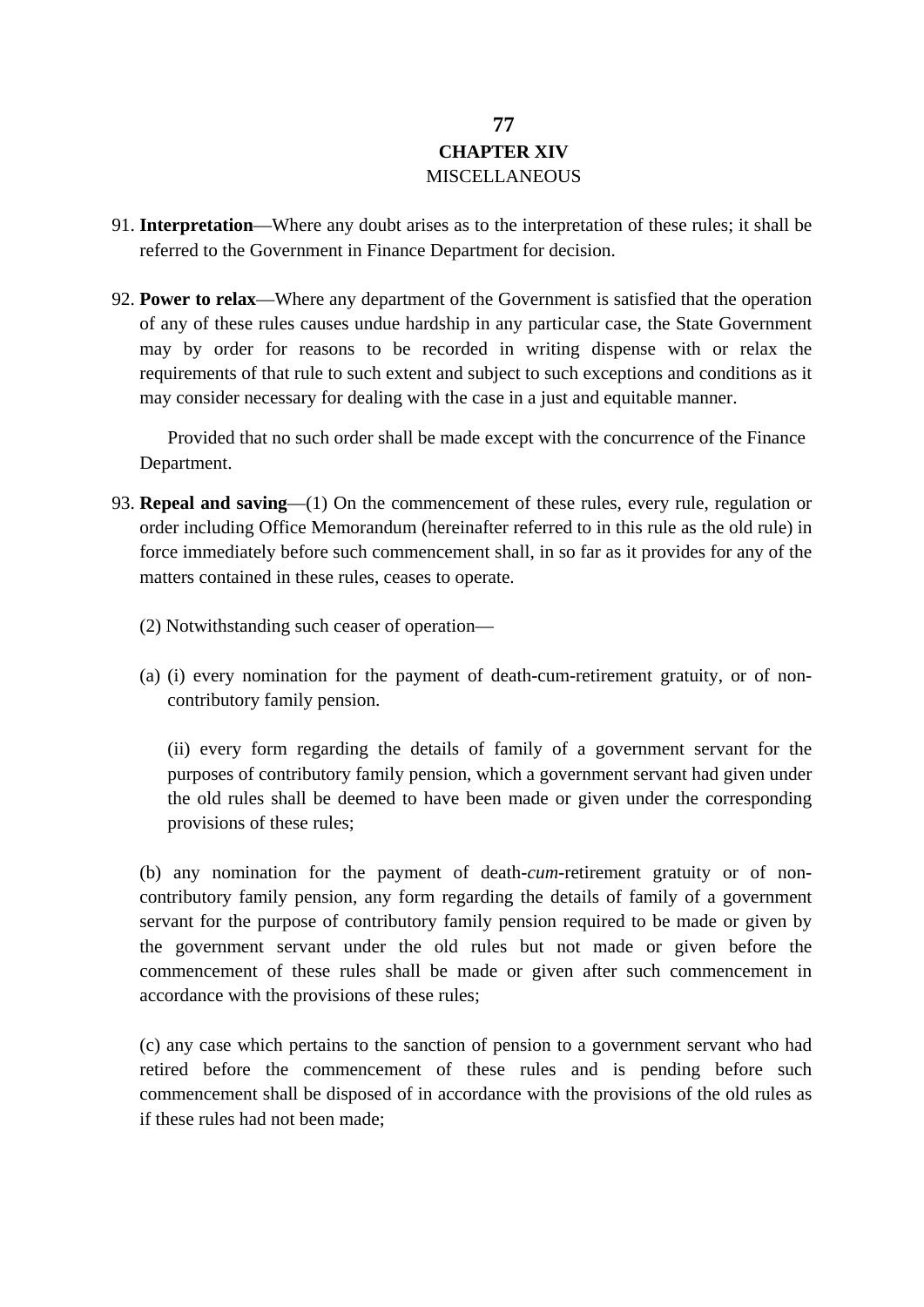# **77 CHAPTER XIV** MISCELLANEOUS

- 91. **Interpretation**—Where any doubt arises as to the interpretation of these rules; it shall be referred to the Government in Finance Department for decision.
- 92. **Power to relax**—Where any department of the Government is satisfied that the operation of any of these rules causes undue hardship in any particular case, the State Government may by order for reasons to be recorded in writing dispense with or relax the requirements of that rule to such extent and subject to such exceptions and conditions as it may consider necessary for dealing with the case in a just and equitable manner.

Provided that no such order shall be made except with the concurrence of the Finance Department.

- 93. **Repeal and saving**—(1) On the commencement of these rules, every rule, regulation or order including Office Memorandum (hereinafter referred to in this rule as the old rule) in force immediately before such commencement shall, in so far as it provides for any of the matters contained in these rules, ceases to operate.
	- (2) Notwithstanding such ceaser of operation—
	- (a) (i) every nomination for the payment of death-cum-retirement gratuity, or of noncontributory family pension.

(ii) every form regarding the details of family of a government servant for the purposes of contributory family pension, which a government servant had given under the old rules shall be deemed to have been made or given under the corresponding provisions of these rules;

(b) any nomination for the payment of death-*cum*-retirement gratuity or of noncontributory family pension, any form regarding the details of family of a government servant for the purpose of contributory family pension required to be made or given by the government servant under the old rules but not made or given before the commencement of these rules shall be made or given after such commencement in accordance with the provisions of these rules;

(c) any case which pertains to the sanction of pension to a government servant who had retired before the commencement of these rules and is pending before such commencement shall be disposed of in accordance with the provisions of the old rules as if these rules had not been made;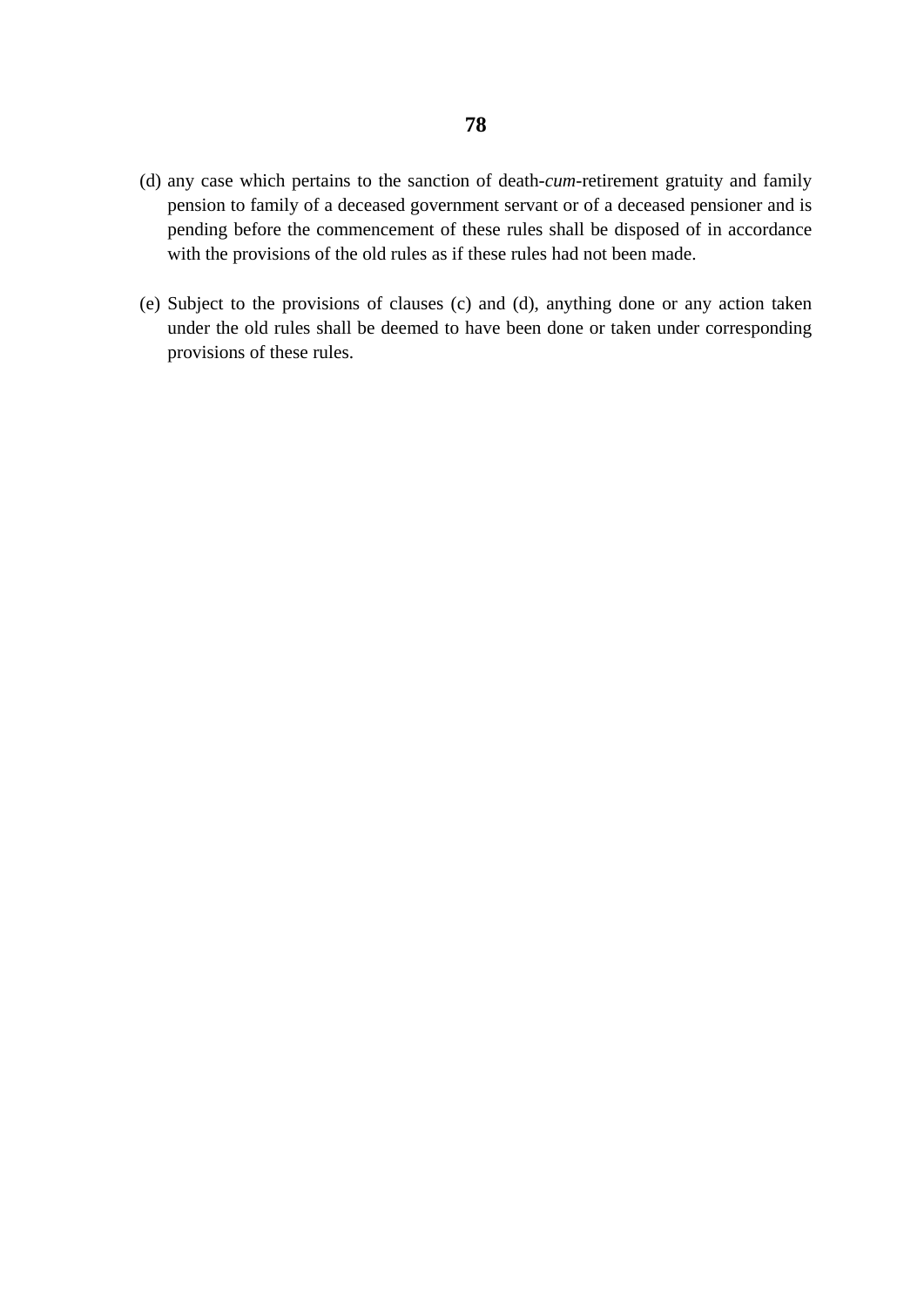- (d) any case which pertains to the sanction of death-*cum*-retirement gratuity and family pension to family of a deceased government servant or of a deceased pensioner and is pending before the commencement of these rules shall be disposed of in accordance with the provisions of the old rules as if these rules had not been made.
- (e) Subject to the provisions of clauses (c) and (d), anything done or any action taken under the old rules shall be deemed to have been done or taken under corresponding provisions of these rules.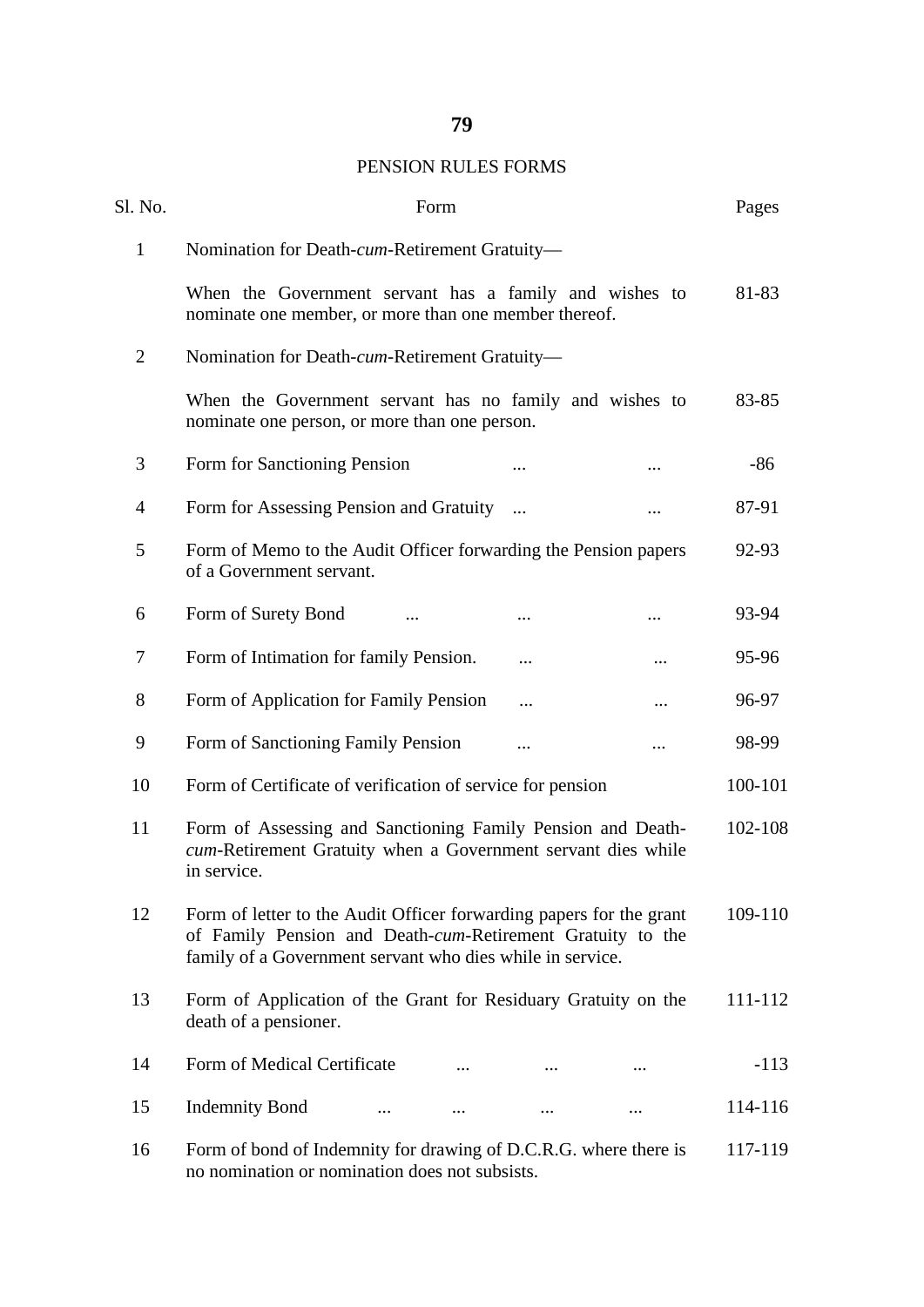# PENSION RULES FORMS

| Sl. No.        | Form                                                                                                                                                                                           |          |          | Pages   |
|----------------|------------------------------------------------------------------------------------------------------------------------------------------------------------------------------------------------|----------|----------|---------|
| $\mathbf{1}$   | Nomination for Death-cum-Retirement Gratuity-                                                                                                                                                  |          |          |         |
|                | When the Government servant has a family and wishes to<br>nominate one member, or more than one member thereof.                                                                                |          |          | 81-83   |
| $\overline{2}$ | Nomination for Death-cum-Retirement Gratuity-                                                                                                                                                  |          |          |         |
|                | When the Government servant has no family and wishes to<br>nominate one person, or more than one person.                                                                                       |          |          | 83-85   |
| 3              | Form for Sanctioning Pension                                                                                                                                                                   |          |          | $-86$   |
| $\overline{4}$ | Form for Assessing Pension and Gratuity                                                                                                                                                        |          |          | 87-91   |
| 5              | Form of Memo to the Audit Officer forwarding the Pension papers<br>of a Government servant.                                                                                                    |          |          | 92-93   |
| 6              | Form of Surety Bond                                                                                                                                                                            |          |          | 93-94   |
| 7              | Form of Intimation for family Pension.                                                                                                                                                         |          |          | 95-96   |
| 8              | Form of Application for Family Pension                                                                                                                                                         | .        | $\cdots$ | 96-97   |
| 9              | Form of Sanctioning Family Pension                                                                                                                                                             |          |          | 98-99   |
| 10             | Form of Certificate of verification of service for pension                                                                                                                                     |          |          | 100-101 |
| 11             | Form of Assessing and Sanctioning Family Pension and Death-<br>cum-Retirement Gratuity when a Government servant dies while<br>in service.                                                     |          |          | 102-108 |
| 12             | Form of letter to the Audit Officer forwarding papers for the grant<br>of Family Pension and Death-cum-Retirement Gratuity to the<br>family of a Government servant who dies while in service. |          |          | 109-110 |
| 13             | Form of Application of the Grant for Residuary Gratuity on the<br>death of a pensioner.                                                                                                        |          |          | 111-112 |
| 14             | Form of Medical Certificate                                                                                                                                                                    |          |          | $-113$  |
| 15             | <b>Indemnity Bond</b><br>$\cdots$<br>$\cdots$                                                                                                                                                  | $\cdots$ | $\cdots$ | 114-116 |
| 16             | Form of bond of Indemnity for drawing of D.C.R.G. where there is<br>no nomination or nomination does not subsists.                                                                             |          |          | 117-119 |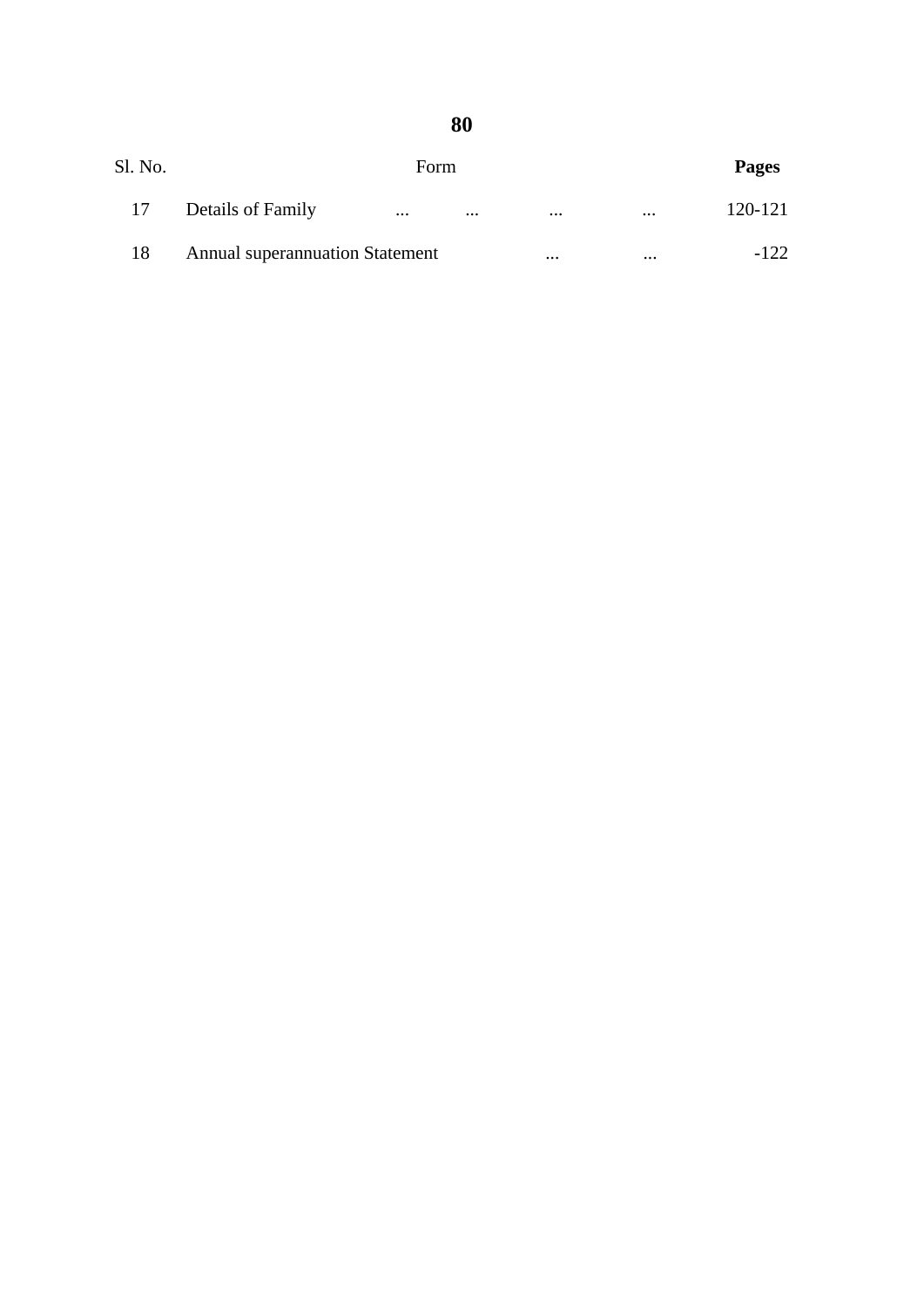| Sl. No. |                                        | Form     |          |          |          | <b>Pages</b> |
|---------|----------------------------------------|----------|----------|----------|----------|--------------|
| 17      | Details of Family                      | $\cdots$ | $\cdots$ | $\cdots$ | $\cdots$ | 120-121      |
| 18      | <b>Annual superannuation Statement</b> |          |          | $\cdots$ | $\cdots$ | -122         |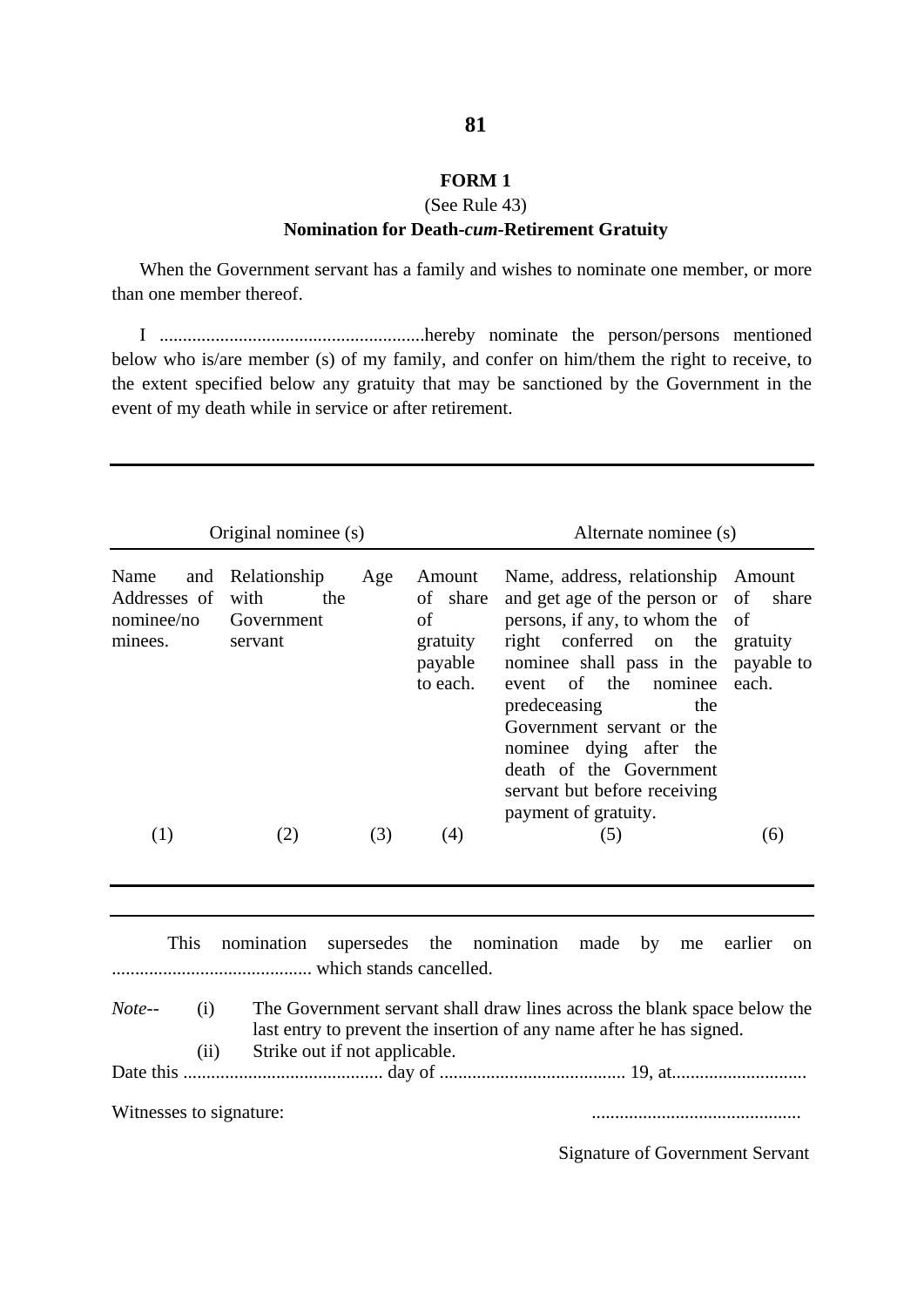#### **FORM 1**

#### (See Rule 43)

#### **Nomination for Death-***cum***-Retirement Gratuity**

When the Government servant has a family and wishes to nominate one member, or more than one member thereof.

I .........................................................hereby nominate the person/persons mentioned below who is/are member (s) of my family, and confer on him/them the right to receive, to the extent specified below any gratuity that may be sanctioned by the Government in the event of my death while in service or after retirement.

| Original nominee (s)                          |                                                          |     | Alternate nominee (s)                                       |                                                                                                                                                                                                                                                                                                                                                                |       |
|-----------------------------------------------|----------------------------------------------------------|-----|-------------------------------------------------------------|----------------------------------------------------------------------------------------------------------------------------------------------------------------------------------------------------------------------------------------------------------------------------------------------------------------------------------------------------------------|-------|
| Name<br>Addresses of<br>nominee/no<br>minees. | and Relationship<br>with<br>the<br>Government<br>servant | Age | Amount<br>of share<br>of<br>gratuity<br>payable<br>to each. | Name, address, relationship Amount<br>and get age of the person or of share<br>persons, if any, to whom the of<br>right conferred on the gratuity<br>nominee shall pass in the payable to<br>event of the<br>nominee<br>predeceasing<br>the<br>Government servant or the<br>nominee dying after the<br>death of the Government<br>servant but before receiving | each. |
| $\left(1\right)$                              | (2)                                                      | (3) | (4)                                                         | payment of gratuity.<br>(5)                                                                                                                                                                                                                                                                                                                                    | (6)   |

This nomination supersedes the nomination made by me earlier on ........................................... which stands cancelled. *Note--* (i) The Government servant shall draw lines across the blank space below the last entry to prevent the insertion of any name after he has signed. (ii) Strike out if not applicable. Date this ........................................... day of ........................................ 19, at.............................

Witnesses to signature: .............................................

Signature of Government Servant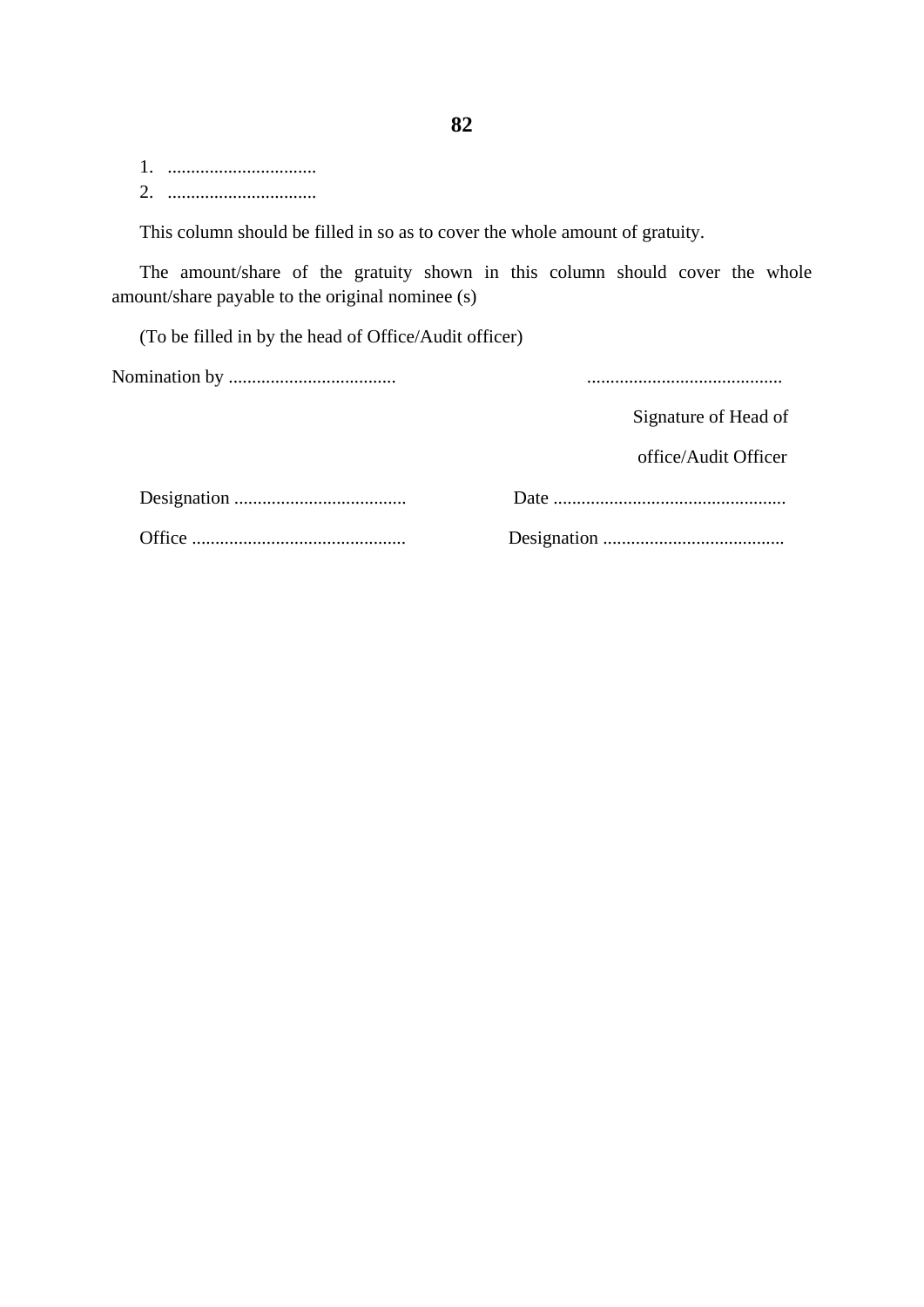1. ................................ 2. ................................

This column should be filled in so as to cover the whole amount of gratuity.

The amount/share of the gratuity shown in this column should cover the whole amount/share payable to the original nominee (s)

(To be filled in by the head of Office/Audit officer)

Nomination by .................................... ..........................................

Signature of Head of

office/Audit Officer

Designation ..................................... Date ..................................................

Office .............................................. Designation .......................................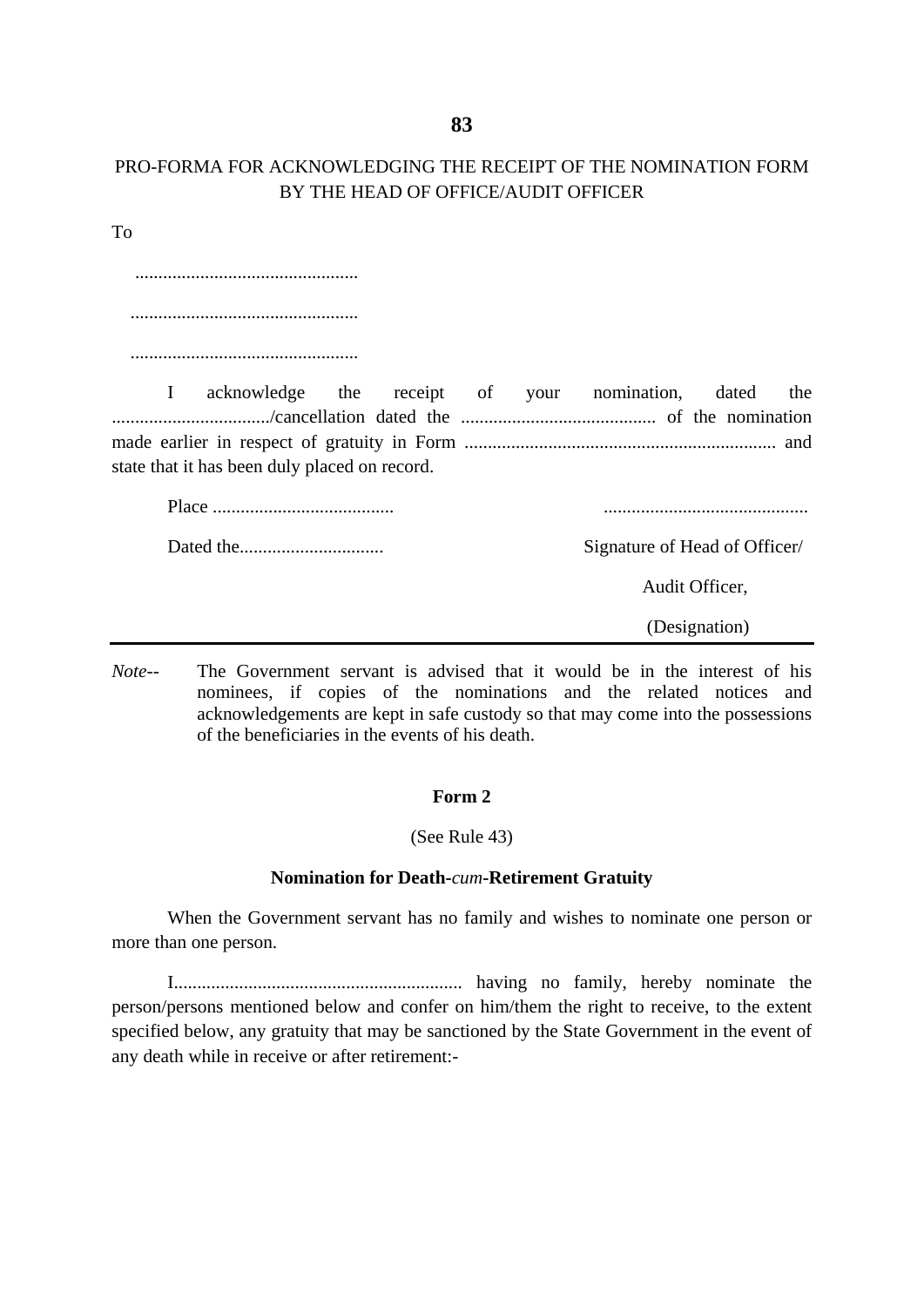## PRO-FORMA FOR ACKNOWLEDGING THE RECEIPT OF THE NOMINATION FORM BY THE HEAD OF OFFICE/AUDIT OFFICER

To

 ................................................ ................................................. ................................................. I acknowledge the receipt of your nomination, dated the ................................../cancellation dated the .......................................... of the nomination made earlier in respect of gratuity in Form ................................................................... and state that it has been duly placed on record. Place ....................................... ............................................ Dated the............................... Signature of Head of Officer/

Audit Officer,

(Designation)

*Note--* The Government servant is advised that it would be in the interest of his nominees, if copies of the nominations and the related notices and acknowledgements are kept in safe custody so that may come into the possessions of the beneficiaries in the events of his death.

#### **Form 2**

#### (See Rule 43)

#### **Nomination for Death-***cum***-Retirement Gratuity**

When the Government servant has no family and wishes to nominate one person or more than one person.

I.............................................................. having no family, hereby nominate the person/persons mentioned below and confer on him/them the right to receive, to the extent specified below, any gratuity that may be sanctioned by the State Government in the event of any death while in receive or after retirement:-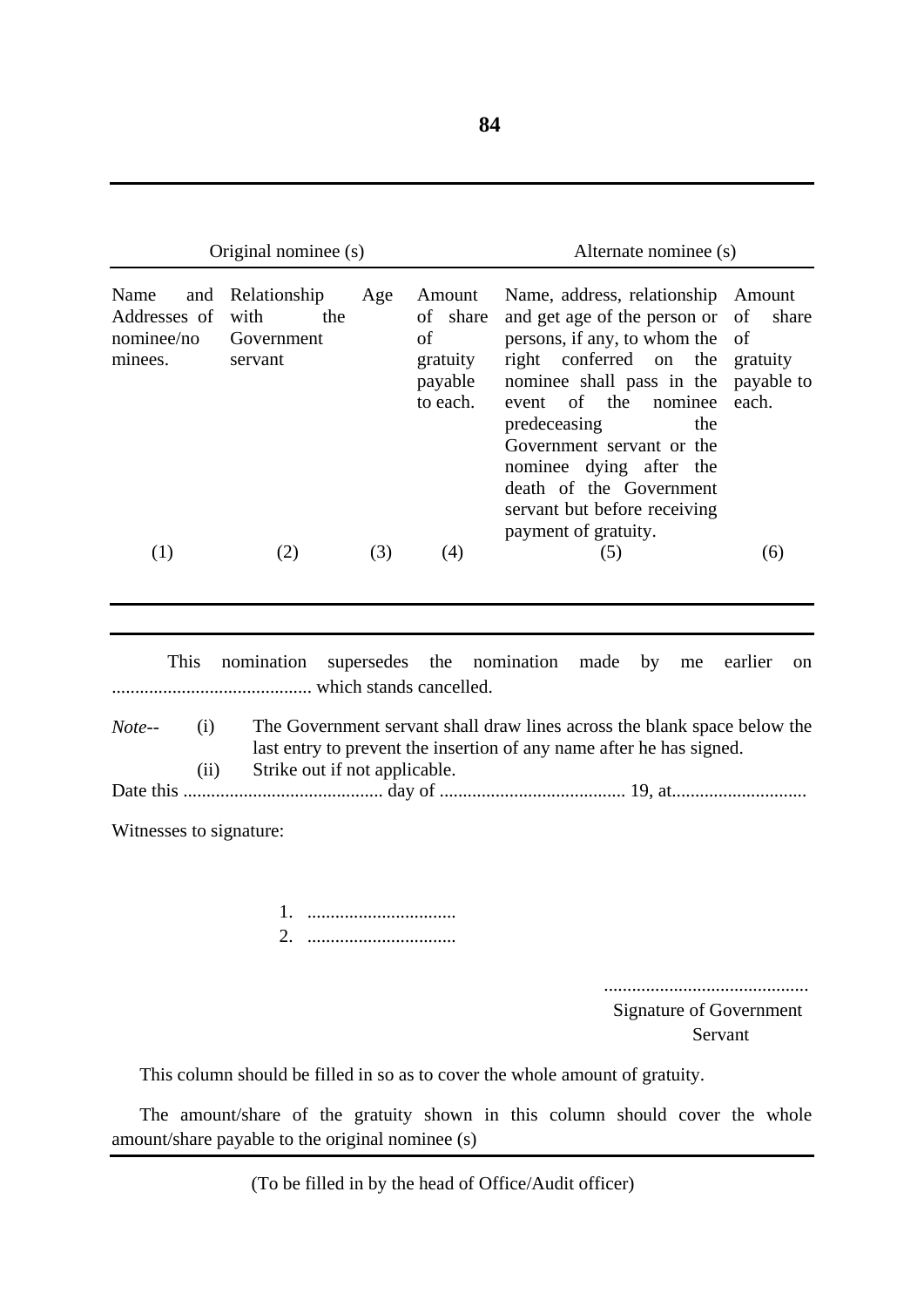|                                                      | Original nominee (s)                                 |     |                                                             | Alternate nominee (s)                                                                                                                                                                                                                                                                                                         |                                                          |
|------------------------------------------------------|------------------------------------------------------|-----|-------------------------------------------------------------|-------------------------------------------------------------------------------------------------------------------------------------------------------------------------------------------------------------------------------------------------------------------------------------------------------------------------------|----------------------------------------------------------|
| Name<br>and<br>Addresses of<br>nominee/no<br>minees. | Relationship<br>with<br>the<br>Government<br>servant | Age | Amount<br>of share<br>of<br>gratuity<br>payable<br>to each. | Name, address, relationship<br>and get age of the person or<br>persons, if any, to whom the of<br>right conferred on the<br>nominee shall pass in the<br>nominee<br>of the<br>event<br>predeceasing<br>the<br>Government servant or the<br>nominee dying after the<br>death of the Government<br>servant but before receiving | Amount<br>share<br>of<br>gratuity<br>payable to<br>each. |
| (1)                                                  | (2)                                                  | (3) | (4)                                                         | payment of gratuity.<br>(5)                                                                                                                                                                                                                                                                                                   | (6)                                                      |

This nomination supersedes the nomination made by me earlier on ........................................... which stands cancelled. *Note--* (i) The Government servant shall draw lines across the blank space below the last entry to prevent the insertion of any name after he has signed. (ii) Strike out if not applicable.

Date this ........................................... day of ........................................ 19, at.............................

Witnesses to signature:

1. ................................ 2. ................................

 ............................................ Signature of Government Servant Servant Servant Servant Servant Servant Servant Servant Servant Servant Servant Servant Servant Servant

This column should be filled in so as to cover the whole amount of gratuity.

The amount/share of the gratuity shown in this column should cover the whole amount/share payable to the original nominee (s)

(To be filled in by the head of Office/Audit officer)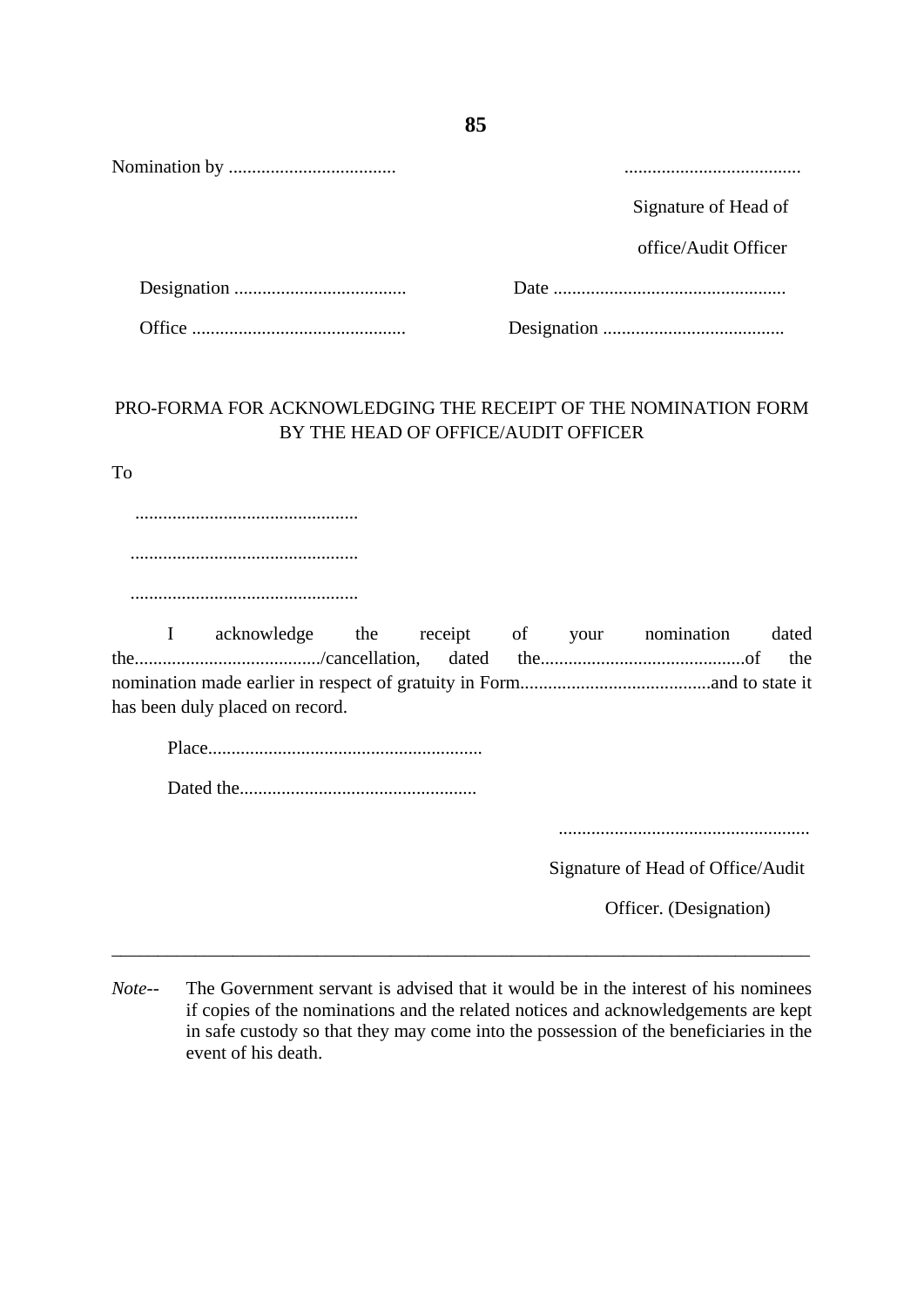| Signature of Head of |
|----------------------|
| office/Audit Officer |
|                      |
|                      |

## PRO-FORMA FOR ACKNOWLEDGING THE RECEIPT OF THE NOMINATION FORM BY THE HEAD OF OFFICE/AUDIT OFFICER

To

 ................................................ ................................................. .................................................

I acknowledge the receipt of your nomination dated the......................................../cancellation, dated the............................................of the nomination made earlier in respect of gratuity in Form.........................................and to state it has been duly placed on record.

Place...........................................................

Dated the...................................................

......................................................

Signature of Head of Office/Audit

Officer. (Designation)

*Note--* The Government servant is advised that it would be in the interest of his nominees if copies of the nominations and the related notices and acknowledgements are kept in safe custody so that they may come into the possession of the beneficiaries in the event of his death.

\_\_\_\_\_\_\_\_\_\_\_\_\_\_\_\_\_\_\_\_\_\_\_\_\_\_\_\_\_\_\_\_\_\_\_\_\_\_\_\_\_\_\_\_\_\_\_\_\_\_\_\_\_\_\_\_\_\_\_\_\_\_\_\_\_\_\_\_\_\_\_\_\_\_\_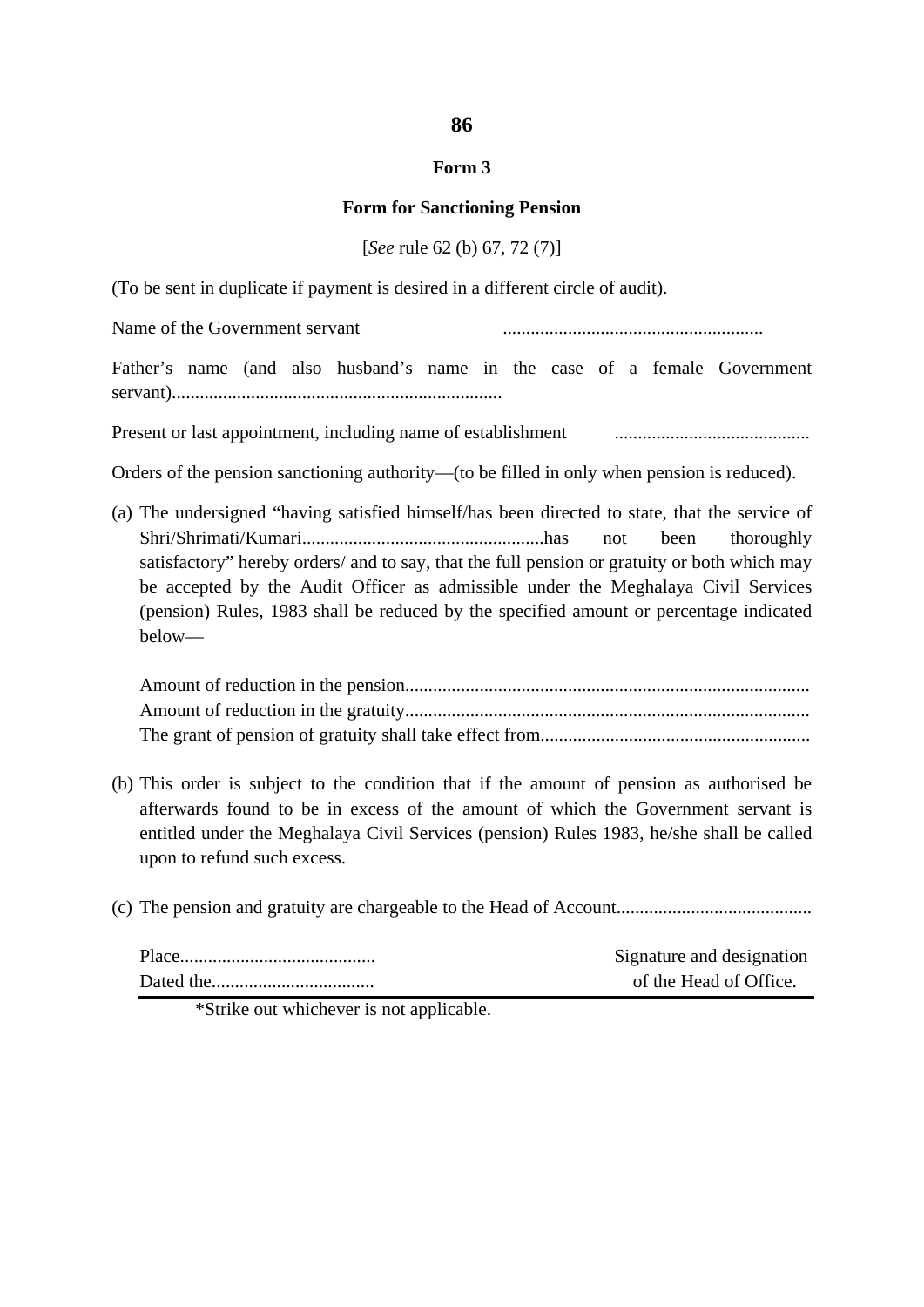#### **Form 3**

#### **Form for Sanctioning Pension**

[*See* rule 62 (b) 67, 72 (7)]

(To be sent in duplicate if payment is desired in a different circle of audit).

Name of the Government servant ........................................................

Father's name (and also husband's name in the case of a female Government servant).......................................................................

Present or last appointment, including name of establishment ..........................................

Orders of the pension sanctioning authority—(to be filled in only when pension is reduced).

(a) The undersigned "having satisfied himself/has been directed to state, that the service of Shri/Shrimati/Kumari....................................................has not been thoroughly satisfactory" hereby orders/ and to say, that the full pension or gratuity or both which may be accepted by the Audit Officer as admissible under the Meghalaya Civil Services (pension) Rules, 1983 shall be reduced by the specified amount or percentage indicated below—

Amount of reduction in the pension....................................................................................... Amount of reduction in the gratuity....................................................................................... The grant of pension of gratuity shall take effect from..........................................................

- (b) This order is subject to the condition that if the amount of pension as authorised be afterwards found to be in excess of the amount of which the Government servant is entitled under the Meghalaya Civil Services (pension) Rules 1983, he/she shall be called upon to refund such excess.
- (c) The pension and gratuity are chargeable to the Head of Account..........................................

| Signature and designation |
|---------------------------|
| of the Head of Office.    |

\*Strike out whichever is not applicable.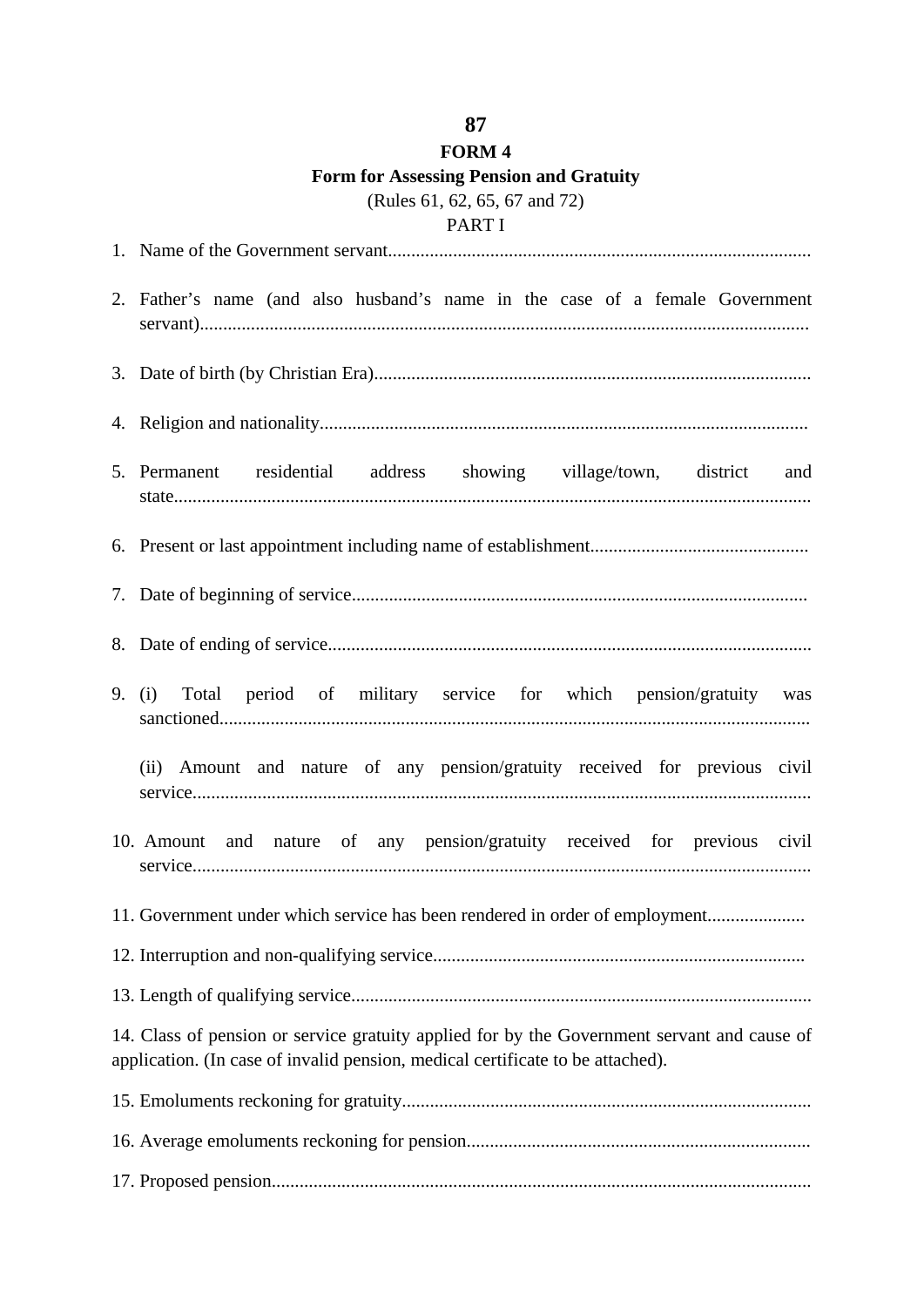# **FORM 4 Form for Assessing Pension and Gratuity** (Rules 61, 62, 65, 67 and 72)

# PART I 1. Name of the Government servant........................................................................................... 2. Father's name (and also husband's name in the case of a female Government servant)................................................................................................................................... 3. Date of birth (by Christian Era).............................................................................................. 4. Religion and nationality......................................................................................................... 5. Permanent residential address showing village/town, district and state......................................................................................................................................... 6. Present or last appointment including name of establishment............................................... 7. Date of beginning of service.................................................................................................. 8. Date of ending of service........................................................................................................ 9. (i) Total period of military service for which pension/gratuity was sanctioned............................................................................................................................... (ii) Amount and nature of any pension/gratuity received for previous civil service..................................................................................................................................... 10. Amount and nature of any pension/gratuity received for previous civil service..................................................................................................................................... 11. Government under which service has been rendered in order of employment......................... 12. Interruption and non-qualifying service................................................................................ 13. Length of qualifying service................................................................................................... 14. Class of pension or service gratuity applied for by the Government servant and cause of application. (In case of invalid pension, medical certificate to be attached). 15. Emoluments reckoning for gratuity........................................................................................ 16. Average emoluments reckoning for pension.......................................................................... 17. Proposed pension....................................................................................................................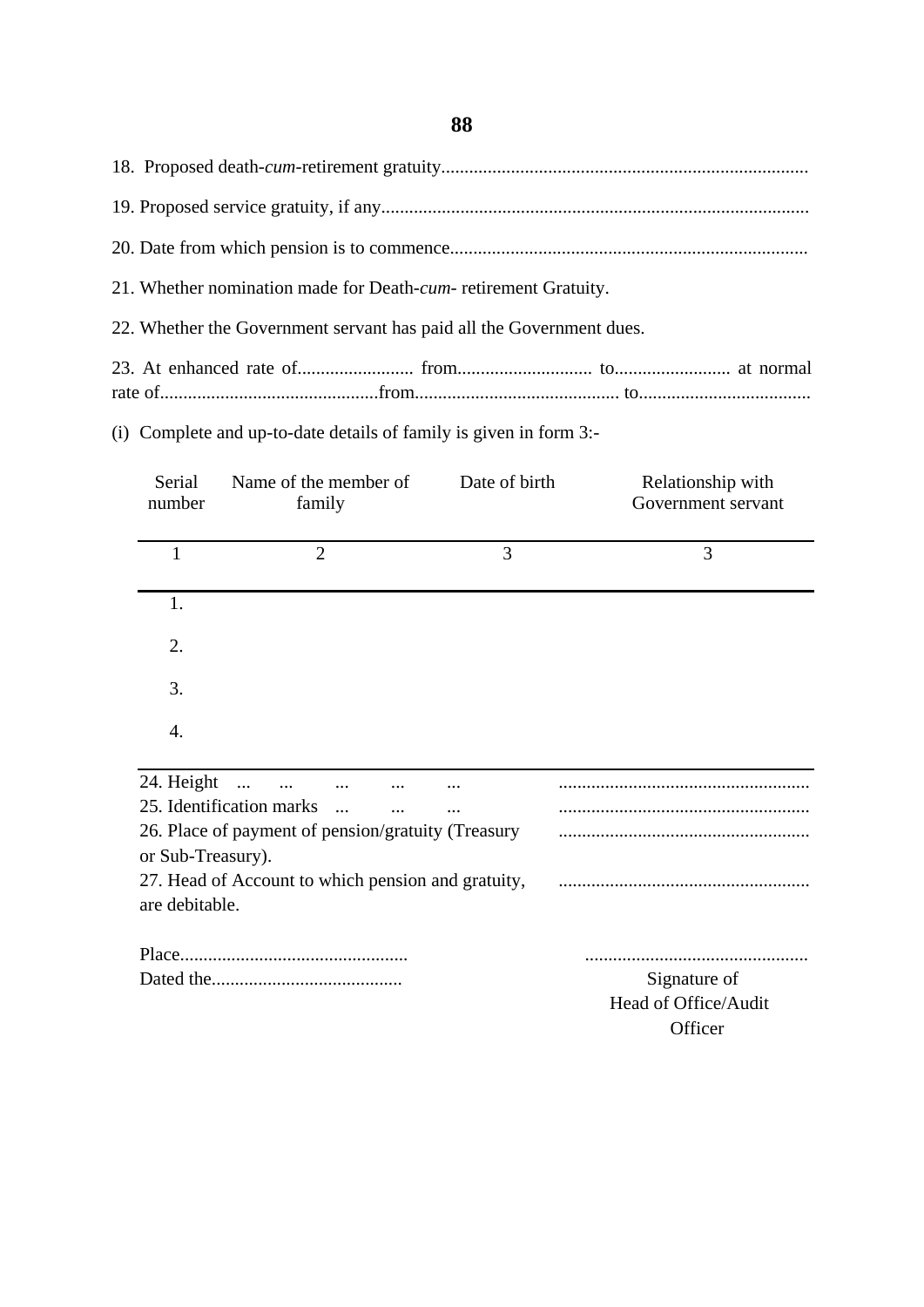18. Proposed death-*cum*-retirement gratuity............................................................................... 19. Proposed service gratuity, if any............................................................................................ 20. Date from which pension is to commence............................................................................. 21. Whether nomination made for Death-*cum*- retirement Gratuity. 22. Whether the Government servant has paid all the Government dues. 23. At enhanced rate of......................... from............................. to......................... at normal

rate of...............................................from............................................ to.....................................

(i) Complete and up-to-date details of family is given in form 3:-

| Serial<br>number  | Name of the member of<br>family |                                                    | Date of birth | Relationship with<br>Government servant |
|-------------------|---------------------------------|----------------------------------------------------|---------------|-----------------------------------------|
| 1                 | $\overline{2}$                  |                                                    | 3             | 3                                       |
| 1.                |                                 |                                                    |               |                                         |
| 2.                |                                 |                                                    |               |                                         |
| 3.                |                                 |                                                    |               |                                         |
| 4.                |                                 |                                                    |               |                                         |
| 24. Height        | $\cdots$                        |                                                    |               |                                         |
|                   | 25. Identification marks        |                                                    |               |                                         |
| or Sub-Treasury). |                                 | 26. Place of payment of pension/gratuity (Treasury |               |                                         |

27. Head of Account to which pension and gratuity, ...................................................... are debitable.

Signature of. Head of Office/Audit **Officer** 

Place................................................. ................................................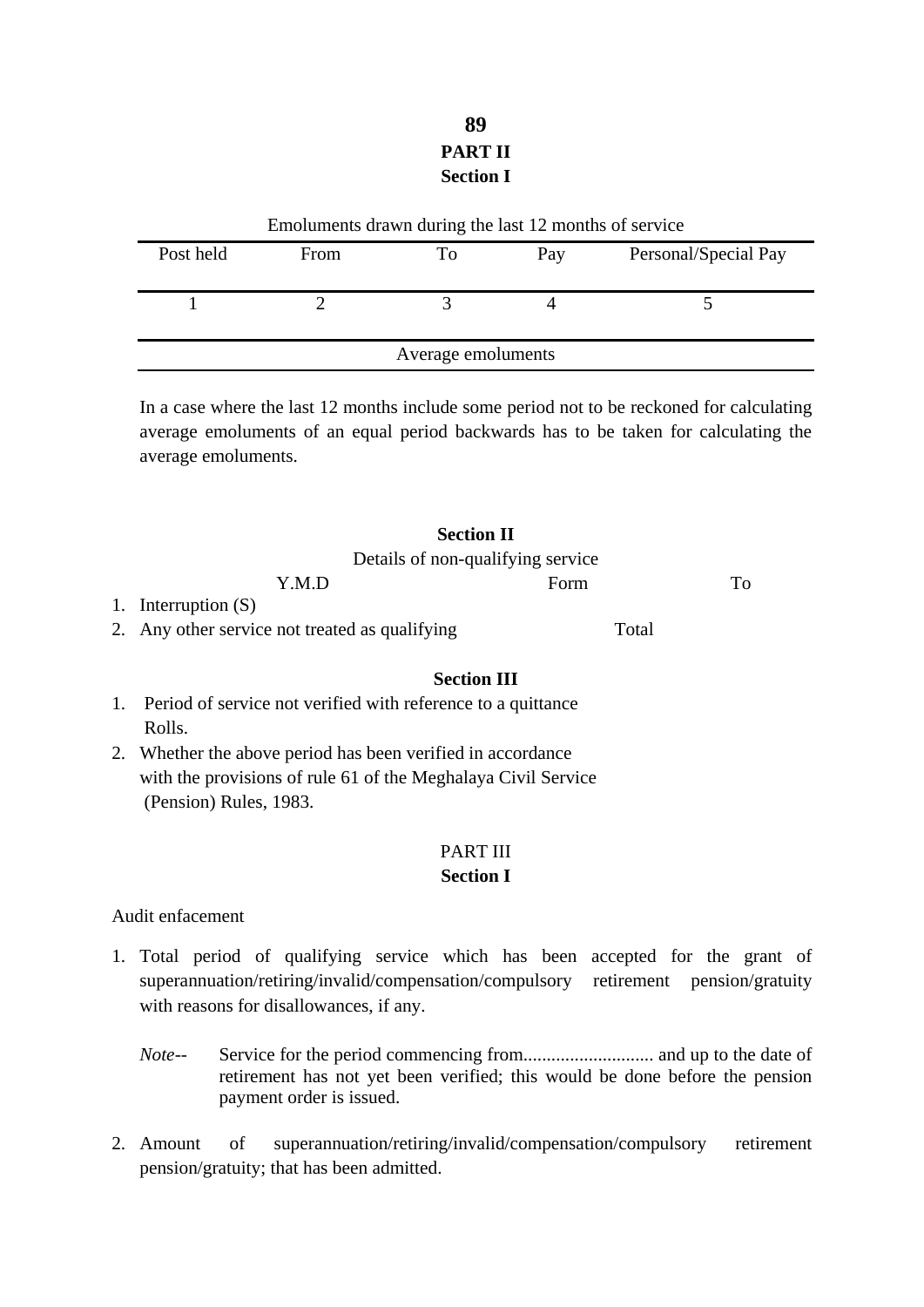# **89 PART II Section I**

| Emoluments drawn during the last 12 months of service |      |    |     |                      |
|-------------------------------------------------------|------|----|-----|----------------------|
| Post held                                             | From | To | Pay | Personal/Special Pay |
|                                                       |      |    |     |                      |
|                                                       |      |    |     |                      |
|                                                       |      |    |     |                      |
| Average emoluments                                    |      |    |     |                      |

In a case where the last 12 months include some period not to be reckoned for calculating average emoluments of an equal period backwards has to be taken for calculating the average emoluments.

| <b>Section II</b>                              |       |    |
|------------------------------------------------|-------|----|
| Details of non-qualifying service              |       |    |
| Y.M.D                                          | Form  | To |
| 1. Interruption $(S)$                          |       |    |
| 2. Any other service not treated as qualifying | Total |    |

#### **Section III**

- 1. Period of service not verified with reference to a quittance Rolls.
- 2. Whether the above period has been verified in accordance with the provisions of rule 61 of the Meghalaya Civil Service (Pension) Rules, 1983.

#### PART III

#### **Section I**

#### Audit enfacement

- 1. Total period of qualifying service which has been accepted for the grant of superannuation/retiring/invalid/compensation/compulsory retirement pension/gratuity with reasons for disallowances, if any.
	- *Note--* Service for the period commencing from............................ and up to the date of retirement has not yet been verified; this would be done before the pension payment order is issued.
- 2. Amount of superannuation/retiring/invalid/compensation/compulsory retirement pension/gratuity; that has been admitted.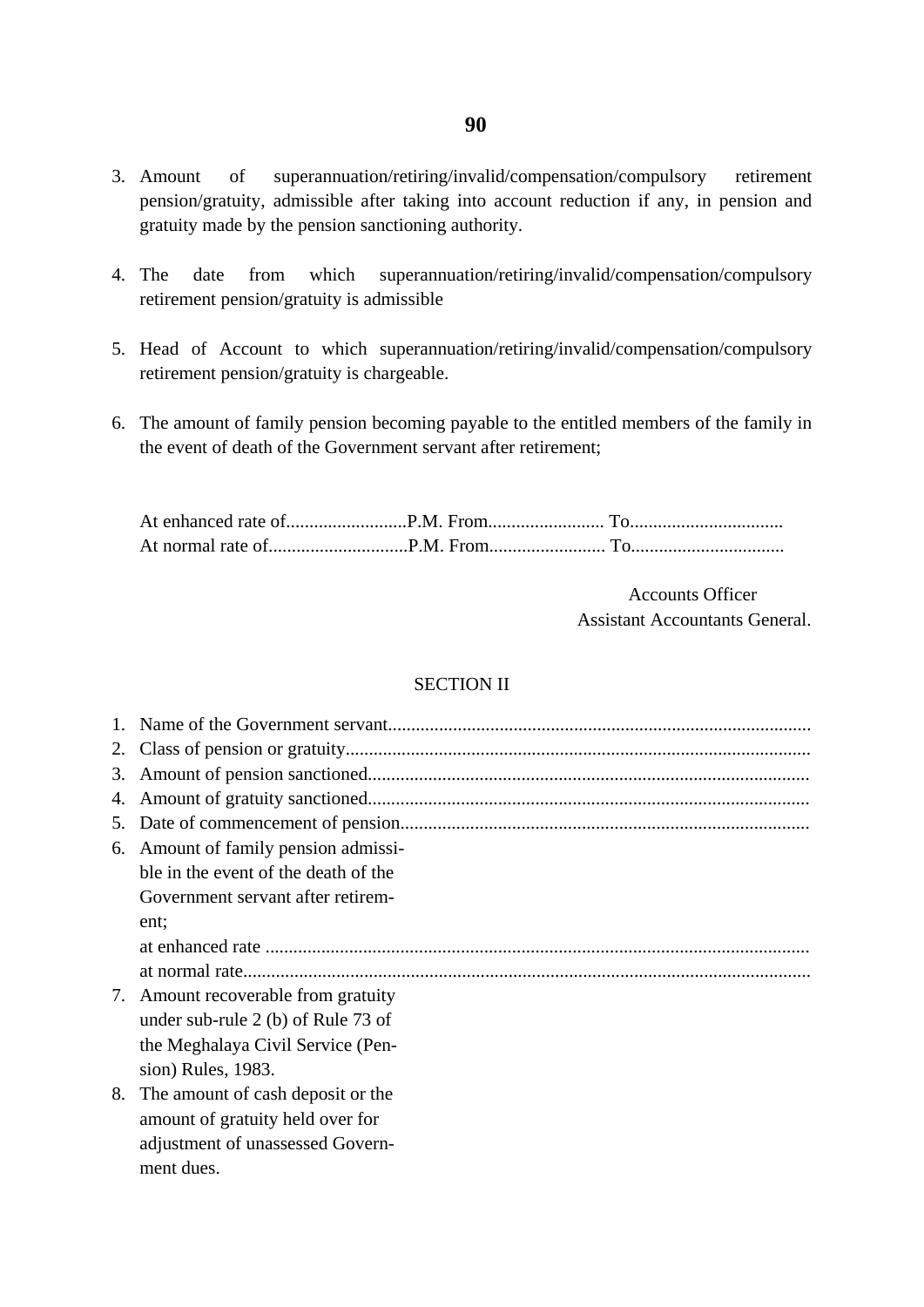- 3. Amount of superannuation/retiring/invalid/compensation/compulsory retirement pension/gratuity, admissible after taking into account reduction if any, in pension and gratuity made by the pension sanctioning authority.
- 4. The date from which superannuation/retiring/invalid/compensation/compulsory retirement pension/gratuity is admissible
- 5. Head of Account to which superannuation/retiring/invalid/compensation/compulsory retirement pension/gratuity is chargeable.
- 6. The amount of family pension becoming payable to the entitled members of the family in the event of death of the Government servant after retirement;

At enhanced rate of..........................P.M. From......................... To................................. At normal rate of..............................P.M. From......................... To.................................

> Accounts Officer Assistant Accountants General.

#### SECTION II

| 2. |                                      |
|----|--------------------------------------|
| 3. |                                      |
| 4. |                                      |
| 5. |                                      |
| 6. | Amount of family pension admissi-    |
|    | ble in the event of the death of the |
|    | Government servant after retirem-    |
|    | ent;                                 |
|    |                                      |
|    |                                      |
| 7. | Amount recoverable from gratuity     |
|    | under sub-rule 2 (b) of Rule 73 of   |
|    | the Meghalaya Civil Service (Pen-    |
|    | sion) Rules, 1983.                   |
| 8. | The amount of cash deposit or the    |
|    | amount of gratuity held over for     |
|    | adjustment of unassessed Govern-     |
|    | ment dues.                           |
|    |                                      |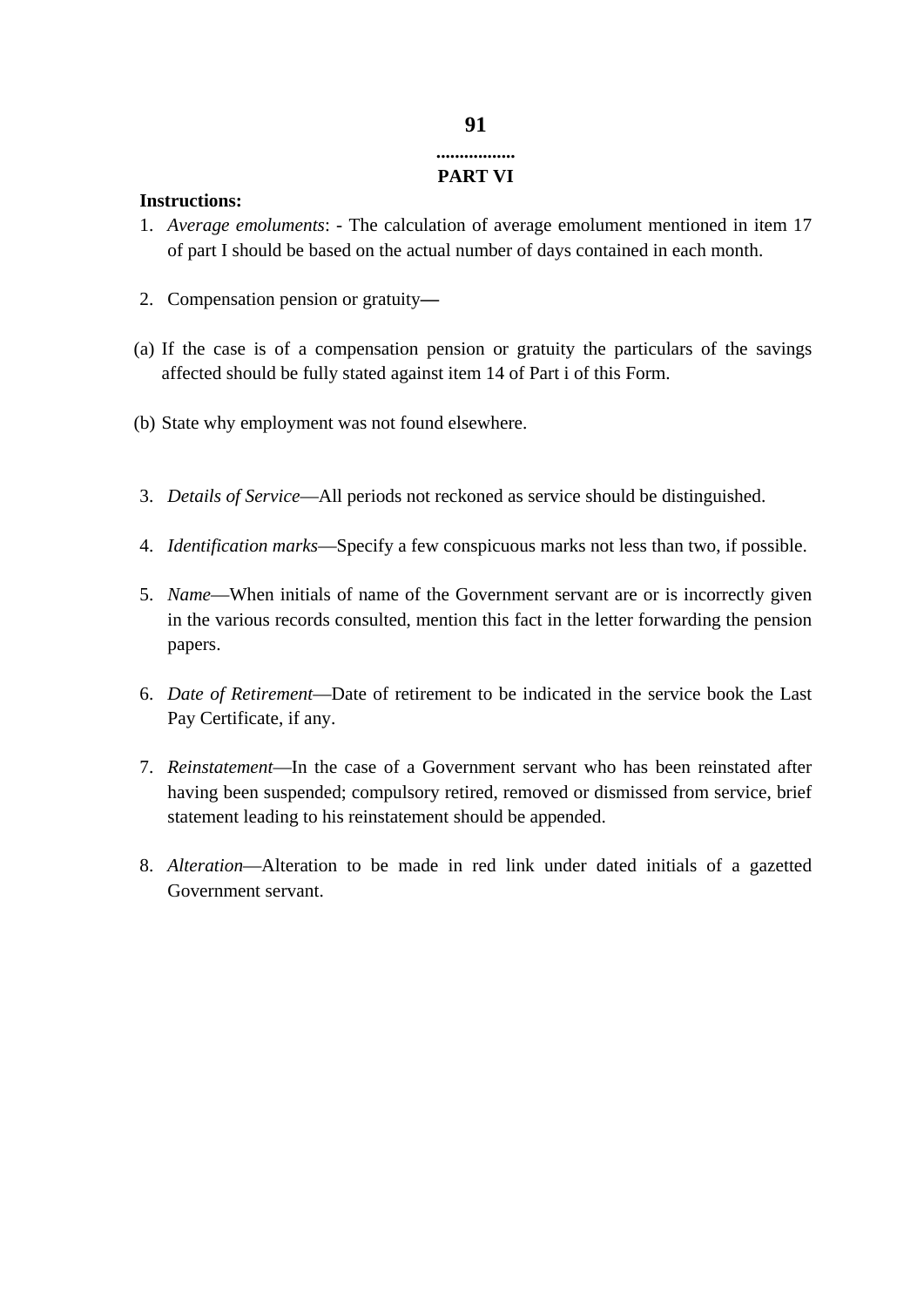### **91 .................**

## **PART VI**

#### **Instructions:**

- 1. *Average emoluments*: The calculation of average emolument mentioned in item 17 of part I should be based on the actual number of days contained in each month.
- 2. Compensation pension or gratuity**—**
- (a) If the case is of a compensation pension or gratuity the particulars of the savings affected should be fully stated against item 14 of Part i of this Form.
- (b) State why employment was not found elsewhere.
- 3. *Details of Service*—All periods not reckoned as service should be distinguished.
- 4. *Identification marks*—Specify a few conspicuous marks not less than two, if possible.
- 5. *Name*—When initials of name of the Government servant are or is incorrectly given in the various records consulted, mention this fact in the letter forwarding the pension papers.
- 6. *Date of Retirement*—Date of retirement to be indicated in the service book the Last Pay Certificate, if any.
- 7. *Reinstatement*—In the case of a Government servant who has been reinstated after having been suspended; compulsory retired, removed or dismissed from service, brief statement leading to his reinstatement should be appended.
- 8. *Alteration*—Alteration to be made in red link under dated initials of a gazetted Government servant.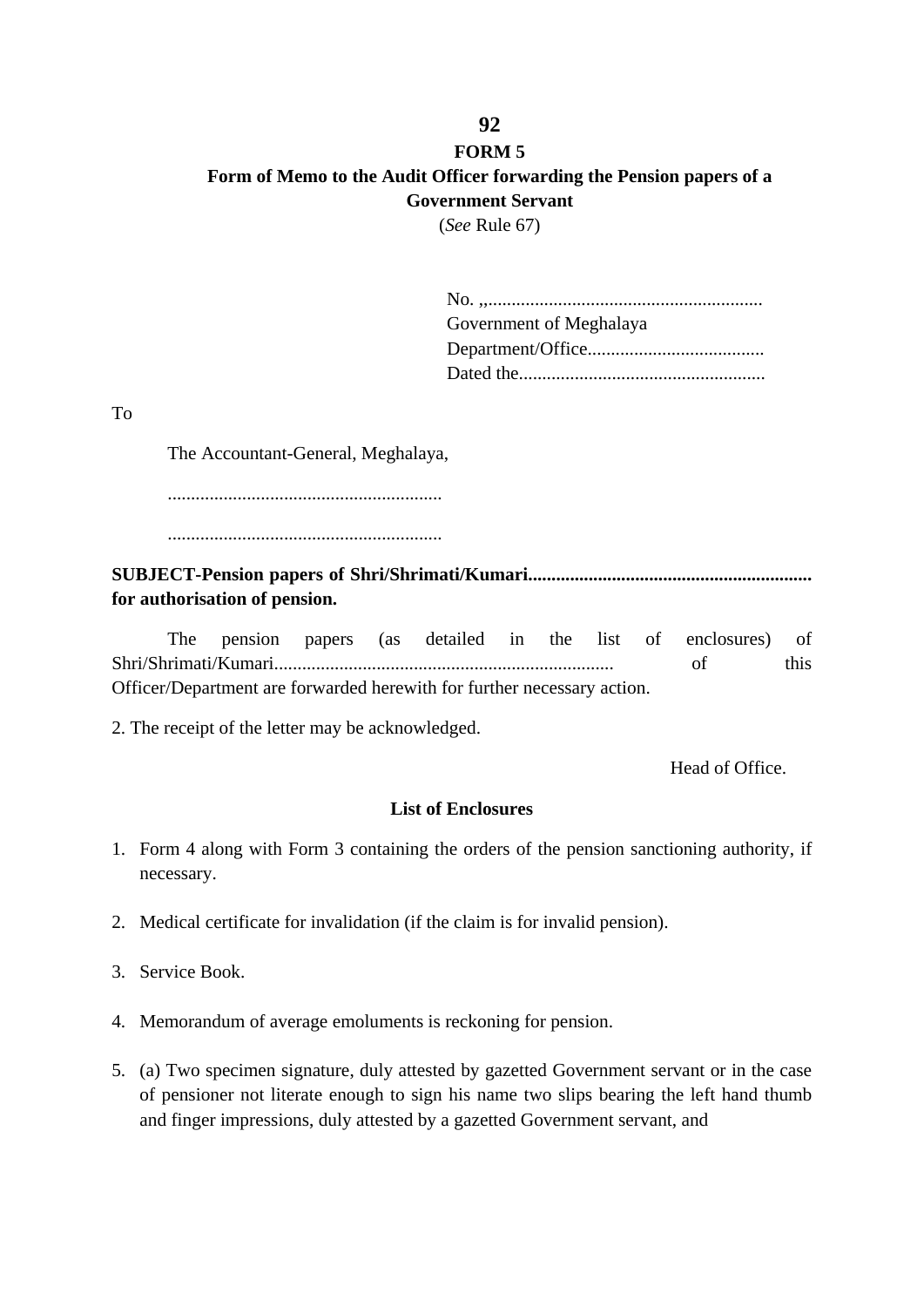# **FORM 5 Form of Memo to the Audit Officer forwarding the Pension papers of a Government Servant**

(*See* Rule 67)

| Government of Meghalaya |
|-------------------------|
|                         |
|                         |

To

The Accountant-General, Meghalaya,

...........................................................

...........................................................

**SUBJECT-Pension papers of Shri/Shrimati/Kumari............................................................. for authorisation of pension.**

The pension papers (as detailed in the list of enclosures) of Shri/Shrimati/Kumari......................................................................... of this Officer/Department are forwarded herewith for further necessary action.

2. The receipt of the letter may be acknowledged.

Head of Office.

#### **List of Enclosures**

- 1. Form 4 along with Form 3 containing the orders of the pension sanctioning authority, if necessary.
- 2. Medical certificate for invalidation (if the claim is for invalid pension).
- 3. Service Book.
- 4. Memorandum of average emoluments is reckoning for pension.
- 5. (a) Two specimen signature, duly attested by gazetted Government servant or in the case of pensioner not literate enough to sign his name two slips bearing the left hand thumb and finger impressions, duly attested by a gazetted Government servant, and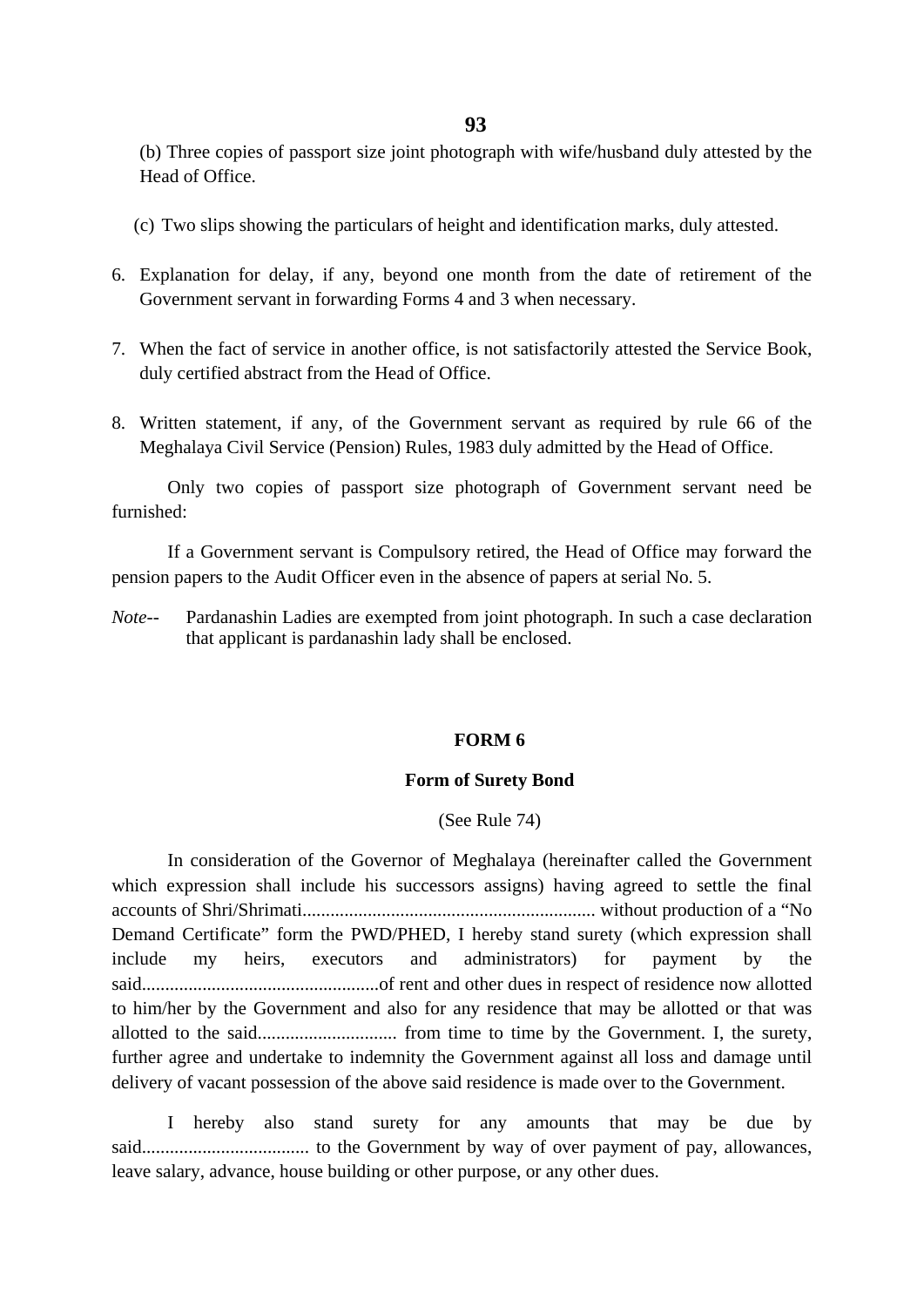(b) Three copies of passport size joint photograph with wife/husband duly attested by the Head of Office.

- (c) Two slips showing the particulars of height and identification marks, duly attested.
- 6. Explanation for delay, if any, beyond one month from the date of retirement of the Government servant in forwarding Forms 4 and 3 when necessary.
- 7. When the fact of service in another office, is not satisfactorily attested the Service Book, duly certified abstract from the Head of Office.
- 8. Written statement, if any, of the Government servant as required by rule 66 of the Meghalaya Civil Service (Pension) Rules, 1983 duly admitted by the Head of Office.

Only two copies of passport size photograph of Government servant need be furnished:

If a Government servant is Compulsory retired, the Head of Office may forward the pension papers to the Audit Officer even in the absence of papers at serial No. 5.

*Note--* Pardanashin Ladies are exempted from joint photograph. In such a case declaration that applicant is pardanashin lady shall be enclosed.

#### **FORM 6**

#### **Form of Surety Bond**

#### (See Rule 74)

In consideration of the Governor of Meghalaya (hereinafter called the Government which expression shall include his successors assigns) having agreed to settle the final accounts of Shri/Shrimati............................................................... without production of a "No Demand Certificate" form the PWD/PHED, I hereby stand surety (which expression shall include my heirs, executors and administrators) for payment by the said...................................................of rent and other dues in respect of residence now allotted to him/her by the Government and also for any residence that may be allotted or that was allotted to the said.............................. from time to time by the Government. I, the surety, further agree and undertake to indemnity the Government against all loss and damage until delivery of vacant possession of the above said residence is made over to the Government.

I hereby also stand surety for any amounts that may be due by said.................................... to the Government by way of over payment of pay, allowances, leave salary, advance, house building or other purpose, or any other dues.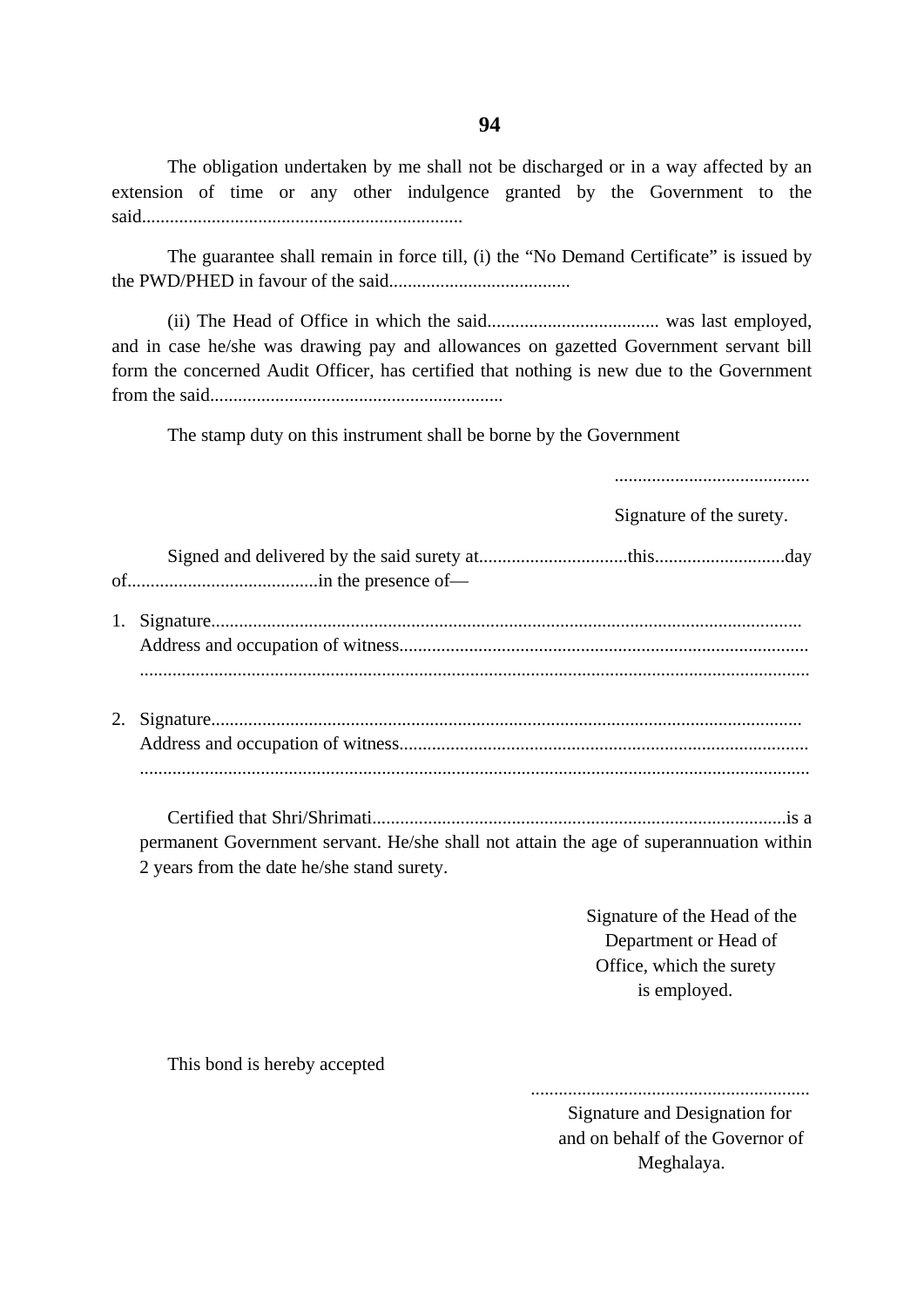The obligation undertaken by me shall not be discharged or in a way affected by an extension of time or any other indulgence granted by the Government to the said.....................................................................

The guarantee shall remain in force till, (i) the "No Demand Certificate" is issued by the PWD/PHED in favour of the said.......................................

(ii) The Head of Office in which the said..................................... was last employed, and in case he/she was drawing pay and allowances on gazetted Government servant bill form the concerned Audit Officer, has certified that nothing is new due to the Government from the said...............................................................

The stamp duty on this instrument shall be borne by the Government

..........................................

Signature of the surety.

Certified that Shri/Shrimati.........................................................................................is a permanent Government servant. He/she shall not attain the age of superannuation within 2 years from the date he/she stand surety.

> Signature of the Head of the Department or Head of Office, which the surety is employed.

This bond is hereby accepted

............................................................ Signature and Designation for and on behalf of the Governor of Meghalaya.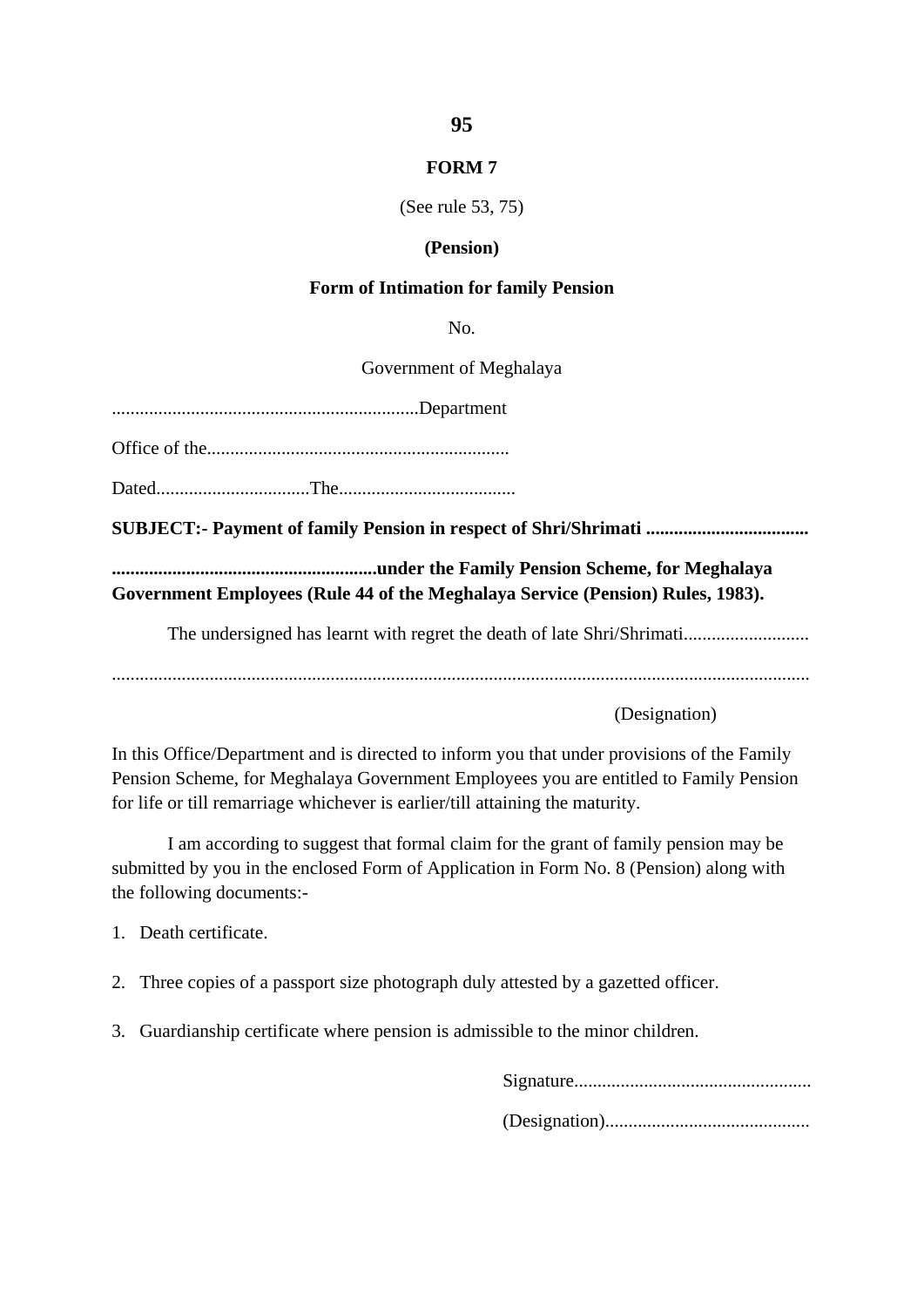#### **FORM 7**

#### (See rule 53, 75)

#### **(Pension)**

#### **Form of Intimation for family Pension**

No.

Government of Meghalaya

..................................................................Department

Office of the.................................................................

Dated.................................The......................................

**SUBJECT:- Payment of family Pension in respect of Shri/Shrimati ...................................**

**.........................................................under the Family Pension Scheme, for Meghalaya Government Employees (Rule 44 of the Meghalaya Service (Pension) Rules, 1983).**

The undersigned has learnt with regret the death of late Shri/Shrimati...........................

......................................................................................................................................................

(Designation)

In this Office/Department and is directed to inform you that under provisions of the Family Pension Scheme, for Meghalaya Government Employees you are entitled to Family Pension for life or till remarriage whichever is earlier/till attaining the maturity.

I am according to suggest that formal claim for the grant of family pension may be submitted by you in the enclosed Form of Application in Form No. 8 (Pension) along with the following documents:-

1. Death certificate.

- 2. Three copies of a passport size photograph duly attested by a gazetted officer.
- 3. Guardianship certificate where pension is admissible to the minor children.

Signature................................................... (Designation)............................................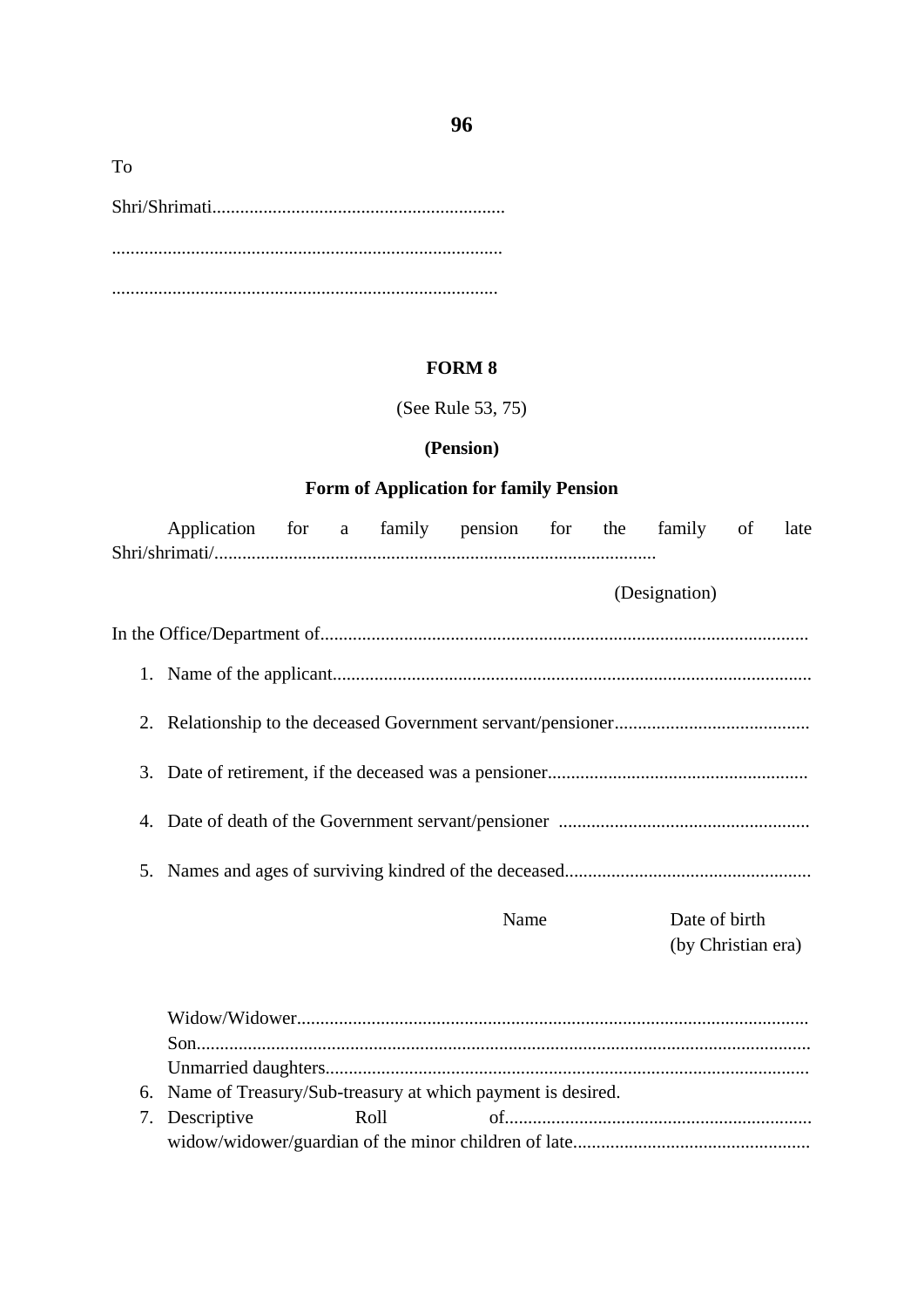| To |  |
|----|--|
|    |  |
|    |  |
|    |  |
|    |  |

#### **FORM 8**

(See Rule 53, 75)

#### **(Pension)**

# **Form of Application for family Pension**

|                                                                  | Application for a family pension for the family of |  |  |      |      |  |                    |  | late |
|------------------------------------------------------------------|----------------------------------------------------|--|--|------|------|--|--------------------|--|------|
|                                                                  |                                                    |  |  |      |      |  |                    |  |      |
|                                                                  |                                                    |  |  |      |      |  | (Designation)      |  |      |
|                                                                  |                                                    |  |  |      |      |  |                    |  |      |
|                                                                  |                                                    |  |  |      |      |  |                    |  |      |
|                                                                  |                                                    |  |  |      |      |  |                    |  |      |
|                                                                  |                                                    |  |  |      |      |  |                    |  |      |
|                                                                  |                                                    |  |  |      |      |  |                    |  |      |
|                                                                  |                                                    |  |  |      |      |  |                    |  |      |
|                                                                  |                                                    |  |  |      | Name |  | Date of birth      |  |      |
|                                                                  |                                                    |  |  |      |      |  | (by Christian era) |  |      |
|                                                                  |                                                    |  |  |      |      |  |                    |  |      |
|                                                                  |                                                    |  |  |      |      |  |                    |  |      |
|                                                                  |                                                    |  |  |      |      |  |                    |  |      |
|                                                                  |                                                    |  |  |      |      |  |                    |  |      |
| Name of Treasury/Sub-treasury at which payment is desired.<br>6. |                                                    |  |  |      |      |  |                    |  |      |
| 7.                                                               | Descriptive                                        |  |  | Roll |      |  |                    |  |      |

widow/widower/guardian of the minor children of late...................................................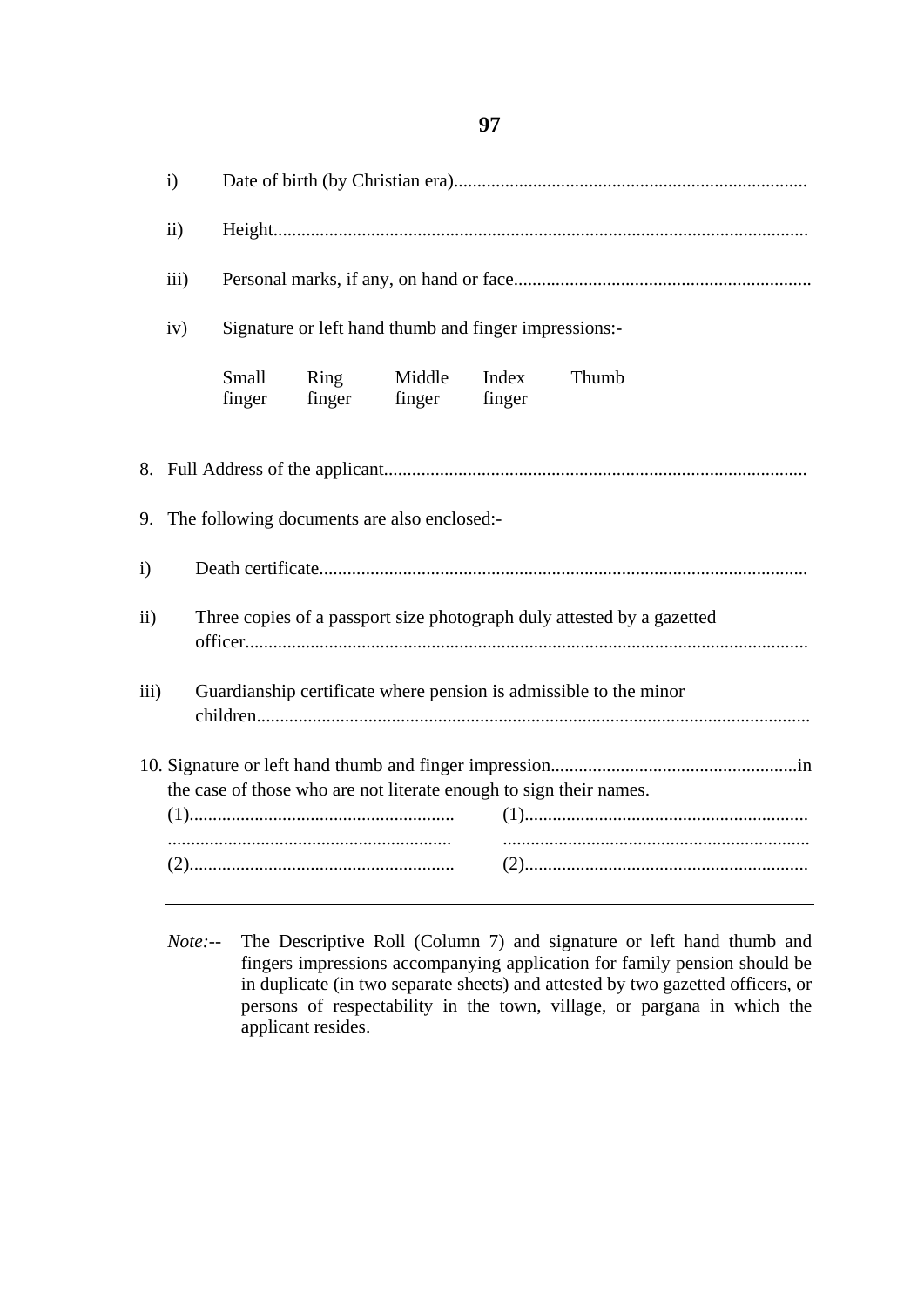i) Date of birth (by Christian era)............................................................................ ii) Height................................................................................................................... iii) Personal marks, if any, on hand or face................................................................ iv) Signature or left hand thumb and finger impressions:- Small finger Ring finger Middle finger Index finger Thumb 8. Full Address of the applicant........................................................................................... 9. The following documents are also enclosed: i) Death certificate......................................................................................................... ii) Three copies of a passport size photograph duly attested by a gazetted officer......................................................................................................................... iii) Guardianship certificate where pension is admissible to the minor children....................................................................................................................... 10. Signature or left hand thumb and finger impression.....................................................in the case of those who are not literate enough to sign their names. (1)......................................................... (1)............................................................. ............................................................. .................................................................. (2)......................................................... (2).............................................................

*Note:--* The Descriptive Roll (Column 7) and signature or left hand thumb and fingers impressions accompanying application for family pension should be in duplicate (in two separate sheets) and attested by two gazetted officers, or persons of respectability in the town, village, or pargana in which the applicant resides.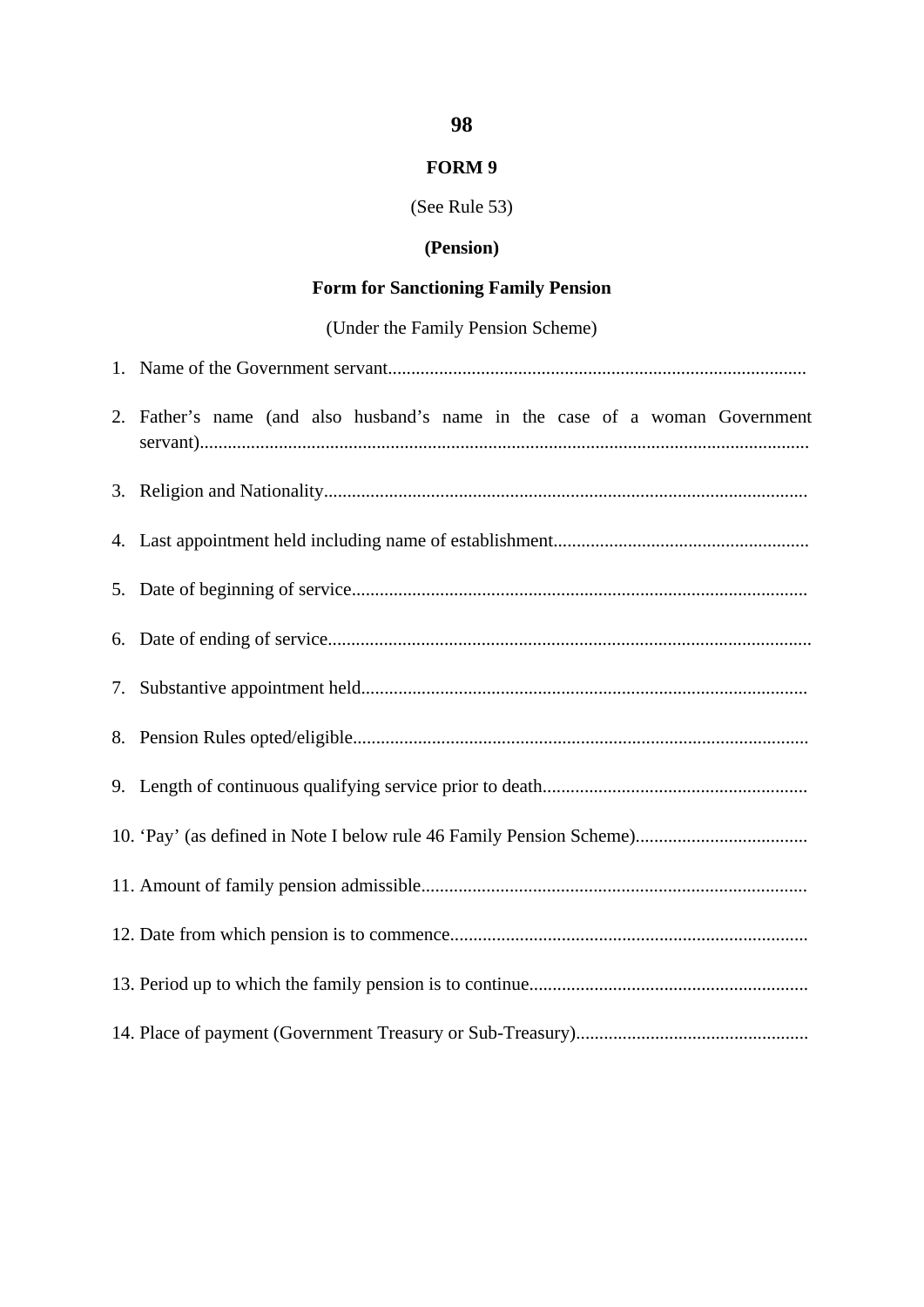# **FORM 9**

# (See Rule 53)

# **(Pension)**

# **Form for Sanctioning Family Pension**

# (Under the Family Pension Scheme)

| 2. Father's name (and also husband's name in the case of a woman Government |
|-----------------------------------------------------------------------------|
|                                                                             |
|                                                                             |
|                                                                             |
|                                                                             |
|                                                                             |
|                                                                             |
|                                                                             |
|                                                                             |
|                                                                             |
|                                                                             |
|                                                                             |
|                                                                             |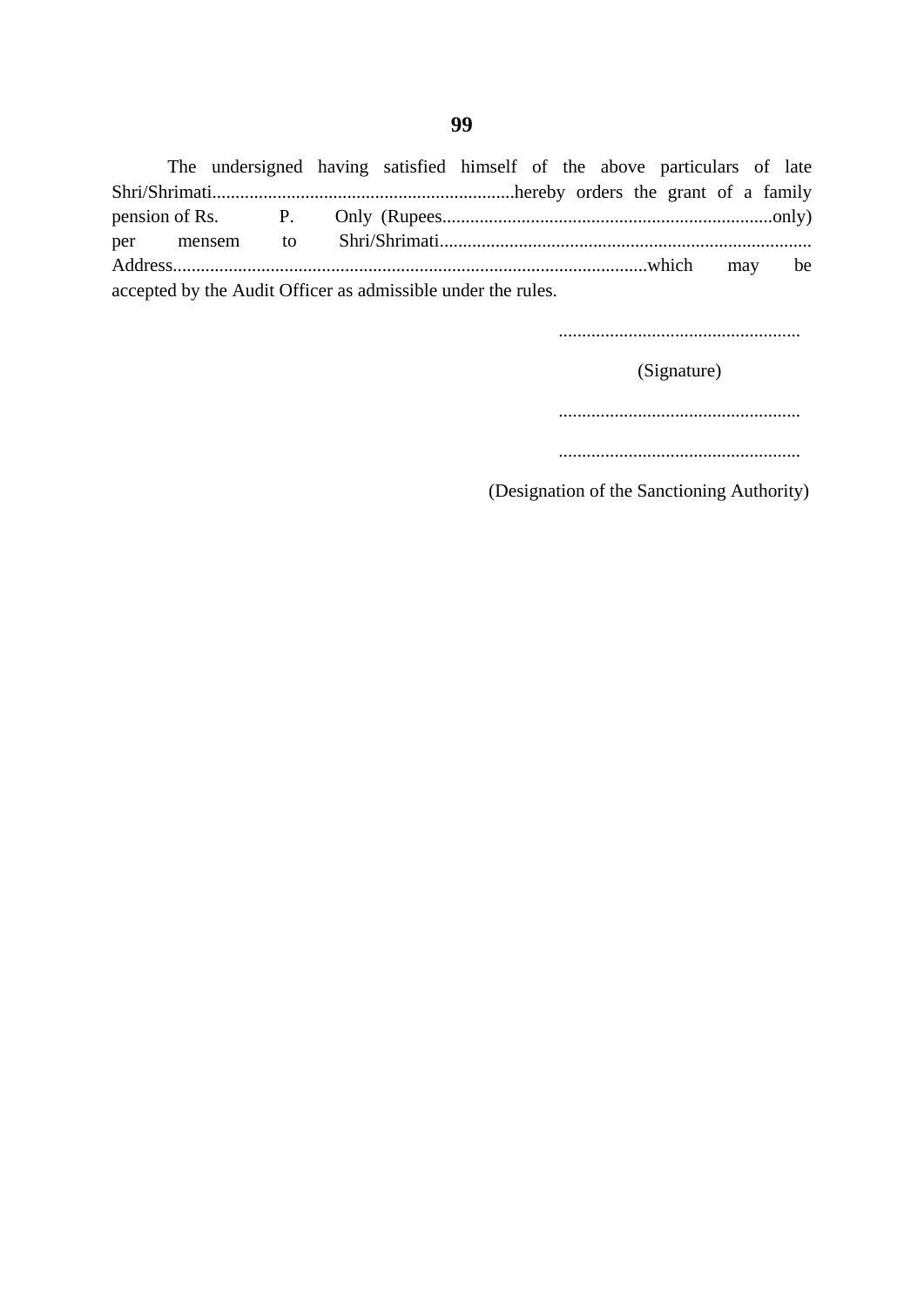The undersigned having satisfied himself of the above particulars of late Shri/Shrimati.................................................................hereby orders the grant of a family pension of Rs. P. Only (Rupees.......................................................................only) per mensem to Shri/Shrimati................................................................................ Address......................................................................................................which may be accepted by the Audit Officer as admissible under the rules.

....................................................

(Signature)

....................................................

....................................................

(Designation of the Sanctioning Authority)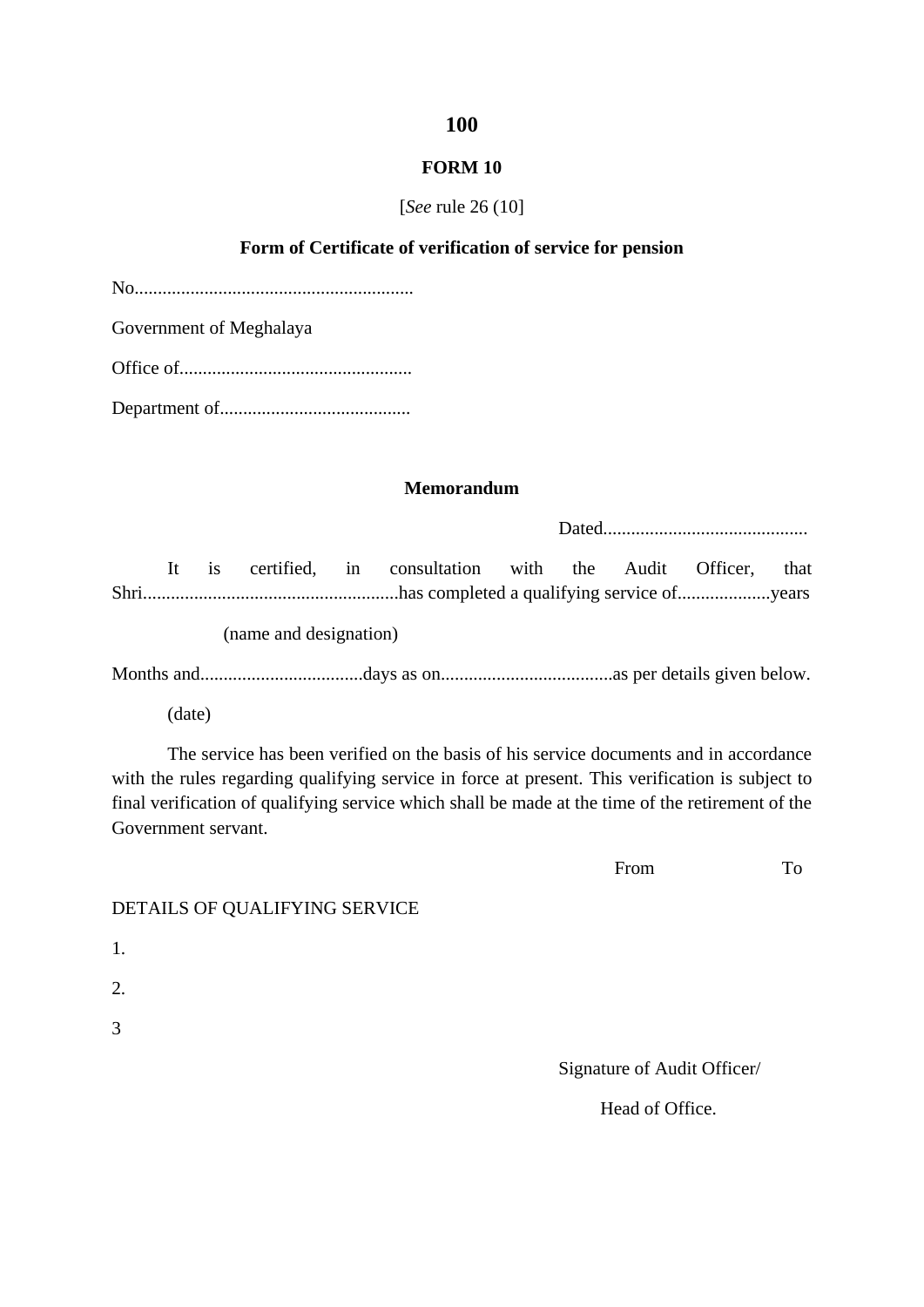#### **FORM 10**

#### [*See* rule 26 (10]

#### **Form of Certificate of verification of service for pension**

No............................................................

Government of Meghalaya

Office of..................................................

Department of.........................................

#### **Memorandum**

Dated............................................

It is certified, in consultation with the Audit Officer, that Shri.......................................................has completed a qualifying service of....................years

(name and designation)

Months and...................................days as on.....................................as per details given below.

(date)

The service has been verified on the basis of his service documents and in accordance with the rules regarding qualifying service in force at present. This verification is subject to final verification of qualifying service which shall be made at the time of the retirement of the Government servant.

From To

## DETAILS OF QUALIFYING SERVICE

1.

2.

3

Signature of Audit Officer/

Head of Office.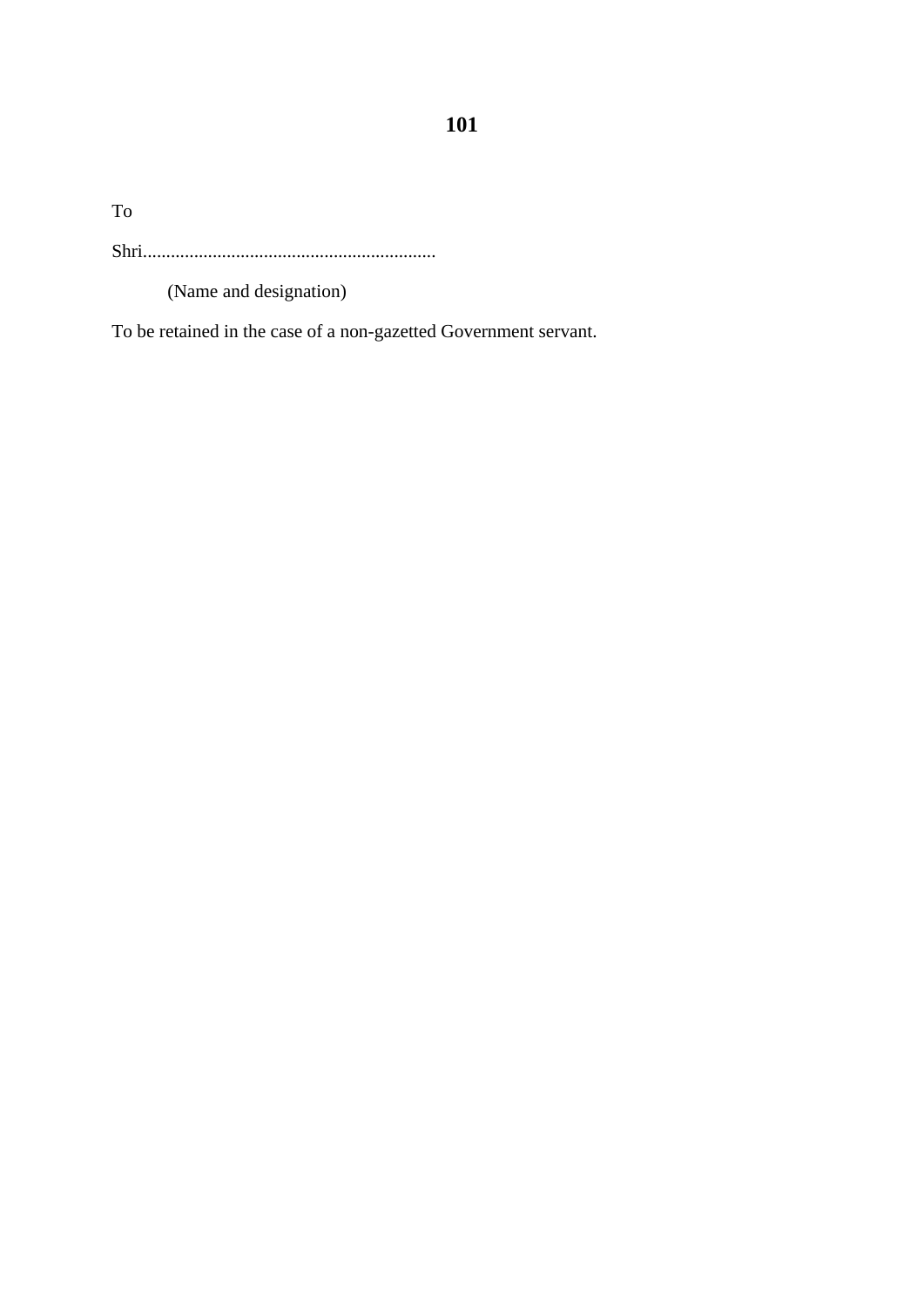To

Shri...............................................................

(Name and designation)

To be retained in the case of a non-gazetted Government servant.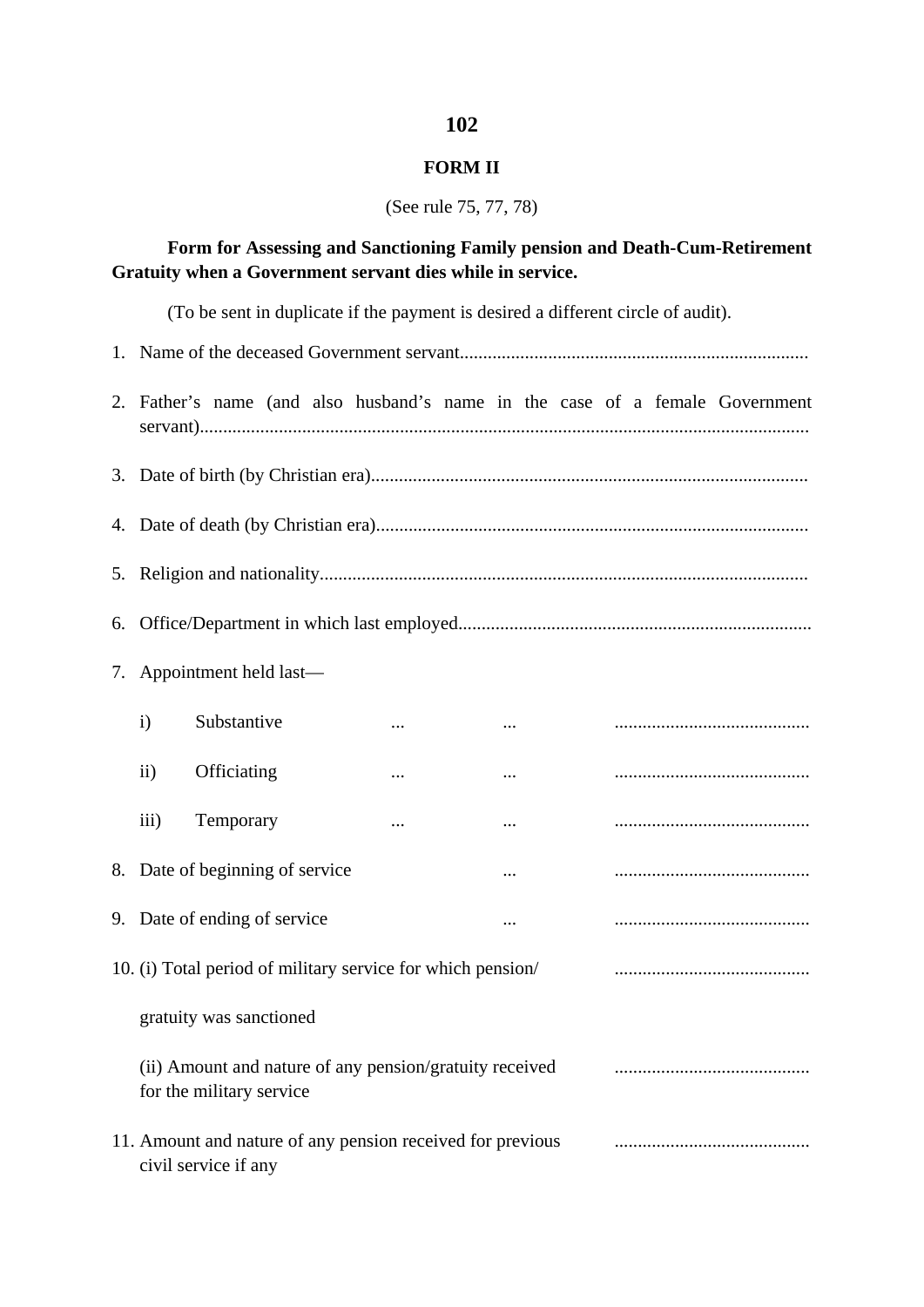### **FORM II**

(See rule 75, 77, 78)

# **Form for Assessing and Sanctioning Family pension and Death-Cum-Retirement Gratuity when a Government servant dies while in service.**

(To be sent in duplicate if the payment is desired a different circle of audit).

|                                                                                     |                                 |  |          |  |          |  |  |  | 2. Father's name (and also husband's name in the case of a female Government |
|-------------------------------------------------------------------------------------|---------------------------------|--|----------|--|----------|--|--|--|------------------------------------------------------------------------------|
|                                                                                     |                                 |  |          |  |          |  |  |  |                                                                              |
|                                                                                     |                                 |  |          |  |          |  |  |  |                                                                              |
|                                                                                     |                                 |  |          |  |          |  |  |  |                                                                              |
|                                                                                     |                                 |  |          |  |          |  |  |  |                                                                              |
|                                                                                     | 7. Appointment held last—       |  |          |  |          |  |  |  |                                                                              |
| $\mathbf{i}$                                                                        | Substantive                     |  | $\cdots$ |  |          |  |  |  |                                                                              |
| $\rm ii)$                                                                           | Officiating                     |  |          |  | $\cdots$ |  |  |  |                                                                              |
| iii)                                                                                | Temporary                       |  | $\cdots$ |  | $\cdots$ |  |  |  |                                                                              |
|                                                                                     | 8. Date of beginning of service |  |          |  |          |  |  |  |                                                                              |
|                                                                                     | 9. Date of ending of service    |  |          |  |          |  |  |  |                                                                              |
| 10. (i) Total period of military service for which pension/                         |                                 |  |          |  |          |  |  |  |                                                                              |
| gratuity was sanctioned                                                             |                                 |  |          |  |          |  |  |  |                                                                              |
| (ii) Amount and nature of any pension/gratuity received<br>for the military service |                                 |  |          |  |          |  |  |  |                                                                              |
| 11. Amount and nature of any pension received for previous<br>civil service if any  |                                 |  |          |  |          |  |  |  |                                                                              |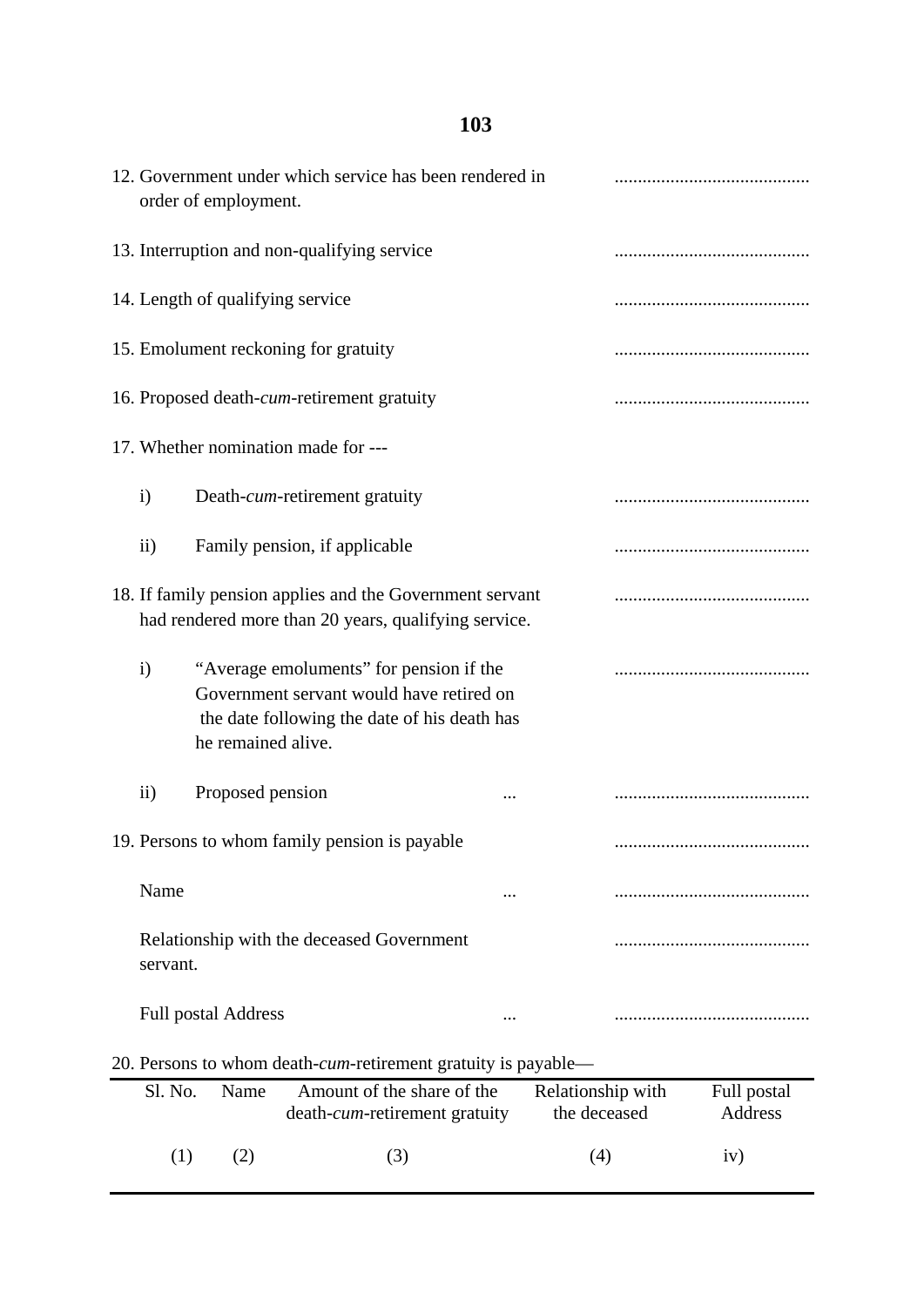|              | order of employment.                                                   | 12. Government under which service has been rendered in                                                                             |  |                                   |                               |  |  |
|--------------|------------------------------------------------------------------------|-------------------------------------------------------------------------------------------------------------------------------------|--|-----------------------------------|-------------------------------|--|--|
|              | 13. Interruption and non-qualifying service                            |                                                                                                                                     |  |                                   |                               |  |  |
|              | 14. Length of qualifying service                                       |                                                                                                                                     |  |                                   |                               |  |  |
|              |                                                                        | 15. Emolument reckoning for gratuity                                                                                                |  |                                   |                               |  |  |
|              |                                                                        | 16. Proposed death-cum-retirement gratuity                                                                                          |  |                                   |                               |  |  |
|              |                                                                        | 17. Whether nomination made for ---                                                                                                 |  |                                   |                               |  |  |
| $\mathbf{i}$ |                                                                        | Death-cum-retirement gratuity                                                                                                       |  |                                   |                               |  |  |
| $\rm ii)$    |                                                                        | Family pension, if applicable                                                                                                       |  |                                   |                               |  |  |
|              |                                                                        | 18. If family pension applies and the Government servant<br>had rendered more than 20 years, qualifying service.                    |  |                                   |                               |  |  |
| $\mathbf{i}$ | he remained alive.                                                     | "Average emoluments" for pension if the<br>Government servant would have retired on<br>the date following the date of his death has |  |                                   |                               |  |  |
| $\rm ii)$    | Proposed pension                                                       |                                                                                                                                     |  |                                   |                               |  |  |
|              |                                                                        | 19. Persons to whom family pension is payable                                                                                       |  |                                   |                               |  |  |
| Name         |                                                                        |                                                                                                                                     |  |                                   |                               |  |  |
| servant.     |                                                                        | Relationship with the deceased Government                                                                                           |  |                                   |                               |  |  |
|              | <b>Full postal Address</b>                                             |                                                                                                                                     |  |                                   |                               |  |  |
|              | 20. Persons to whom death- <i>cum</i> -retirement gratuity is payable— |                                                                                                                                     |  |                                   |                               |  |  |
| Sl. No.      | Name                                                                   | Amount of the share of the<br>death- <i>cum</i> -retirement gratuity                                                                |  | Relationship with<br>the deceased | Full postal<br><b>Address</b> |  |  |
| (1)          | (2)                                                                    | (3)                                                                                                                                 |  | (4)                               | iv)                           |  |  |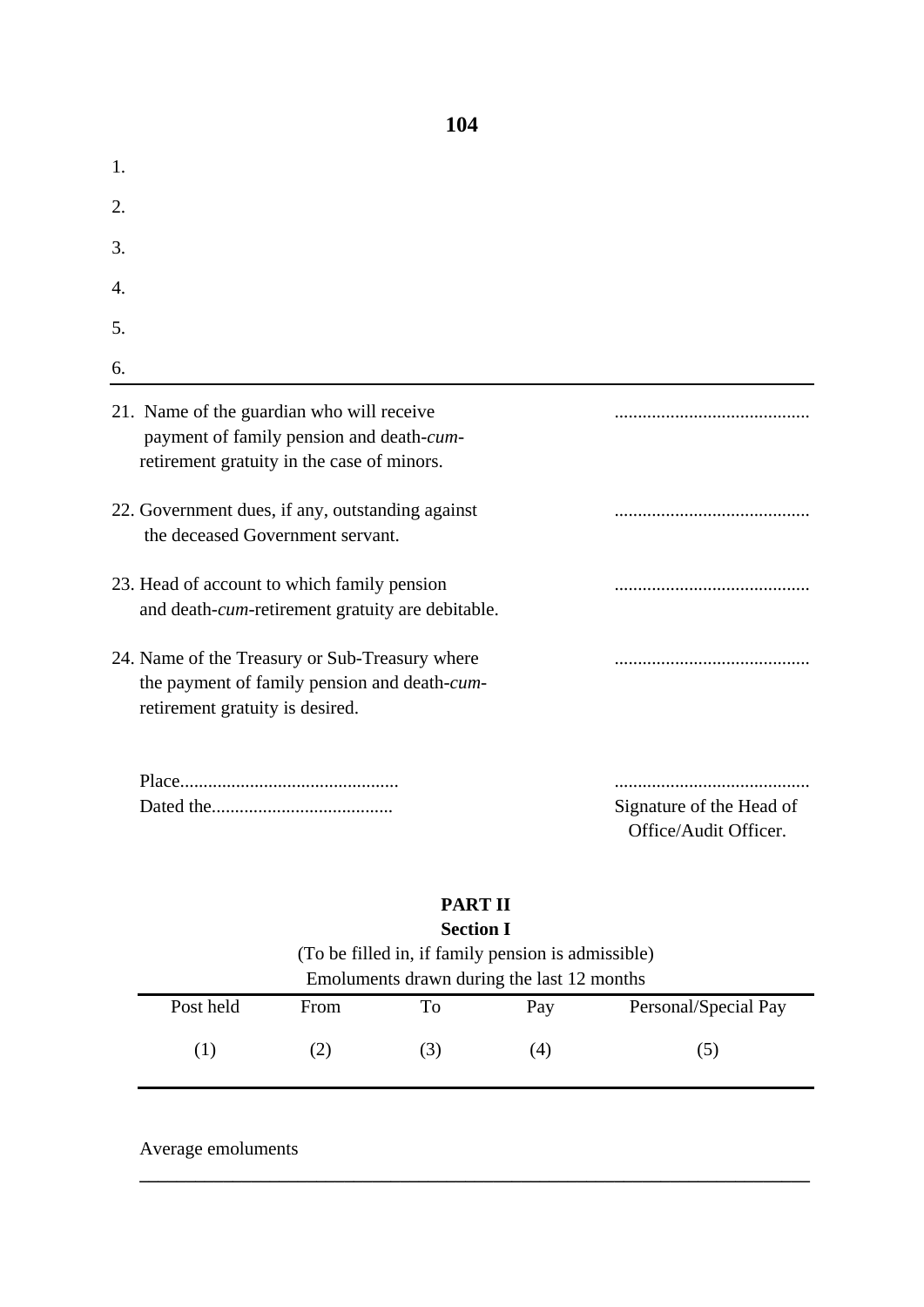| 1.                                                                                                                                  |                                                   |
|-------------------------------------------------------------------------------------------------------------------------------------|---------------------------------------------------|
| 2.                                                                                                                                  |                                                   |
| 3.                                                                                                                                  |                                                   |
| 4.                                                                                                                                  |                                                   |
| 5.                                                                                                                                  |                                                   |
| 6.                                                                                                                                  |                                                   |
| 21. Name of the guardian who will receive<br>payment of family pension and death-cum-<br>retirement gratuity in the case of minors. |                                                   |
| 22. Government dues, if any, outstanding against<br>the deceased Government servant.                                                |                                                   |
| 23. Head of account to which family pension<br>and death-cum-retirement gratuity are debitable.                                     |                                                   |
| 24. Name of the Treasury or Sub-Treasury where<br>the payment of family pension and death-cum-<br>retirement gratuity is desired.   |                                                   |
|                                                                                                                                     | Signature of the Head of<br>Office/Audit Officer. |

# **PART II Section I**

| (To be filled in, if family pension is admissible) |      |    |     |                      |  |
|----------------------------------------------------|------|----|-----|----------------------|--|
| Emoluments drawn during the last 12 months         |      |    |     |                      |  |
| Post held                                          | From | Tо | Pay | Personal/Special Pay |  |
|                                                    |      |    | (4) | (၁)                  |  |

**\_\_\_\_\_\_\_\_\_\_\_\_\_\_\_\_\_\_\_\_\_\_\_\_\_\_\_\_\_\_\_\_\_\_\_\_\_\_\_\_\_\_\_\_\_\_\_\_\_\_\_\_\_\_\_\_\_\_\_\_\_\_\_\_\_\_\_\_\_\_\_\_**

Average emoluments

**104**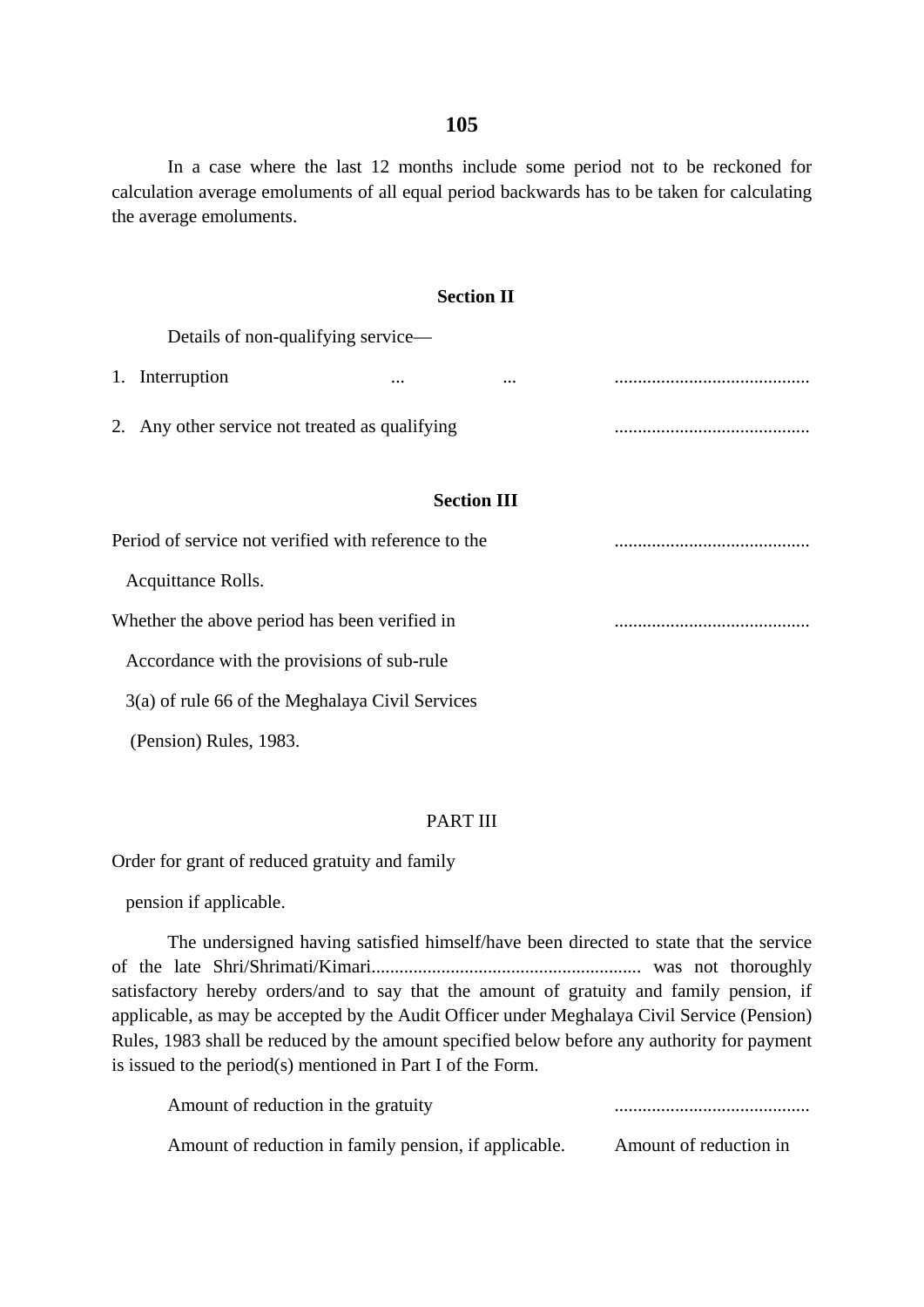In a case where the last 12 months include some period not to be reckoned for calculation average emoluments of all equal period backwards has to be taken for calculating the average emoluments.

|                                                      | <b>Section II</b>  |          |  |
|------------------------------------------------------|--------------------|----------|--|
| Details of non-qualifying service—                   |                    |          |  |
| 1. Interruption                                      | $\cdots$           | $\cdots$ |  |
| 2. Any other service not treated as qualifying       |                    |          |  |
|                                                      | <b>Section III</b> |          |  |
| Period of service not verified with reference to the |                    |          |  |
| Acquittance Rolls.                                   |                    |          |  |
| Whether the above period has been verified in        |                    |          |  |
| Accordance with the provisions of sub-rule           |                    |          |  |
| $3(a)$ of rule 66 of the Meghalaya Civil Services    |                    |          |  |
| (Pension) Rules, 1983.                               |                    |          |  |

### PART III

Order for grant of reduced gratuity and family

pension if applicable.

The undersigned having satisfied himself/have been directed to state that the service of the late Shri/Shrimati/Kimari.......................................................... was not thoroughly satisfactory hereby orders/and to say that the amount of gratuity and family pension, if applicable, as may be accepted by the Audit Officer under Meghalaya Civil Service (Pension) Rules, 1983 shall be reduced by the amount specified below before any authority for payment is issued to the period(s) mentioned in Part I of the Form.

| Amount of reduction in the gratuity                   |                        |
|-------------------------------------------------------|------------------------|
| Amount of reduction in family pension, if applicable. | Amount of reduction in |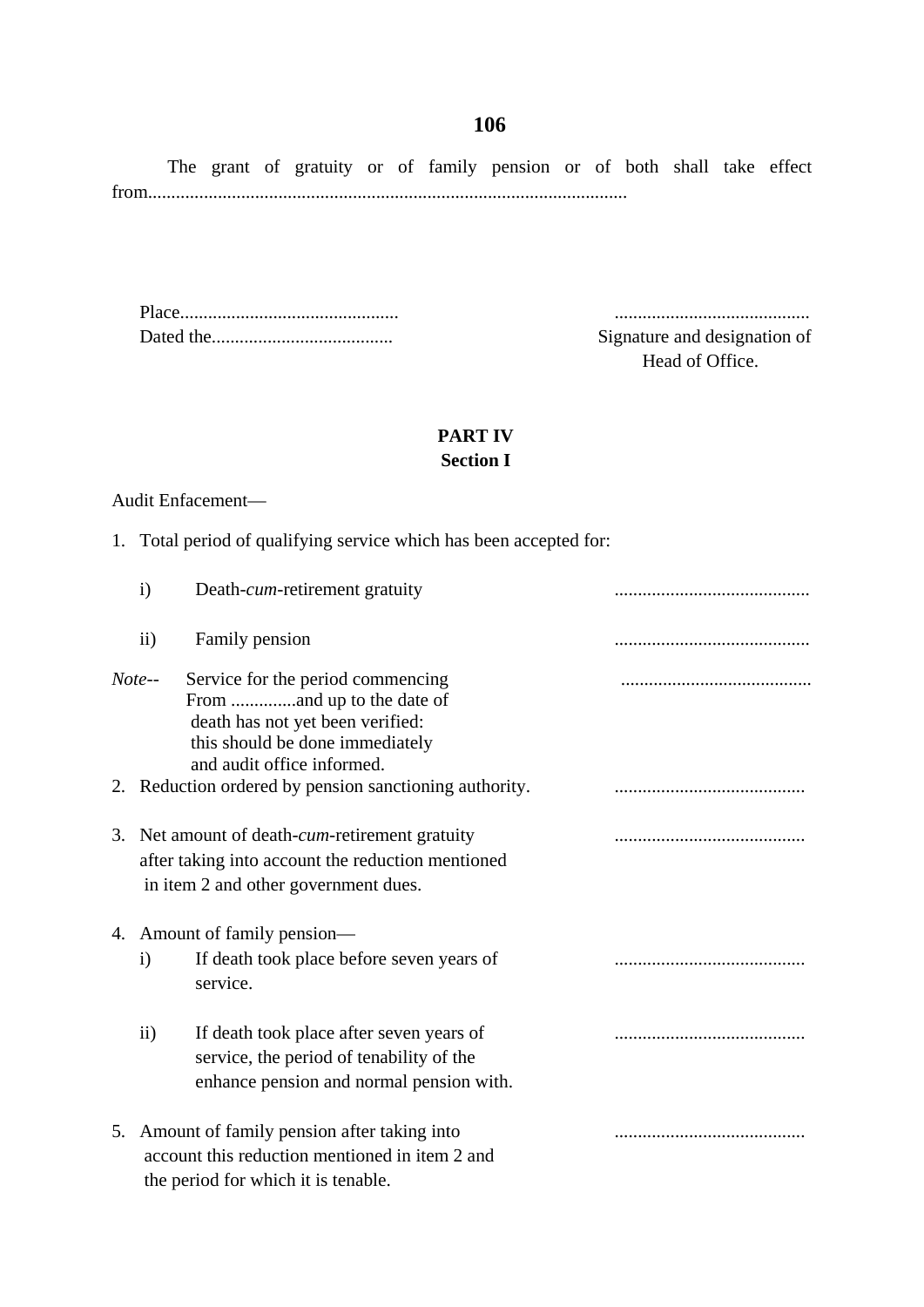The grant of gratuity or of family pension or of both shall take effect from.......................................................................................................

Place............................................... ..........................................

Signature and designation of Head of Office.

### **PART IV Section I**

### Audit Enfacement—

1. Total period of qualifying service which has been accepted for:

| $\mathbf{i}$      | Death- <i>cum</i> -retirement gratuity                                                                                                               |  |
|-------------------|------------------------------------------------------------------------------------------------------------------------------------------------------|--|
| $\ddot{\text{1}}$ | Family pension                                                                                                                                       |  |
| $Note-$           | Service for the period commencing<br>death has not yet been verified:<br>this should be done immediately<br>and audit office informed.               |  |
|                   | 2. Reduction ordered by pension sanctioning authority.                                                                                               |  |
|                   | 3. Net amount of death- <i>cum</i> -retirement gratuity<br>after taking into account the reduction mentioned<br>in item 2 and other government dues. |  |
|                   | 4. Amount of family pension—                                                                                                                         |  |
| $\mathbf{i}$      | If death took place before seven years of<br>service.                                                                                                |  |
| $\rm ii)$         | If death took place after seven years of<br>service, the period of tenability of the<br>enhance pension and normal pension with.                     |  |
|                   | 5. Amount of family pension after taking into<br>account this reduction mentioned in item 2 and<br>the period for which it is tenable.               |  |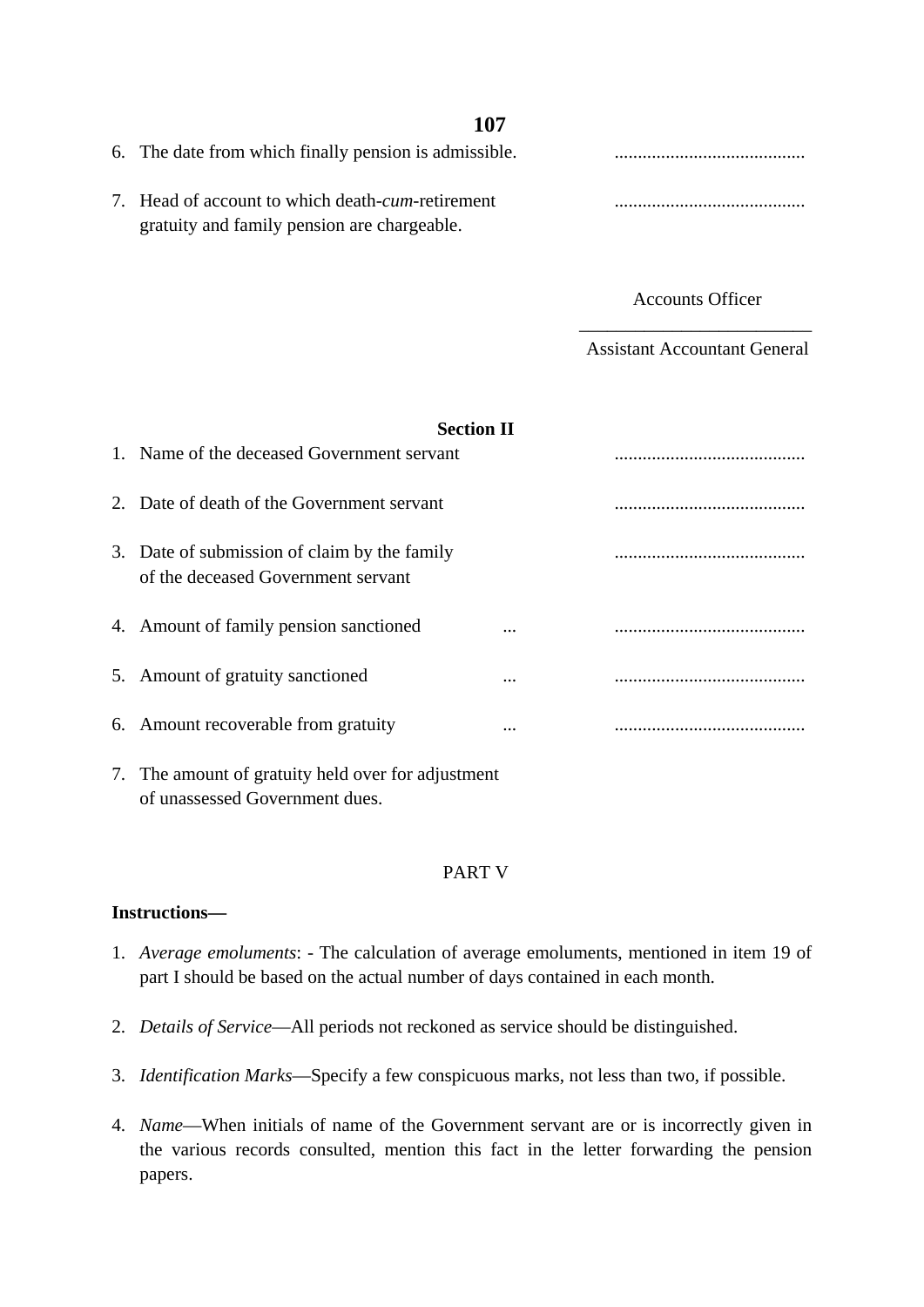| 6. The date from which finally pension is admissible.                                                    |  |
|----------------------------------------------------------------------------------------------------------|--|
| 7. Head of account to which death- <i>cum</i> -retirement<br>gratuity and family pension are chargeable. |  |

Accounts Officer

\_\_\_\_\_\_\_\_\_\_\_\_\_\_\_\_\_\_\_\_\_\_\_\_\_ Assistant Accountant General

| <b>Section II</b>                                                                  |   |  |
|------------------------------------------------------------------------------------|---|--|
| 1. Name of the deceased Government servant                                         |   |  |
| 2. Date of death of the Government servant                                         |   |  |
| 3. Date of submission of claim by the family<br>of the deceased Government servant |   |  |
| 4. Amount of family pension sanctioned                                             | . |  |
| 5. Amount of gratuity sanctioned                                                   | . |  |
| 6. Amount recoverable from gratuity                                                | . |  |
| 7. The amount of gratuity held over for adjustment                                 |   |  |

### PART V

### **Instructions—**

of unassessed Government dues.

- 1. *Average emoluments*: The calculation of average emoluments, mentioned in item 19 of part I should be based on the actual number of days contained in each month.
- 2. *Details of Service*—All periods not reckoned as service should be distinguished.
- 3. *Identification Marks*—Specify a few conspicuous marks, not less than two, if possible.
- 4. *Name*—When initials of name of the Government servant are or is incorrectly given in the various records consulted, mention this fact in the letter forwarding the pension papers.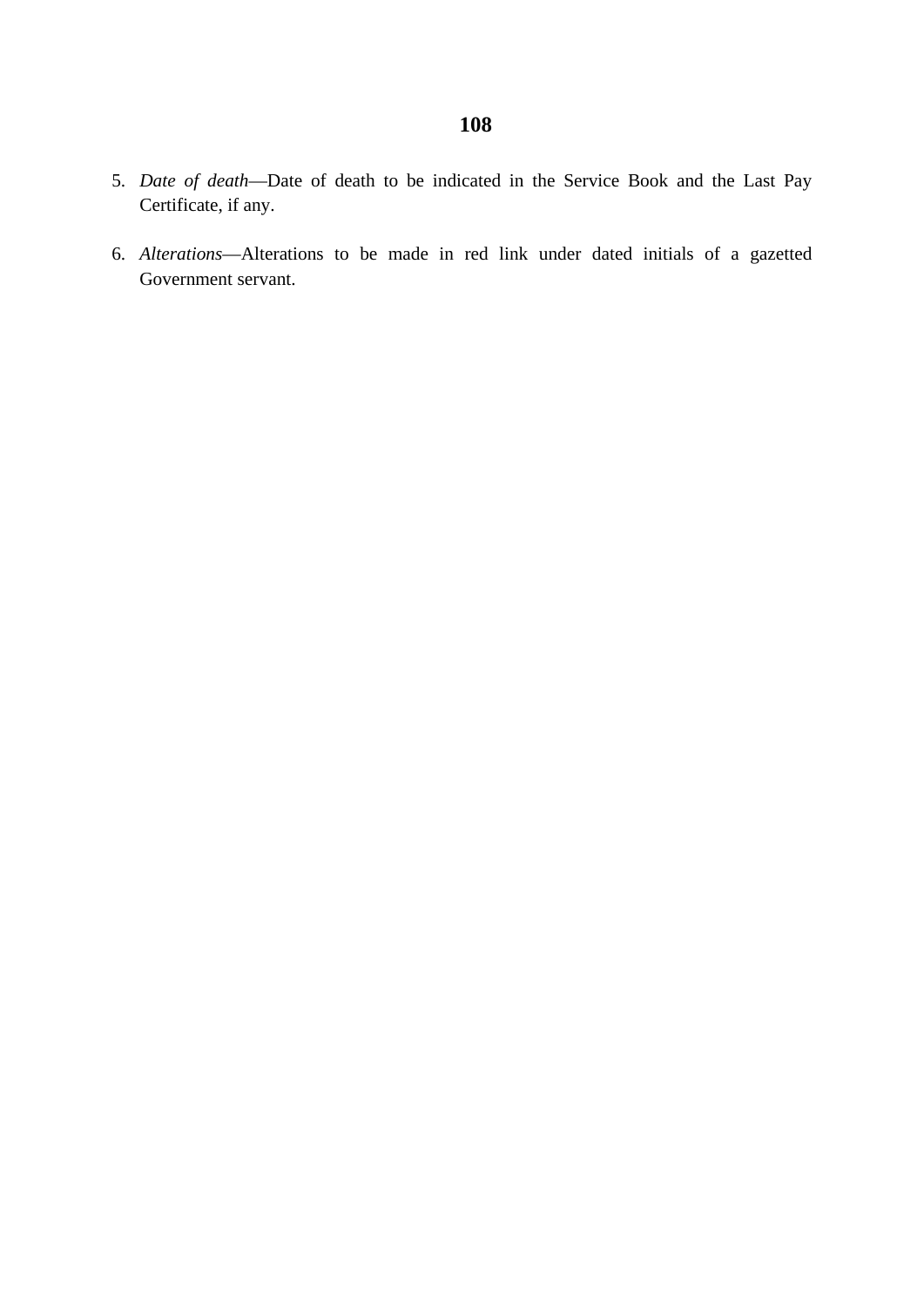- 5. *Date of death*—Date of death to be indicated in the Service Book and the Last Pay Certificate, if any.
- 6. *Alterations*—Alterations to be made in red link under dated initials of a gazetted Government servant.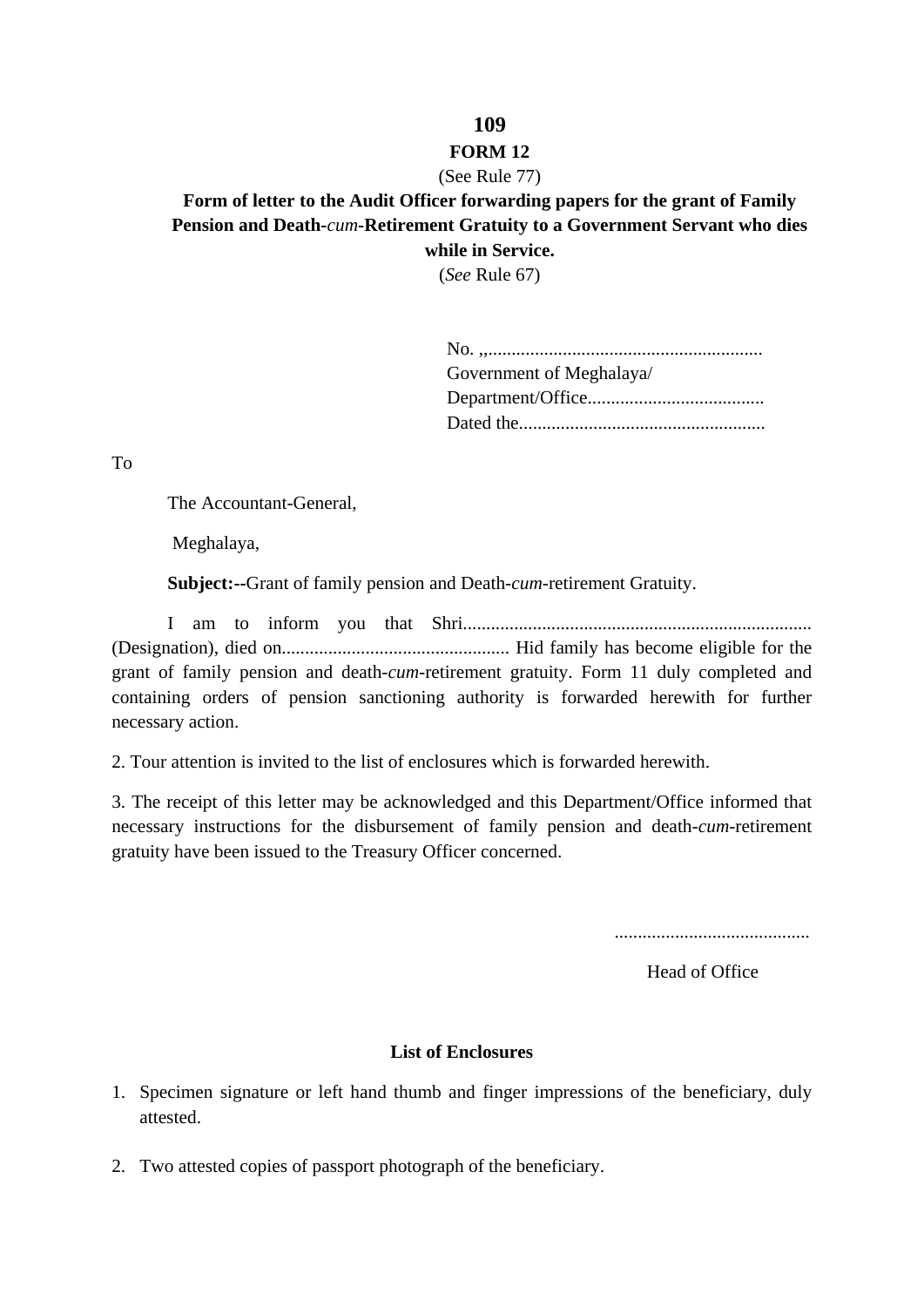### **FORM 12**

### (See Rule 77)

**Form of letter to the Audit Officer forwarding papers for the grant of Family Pension and Death-***cum***-Retirement Gratuity to a Government Servant who dies while in Service.** 

(*See* Rule 67)

| Government of Meghalaya/ |
|--------------------------|
|                          |
|                          |

To

The Accountant-General,

Meghalaya,

**Subject:--**Grant of family pension and Death-*cum*-retirement Gratuity.

I am to inform you that Shri........................................................................... (Designation), died on................................................. Hid family has become eligible for the grant of family pension and death-*cum*-retirement gratuity. Form 11 duly completed and containing orders of pension sanctioning authority is forwarded herewith for further necessary action.

2. Tour attention is invited to the list of enclosures which is forwarded herewith.

3. The receipt of this letter may be acknowledged and this Department/Office informed that necessary instructions for the disbursement of family pension and death-*cum*-retirement gratuity have been issued to the Treasury Officer concerned.

..........................................

Head of Office

### **List of Enclosures**

- 1. Specimen signature or left hand thumb and finger impressions of the beneficiary, duly attested.
- 2. Two attested copies of passport photograph of the beneficiary.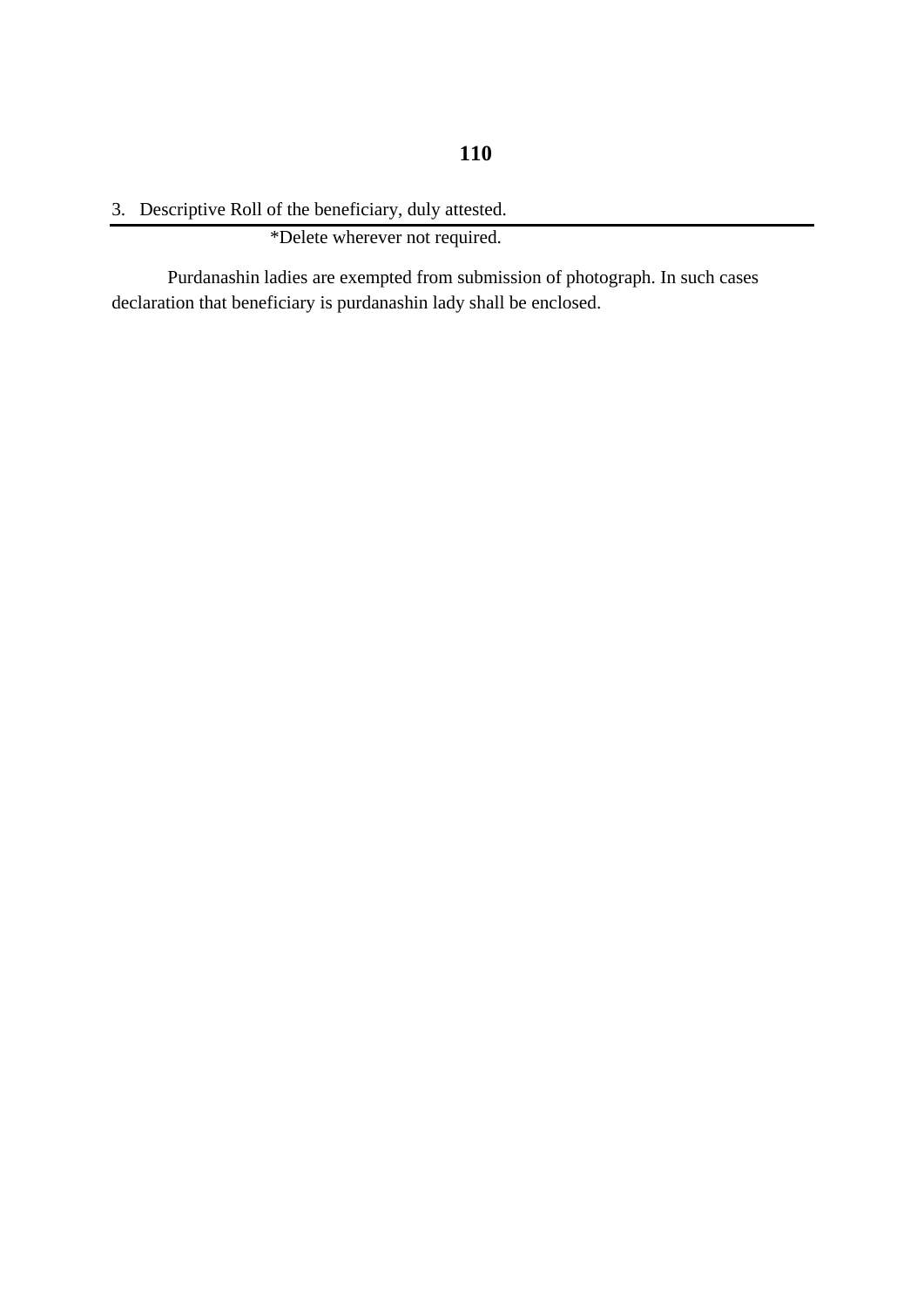3. Descriptive Roll of the beneficiary, duly attested.

\*Delete wherever not required.

Purdanashin ladies are exempted from submission of photograph. In such cases declaration that beneficiary is purdanashin lady shall be enclosed.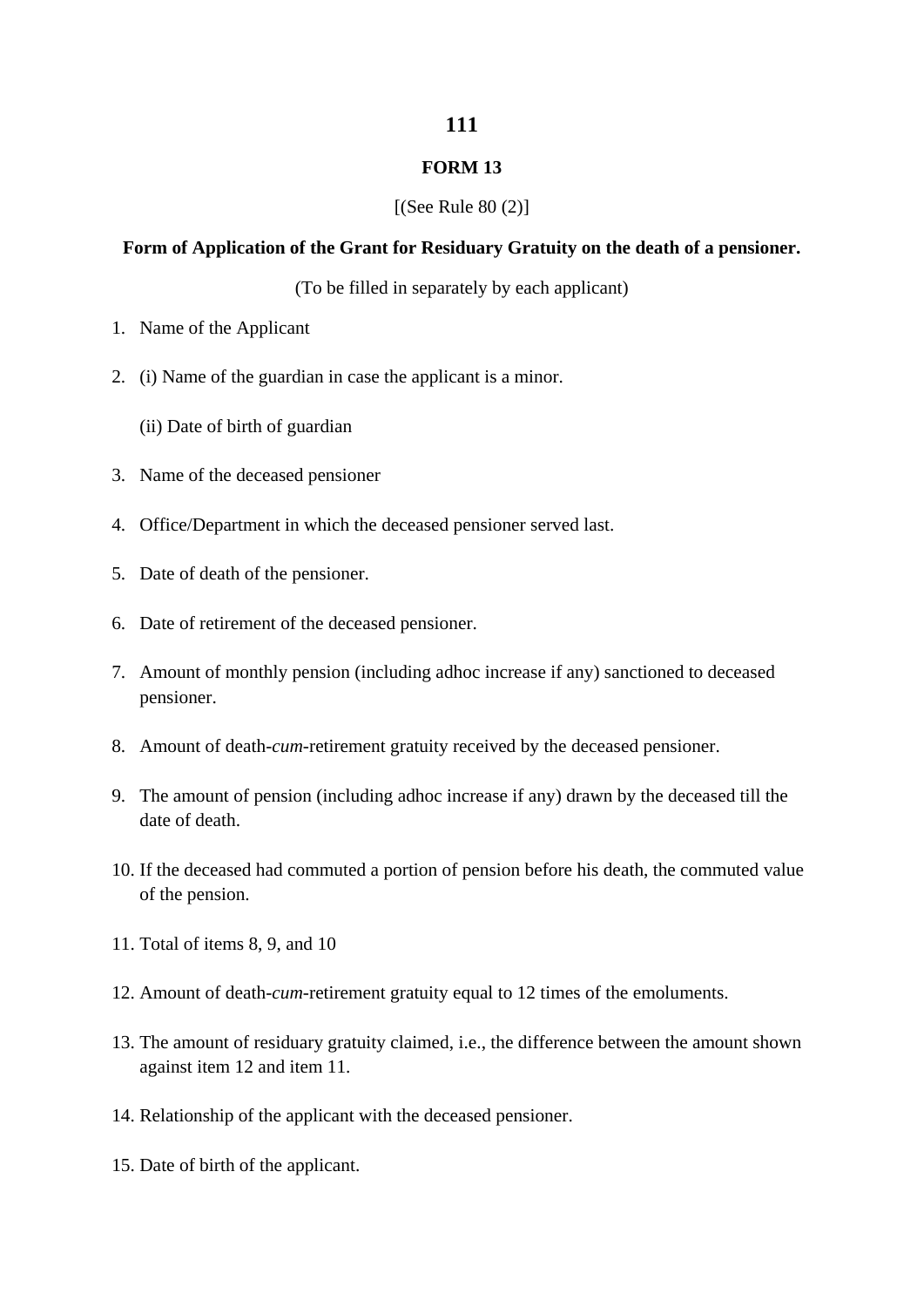### **FORM 13**

### $[(See Rule 80 (2)]$

### **Form of Application of the Grant for Residuary Gratuity on the death of a pensioner.**

(To be filled in separately by each applicant)

- 1. Name of the Applicant
- 2. (i) Name of the guardian in case the applicant is a minor.
	- (ii) Date of birth of guardian
- 3. Name of the deceased pensioner
- 4. Office/Department in which the deceased pensioner served last.
- 5. Date of death of the pensioner.
- 6. Date of retirement of the deceased pensioner.
- 7. Amount of monthly pension (including adhoc increase if any) sanctioned to deceased pensioner.
- 8. Amount of death-*cum*-retirement gratuity received by the deceased pensioner.
- 9. The amount of pension (including adhoc increase if any) drawn by the deceased till the date of death.
- 10. If the deceased had commuted a portion of pension before his death, the commuted value of the pension.
- 11. Total of items 8, 9, and 10
- 12. Amount of death-*cum*-retirement gratuity equal to 12 times of the emoluments.
- 13. The amount of residuary gratuity claimed, i.e., the difference between the amount shown against item 12 and item 11.
- 14. Relationship of the applicant with the deceased pensioner.
- 15. Date of birth of the applicant.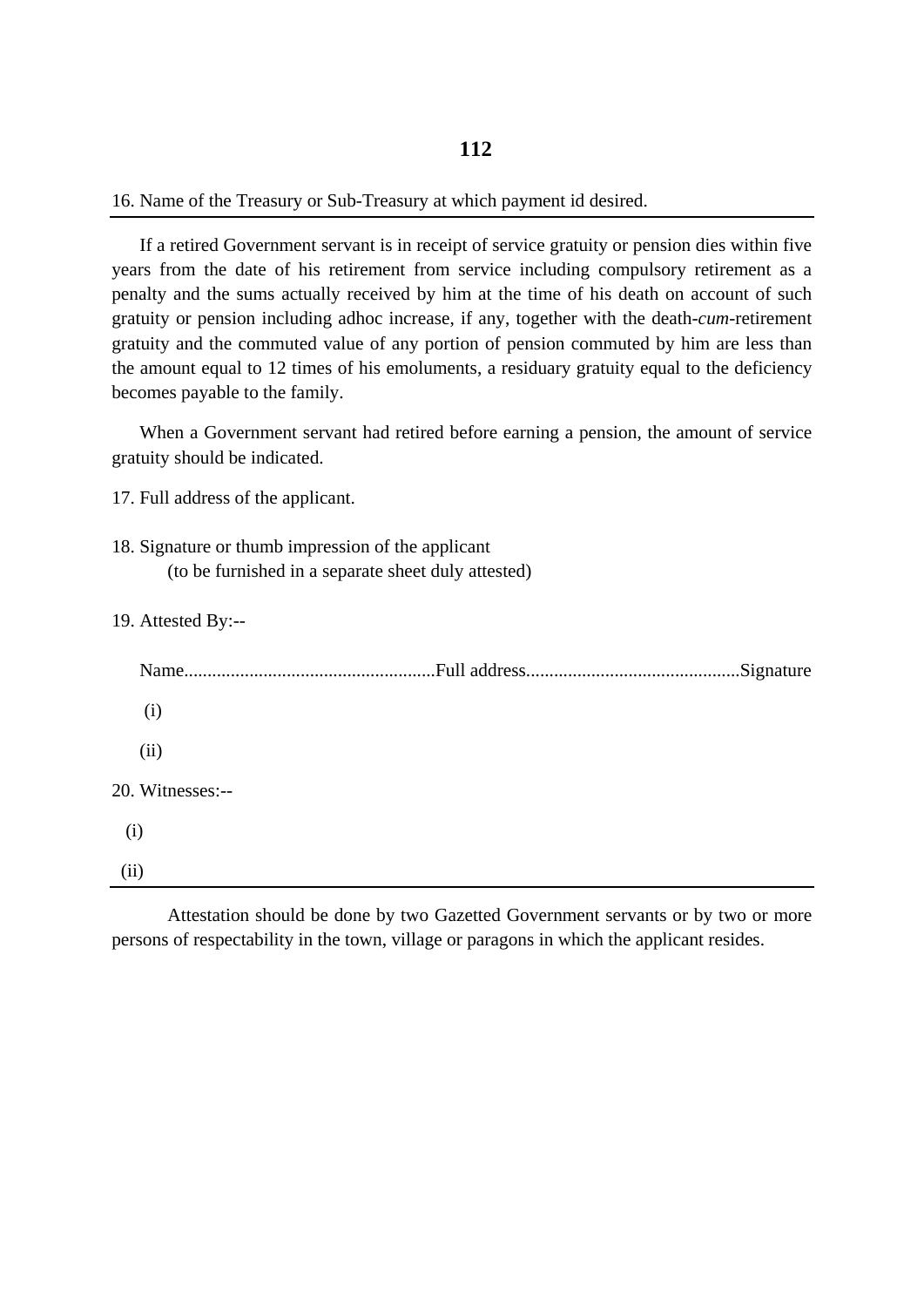16. Name of the Treasury or Sub-Treasury at which payment id desired.

If a retired Government servant is in receipt of service gratuity or pension dies within five years from the date of his retirement from service including compulsory retirement as a penalty and the sums actually received by him at the time of his death on account of such gratuity or pension including adhoc increase, if any, together with the death-*cum*-retirement gratuity and the commuted value of any portion of pension commuted by him are less than the amount equal to 12 times of his emoluments, a residuary gratuity equal to the deficiency becomes payable to the family.

When a Government servant had retired before earning a pension, the amount of service gratuity should be indicated.

17. Full address of the applicant.

- 18. Signature or thumb impression of the applicant (to be furnished in a separate sheet duly attested)
- 19. Attested By:--

| (i)              |  |
|------------------|--|
| (ii)             |  |
| 20. Witnesses:-- |  |
| (i)              |  |
| (ii)             |  |

Attestation should be done by two Gazetted Government servants or by two or more persons of respectability in the town, village or paragons in which the applicant resides.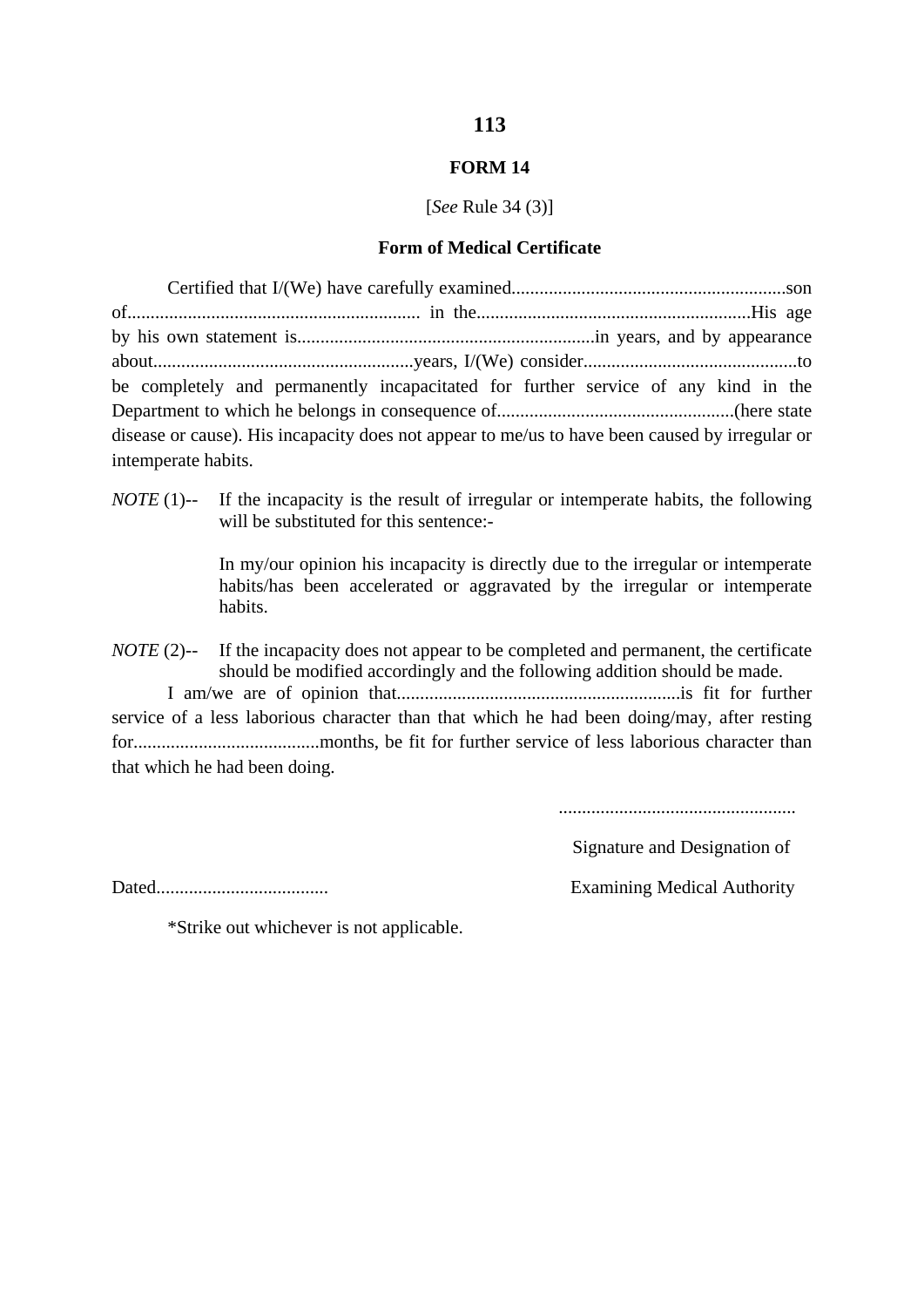# **FORM 14**

[*See* Rule 34 (3)]

### **Form of Medical Certificate**

| be completely and permanently incapacitated for further service of any kind in the             |  |
|------------------------------------------------------------------------------------------------|--|
|                                                                                                |  |
| disease or cause). His incapacity does not appear to me/us to have been caused by irregular or |  |
| intemperate habits.                                                                            |  |

*NOTE* (1)-- If the incapacity is the result of irregular or intemperate habits, the following will be substituted for this sentence:-

> In my/our opinion his incapacity is directly due to the irregular or intemperate habits/has been accelerated or aggravated by the irregular or intemperate habits.

*NOTE* (2)-- If the incapacity does not appear to be completed and permanent, the certificate should be modified accordingly and the following addition should be made.

I am/we are of opinion that.............................................................is fit for further service of a less laborious character than that which he had been doing/may, after resting for........................................months, be fit for further service of less laborious character than that which he had been doing.

...................................................

Signature and Designation of

Dated..................................... Examining Medical Authority

\*Strike out whichever is not applicable.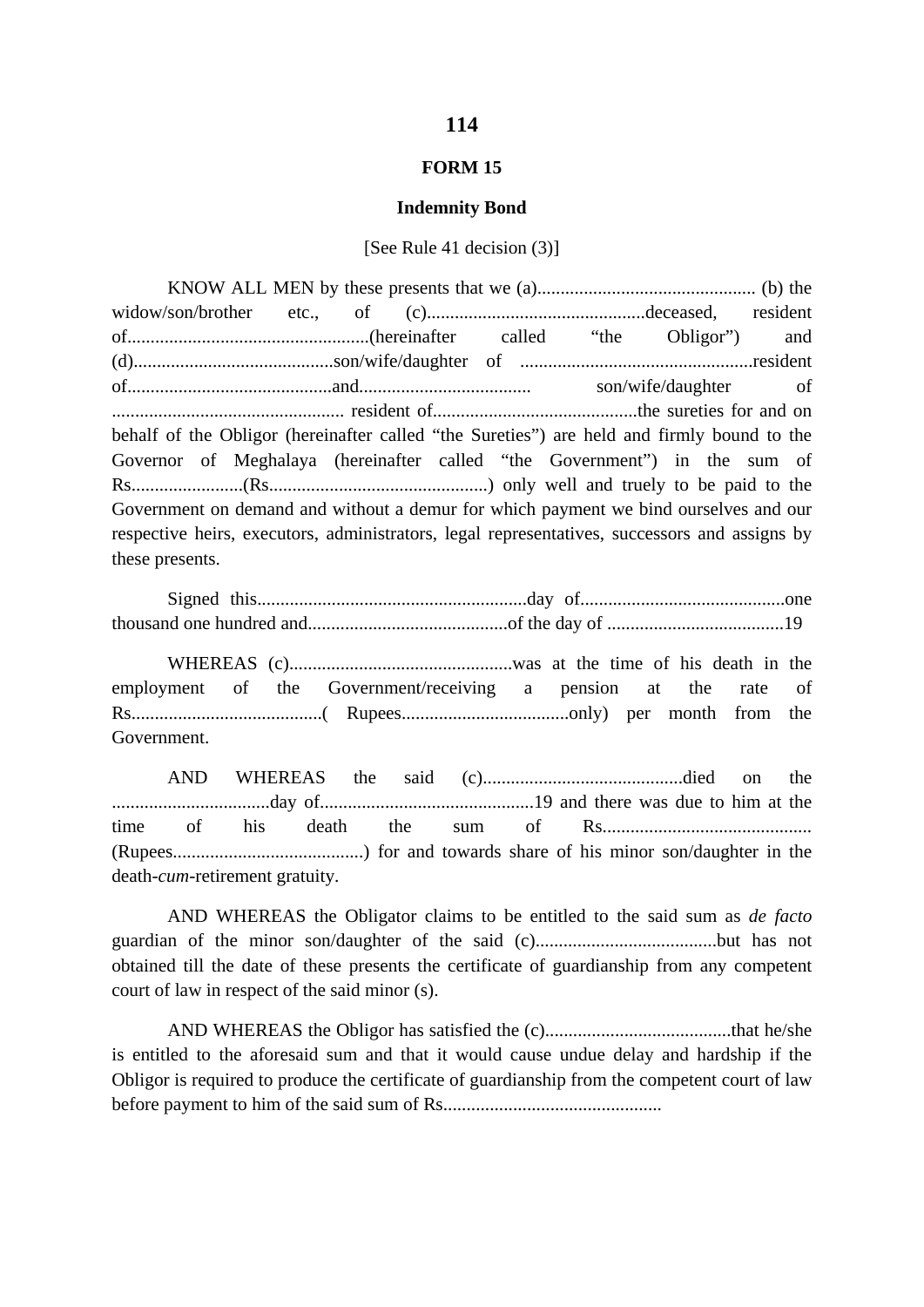### **FORM 15**

#### **Indemnity Bond**

### [See Rule 41 decision (3)]

KNOW ALL MEN by these presents that we (a)............................................... (b) the widow/son/brother etc., of (c)...............................................deceased, resident of....................................................(hereinafter called "the Obligor") and (d)...........................................son/wife/daughter of ..................................................resident of............................................and..................................... son/wife/daughter of .................................................. resident of............................................the sureties for and on behalf of the Obligor (hereinafter called "the Sureties") are held and firmly bound to the Governor of Meghalaya (hereinafter called "the Government") in the sum of Rs........................(Rs...............................................) only well and truely to be paid to the Government on demand and without a demur for which payment we bind ourselves and our respective heirs, executors, administrators, legal representatives, successors and assigns by these presents.

Signed this..........................................................day of............................................one thousand one hundred and...........................................of the day of ......................................19

WHEREAS (c)................................................was at the time of his death in the employment of the Government/receiving a pension at the rate of Rs.........................................( Rupees....................................only) per month from the Government.

AND WHEREAS the said (c)...........................................died on the ..................................day of..............................................19 and there was due to him at the time of his death the sum of Rs............................................. (Rupees.........................................) for and towards share of his minor son/daughter in the death-*cum*-retirement gratuity.

AND WHEREAS the Obligator claims to be entitled to the said sum as *de facto* guardian of the minor son/daughter of the said (c).......................................but has not obtained till the date of these presents the certificate of guardianship from any competent court of law in respect of the said minor (s).

AND WHEREAS the Obligor has satisfied the (c)........................................that he/she is entitled to the aforesaid sum and that it would cause undue delay and hardship if the Obligor is required to produce the certificate of guardianship from the competent court of law before payment to him of the said sum of Rs...............................................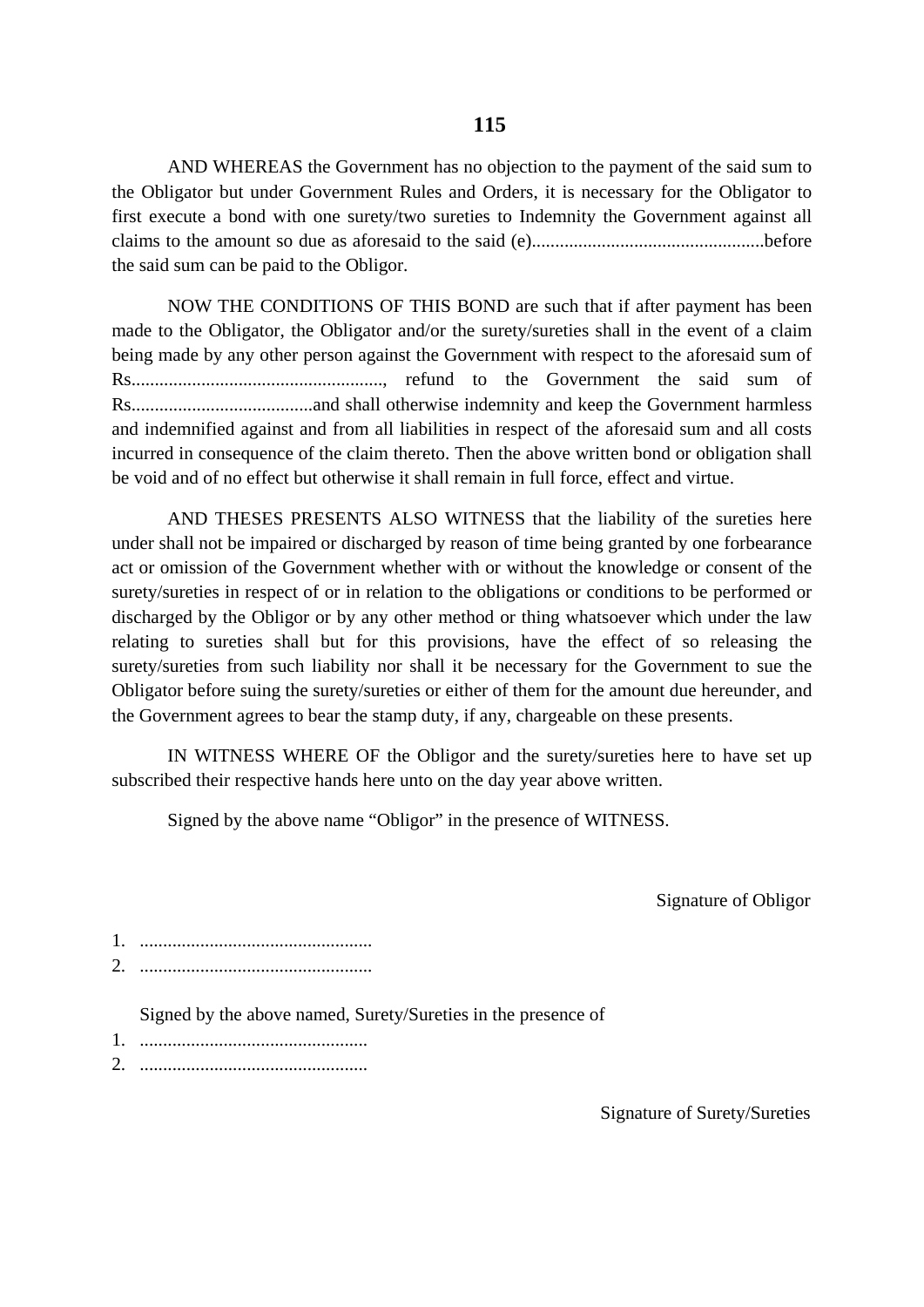AND WHEREAS the Government has no objection to the payment of the said sum to the Obligator but under Government Rules and Orders, it is necessary for the Obligator to first execute a bond with one surety/two sureties to Indemnity the Government against all claims to the amount so due as aforesaid to the said (e)..................................................before the said sum can be paid to the Obligor.

NOW THE CONDITIONS OF THIS BOND are such that if after payment has been made to the Obligator, the Obligator and/or the surety/sureties shall in the event of a claim being made by any other person against the Government with respect to the aforesaid sum of Rs......................................................, refund to the Government the said sum of Rs.......................................and shall otherwise indemnity and keep the Government harmless and indemnified against and from all liabilities in respect of the aforesaid sum and all costs incurred in consequence of the claim thereto. Then the above written bond or obligation shall be void and of no effect but otherwise it shall remain in full force, effect and virtue.

AND THESES PRESENTS ALSO WITNESS that the liability of the sureties here under shall not be impaired or discharged by reason of time being granted by one forbearance act or omission of the Government whether with or without the knowledge or consent of the surety/sureties in respect of or in relation to the obligations or conditions to be performed or discharged by the Obligor or by any other method or thing whatsoever which under the law relating to sureties shall but for this provisions, have the effect of so releasing the surety/sureties from such liability nor shall it be necessary for the Government to sue the Obligator before suing the surety/sureties or either of them for the amount due hereunder, and the Government agrees to bear the stamp duty, if any, chargeable on these presents.

IN WITNESS WHERE OF the Obligor and the surety/sureties here to have set up subscribed their respective hands here unto on the day year above written.

Signed by the above name "Obligor" in the presence of WITNESS.

Signature of Obligor

- 1. ..................................................
- 2. ..................................................

Signed by the above named, Surety/Sureties in the presence of

- 1. .................................................
- 2. .................................................

Signature of Surety/Sureties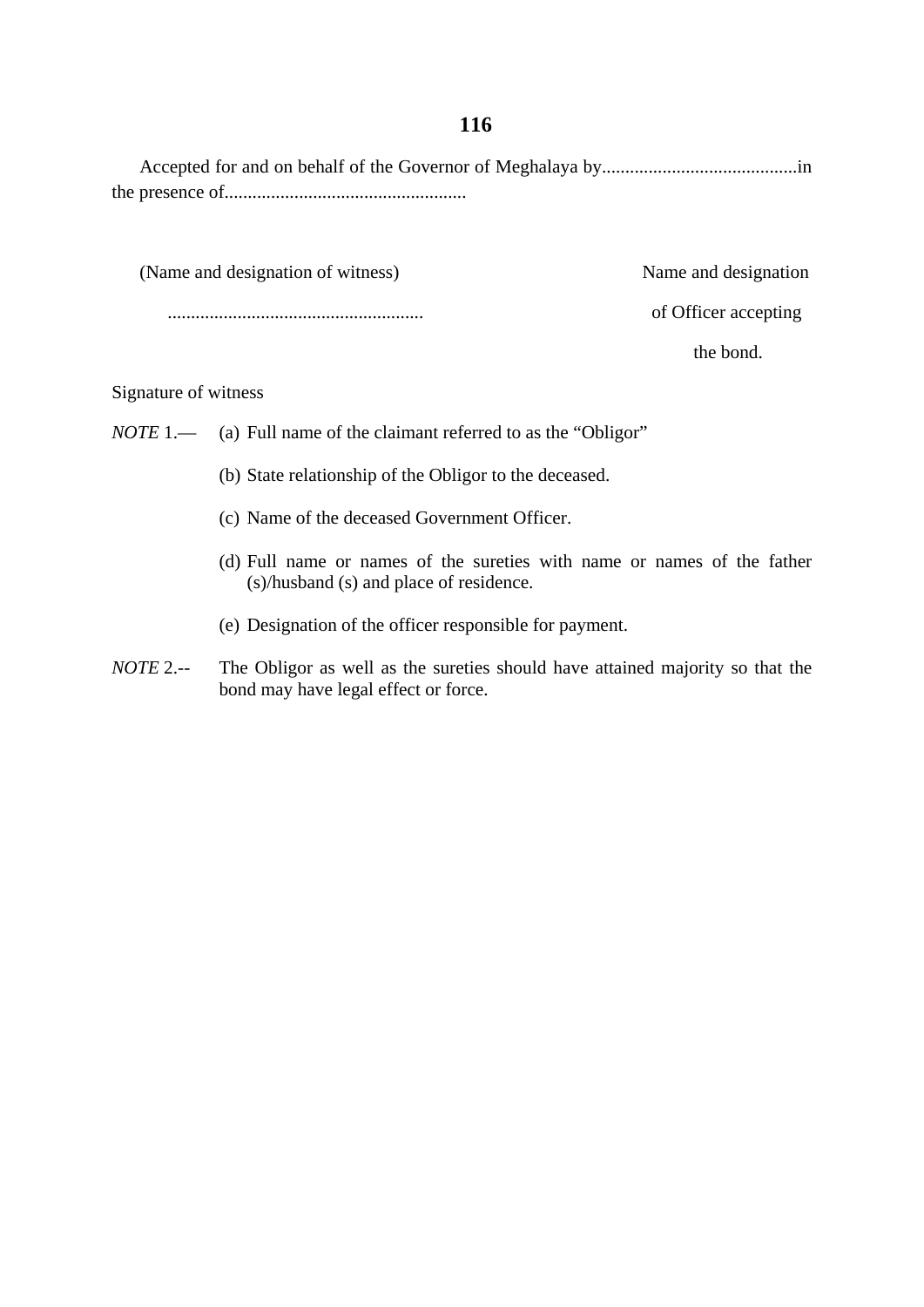Accepted for and on behalf of the Governor of Meghalaya by..........................................in the presence of....................................................

(Name and designation of witness) Name and designation

....................................................... of Officer accepting

the bond.

### Signature of witness

- *NOTE* 1.— (a) Full name of the claimant referred to as the "Obligor"
	- (b) State relationship of the Obligor to the deceased.
	- (c) Name of the deceased Government Officer.
	- (d) Full name or names of the sureties with name or names of the father (s)/husband (s) and place of residence.
	- (e) Designation of the officer responsible for payment.
- *NOTE* 2.-- The Obligor as well as the sureties should have attained majority so that the bond may have legal effect or force.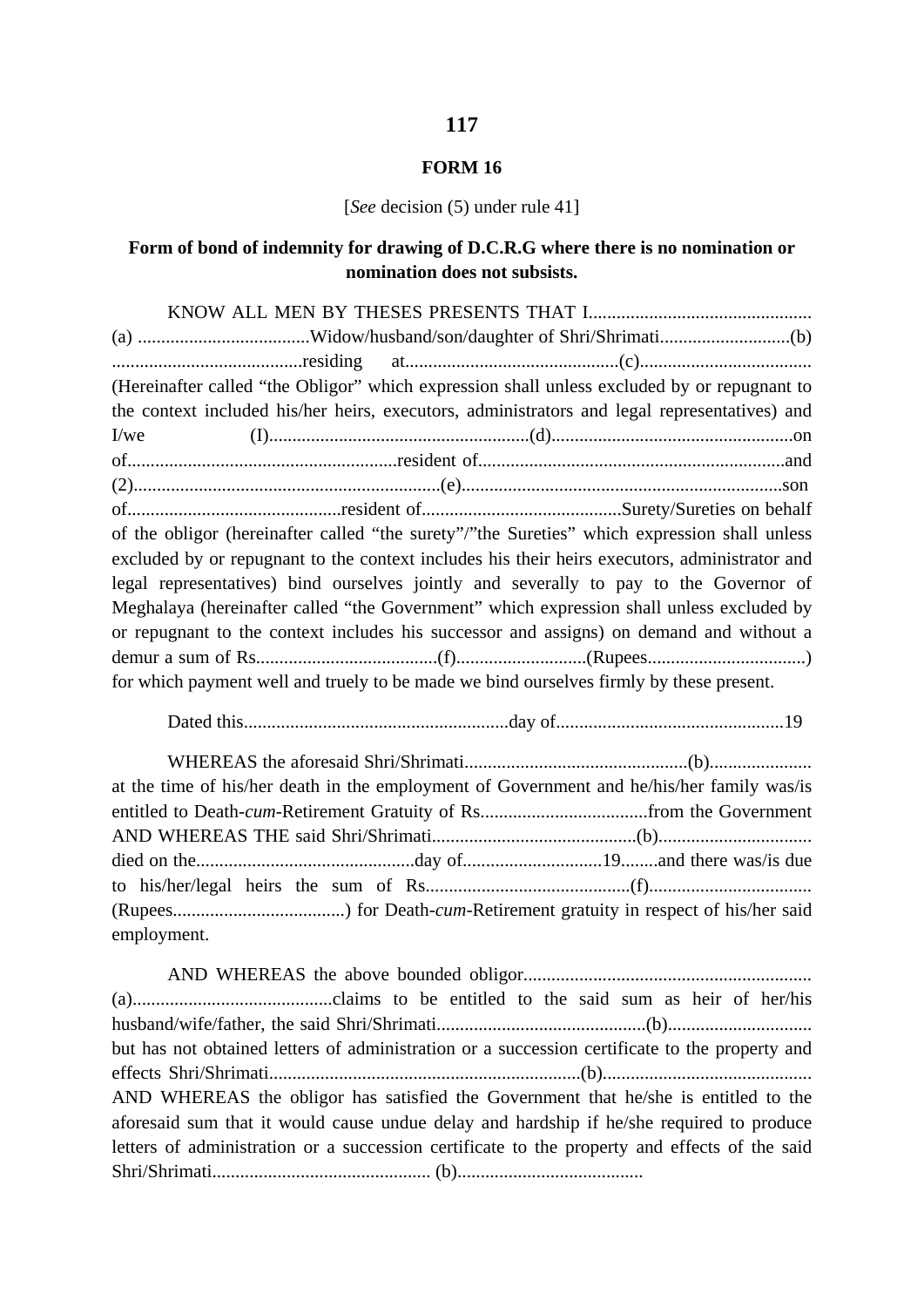### **FORM 16**

#### [*See* decision (5) under rule 41]

### **Form of bond of indemnity for drawing of D.C.R.G where there is no nomination or nomination does not subsists.**

|      | (Hereinafter called "the Obligor" which expression shall unless excluded by or repugnant to   |  |  |
|------|-----------------------------------------------------------------------------------------------|--|--|
|      | the context included his/her heirs, executors, administrators and legal representatives) and  |  |  |
| I/we |                                                                                               |  |  |
|      |                                                                                               |  |  |
|      |                                                                                               |  |  |
|      |                                                                                               |  |  |
|      | of the obligor (hereinafter called "the surety"/"the Sureties" which expression shall unless  |  |  |
|      | excluded by or repugnant to the context includes his their heirs executors, administrator and |  |  |
|      | legal representatives) bind ourselves jointly and severally to pay to the Governor of         |  |  |
|      | Meghalaya (hereinafter called "the Government" which expression shall unless excluded by      |  |  |
|      | or repugnant to the context includes his successor and assigns) on demand and without a       |  |  |
|      |                                                                                               |  |  |
|      | for which payment well and truely to be made we bind ourselves firmly by these present.       |  |  |

Dated this.........................................................day of.................................................19

WHEREAS the aforesaid Shri/Shrimati................................................(b)...................... at the time of his/her death in the employment of Government and he/his/her family was/is entitled to Death-*cum*-Retirement Gratuity of Rs....................................from the Government AND WHEREAS THE said Shri/Shrimati............................................(b)................................. died on the...............................................day of..............................19........and there was/is due to his/her/legal heirs the sum of Rs............................................(f)................................... (Rupees.....................................) for Death-*cum*-Retirement gratuity in respect of his/her said employment.

AND WHEREAS the above bounded obligor.............................................................. (a)...........................................claims to be entitled to the said sum as heir of her/his husband/wife/father, the said Shri/Shrimati.............................................(b)............................... but has not obtained letters of administration or a succession certificate to the property and effects Shri/Shrimati...................................................................(b)............................................. AND WHEREAS the obligor has satisfied the Government that he/she is entitled to the aforesaid sum that it would cause undue delay and hardship if he/she required to produce letters of administration or a succession certificate to the property and effects of the said Shri/Shrimati............................................... (b)........................................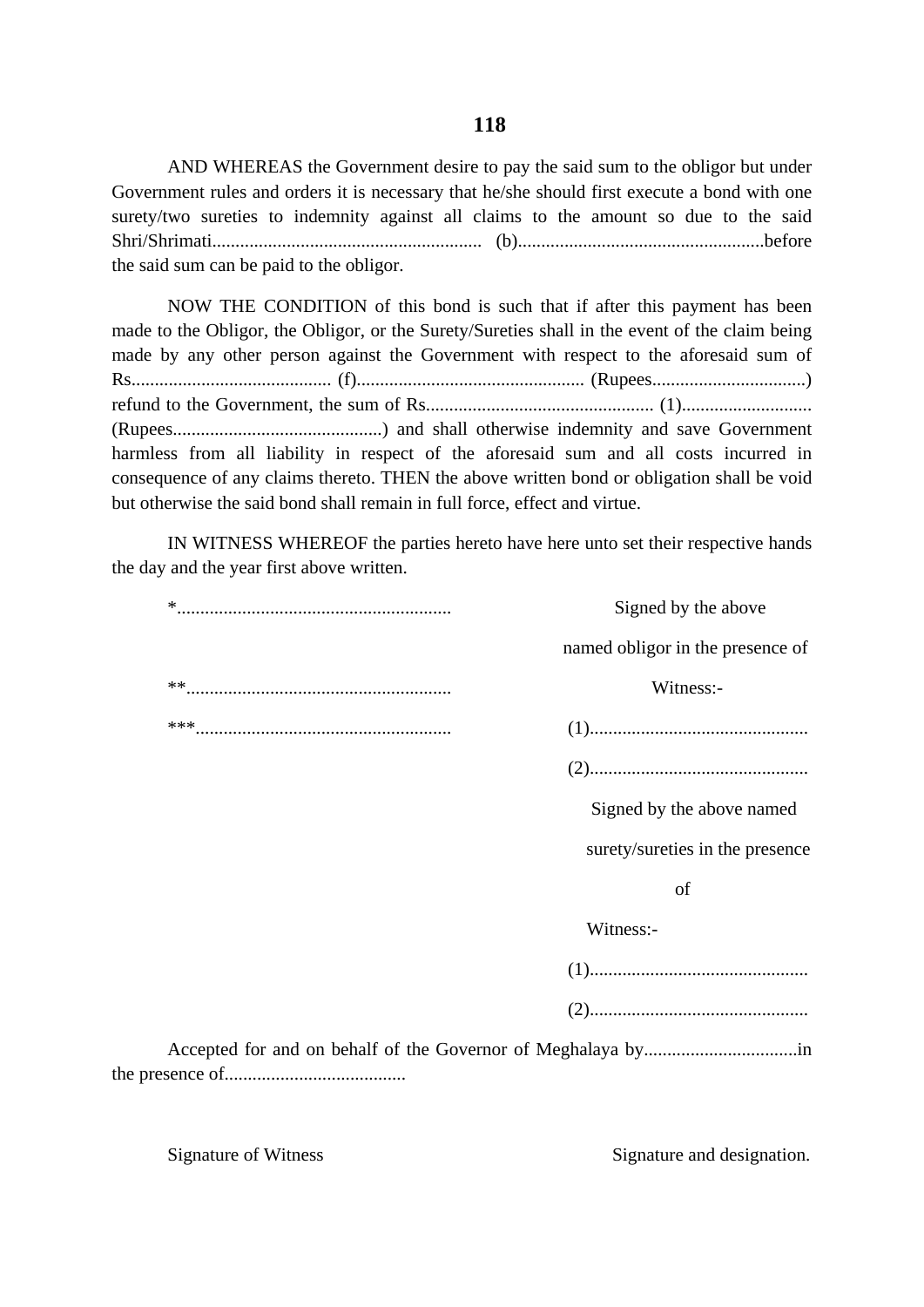AND WHEREAS the Government desire to pay the said sum to the obligor but under Government rules and orders it is necessary that he/she should first execute a bond with one surety/two sureties to indemnity against all claims to the amount so due to the said Shri/Shrimati.......................................................... (b).....................................................before the said sum can be paid to the obligor.

NOW THE CONDITION of this bond is such that if after this payment has been made to the Obligor, the Obligor, or the Surety/Sureties shall in the event of the claim being made by any other person against the Government with respect to the aforesaid sum of Rs........................................... (f)................................................. (Rupees.................................) refund to the Government, the sum of Rs................................................. (1)............................ (Rupees.............................................) and shall otherwise indemnity and save Government harmless from all liability in respect of the aforesaid sum and all costs incurred in consequence of any claims thereto. THEN the above written bond or obligation shall be void but otherwise the said bond shall remain in full force, effect and virtue.

IN WITNESS WHEREOF the parties hereto have here unto set their respective hands the day and the year first above written.

|    | Signed by the above              |
|----|----------------------------------|
|    | named obligor in the presence of |
| ** | Witness:-                        |
|    |                                  |
|    |                                  |
|    | Signed by the above named        |
|    | surety/sureties in the presence  |
|    | of                               |
|    | Witness:-                        |
|    |                                  |
|    |                                  |
|    |                                  |

Signature of Witness Signature and designation.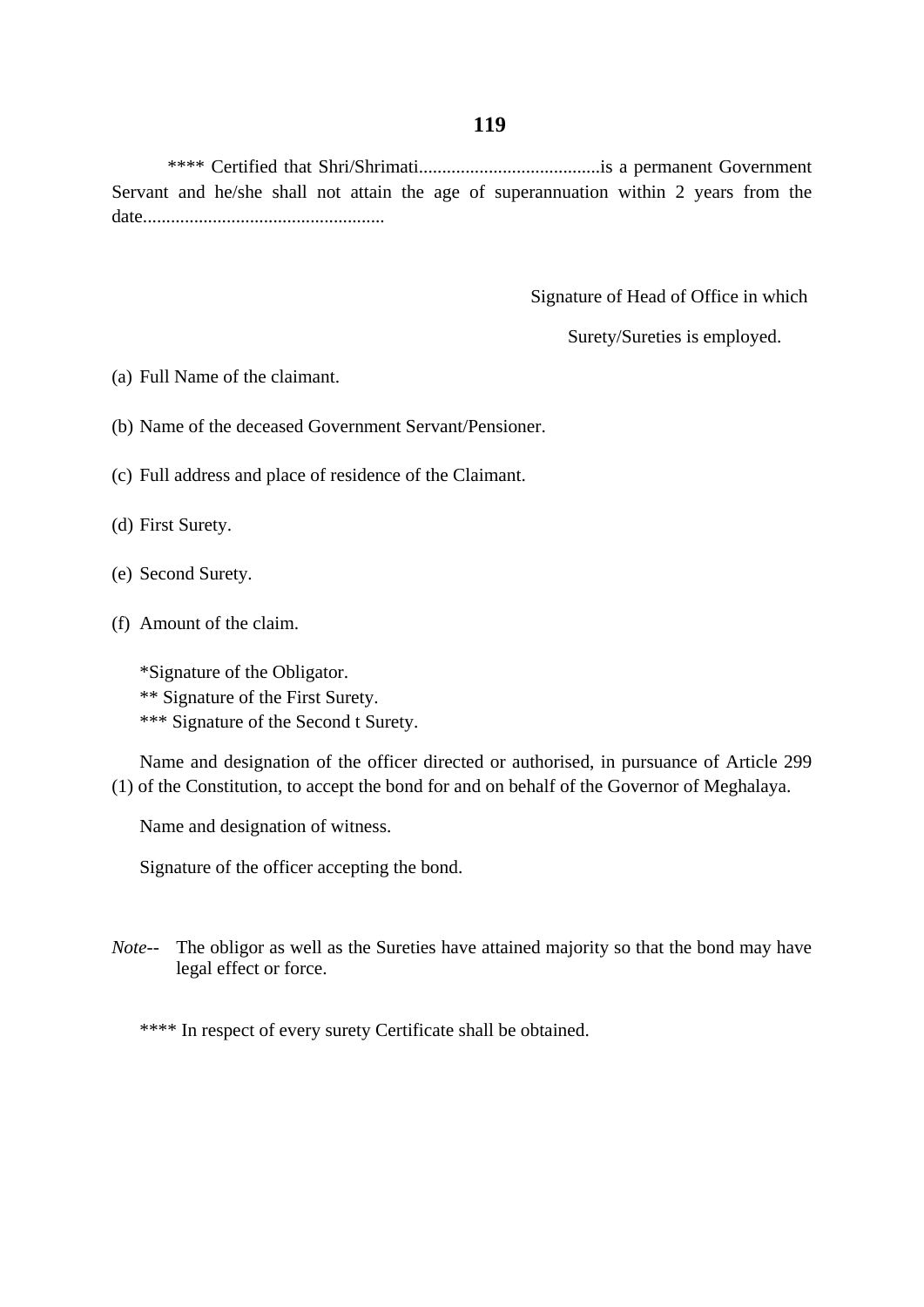\*\*\*\* Certified that Shri/Shrimati.......................................is a permanent Government Servant and he/she shall not attain the age of superannuation within 2 years from the date....................................................

Signature of Head of Office in which

Surety/Sureties is employed.

(a) Full Name of the claimant.

(b) Name of the deceased Government Servant/Pensioner.

(c) Full address and place of residence of the Claimant.

(d) First Surety.

- (e) Second Surety.
- (f) Amount of the claim.

\*Signature of the Obligator. \*\* Signature of the First Surety. \*\*\* Signature of the Second t Surety.

Name and designation of the officer directed or authorised, in pursuance of Article 299 (1) of the Constitution, to accept the bond for and on behalf of the Governor of Meghalaya.

Name and designation of witness.

Signature of the officer accepting the bond.

*Note*-- The obligor as well as the Sureties have attained majority so that the bond may have legal effect or force.

\*\*\*\* In respect of every surety Certificate shall be obtained.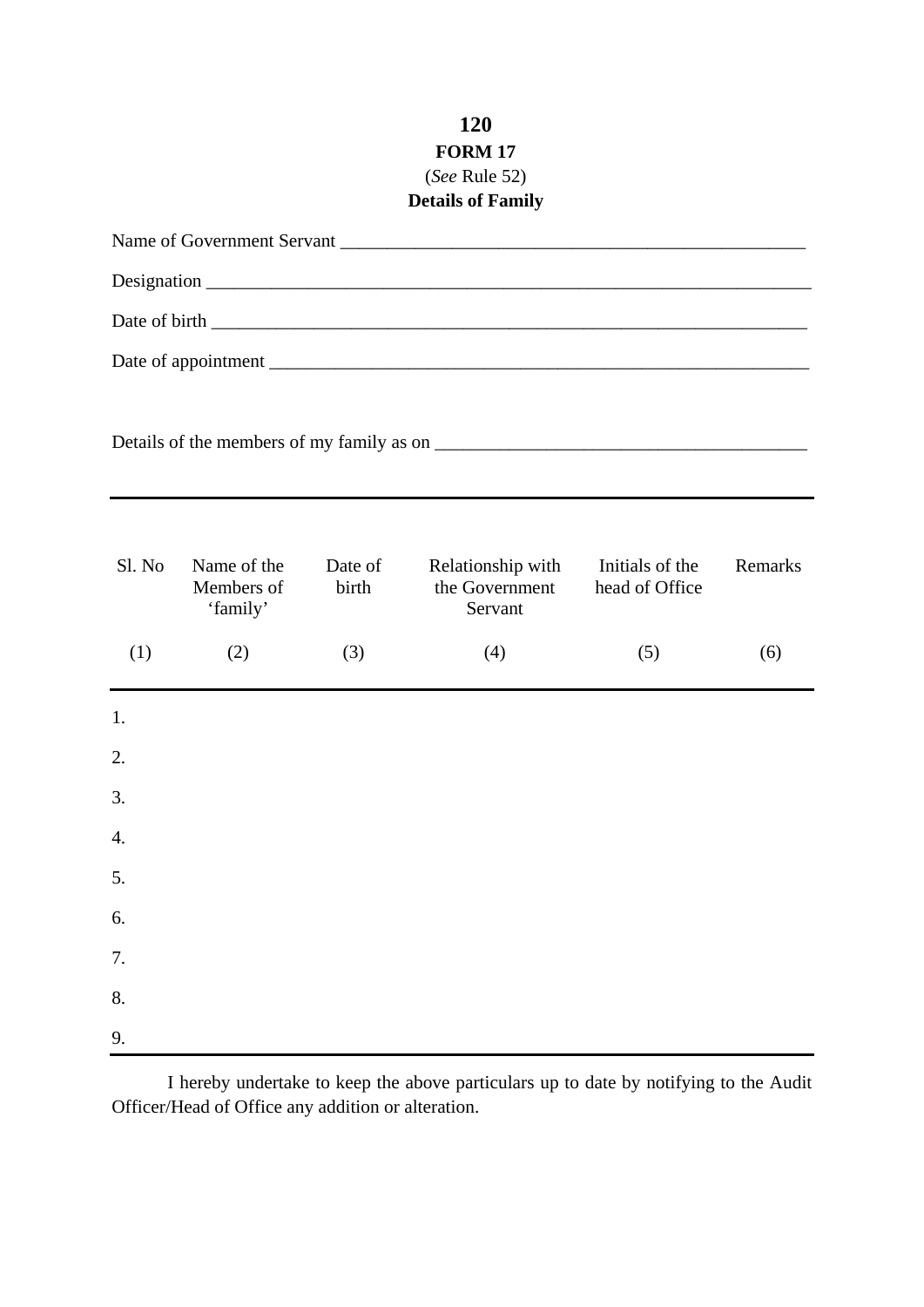# **120 FORM 17** (*See* Rule 52)

# **Details of Family**

| Name of Government Servant |                                       |                  |                                                |                                   |         |  |
|----------------------------|---------------------------------------|------------------|------------------------------------------------|-----------------------------------|---------|--|
|                            |                                       |                  |                                                |                                   |         |  |
|                            |                                       |                  |                                                |                                   |         |  |
|                            |                                       |                  |                                                |                                   |         |  |
|                            |                                       |                  |                                                |                                   |         |  |
| Sl. No                     | Name of the<br>Members of<br>'family' | Date of<br>birth | Relationship with<br>the Government<br>Servant | Initials of the<br>head of Office | Remarks |  |
| (1)                        | (2)                                   | (3)              | (4)                                            | (5)                               | (6)     |  |
| 1.                         |                                       |                  |                                                |                                   |         |  |
| 2.                         |                                       |                  |                                                |                                   |         |  |
| 3.                         |                                       |                  |                                                |                                   |         |  |
| 4.                         |                                       |                  |                                                |                                   |         |  |
| 5.                         |                                       |                  |                                                |                                   |         |  |
| 6.                         |                                       |                  |                                                |                                   |         |  |
| 7.                         |                                       |                  |                                                |                                   |         |  |
| 8.                         |                                       |                  |                                                |                                   |         |  |
| 9.                         |                                       |                  |                                                |                                   |         |  |

I hereby undertake to keep the above particulars up to date by notifying to the Audit Officer/Head of Office any addition or alteration.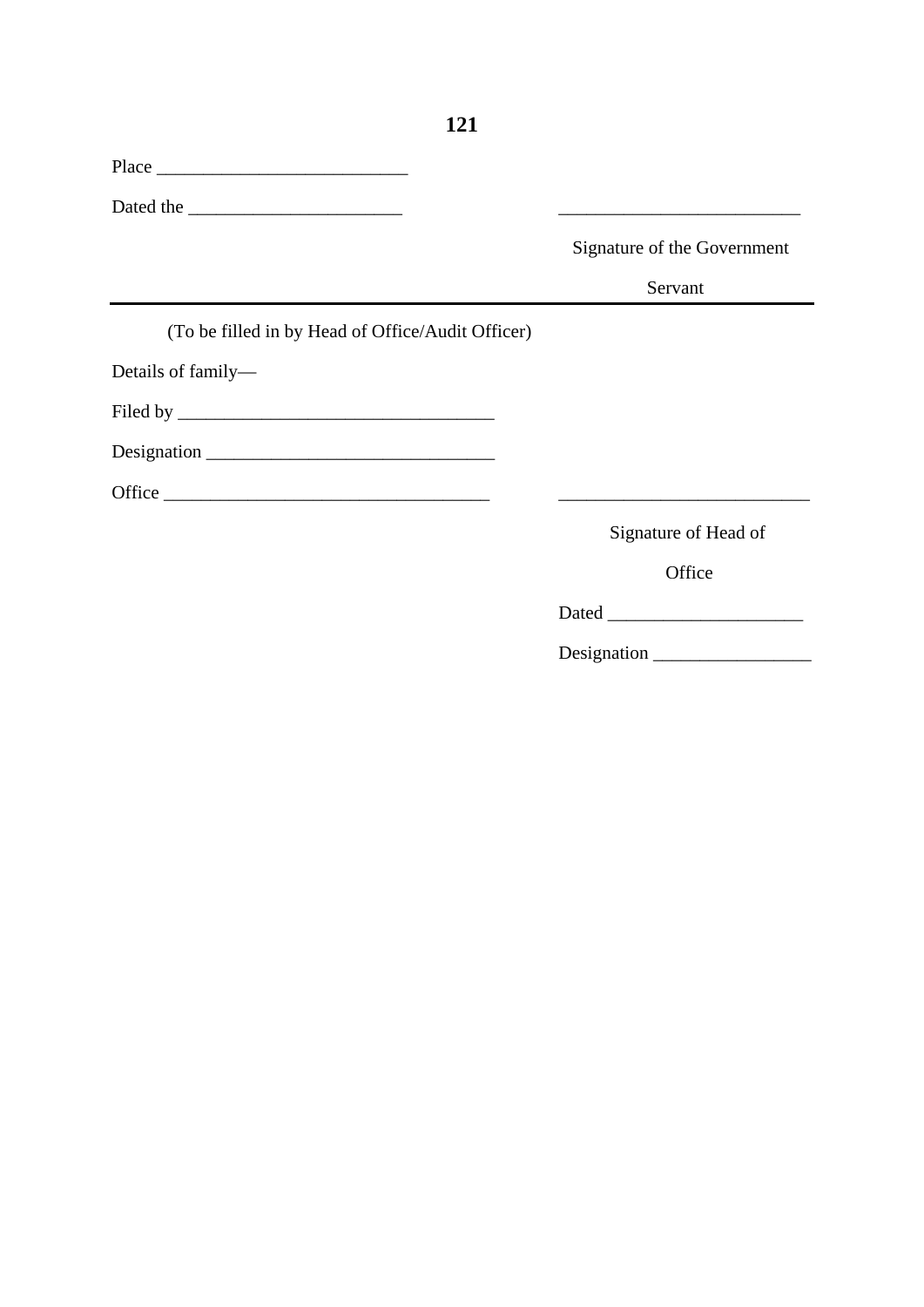| $Place \_$                                        |                                                                                           |
|---------------------------------------------------|-------------------------------------------------------------------------------------------|
|                                                   |                                                                                           |
|                                                   | Signature of the Government                                                               |
|                                                   | Servant                                                                                   |
| (To be filled in by Head of Office/Audit Officer) |                                                                                           |
| Details of family—                                |                                                                                           |
|                                                   |                                                                                           |
|                                                   |                                                                                           |
|                                                   | the control of the control of the control of the control of the control of the control of |
|                                                   | Signature of Head of                                                                      |
|                                                   | Office                                                                                    |
|                                                   |                                                                                           |

Designation \_\_\_\_\_\_\_\_\_\_\_\_\_\_\_\_\_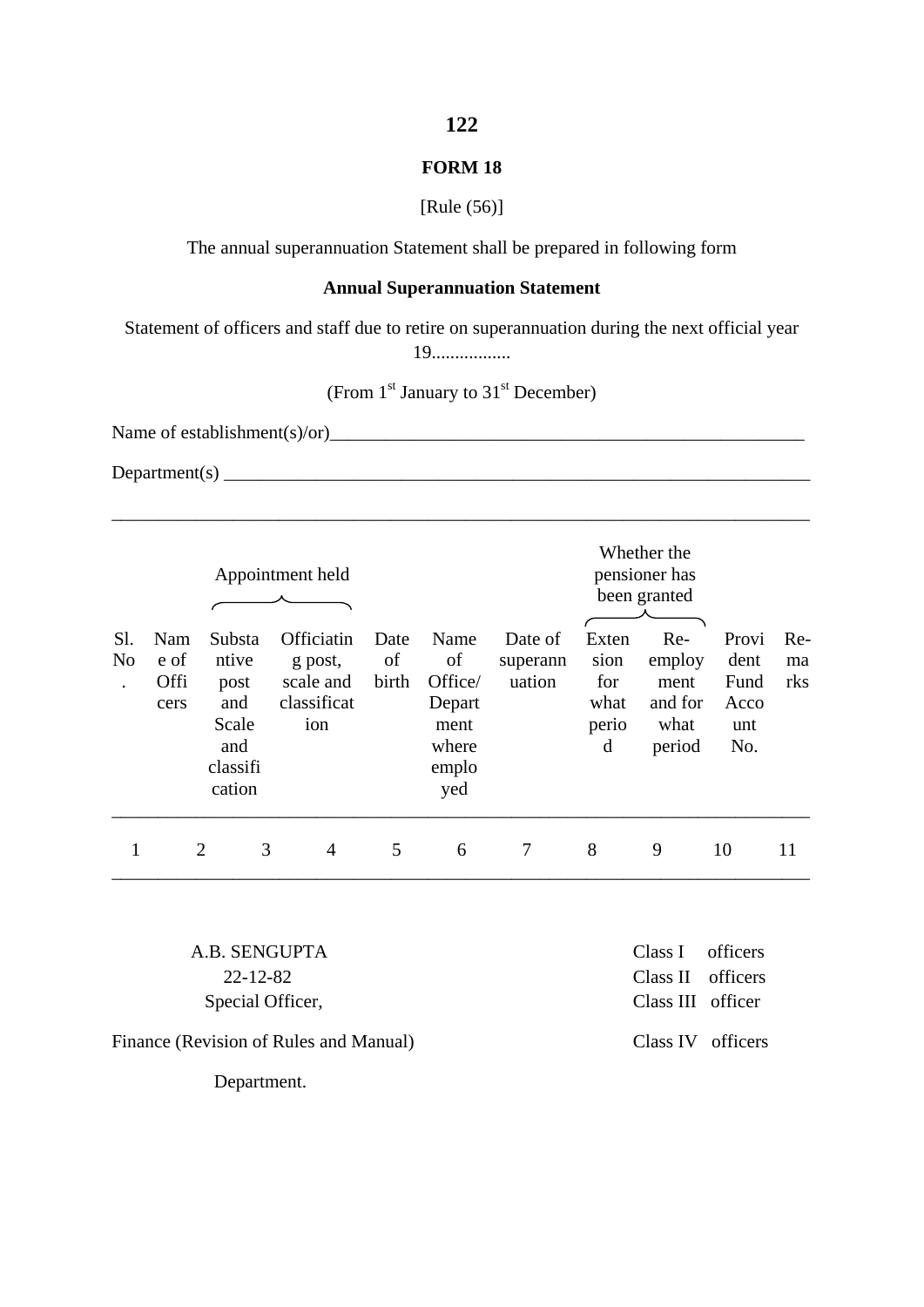### **FORM 18**

[Rule (56)]

The annual superannuation Statement shall be prepared in following form

### **Annual Superannuation Statement**

Statement of officers and staff due to retire on superannuation during the next official year

19.................

(From 1<sup>st</sup> January to 31<sup>st</sup> December)

\_\_\_\_\_\_\_\_\_\_\_\_\_\_\_\_\_\_\_\_\_\_\_\_\_\_\_\_\_\_\_\_\_\_\_\_\_\_\_\_\_\_\_\_\_\_\_\_\_\_\_\_\_\_\_\_\_\_\_\_\_\_\_\_\_\_\_\_\_\_\_\_\_\_\_

Name of establishment(s)/or)

Department(s) \_\_\_\_\_\_\_\_\_\_\_\_\_\_\_\_\_\_\_\_\_\_\_\_\_\_\_\_\_\_\_\_\_\_\_\_\_\_\_\_\_\_\_\_\_\_\_\_\_\_\_\_\_\_\_\_\_\_\_\_\_\_\_

| Sl.<br>N <sub>0</sub><br>$\cdot$ | Nam<br>e of<br><b>Offi</b><br>cers | Substa<br>ntive<br>post<br>and<br>Scale<br>and<br>classifi<br>cation | Appointment held<br>Officiatin<br>g post,<br>scale and<br>classificat<br>ion | Date<br>of<br>birth | Name<br>of<br>Office/<br>Depart<br>ment<br>where<br>emplo<br>yed | Date of<br>superann<br>uation | Exten<br>sion<br>for<br>what<br>perio<br>d | Whether the<br>pensioner has<br>been granted<br>Re-<br>employ<br>ment<br>and for<br>what<br>period | Provi<br>dent<br>Fund<br>Acco<br>unt<br>No. | Re-<br>ma<br>rks |
|----------------------------------|------------------------------------|----------------------------------------------------------------------|------------------------------------------------------------------------------|---------------------|------------------------------------------------------------------|-------------------------------|--------------------------------------------|----------------------------------------------------------------------------------------------------|---------------------------------------------|------------------|
| 1                                |                                    | 3<br>$\overline{2}$                                                  | 4                                                                            | 5                   | 6                                                                | 7                             | 8                                          | 9                                                                                                  | 10                                          | 11               |

 A.B. SENGUPTA Class I officers Special Officer, Class III officer

Finance (Revision of Rules and Manual) Class IV officers

Department.

22-12-82 Class II officers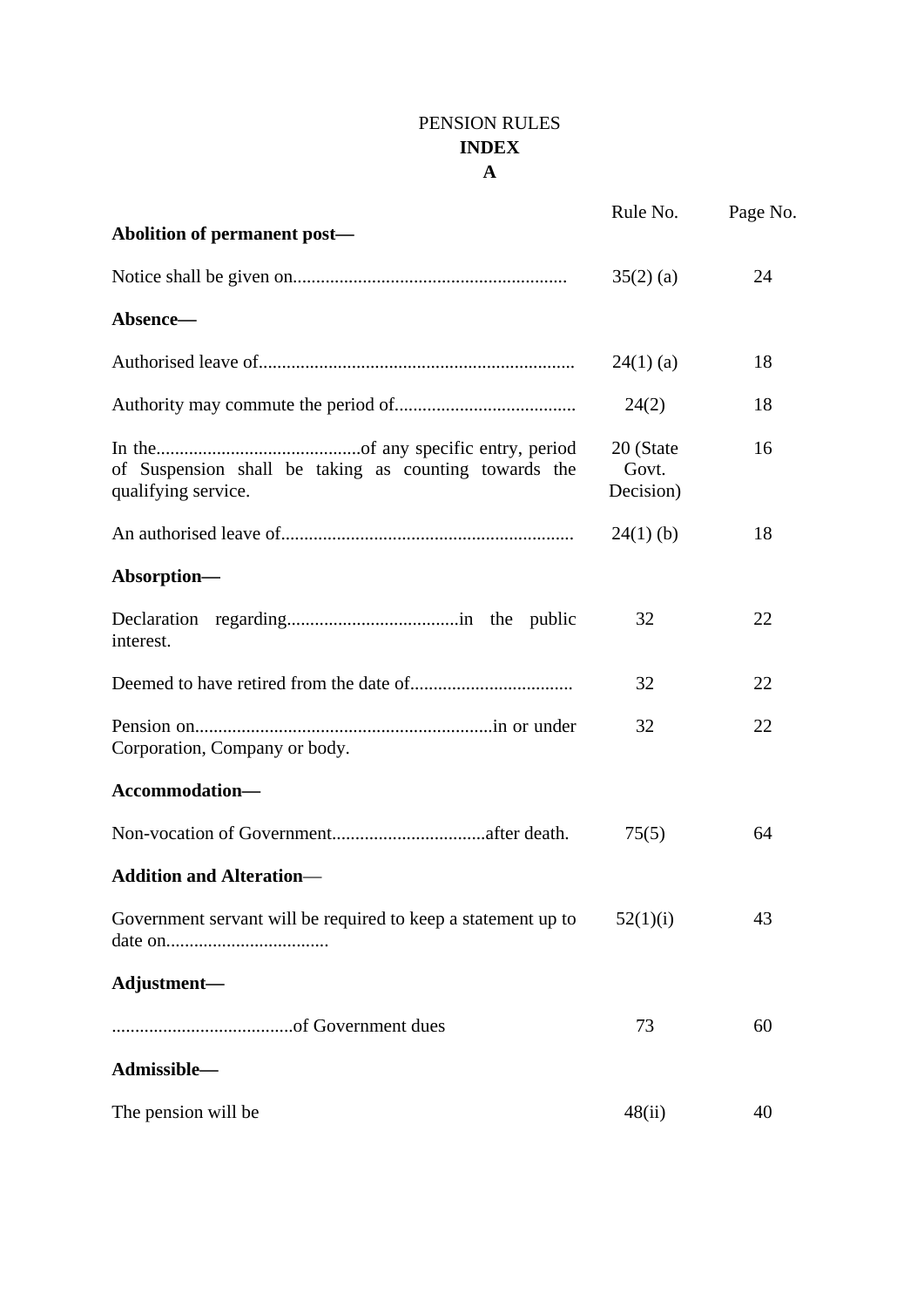# PENSION RULES **INDEX A**

| Abolition of permanent post-                                                 | Rule No.                        | Page No. |
|------------------------------------------------------------------------------|---------------------------------|----------|
|                                                                              | $35(2)$ (a)                     | 24       |
| Absence-                                                                     |                                 |          |
|                                                                              | $24(1)$ (a)                     | 18       |
|                                                                              | 24(2)                           | 18       |
| of Suspension shall be taking as counting towards the<br>qualifying service. | 20 (State<br>Govt.<br>Decision) | 16       |
|                                                                              | $24(1)$ (b)                     | 18       |
| Absorption-                                                                  |                                 |          |
| interest.                                                                    | 32                              | 22       |
|                                                                              | 32                              | 22       |
| Corporation, Company or body.                                                | 32                              | 22       |
| Accommodation-                                                               |                                 |          |
|                                                                              | 75(5)                           | 64       |
| <b>Addition and Alteration-</b>                                              |                                 |          |
| Government servant will be required to keep a statement up to                | 52(1)(i)                        | 43       |
| Adjustment-                                                                  |                                 |          |
|                                                                              | 73                              | 60       |
| Admissible-                                                                  |                                 |          |
| The pension will be                                                          | 48(ii)                          | 40       |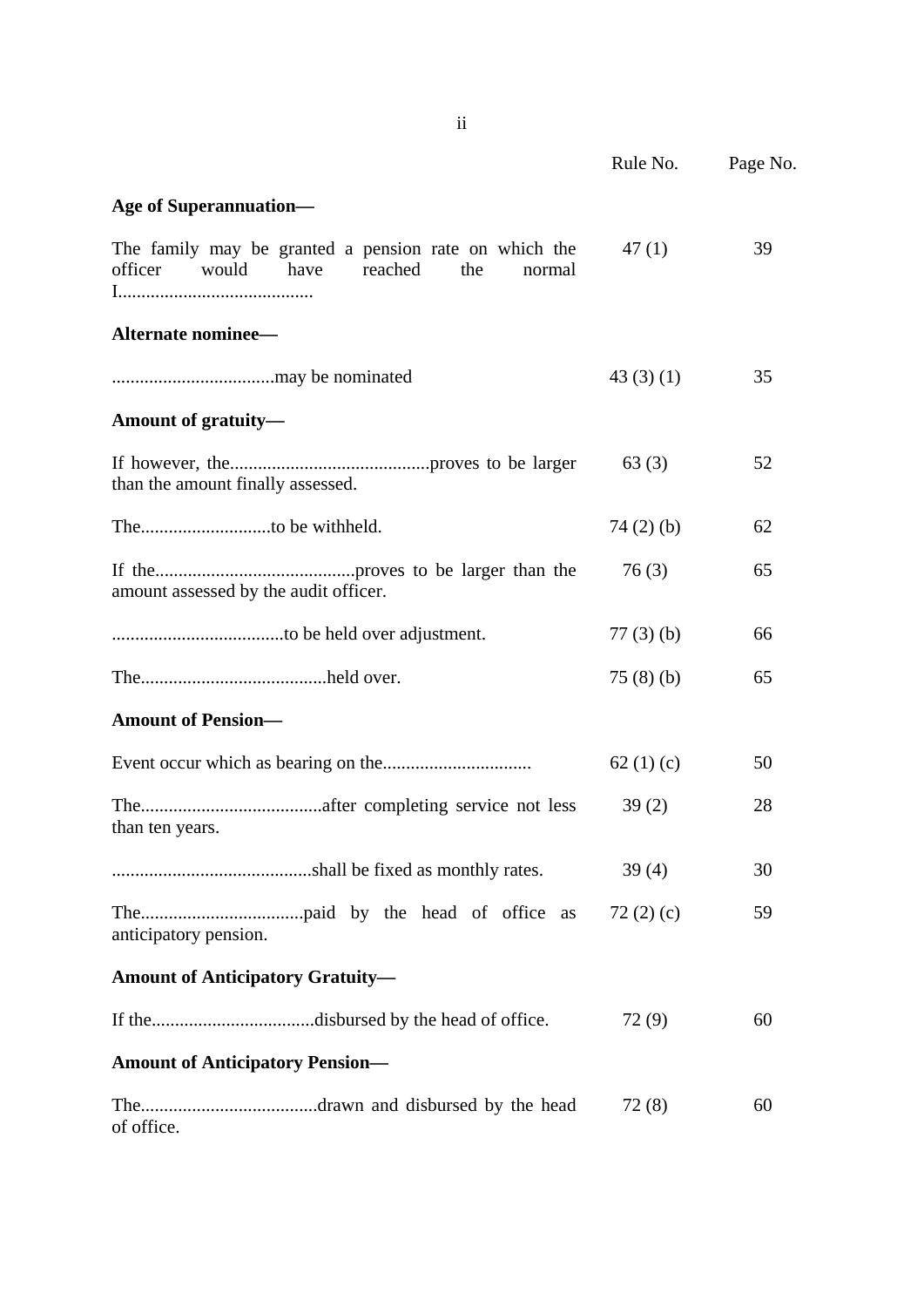|                                                                                                               | Rule No.    | Page No. |
|---------------------------------------------------------------------------------------------------------------|-------------|----------|
| <b>Age of Superannuation—</b>                                                                                 |             |          |
| The family may be granted a pension rate on which the<br>officer<br>would<br>have<br>reached<br>the<br>normal | 47(1)       | 39       |
| Alternate nominee-                                                                                            |             |          |
|                                                                                                               | 43(3)(1)    | 35       |
| Amount of gratuity-                                                                                           |             |          |
| than the amount finally assessed.                                                                             | 63(3)       | 52       |
|                                                                                                               | $74(2)$ (b) | 62       |
| amount assessed by the audit officer.                                                                         | 76(3)       | 65       |
|                                                                                                               | $77(3)$ (b) | 66       |
|                                                                                                               | 75(8)(b)    | 65       |
| <b>Amount of Pension-</b>                                                                                     |             |          |
|                                                                                                               | 62 $(1)(c)$ | 50       |
| than ten years.                                                                                               | 39(2)       | 28       |
|                                                                                                               | 39(4)       | 30       |
| anticipatory pension.                                                                                         |             | 59       |
| <b>Amount of Anticipatory Gratuity-</b>                                                                       |             |          |
| If thedisbursed by the head of office.                                                                        | 72(9)       | 60       |
| <b>Amount of Anticipatory Pension-</b>                                                                        |             |          |
| of office.                                                                                                    | 72(8)       | 60       |

ii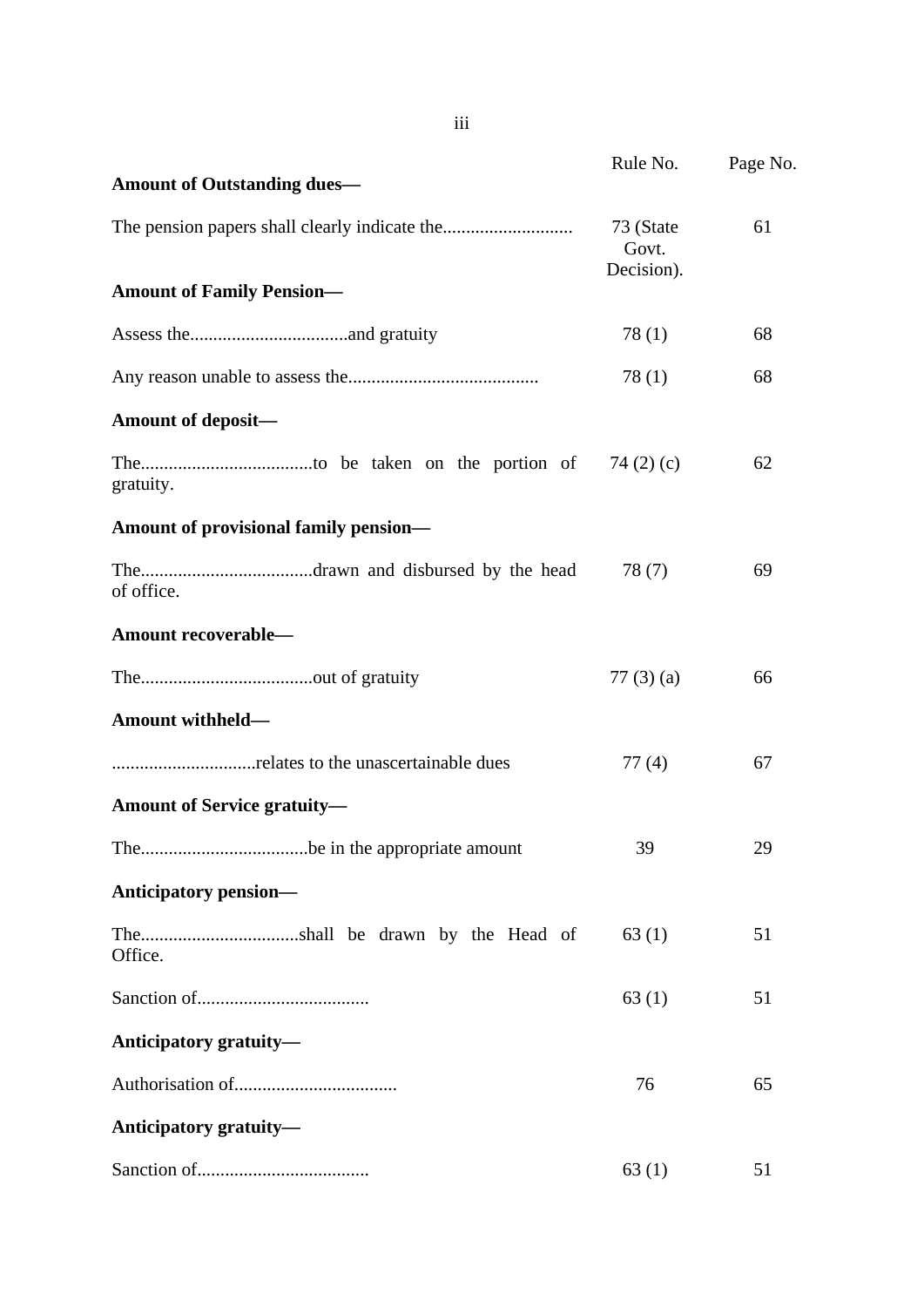|                                       | Rule No.                         | Page No. |
|---------------------------------------|----------------------------------|----------|
| <b>Amount of Outstanding dues—</b>    |                                  |          |
|                                       | 73 (State<br>Govt.<br>Decision). | 61       |
| <b>Amount of Family Pension-</b>      |                                  |          |
|                                       | 78(1)                            | 68       |
|                                       | 78(1)                            | 68       |
| <b>Amount of deposit—</b>             |                                  |          |
| gratuity.                             |                                  | 62       |
| Amount of provisional family pension- |                                  |          |
| of office.                            | 78(7)                            | 69       |
| Amount recoverable-                   |                                  |          |
|                                       | $77(3)$ (a)                      | 66       |
| Amount withheld-                      |                                  |          |
|                                       | 77(4)                            | 67       |
| <b>Amount of Service gratuity—</b>    |                                  |          |
| Thebe in the appropriate amount       | 39                               | 29       |
| <b>Anticipatory pension—</b>          |                                  |          |
| Office.                               | 63(1)                            | 51       |
|                                       | 63(1)                            | 51       |
| Anticipatory gratuity-                |                                  |          |
|                                       | 76                               | 65       |
| Anticipatory gratuity-                |                                  |          |
|                                       | 63(1)                            | 51       |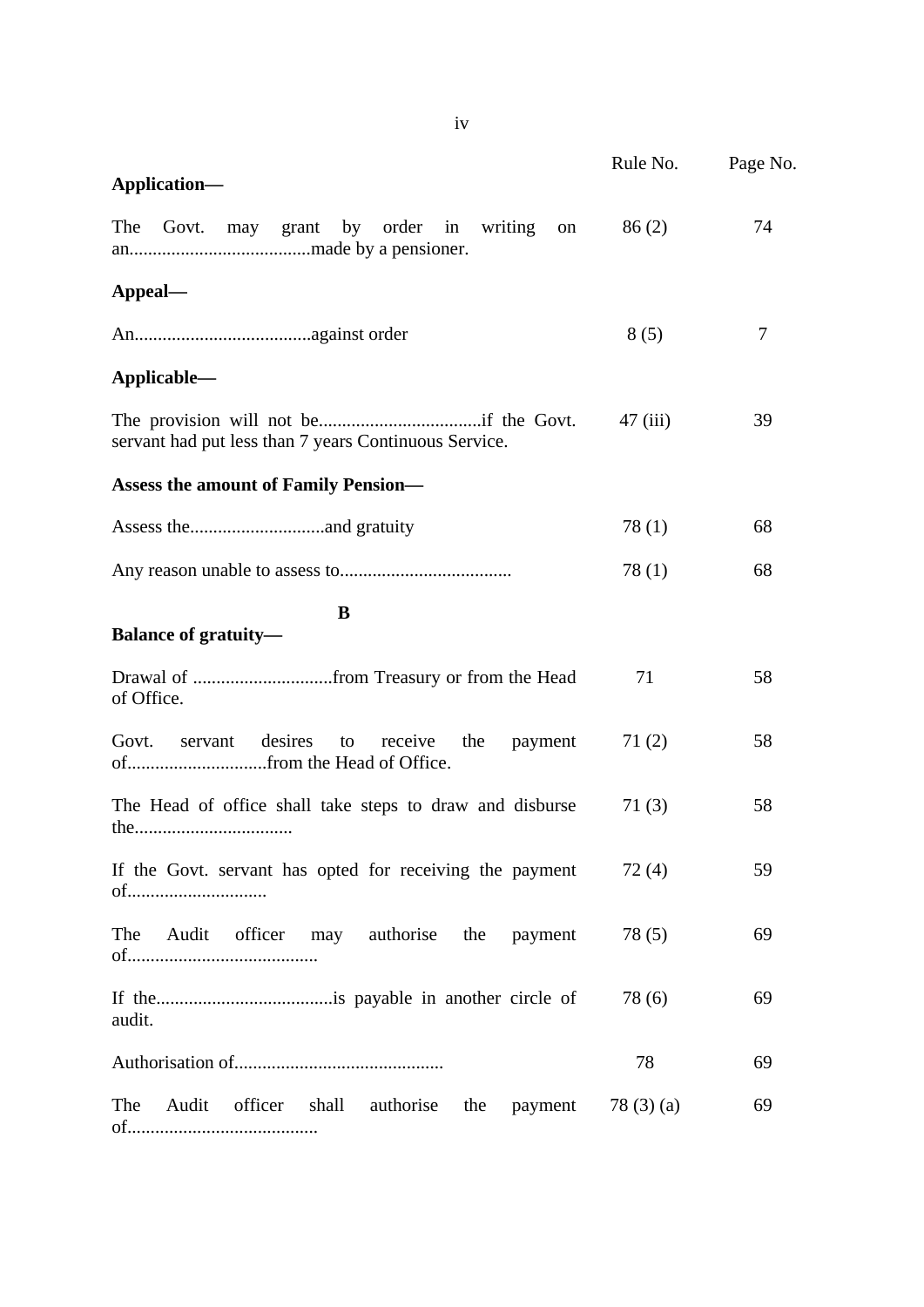|                                                                 | Rule No.   | Page No. |
|-----------------------------------------------------------------|------------|----------|
| Application-                                                    |            |          |
| The<br>Govt. may grant by order in writing on                   | 86(2)      | 74       |
| Appeal—                                                         |            |          |
|                                                                 | 8(5)       | 7        |
| Applicable—                                                     |            |          |
| servant had put less than 7 years Continuous Service.           | 47(iii)    | 39       |
| <b>Assess the amount of Family Pension—</b>                     |            |          |
|                                                                 | 78(1)      | 68       |
|                                                                 | 78(1)      | 68       |
| B                                                               |            |          |
| <b>Balance of gratuity-</b>                                     |            |          |
| of Office.                                                      | 71         | 58       |
| Govt.<br>desires<br>servant<br>to<br>receive<br>the<br>payment  | 71(2)      | 58       |
| The Head of office shall take steps to draw and disburse        | 71(3)      | 58       |
| If the Govt. servant has opted for receiving the payment<br>of  | 72(4)      | 59       |
| The<br>Audit<br>officer may authorise the<br>payment            | 78(5)      | 69       |
| audit.                                                          | 78(6)      | 69       |
|                                                                 | 78         | 69       |
| The<br>Audit<br>officer<br>shall<br>authorise<br>the<br>payment | 78 (3) (a) | 69       |

iv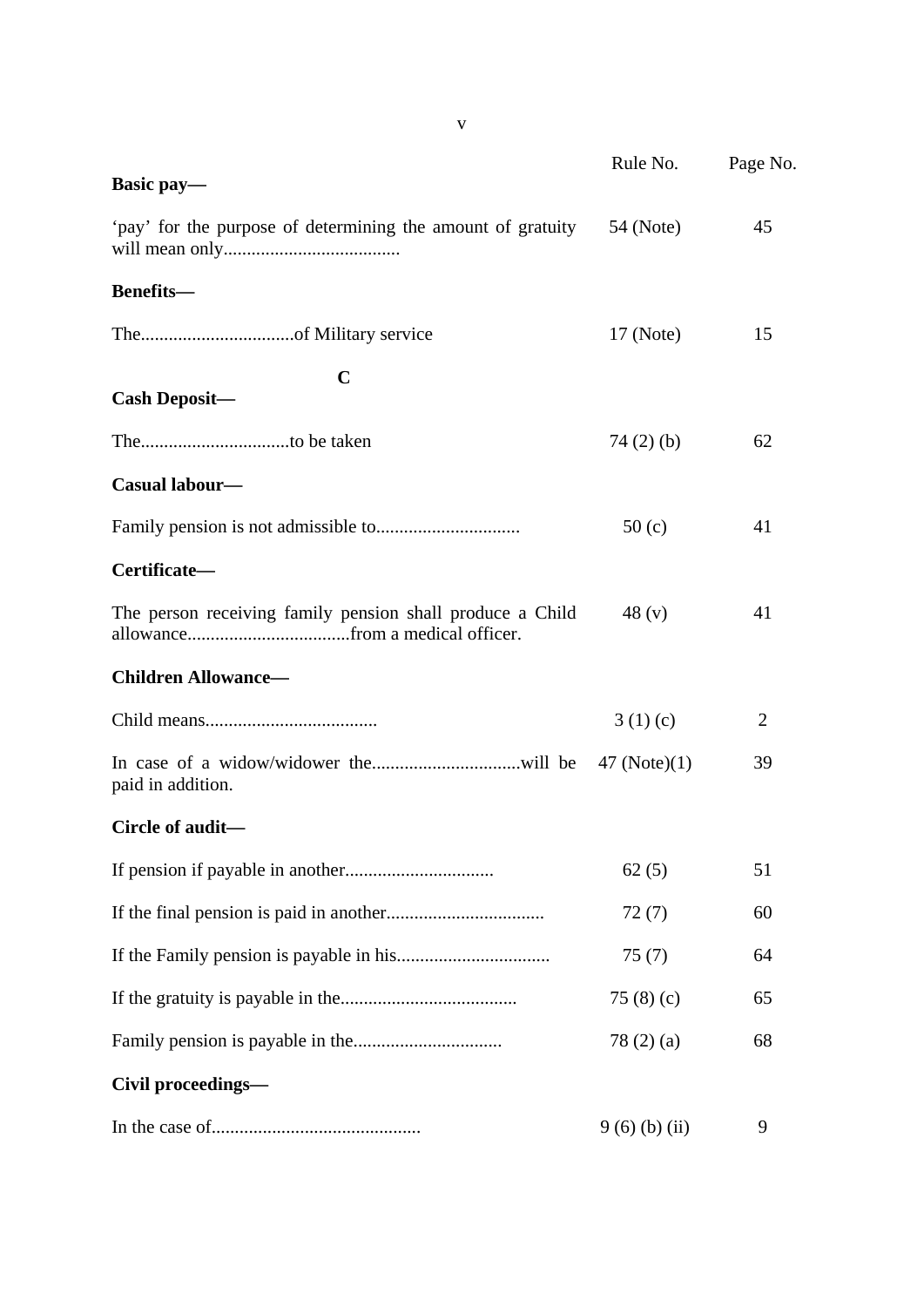|                                                             | Rule No.    | Page No.       |  |
|-------------------------------------------------------------|-------------|----------------|--|
| Basic pay-                                                  |             |                |  |
| 'pay' for the purpose of determining the amount of gratuity | 54 (Note)   | 45             |  |
| <b>Benefits-</b>                                            |             |                |  |
|                                                             | 17 (Note)   | 15             |  |
| $\mathbf C$<br><b>Cash Deposit-</b>                         |             |                |  |
|                                                             | $74(2)$ (b) | 62             |  |
| Casual labour-                                              |             |                |  |
|                                                             | 50(c)       | 41             |  |
| Certificate-                                                |             |                |  |
| The person receiving family pension shall produce a Child   | 48 $(v)$    | 41             |  |
| <b>Children Allowance-</b>                                  |             |                |  |
|                                                             | 3(1)(c)     | $\overline{2}$ |  |
| paid in addition.                                           |             | 39             |  |
| Circle of audit-                                            |             |                |  |
|                                                             | 62(5)       | 51             |  |
|                                                             | 72(7)       | 60             |  |
|                                                             | 75(7)       | 64             |  |
|                                                             | 75 $(8)(c)$ | 65             |  |
|                                                             | 78(2)(a)    | 68             |  |
| Civil proceedings-                                          |             |                |  |
|                                                             | 9(6)(b)(ii) | 9              |  |

v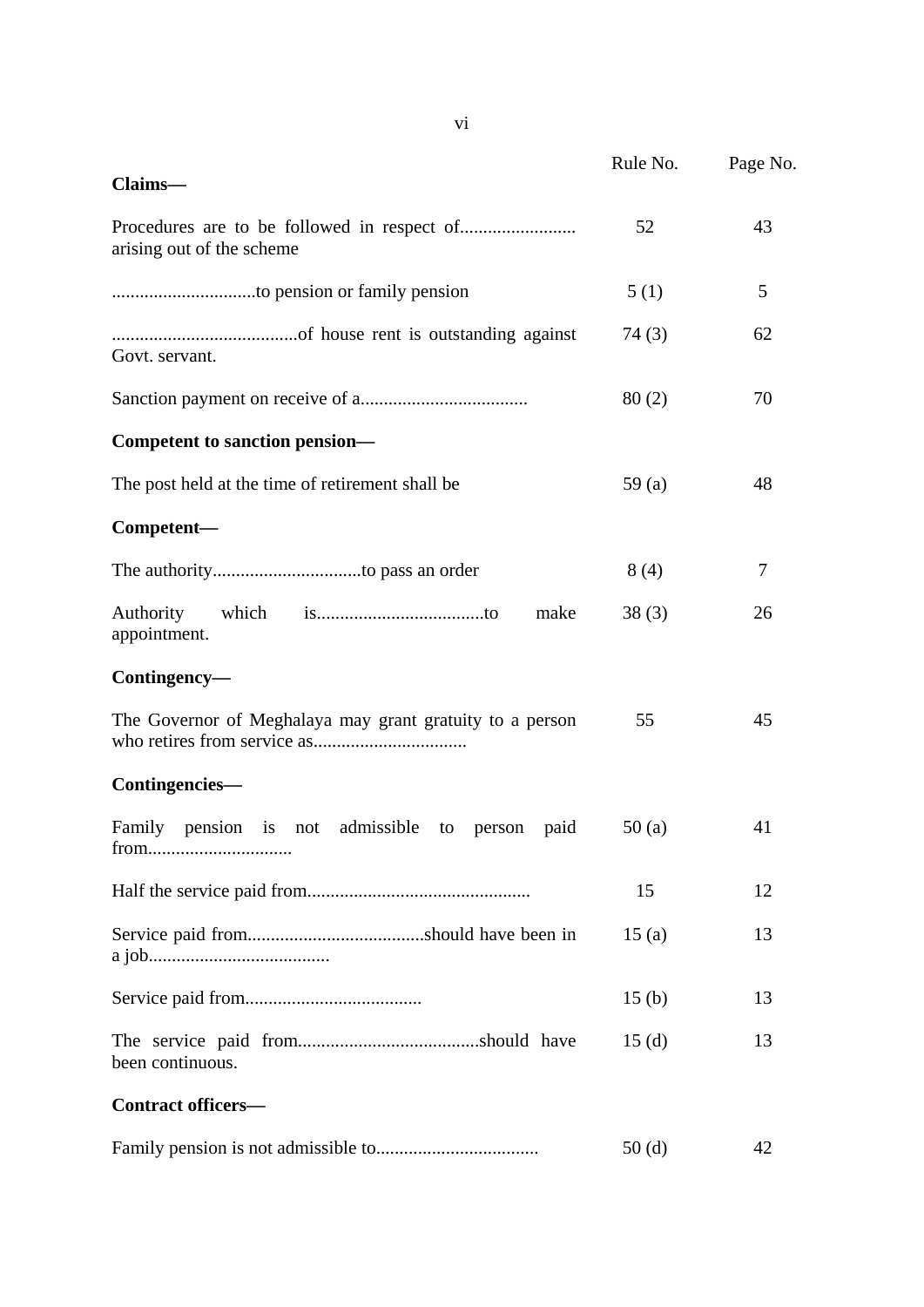|                                                               | Rule No.          | Page No. |
|---------------------------------------------------------------|-------------------|----------|
| Claims-                                                       |                   |          |
| arising out of the scheme                                     | 52                | 43       |
|                                                               | 5(1)              | 5        |
| Govt. servant.                                                | 74(3)             | 62       |
|                                                               | 80(2)             | 70       |
| Competent to sanction pension-                                |                   |          |
| The post held at the time of retirement shall be.             | 59(a)             | 48       |
| Competent-                                                    |                   |          |
|                                                               | 8(4)              | 7        |
| Authority<br>which<br>make<br>appointment.                    | 38(3)             | 26       |
| Contingency-                                                  |                   |          |
| The Governor of Meghalaya may grant gratuity to a person      | 55                | 45       |
| Contingencies-                                                |                   |          |
| Family pension is<br>admissible to person paid<br>not<br>from | 50(a)             | 41       |
|                                                               | 15                | 12       |
|                                                               | 15(a)             | 13       |
|                                                               | 15 <sub>(b)</sub> | 13       |
| been continuous.                                              | 15(d)             | 13       |
| <b>Contract officers-</b>                                     |                   |          |
|                                                               | 50 <sub>(d)</sub> | 42       |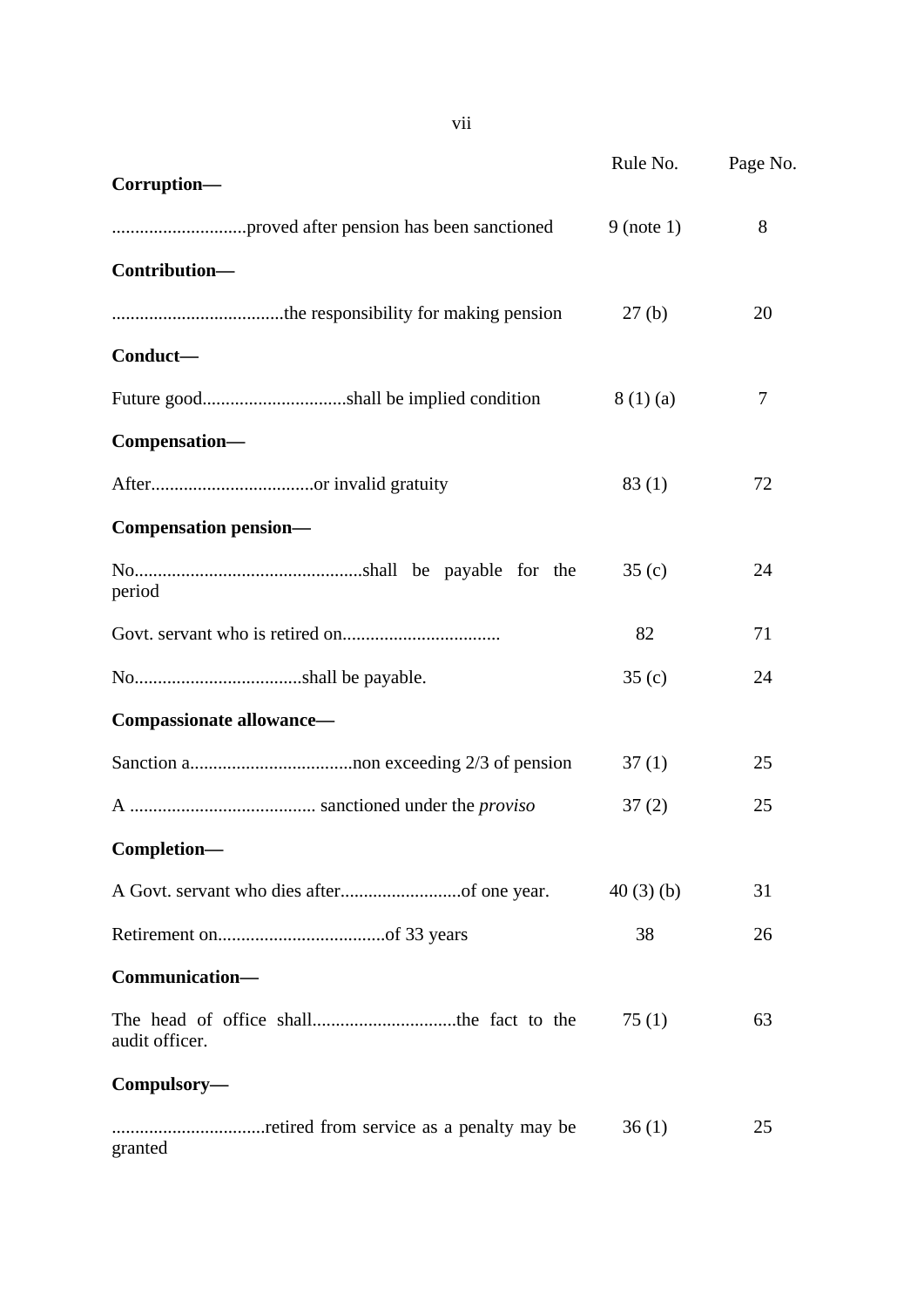|                              | Rule No.     | Page No. |
|------------------------------|--------------|----------|
| Corruption-                  |              |          |
|                              | $9$ (note 1) | 8        |
| Contribution-                |              |          |
|                              | 27(b)        | 20       |
| Conduct-                     |              |          |
|                              | 8(1)(a)      | 7        |
| Compensation-                |              |          |
|                              | 83(1)        | 72       |
| <b>Compensation pension—</b> |              |          |
| period                       | 35(c)        | 24       |
|                              | 82           | 71       |
|                              | 35(c)        | 24       |
| Compassionate allowance-     |              |          |
|                              | 37(1)        | 25       |
|                              | 37(2)        | 25       |
| Completion-                  |              |          |
|                              | 40(3)(b)     | 31       |
|                              | 38           | 26       |
| Communication-               |              |          |
| audit officer.               | 75(1)        | 63       |
| Compulsory-                  |              |          |
| granted                      | 36(1)        | 25       |

vii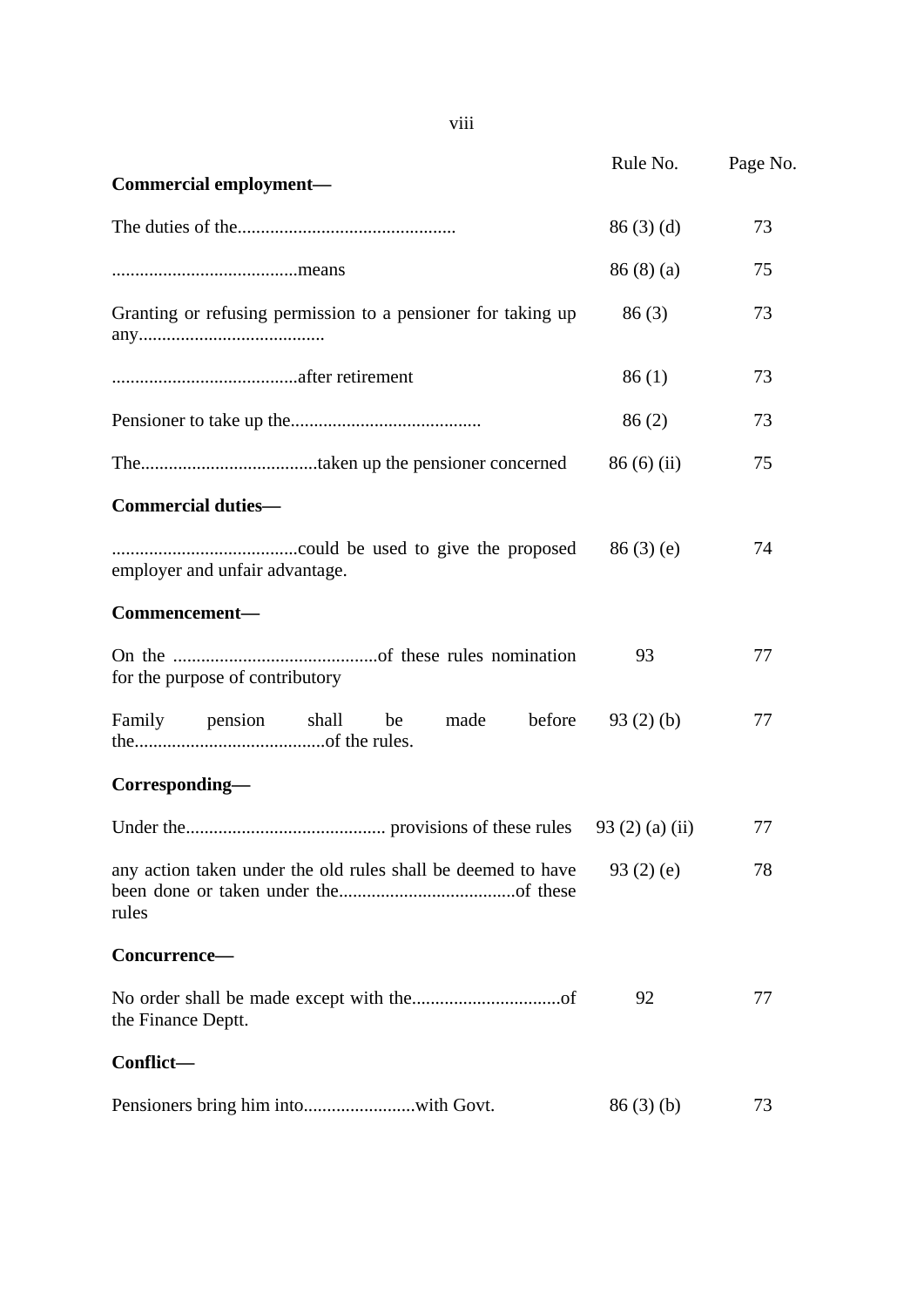| Commercial employment-                                                | Rule No.  | Page No. |
|-----------------------------------------------------------------------|-----------|----------|
|                                                                       | 86(3)(d)  | 73       |
|                                                                       | 86(8)(a)  | 75       |
| Granting or refusing permission to a pensioner for taking up          | 86(3)     | 73       |
|                                                                       | 86(1)     | 73       |
|                                                                       | 86(2)     | 73       |
|                                                                       | 86(6)(ii) | 75       |
| <b>Commercial duties-</b>                                             |           |          |
| employer and unfair advantage.                                        | 86(3)(e)  | 74       |
| Commencement-                                                         |           |          |
| for the purpose of contributory                                       | 93        | 77       |
| before<br>Family pension shall<br>be<br>made                          | 93(2)(b)  | 77       |
| Corresponding-                                                        |           |          |
|                                                                       |           | 77       |
| any action taken under the old rules shall be deemed to have<br>rules | 93(2)(e)  | 78       |
| Concurrence-                                                          |           |          |
| the Finance Deptt.                                                    | 92        | 77       |
| Conflict-                                                             |           |          |
|                                                                       | 86(3)(b)  | 73       |

viii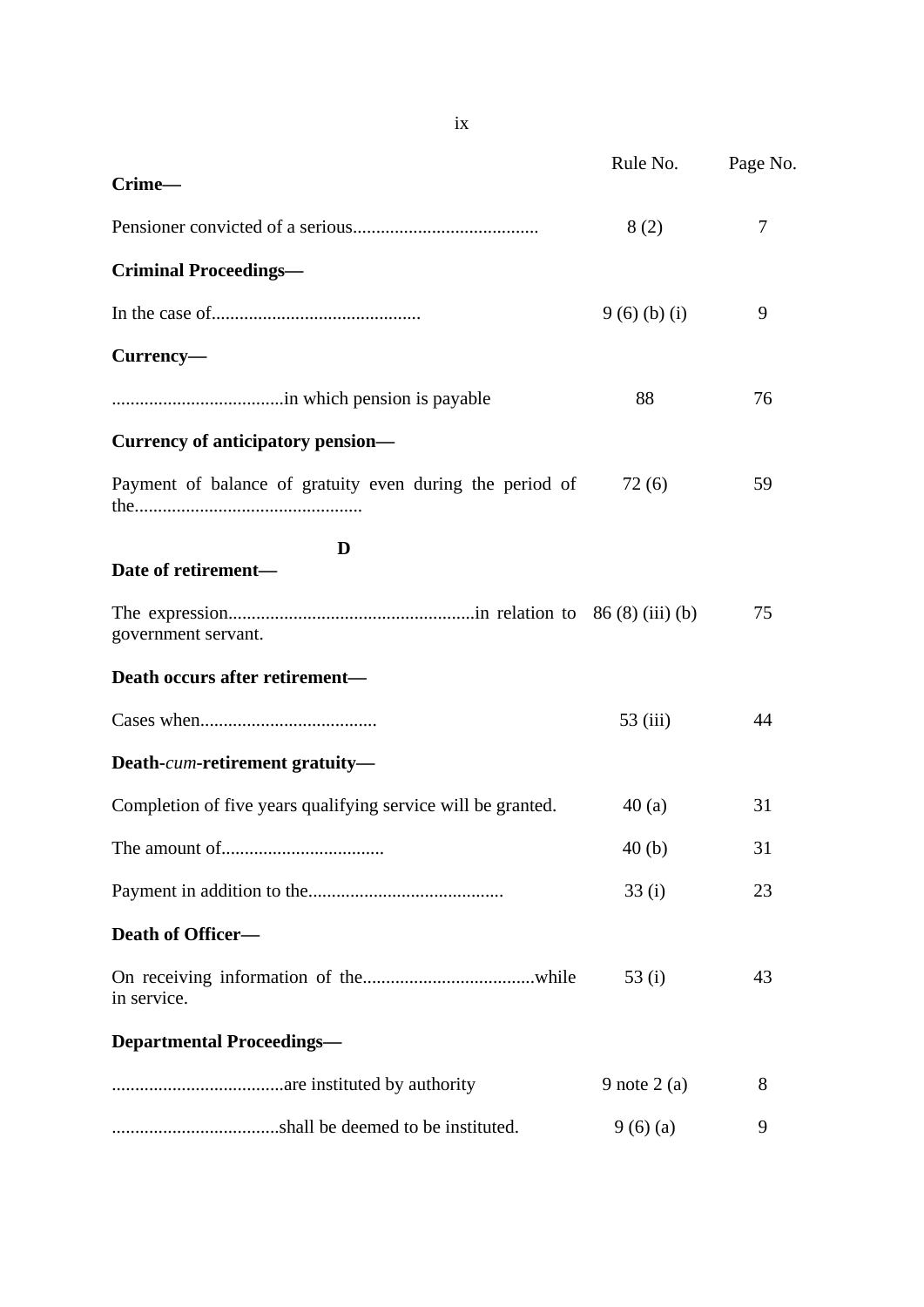|                                                              | Rule No.      | Page No. |
|--------------------------------------------------------------|---------------|----------|
| Crime-                                                       |               |          |
|                                                              | 8(2)          | 7        |
| <b>Criminal Proceedings—</b>                                 |               |          |
|                                                              | 9(6)(b)(i)    | 9        |
| Currency-                                                    |               |          |
|                                                              | 88            | 76       |
| <b>Currency of anticipatory pension—</b>                     |               |          |
| Payment of balance of gratuity even during the period of     | 72(6)         | 59       |
| D<br>Date of retirement-                                     |               |          |
| government servant.                                          |               | 75       |
| Death occurs after retirement-                               |               |          |
|                                                              | 53 (iii)      | 44       |
| Death-cum-retirement gratuity-                               |               |          |
| Completion of five years qualifying service will be granted. | 40(a)         | 31       |
|                                                              | 40(b)         | 31       |
|                                                              | 33(i)         | 23       |
| Death of Officer-                                            |               |          |
| in service.                                                  | 53 $(i)$      | 43       |
| <b>Departmental Proceedings-</b>                             |               |          |
|                                                              | 9 note $2(a)$ | 8        |
|                                                              | 9(6)(a)       | 9        |

ix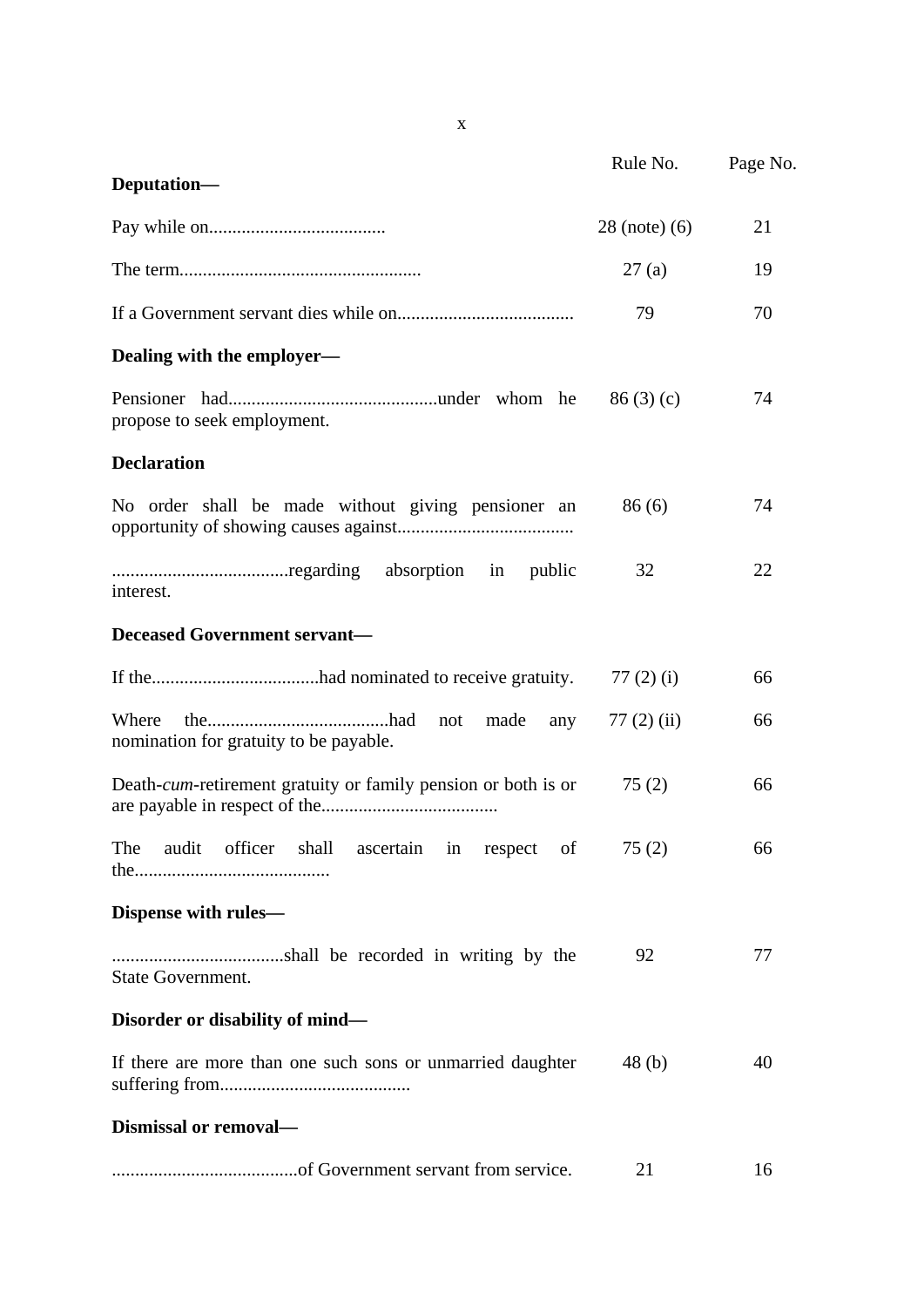|                                                                        | Rule No.          | Page No. |
|------------------------------------------------------------------------|-------------------|----------|
| Deputation-                                                            |                   |          |
|                                                                        | $28$ (note) $(6)$ | 21       |
|                                                                        | 27(a)             | 19       |
|                                                                        | 79                | 70       |
| Dealing with the employer—                                             |                   |          |
| propose to seek employment.                                            | 86(3)(c)          | 74       |
| <b>Declaration</b>                                                     |                   |          |
| No order shall be made without giving pensioner an                     | 86(6)             | 74       |
| absorption in<br>public<br>interest.                                   | 32                | 22       |
| <b>Deceased Government servant-</b>                                    |                   |          |
|                                                                        | 77 $(2)$ $(i)$    | 66       |
| Where<br>not<br>made<br>any<br>nomination for gratuity to be payable.  | $77(2)$ (ii)      | 66       |
| Death- <i>cum</i> -retirement gratuity or family pension or both is or | 75(2)             | 66       |
| The audit officer shall ascertain in respect of $75(2)$                |                   | 66       |
| Dispense with rules-                                                   |                   |          |
| State Government.                                                      | 92                | 77       |
| Disorder or disability of mind—                                        |                   |          |
| If there are more than one such sons or unmarried daughter             | 48(b)             | 40       |
| Dismissal or removal-                                                  |                   |          |
|                                                                        | 21                | 16       |

x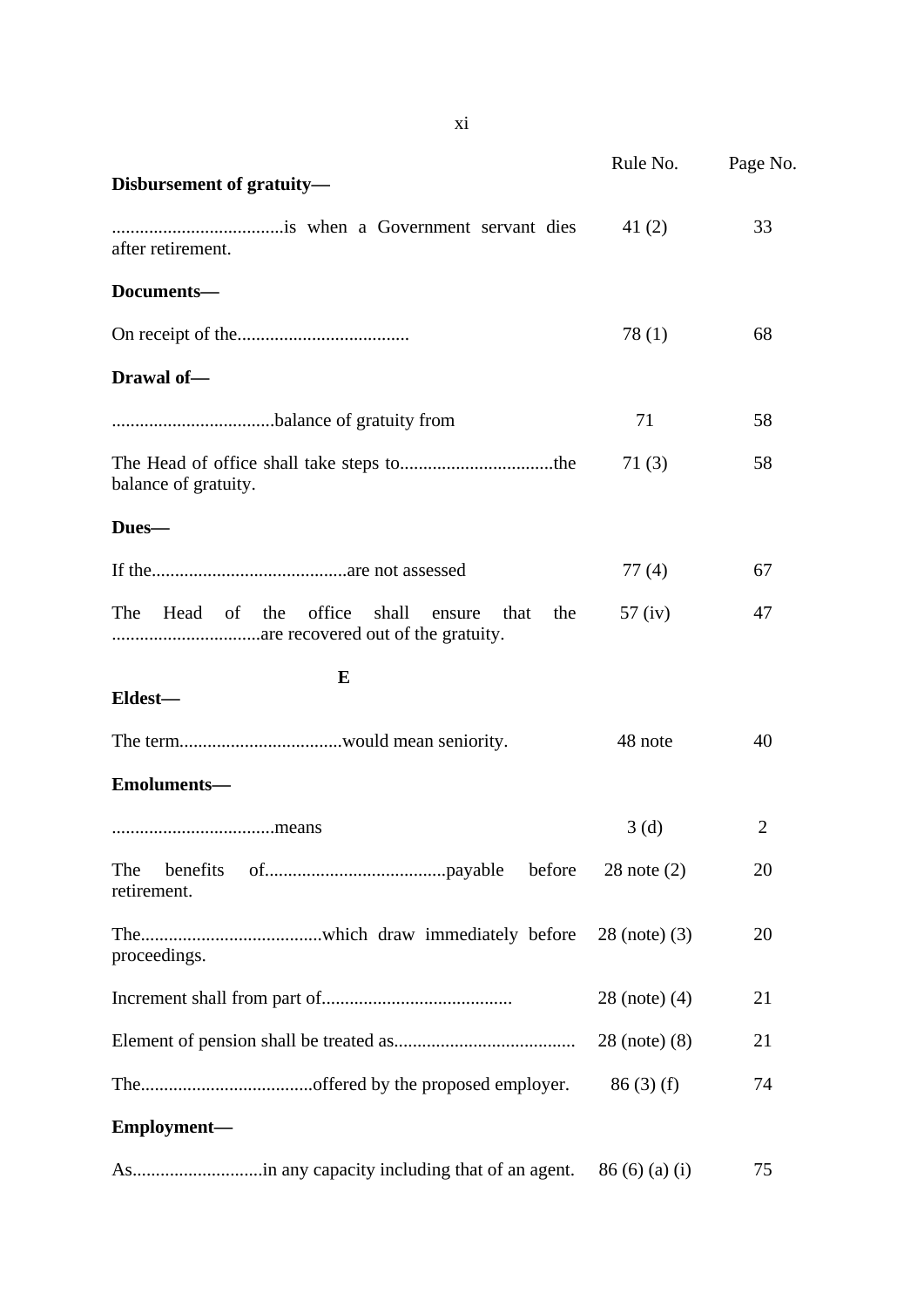|                                                                | Rule No.                | Page No.       |
|----------------------------------------------------------------|-------------------------|----------------|
| Disbursement of gratuity-                                      |                         |                |
| after retirement.                                              | 41 $(2)$                | 33             |
| Documents-                                                     |                         |                |
|                                                                | 78(1)                   | 68             |
| Drawal of-                                                     |                         |                |
|                                                                | 71                      | 58             |
| balance of gratuity.                                           | 71(3)                   | 58             |
| Dues-                                                          |                         |                |
|                                                                | 77(4)                   | 67             |
| Head of the<br>office<br>The<br>shall<br>the<br>ensure<br>that | $57$ (iv)               | 47             |
| E<br>Eldest-                                                   |                         |                |
|                                                                | 48 note                 | 40             |
| Emoluments-                                                    |                         |                |
|                                                                | 3(d)                    | $\overline{2}$ |
| The<br>benefits<br>before<br>retirement.                       | $28$ note $(2)$         | 20             |
| proceedings.                                                   | $28$ (note) $(3)$       | 20             |
|                                                                | 28 (note) (4)           | 21             |
|                                                                | $28 \text{ (note)} (8)$ | 21             |
|                                                                | 86(3) (f)               | 74             |
| Employment-                                                    |                         |                |
|                                                                | 86(6)(a)(i)             | 75             |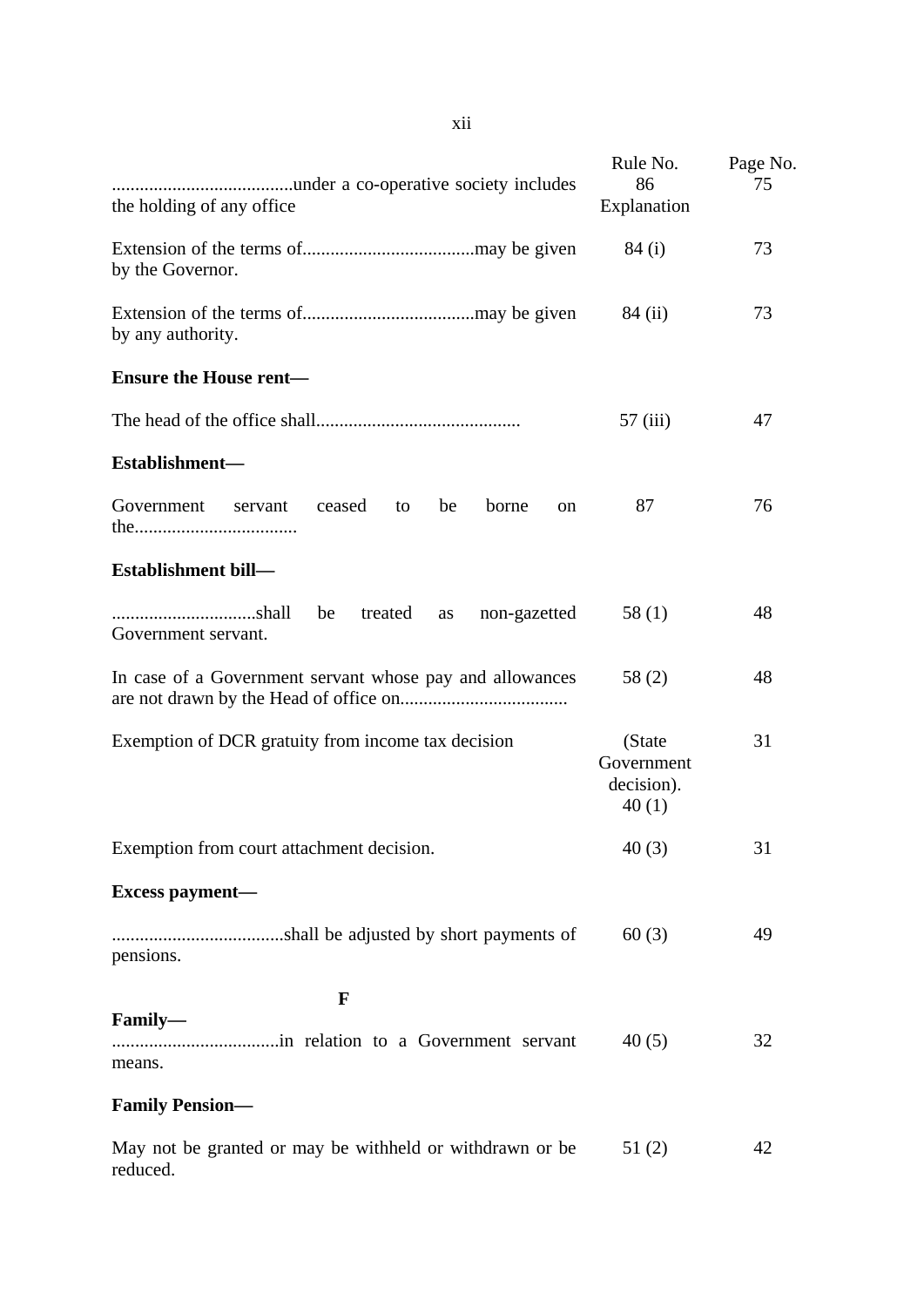| the holding of any office                                            | Rule No.<br>86<br>Explanation                | Page No.<br>75 |
|----------------------------------------------------------------------|----------------------------------------------|----------------|
| by the Governor.                                                     | 84(i)                                        | 73             |
| by any authority.                                                    | 84 (ii)                                      | 73             |
| <b>Ensure the House rent-</b>                                        |                                              |                |
|                                                                      | 57(iii)                                      | 47             |
| Establishment-                                                       |                                              |                |
| Government<br>ceased<br>borne<br>servant<br>to<br>be<br>on           | 87                                           | 76             |
| Establishment bill-                                                  |                                              |                |
| shall<br>treated<br>non-gazetted<br>be<br>as<br>Government servant.  | 58(1)                                        | 48             |
| In case of a Government servant whose pay and allowances             | 58(2)                                        | 48             |
| Exemption of DCR gratuity from income tax decision                   | (State)<br>Government<br>decision).<br>40(1) | 31             |
| Exemption from court attachment decision.                            | 40(3)                                        | 31             |
| Excess payment-                                                      |                                              |                |
| pensions.                                                            | 60(3)                                        | 49             |
| F                                                                    |                                              |                |
| Family-<br>means.                                                    | 40(5)                                        | 32             |
| <b>Family Pension-</b>                                               |                                              |                |
| May not be granted or may be withheld or withdrawn or be<br>reduced. | 51(2)                                        | 42             |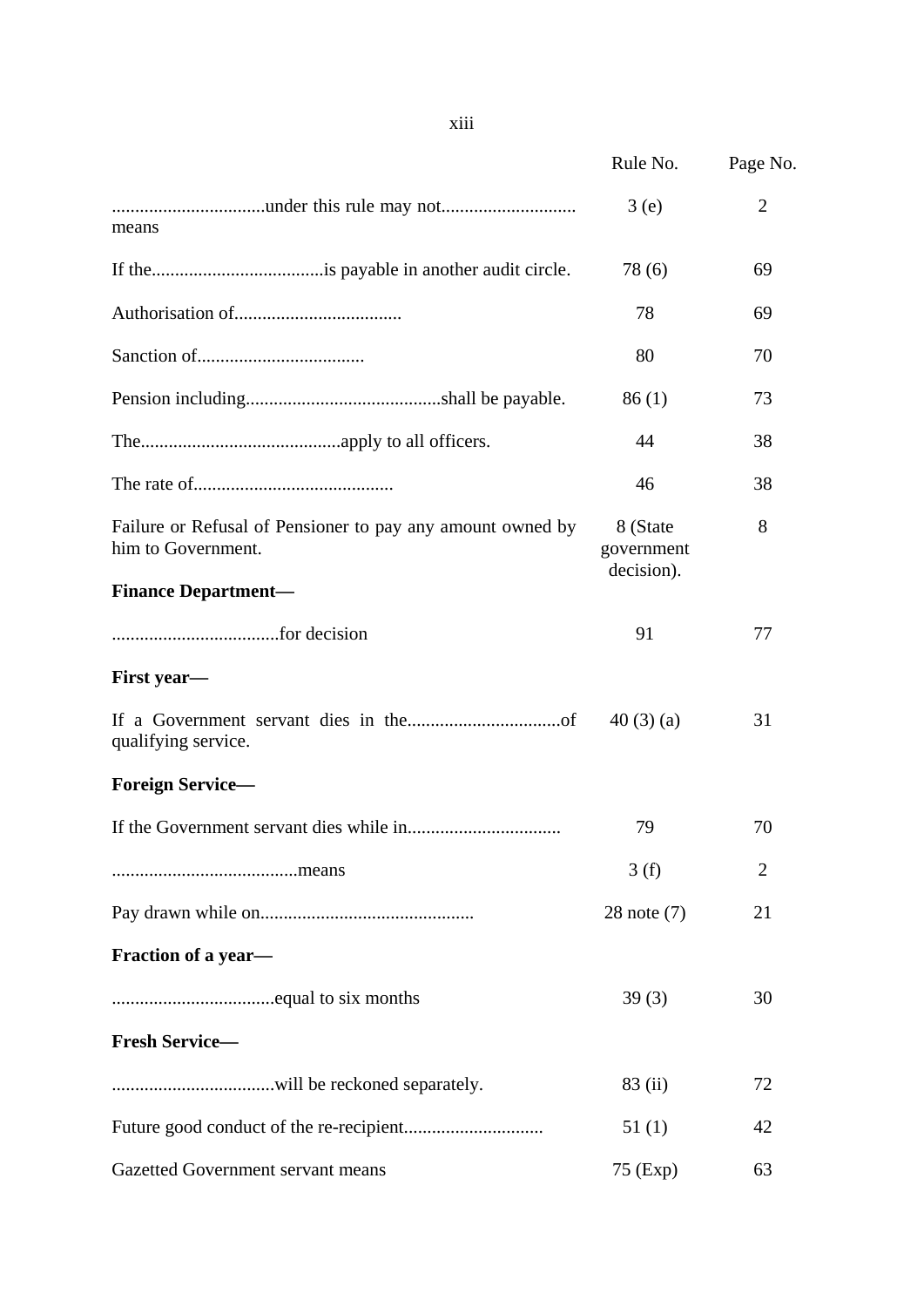|                                                                                  | Rule No.                             | Page No.       |
|----------------------------------------------------------------------------------|--------------------------------------|----------------|
| means                                                                            | 3(e)                                 | $\overline{2}$ |
|                                                                                  | 78(6)                                | 69             |
|                                                                                  | 78                                   | 69             |
|                                                                                  | 80                                   | 70             |
|                                                                                  | 86(1)                                | 73             |
|                                                                                  | 44                                   | 38             |
|                                                                                  | 46                                   | 38             |
| Failure or Refusal of Pensioner to pay any amount owned by<br>him to Government. | 8 (State<br>government<br>decision). | 8              |
| <b>Finance Department-</b>                                                       |                                      |                |
|                                                                                  | 91                                   | 77             |
| First year-                                                                      |                                      |                |
| qualifying service.                                                              | 40(3)(a)                             | 31             |
| <b>Foreign Service-</b>                                                          |                                      |                |
|                                                                                  | 79                                   | 70             |
|                                                                                  | 3(f)                                 | 2              |
|                                                                                  | $28$ note $(7)$                      | 21             |
| Fraction of a year-                                                              |                                      |                |
|                                                                                  | 39(3)                                | 30             |
| <b>Fresh Service-</b>                                                            |                                      |                |
|                                                                                  | 83 (ii)                              | 72             |
|                                                                                  | 51(1)                                | 42             |
| Gazetted Government servant means                                                | 75 (Exp)                             | 63             |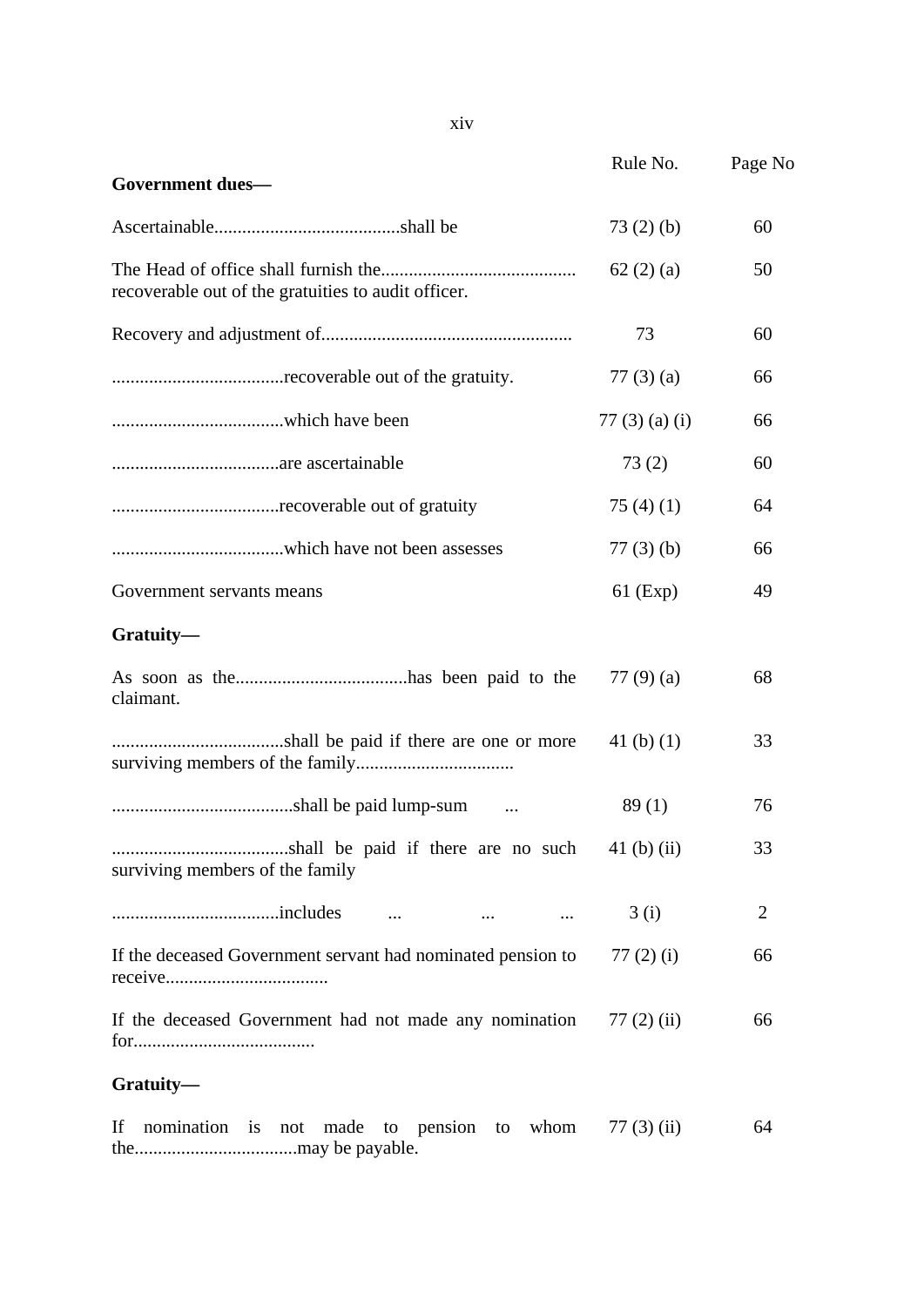|                                                                              | Rule No.             | Page No        |
|------------------------------------------------------------------------------|----------------------|----------------|
| <b>Government dues-</b>                                                      |                      |                |
|                                                                              | 73(2)(b)             | 60             |
| recoverable out of the gratuities to audit officer.                          | 62(2)(a)             | 50             |
|                                                                              | 73                   | 60             |
|                                                                              | 77 $(3)$ $(a)$       | 66             |
|                                                                              | 77 $(3)$ $(a)$ $(i)$ | 66             |
|                                                                              | 73(2)                | 60             |
|                                                                              | 75 $(4)(1)$          | 64             |
|                                                                              | $77(3)$ (b)          | 66             |
| Government servants means                                                    | $61$ (Exp)           | 49             |
| Gratuity-                                                                    |                      |                |
| claimant.                                                                    | 77 $(9)(a)$          | 68             |
|                                                                              | 41 $(b)$ $(1)$       | 33             |
|                                                                              | 89(1)                | 76             |
| surviving members of the family                                              |                      | 33             |
| $\cdots$<br>$\sim$ $\sim$ $\sim$                                             | 3(i)                 | $\overline{2}$ |
| If the deceased Government servant had nominated pension to                  | 77 $(2)$ $(i)$       | 66             |
| If the deceased Government had not made any nomination                       | $77(2)$ (ii)         | 66             |
| Gratuity-                                                                    |                      |                |
| nomination<br>If<br>made<br>to pension<br>whom<br>$\frac{1}{1}$<br>to<br>not | $77(3)$ (ii)         | 64             |

the...................................may be payable.

xiv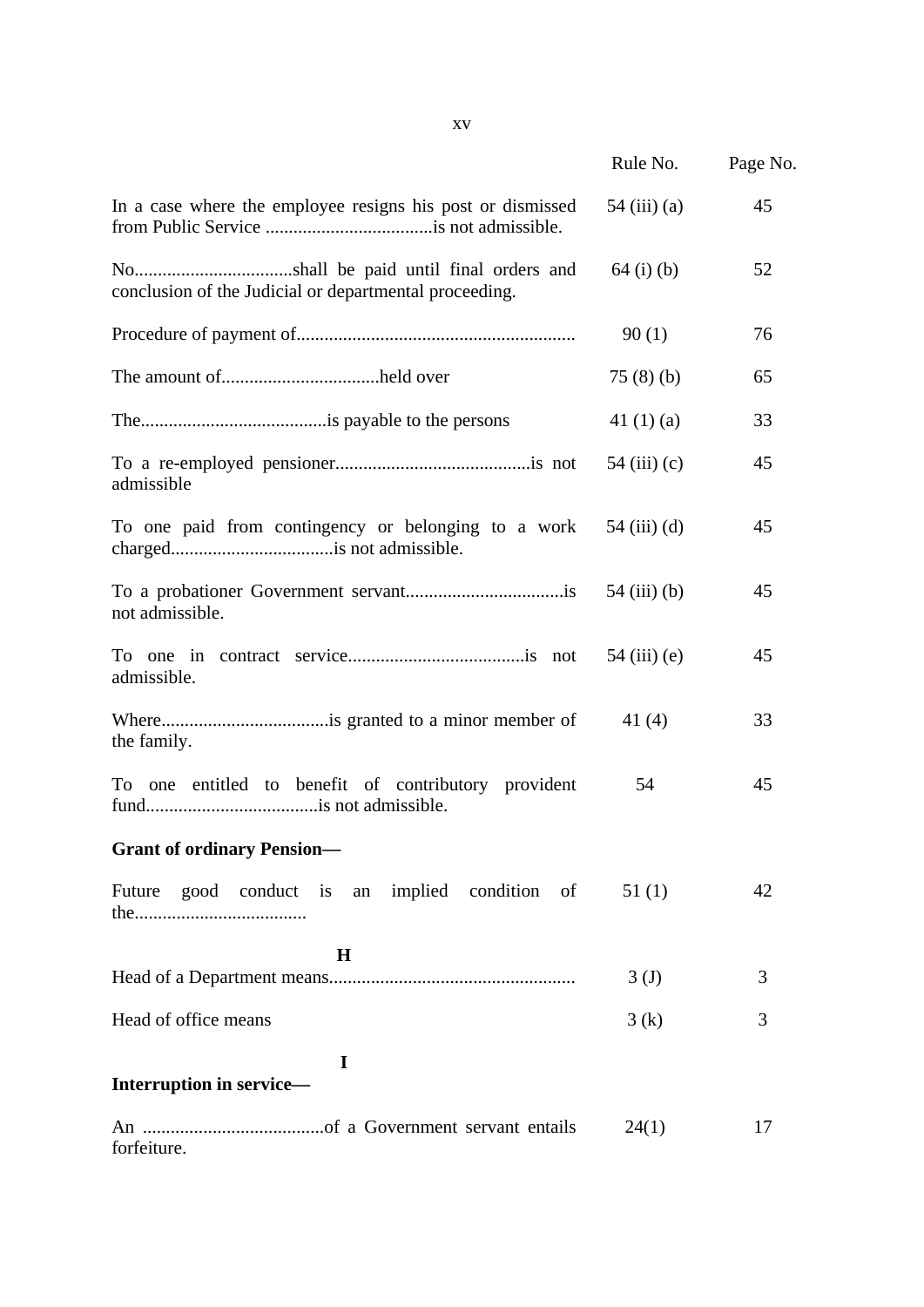|                                                            | Rule No.         | Page No. |
|------------------------------------------------------------|------------------|----------|
| In a case where the employee resigns his post or dismissed | $54$ (iii) (a)   | 45       |
| conclusion of the Judicial or departmental proceeding.     | $64$ (i) (b)     | 52       |
|                                                            | 90(1)            | 76       |
|                                                            | 75(8)(b)         | 65       |
|                                                            | 41 $(1)(a)$      | 33       |
| admissible                                                 | 54 $(iii)$ (c)   | 45       |
| To one paid from contingency or belonging to a work        | $54$ (iii) (d)   | 45       |
| not admissible.                                            | 54 (iii) (b)     | 45       |
| admissible.                                                |                  | 45       |
| the family.                                                | 41 (4)           | 33       |
| To one entitled to benefit of contributory provident       | 54               | 45       |
| <b>Grant of ordinary Pension—</b>                          |                  |          |
| Future good conduct is an implied condition of             | 51(1)            | 42       |
| $\bf H$                                                    | 3 <sub>(J)</sub> | 3        |
| Head of office means                                       | 3(k)             | 3        |
| I<br>Interruption in service-                              |                  |          |
| forfeiture.                                                | 24(1)            | 17       |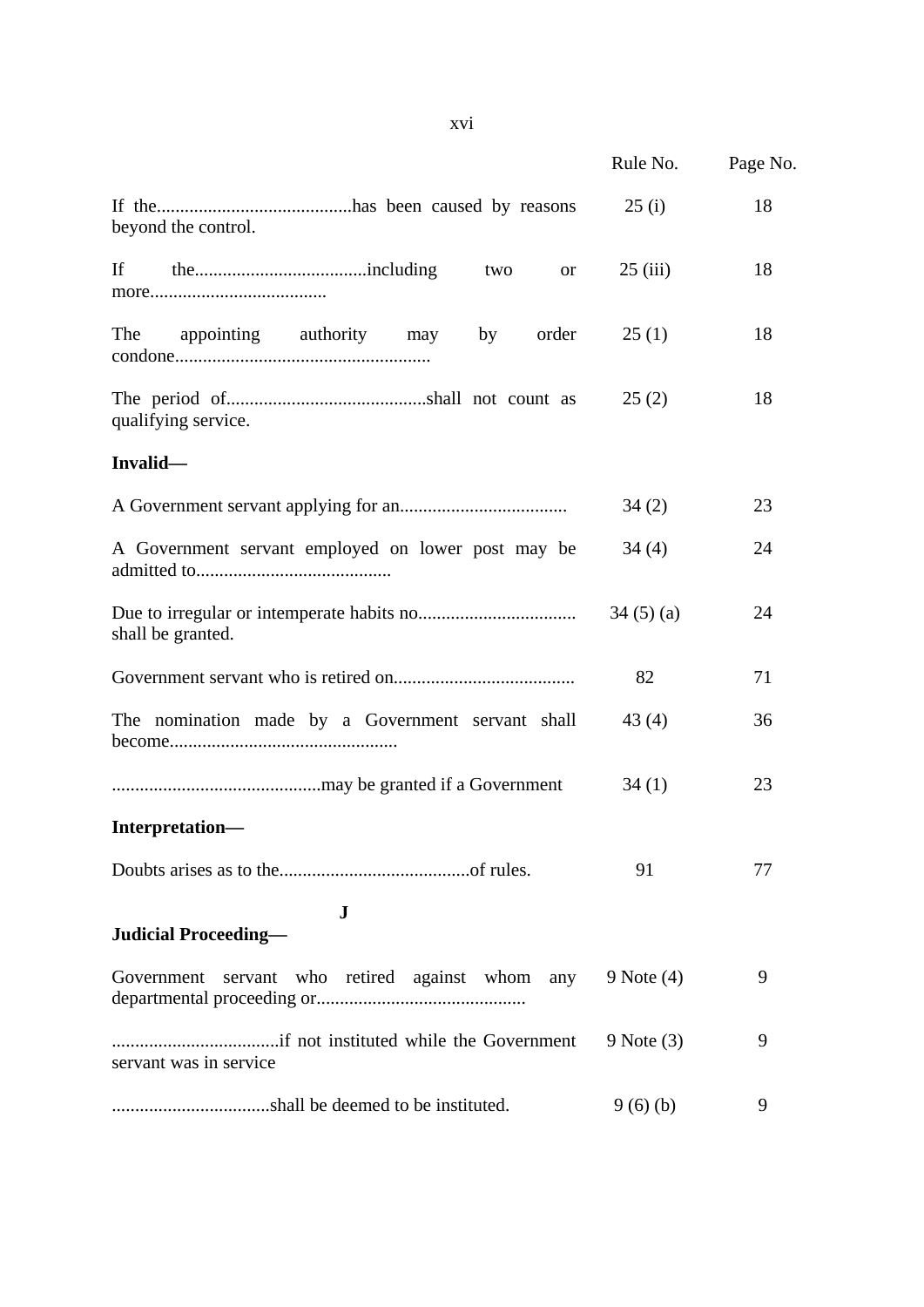|                                                    | Rule No.       | Page No. |
|----------------------------------------------------|----------------|----------|
| beyond the control.                                | 25(i)          | 18       |
| If<br>two<br><b>or</b>                             | 25(iii)        | 18       |
| The<br>appointing authority may<br>order<br>by     | 25(1)          | 18       |
| qualifying service.                                | 25(2)          | 18       |
| Invalid-                                           |                |          |
|                                                    | 34(2)          | 23       |
| A Government servant employed on lower post may be | 34(4)          | 24       |
| shall be granted.                                  | 34(5)(a)       | 24       |
|                                                    | 82             | 71       |
| The nomination made by a Government servant shall  | 43(4)          | 36       |
|                                                    | 34(1)          | 23       |
| Interpretation-                                    |                |          |
|                                                    | 91             | 77       |
| $\bf J$<br><b>Judicial Proceeding—</b>             |                |          |
| Government servant who retired against whom any    | $9$ Note $(4)$ | 9        |
| servant was in service                             | $9$ Note $(3)$ | 9        |
|                                                    | 9(6)(b)        | 9        |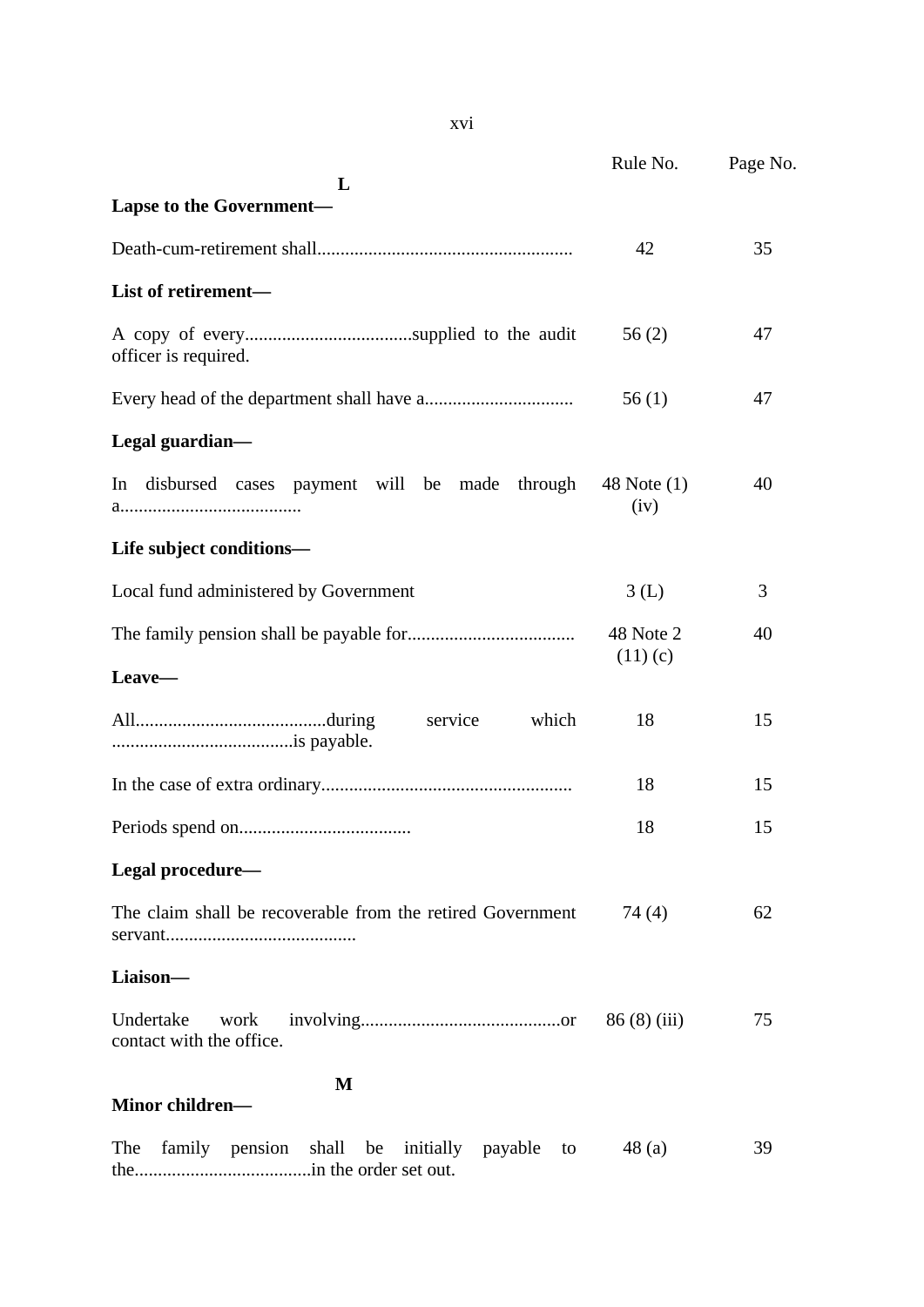|                                                                    | Rule No.            | Page No. |
|--------------------------------------------------------------------|---------------------|----------|
| L                                                                  |                     |          |
| <b>Lapse to the Government-</b>                                    |                     |          |
|                                                                    | 42                  | 35       |
| List of retirement-                                                |                     |          |
| officer is required.                                               | 56(2)               | 47       |
|                                                                    | 56(1)               | 47       |
| Legal guardian-                                                    |                     |          |
| disbursed cases payment will be made through<br>In                 | 48 Note (1)<br>(iv) | 40       |
| Life subject conditions-                                           |                     |          |
| Local fund administered by Government                              | 3(L)                | 3        |
|                                                                    | 48 Note 2           | 40       |
| Leave-                                                             | (11)(c)             |          |
| which<br>service                                                   | 18                  | 15       |
|                                                                    | 18                  | 15       |
|                                                                    | 18                  | 15       |
| Legal procedure-                                                   |                     |          |
| The claim shall be recoverable from the retired Government         | 74(4)               | 62       |
| Liaison-                                                           |                     |          |
| Undertake<br>work<br>contact with the office.                      | 86(8)(iii)          | 75       |
| М                                                                  |                     |          |
| Minor children-                                                    |                     |          |
| family<br>pension<br>shall<br>initially payable<br>The<br>be<br>to | 48(a)               | 39       |

the......................................in the order set out.

xvi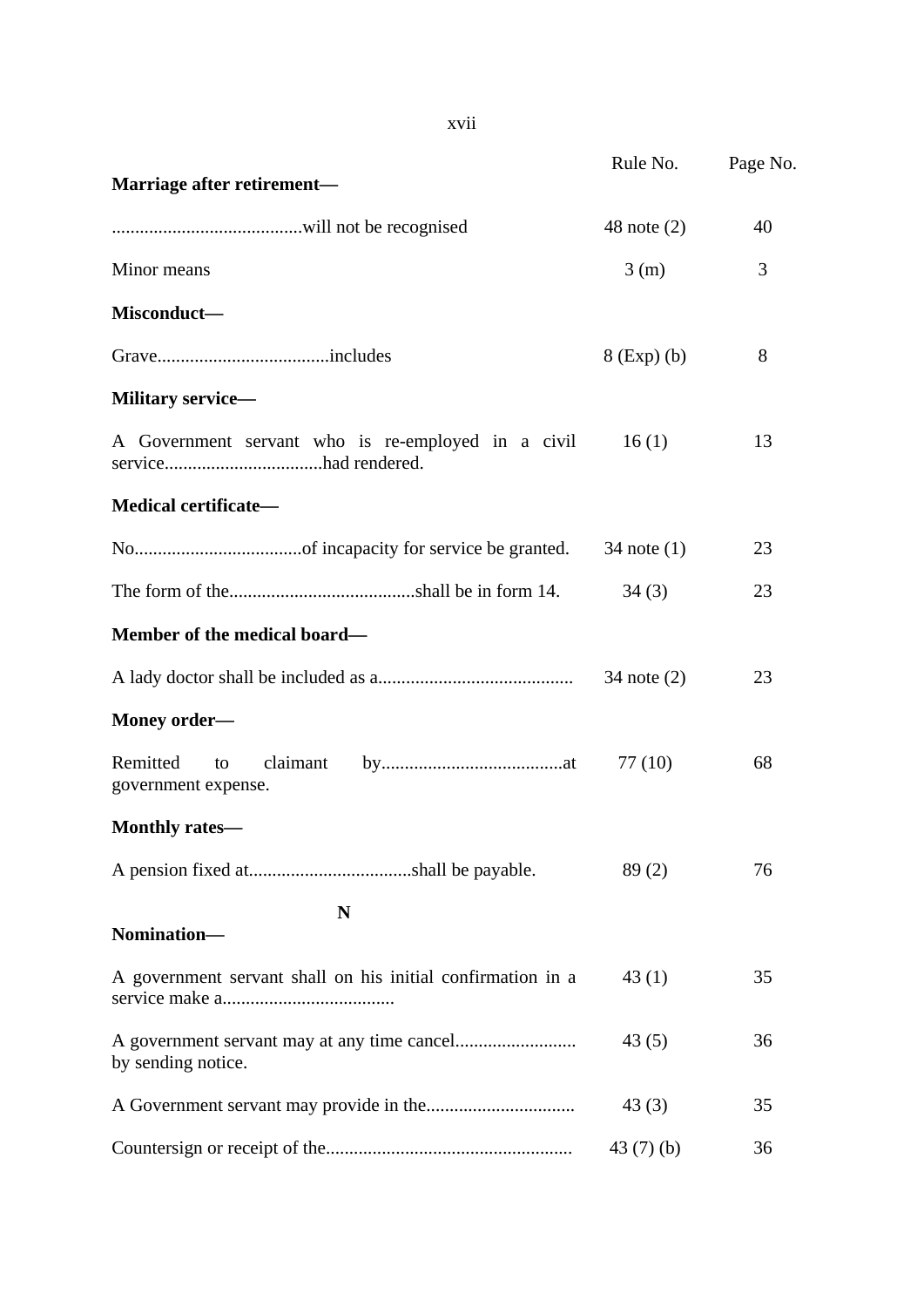|                                                             | Rule No.        | Page No. |
|-------------------------------------------------------------|-----------------|----------|
| Marriage after retirement-                                  |                 |          |
|                                                             | 48 note $(2)$   | 40       |
| Minor means                                                 | 3(m)            | 3        |
| Misconduct-                                                 |                 |          |
|                                                             | $8$ (Exp) (b)   | 8        |
| <b>Military service—</b>                                    |                 |          |
| A Government servant who is re-employed in a civil          | 16(1)           | 13       |
| Medical certificate-                                        |                 |          |
|                                                             | $34$ note $(1)$ | 23       |
|                                                             | 34(3)           | 23       |
| Member of the medical board-                                |                 |          |
|                                                             | $34$ note $(2)$ | 23       |
| Money order-                                                |                 |          |
| Remitted<br>claimant<br>to<br>government expense.           | 77(10)          | 68       |
| <b>Monthly rates—</b>                                       |                 |          |
|                                                             | 89(2)           | 76       |
| N<br>Nomination-                                            |                 |          |
| A government servant shall on his initial confirmation in a | 43(1)           | 35       |
| by sending notice.                                          | 43(5)           | 36       |
|                                                             | 43(3)           | 35       |
|                                                             | 43(7)(b)        | 36       |

xvii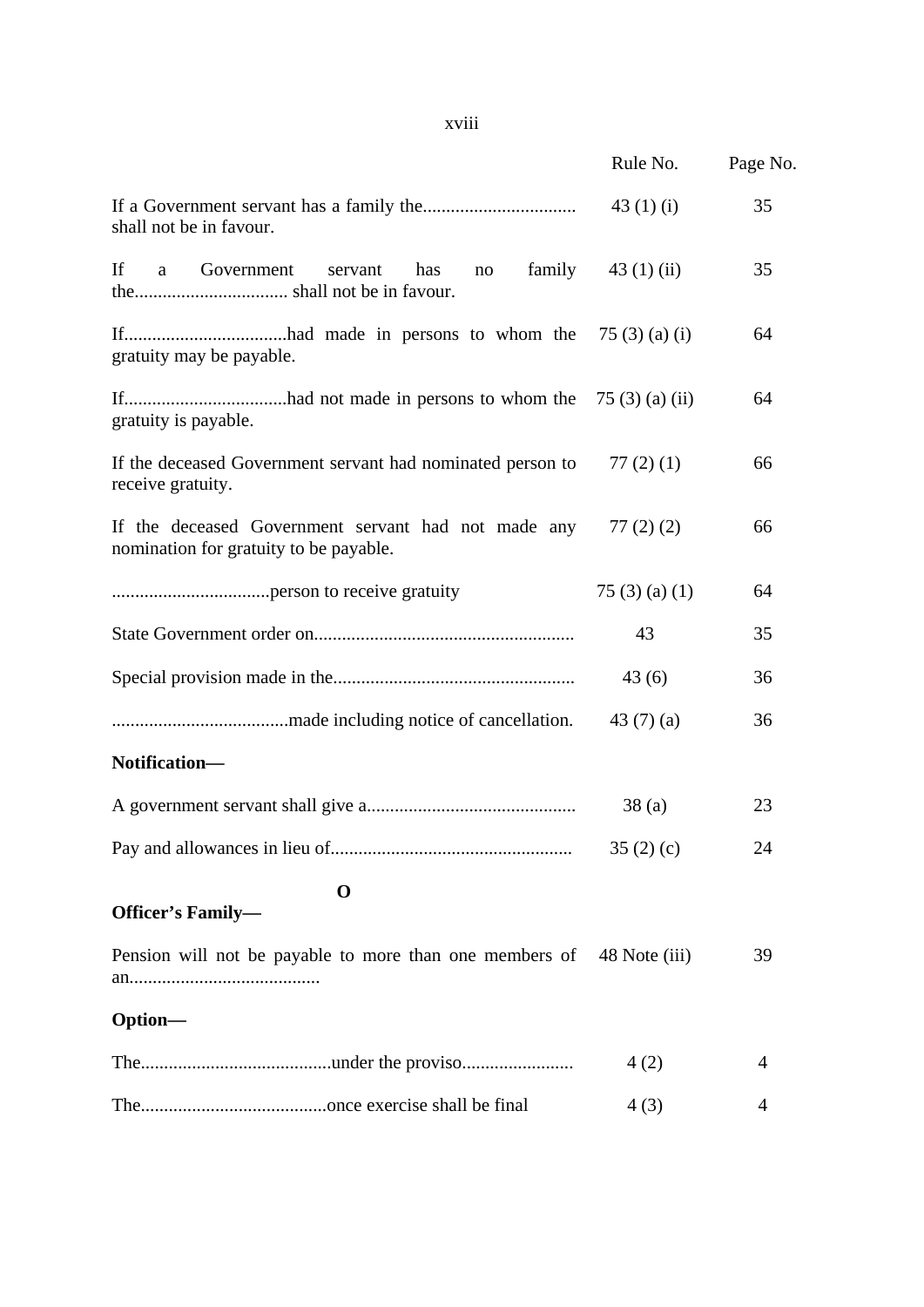|                                                                                                          | Rule No.             | Page No. |
|----------------------------------------------------------------------------------------------------------|----------------------|----------|
| If a Government servant has a family the $\ldots$ $43$ (1) (i)<br>shall not be in favour.                |                      | 35       |
| If a Government servant has<br>no family $43(1)(ii)$                                                     |                      | 35       |
| gratuity may be payable.                                                                                 |                      | 64       |
| gratuity is payable.                                                                                     |                      | 64       |
| If the deceased Government servant had nominated person to $77(2)(1)$<br>receive gratuity.               |                      | 66       |
| If the deceased Government servant had not made any $77(2)(2)$<br>nomination for gratuity to be payable. |                      | 66       |
|                                                                                                          | 75 $(3)$ $(a)$ $(1)$ | 64       |
|                                                                                                          | 43                   | 35       |
|                                                                                                          | 43(6)                | 36       |
|                                                                                                          | 43 $(7)(a)$          | 36       |
| Notification-                                                                                            |                      |          |
|                                                                                                          | 38(a)                | 23       |
|                                                                                                          | 35(2)(c)             | 24       |
| $\mathbf 0$                                                                                              |                      |          |
| <b>Officer's Family-</b>                                                                                 |                      |          |
| Pension will not be payable to more than one members of 48 Note (iii)                                    |                      | 39       |
| Option-                                                                                                  |                      |          |
|                                                                                                          | 4(2)                 | 4        |
|                                                                                                          | 4(3)                 | 4        |

# xviii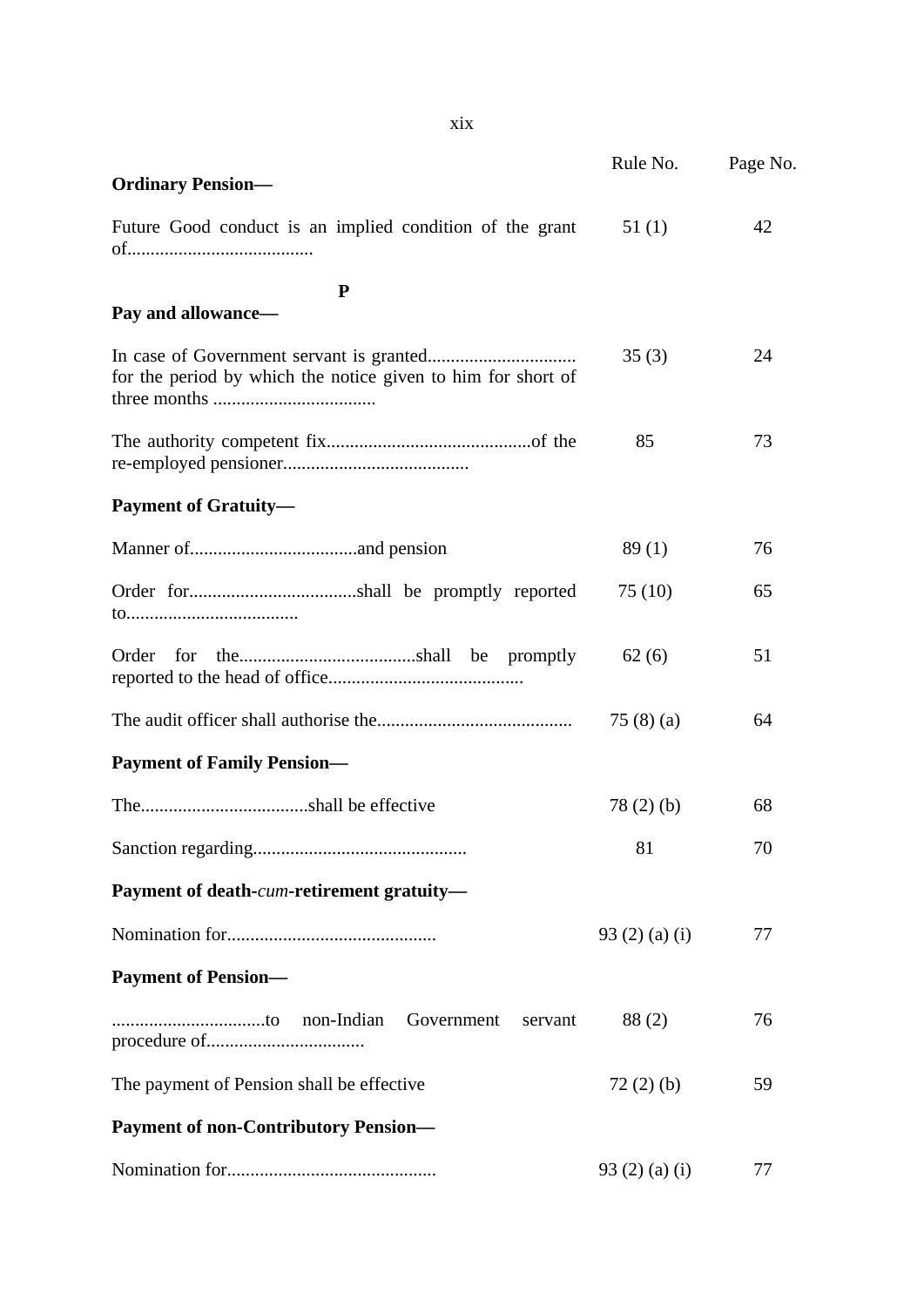|                                                              | Rule No.             | Page No. |
|--------------------------------------------------------------|----------------------|----------|
| <b>Ordinary Pension—</b>                                     |                      |          |
| Future Good conduct is an implied condition of the grant     | 51(1)                | 42       |
| P                                                            |                      |          |
| Pay and allowance-                                           |                      |          |
| for the period by which the notice given to him for short of | 35(3)                | 24       |
|                                                              | 85                   | 73       |
| <b>Payment of Gratuity—</b>                                  |                      |          |
|                                                              | 89(1)                | 76       |
|                                                              | 75(10)               | 65       |
|                                                              | 62(6)                | 51       |
|                                                              | 75 $(8)(a)$          | 64       |
| <b>Payment of Family Pension—</b>                            |                      |          |
|                                                              | 78(2)(b)             | 68       |
|                                                              | 81                   | 70       |
| Payment of death-cum-retirement gratuity-                    |                      |          |
|                                                              | 93 $(2)$ $(a)$ $(i)$ | 77       |
| <b>Payment of Pension—</b>                                   |                      |          |
| non-Indian<br>Government<br>servant                          | 88(2)                | 76       |
| The payment of Pension shall be effective.                   | 72(2)(b)             | 59       |
| <b>Payment of non-Contributory Pension-</b>                  |                      |          |
|                                                              | 93(2)(a)(i)          | 77       |

xix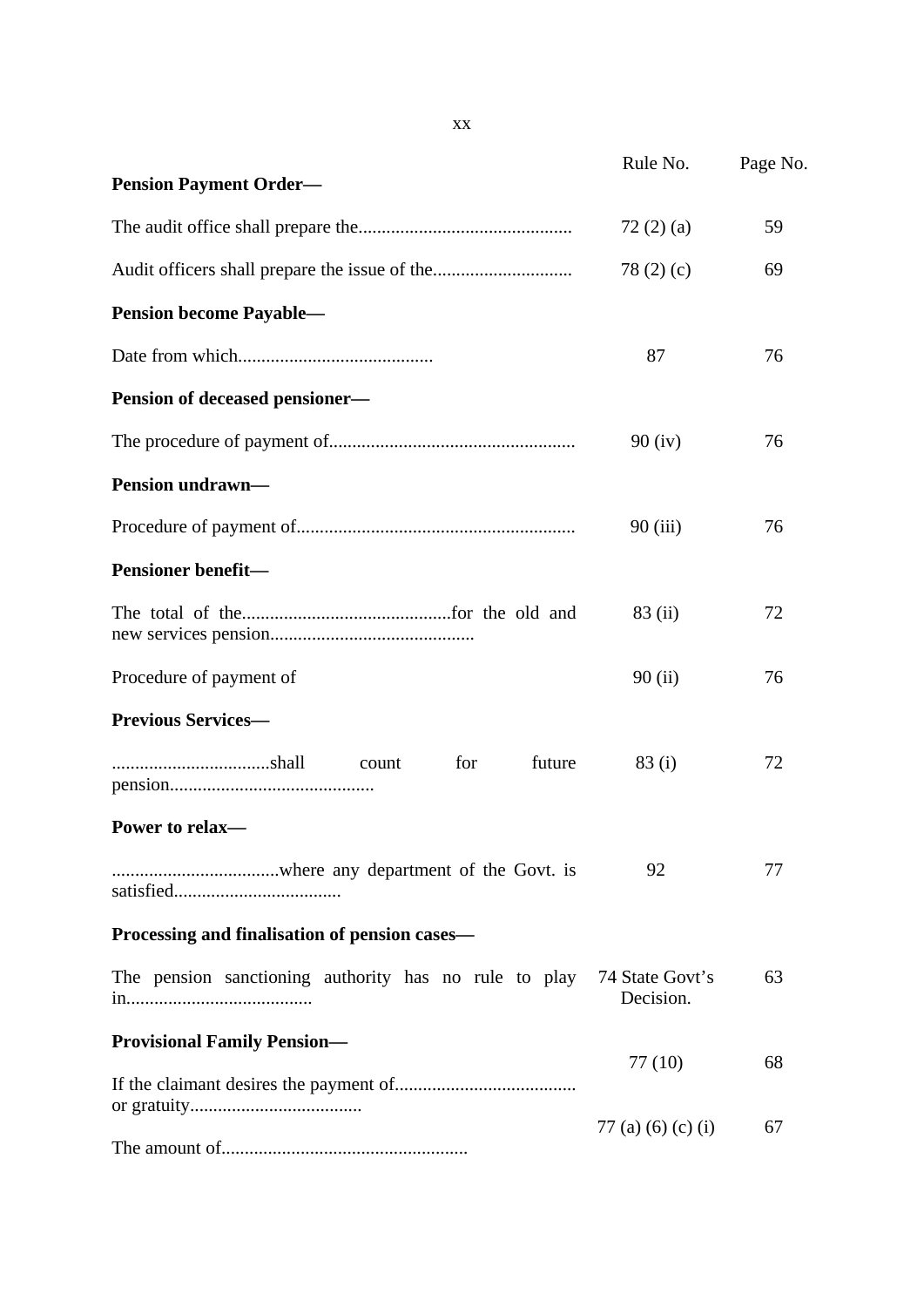|                                                       | Rule No.                     | Page No. |
|-------------------------------------------------------|------------------------------|----------|
| <b>Pension Payment Order—</b>                         |                              |          |
|                                                       | 72(2)(a)                     | 59       |
|                                                       | 78 $(2)$ $(c)$               | 69       |
| <b>Pension become Payable—</b>                        |                              |          |
|                                                       | 87                           | 76       |
| Pension of deceased pensioner-                        |                              |          |
|                                                       | 90(iv)                       | 76       |
| <b>Pension undrawn—</b>                               |                              |          |
|                                                       | 90(iii)                      | 76       |
| <b>Pensioner benefit-</b>                             |                              |          |
|                                                       | 83 (ii)                      | 72       |
| Procedure of payment of                               | 90(i)                        | 76       |
| <b>Previous Services-</b>                             |                              |          |
| for<br>future<br>count                                | 83(i)                        | 72       |
| Power to relax-                                       |                              |          |
|                                                       | 92                           | 77       |
| Processing and finalisation of pension cases—         |                              |          |
| The pension sanctioning authority has no rule to play | 74 State Govt's<br>Decision. | 63       |
| <b>Provisional Family Pension-</b>                    |                              |          |
|                                                       | 77 (10)                      | 68       |
|                                                       | 77 (a) (6) (c) (i)           | 67       |
|                                                       |                              |          |

xx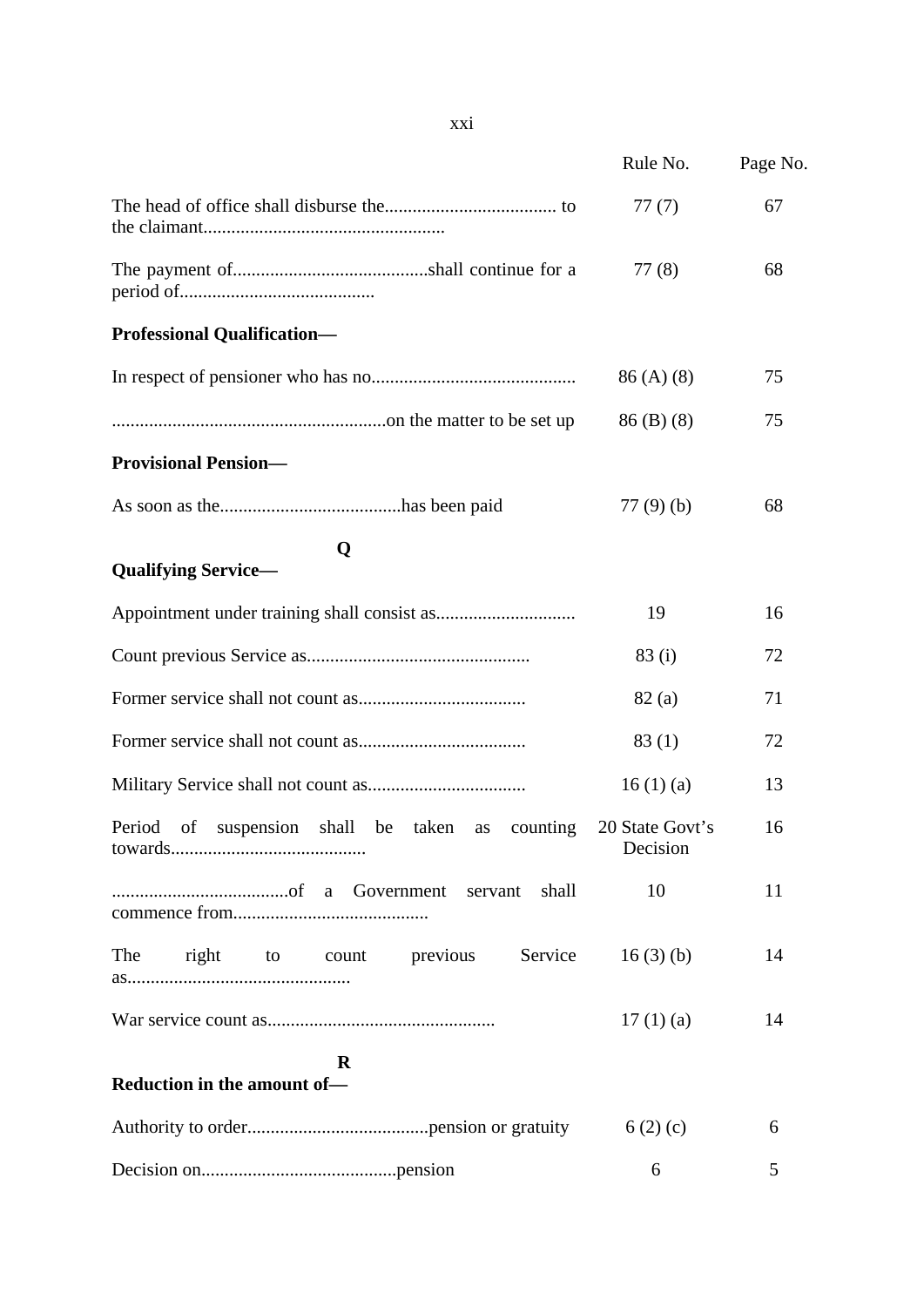|                                                                | Rule No.                    | Page No. |
|----------------------------------------------------------------|-----------------------------|----------|
|                                                                | 77(7)                       | 67       |
|                                                                | 77(8)                       | 68       |
| <b>Professional Qualification-</b>                             |                             |          |
|                                                                | 86(A)(8)                    | 75       |
|                                                                | $86$ (B) (8)                | 75       |
| <b>Provisional Pension-</b>                                    |                             |          |
|                                                                | 77(9)(b)                    | 68       |
| Q<br><b>Qualifying Service-</b>                                |                             |          |
|                                                                | 19                          | 16       |
|                                                                | 83(i)                       | 72       |
|                                                                | 82(a)                       | 71       |
|                                                                | 83(1)                       | 72       |
|                                                                | 16(1)(a)                    | 13       |
| Period<br>suspension<br>shall be taken<br>of<br>counting<br>as | 20 State Govt's<br>Decision | 16       |
| shall                                                          | 10                          | 11       |
| right to count previous<br>Service<br>The                      | 16(3)(b)                    | 14       |
|                                                                | 17(1)(a)                    | 14       |
| R<br>Reduction in the amount of-                               |                             |          |
|                                                                | 6(2)(c)                     | 6        |
|                                                                | 6                           | 5        |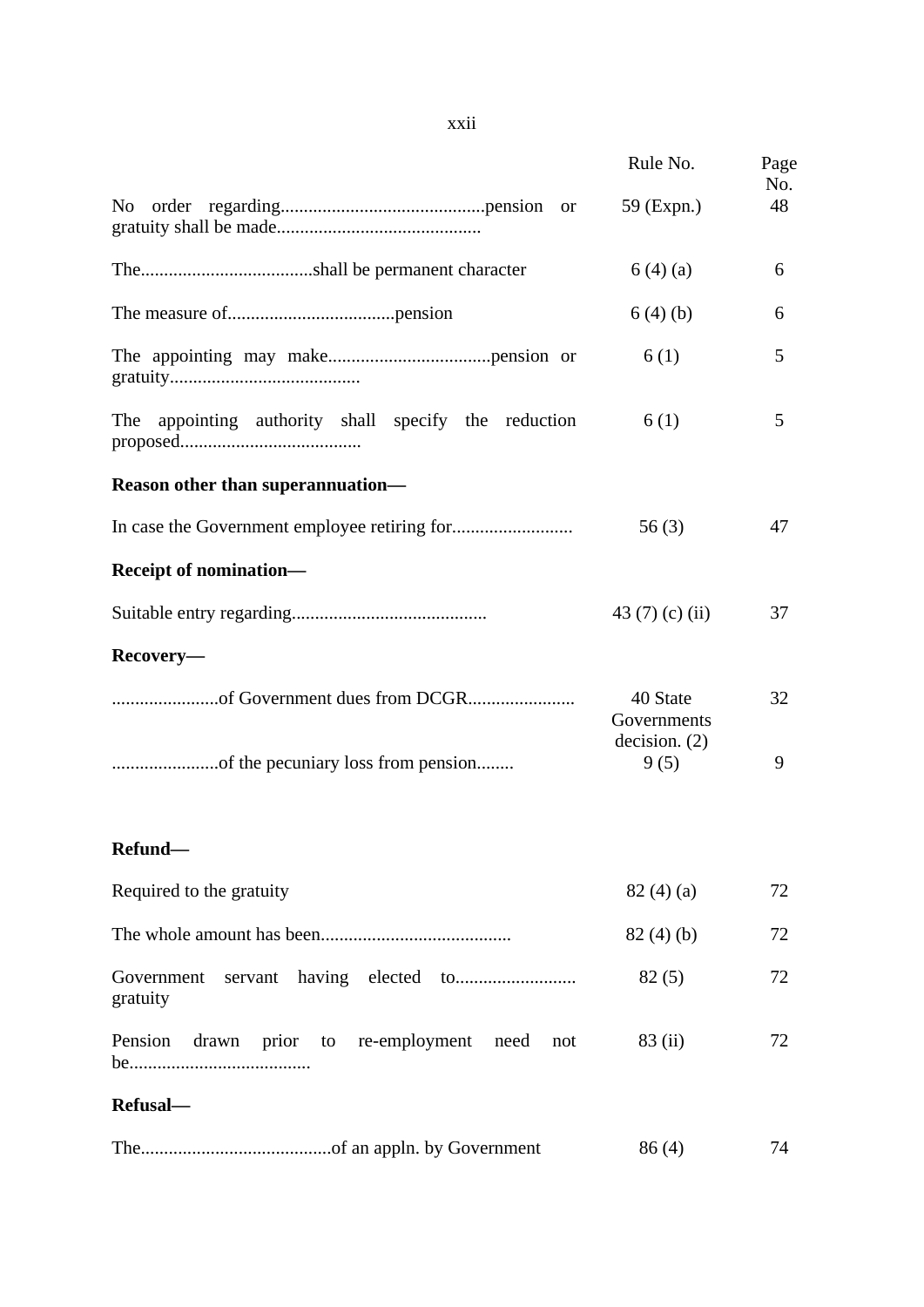|                                                      | Rule No.                | Page<br>No. |
|------------------------------------------------------|-------------------------|-------------|
|                                                      | 59 (Expn.)              | 48          |
|                                                      | 6(4)(a)                 | 6           |
|                                                      | 6(4)(b)                 | 6           |
|                                                      | 6(1)                    | 5           |
| The appointing authority shall specify the reduction | 6(1)                    | 5           |
| Reason other than superannuation-                    |                         |             |
|                                                      | 56(3)                   | 47          |
| Receipt of nomination-                               |                         |             |
|                                                      | 43 $(7)$ $(c)$ $(ii)$   | 37          |
| Recovery-                                            |                         |             |
|                                                      | 40 State<br>Governments | 32          |
|                                                      | decision. (2)<br>9(5)   | 9           |
| Refund-                                              |                         |             |
| Required to the gratuity                             | 82(4)(a)                | 72          |
|                                                      | 82(4)(b)                | 72          |
| Government<br>gratuity                               | 82(5)                   | 72          |
| Pension drawn prior to re-employment need<br>not     | 83 (ii)                 | 72          |
| Refusal-                                             |                         |             |
|                                                      | 86(4)                   | 74          |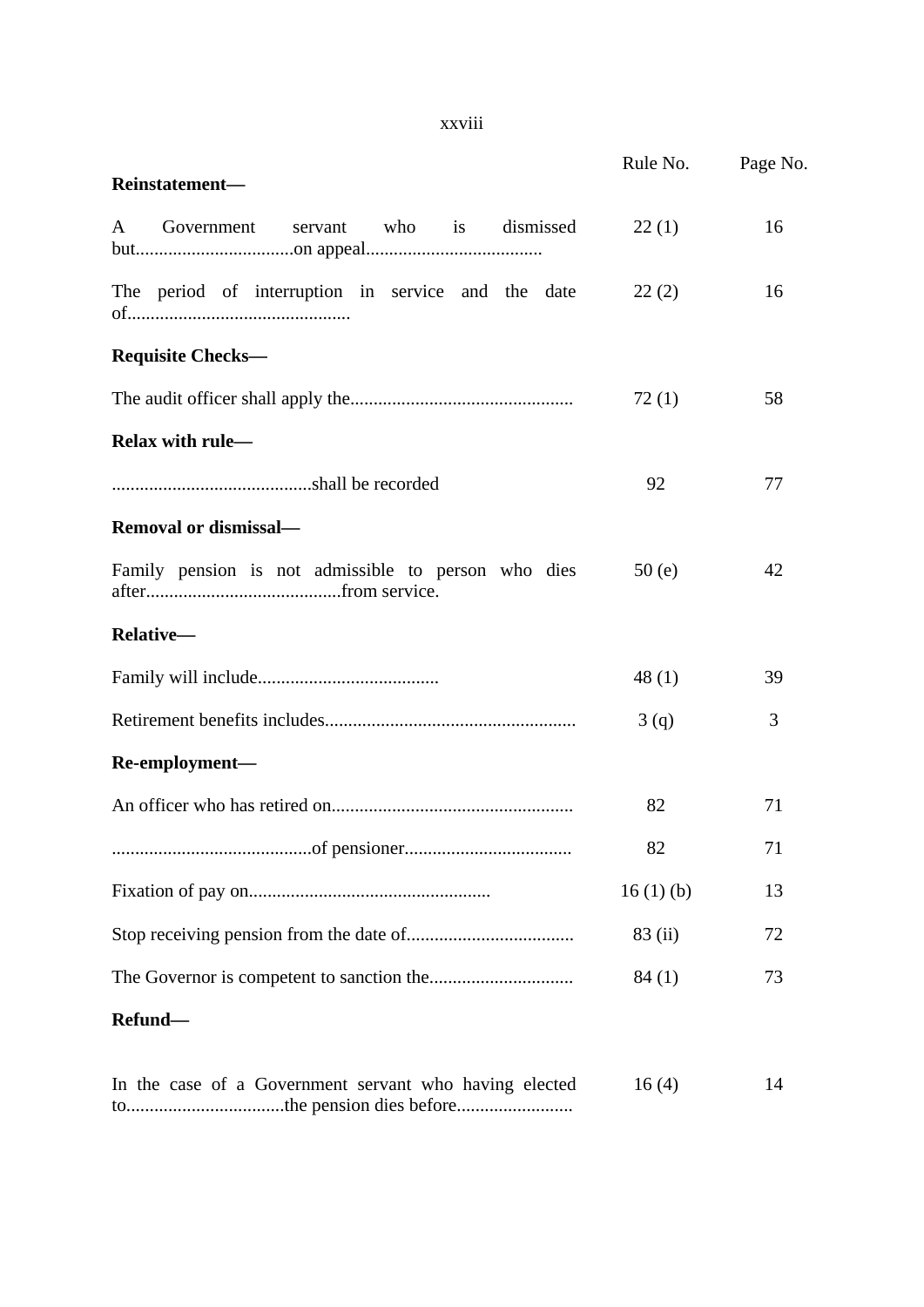#### xxviii

|                                                            | Rule No. | Page No. |
|------------------------------------------------------------|----------|----------|
| Reinstatement-                                             |          |          |
| servant who is dismissed<br>Government<br>$A \quad \alpha$ | 22(1)    | 16       |
| The period of interruption in service and the date         | 22(2)    | 16       |
| <b>Requisite Checks—</b>                                   |          |          |
|                                                            | 72(1)    | 58       |
| Relax with rule-                                           |          |          |
|                                                            | 92       | 77       |
| <b>Removal or dismissal—</b>                               |          |          |
| Family pension is not admissible to person who dies        | 50(e)    | 42       |
| Relative-                                                  |          |          |
|                                                            | 48(1)    | 39       |
|                                                            | 3(q)     | 3        |
| Re-employment-                                             |          |          |
|                                                            | 82       | 71       |
|                                                            | 82       | 71       |
|                                                            | 16(1)(b) | 13       |
|                                                            | 83 (ii)  | 72       |
|                                                            | 84(1)    | 73       |
| Refund-                                                    |          |          |
| In the case of a Government servant who having elected     | 16(4)    | 14       |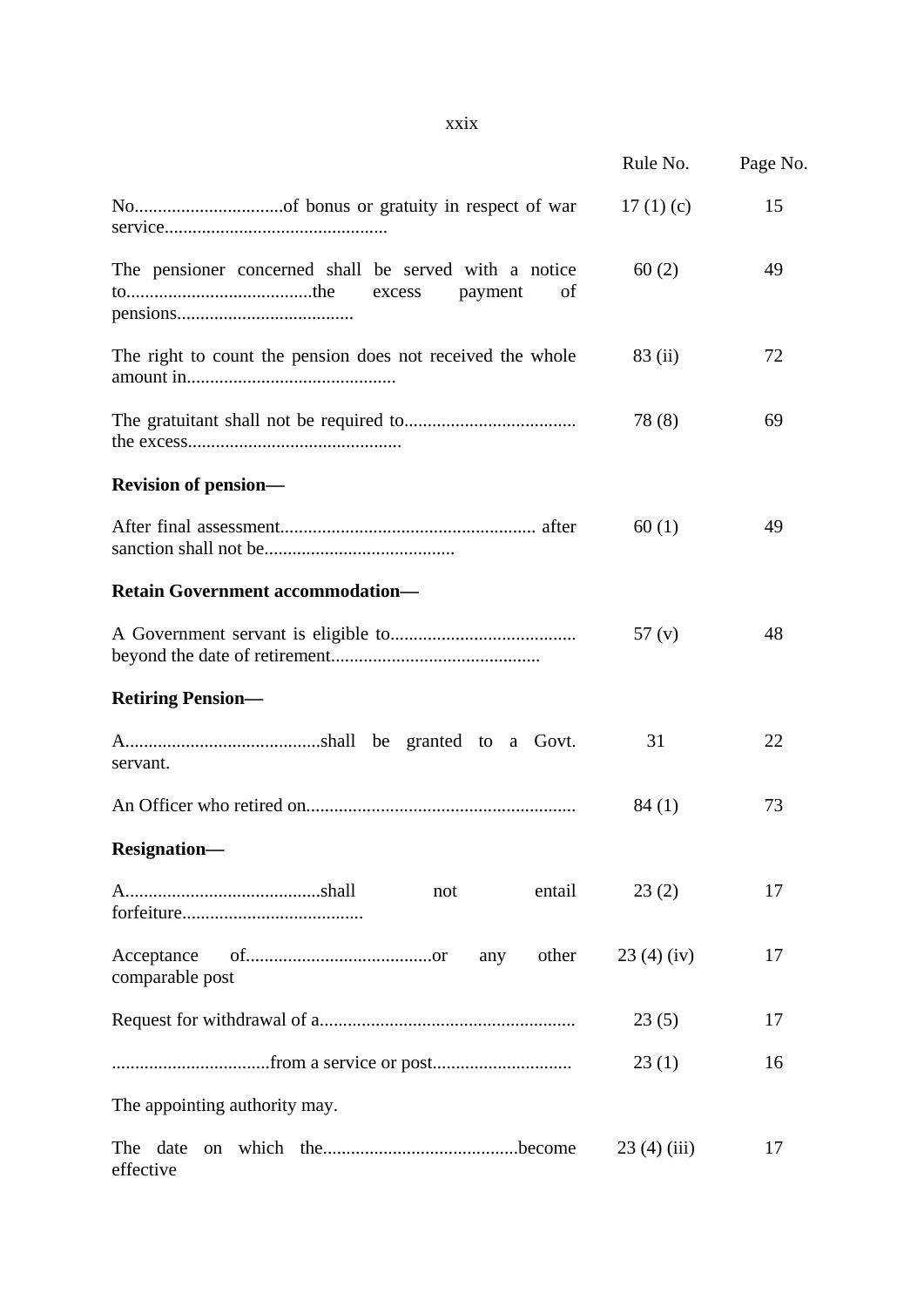|                                                                                  | Rule No.    | Page No. |
|----------------------------------------------------------------------------------|-------------|----------|
|                                                                                  | 17 $(1)(c)$ | 15       |
| The pensioner concerned shall be served with a notice<br>excess<br>payment<br>of | 60(2)       | 49       |
| The right to count the pension does not received the whole                       | 83 (ii)     | 72       |
|                                                                                  | 78(8)       | 69       |
| <b>Revision of pension—</b>                                                      |             |          |
|                                                                                  | 60(1)       | 49       |
| <b>Retain Government accommodation-</b>                                          |             |          |
|                                                                                  | 57(y)       | 48       |
| <b>Retiring Pension—</b>                                                         |             |          |
| servant.                                                                         | 31          | 22       |
|                                                                                  | 84(1)       | 73       |
| <b>Resignation-</b>                                                              |             |          |
| entail<br>not                                                                    | 23(2)       | 17       |
| Acceptance<br>other<br>any<br>comparable post                                    | 23(4)(iv)   | 17       |
|                                                                                  | 23(5)       | 17       |
|                                                                                  | 23(1)       | 16       |
| The appointing authority may.                                                    |             |          |
| effective                                                                        | 23(4)(iii)  | 17       |

#### xxix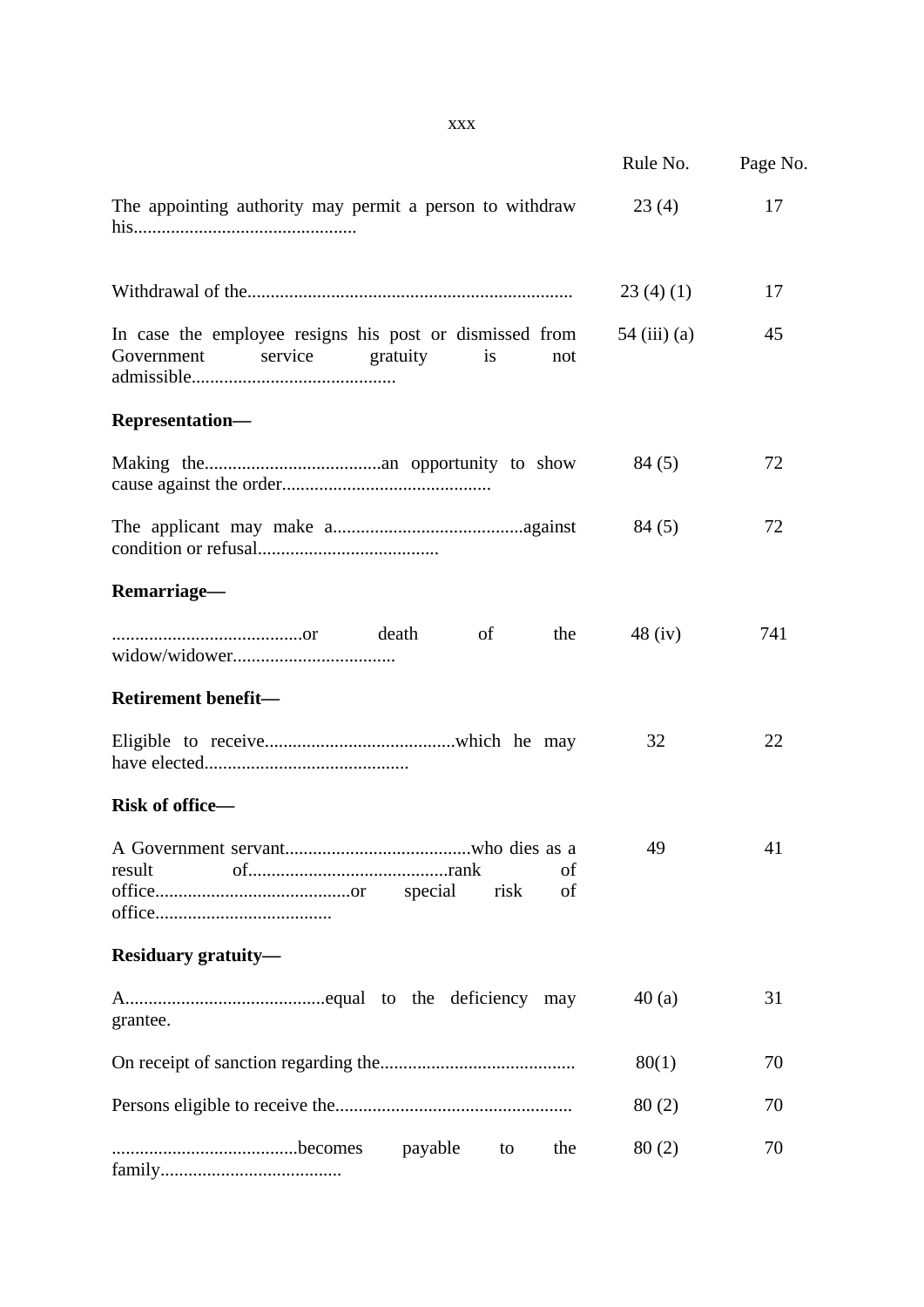|                                                                                                           | Rule No.       | Page No. |
|-----------------------------------------------------------------------------------------------------------|----------------|----------|
| The appointing authority may permit a person to withdraw                                                  | 23(4)          | 17       |
|                                                                                                           | 23(4)(1)       | 17       |
| In case the employee resigns his post or dismissed from<br>service<br>gratuity<br>Government<br>is<br>not | $54$ (iii) (a) | 45       |
| Representation-                                                                                           |                |          |
|                                                                                                           | 84(5)          | 72       |
|                                                                                                           | 84 (5)         | 72       |
| Remarriage-                                                                                               |                |          |
| <sub>of</sub><br>the<br>death                                                                             | $48$ (iv)      | 741      |
| Retirement benefit-                                                                                       |                |          |
|                                                                                                           | 32             | 22       |
| Risk of office-                                                                                           |                |          |
| result<br>of<br>risk<br>of                                                                                | 49             | 41       |
| <b>Residuary gratuity—</b>                                                                                |                |          |
| grantee.                                                                                                  | 40(a)          | 31       |
|                                                                                                           | 80(1)          | 70       |
|                                                                                                           | 80(2)          | 70       |
| payable<br>the<br>to                                                                                      | 80(2)          | 70       |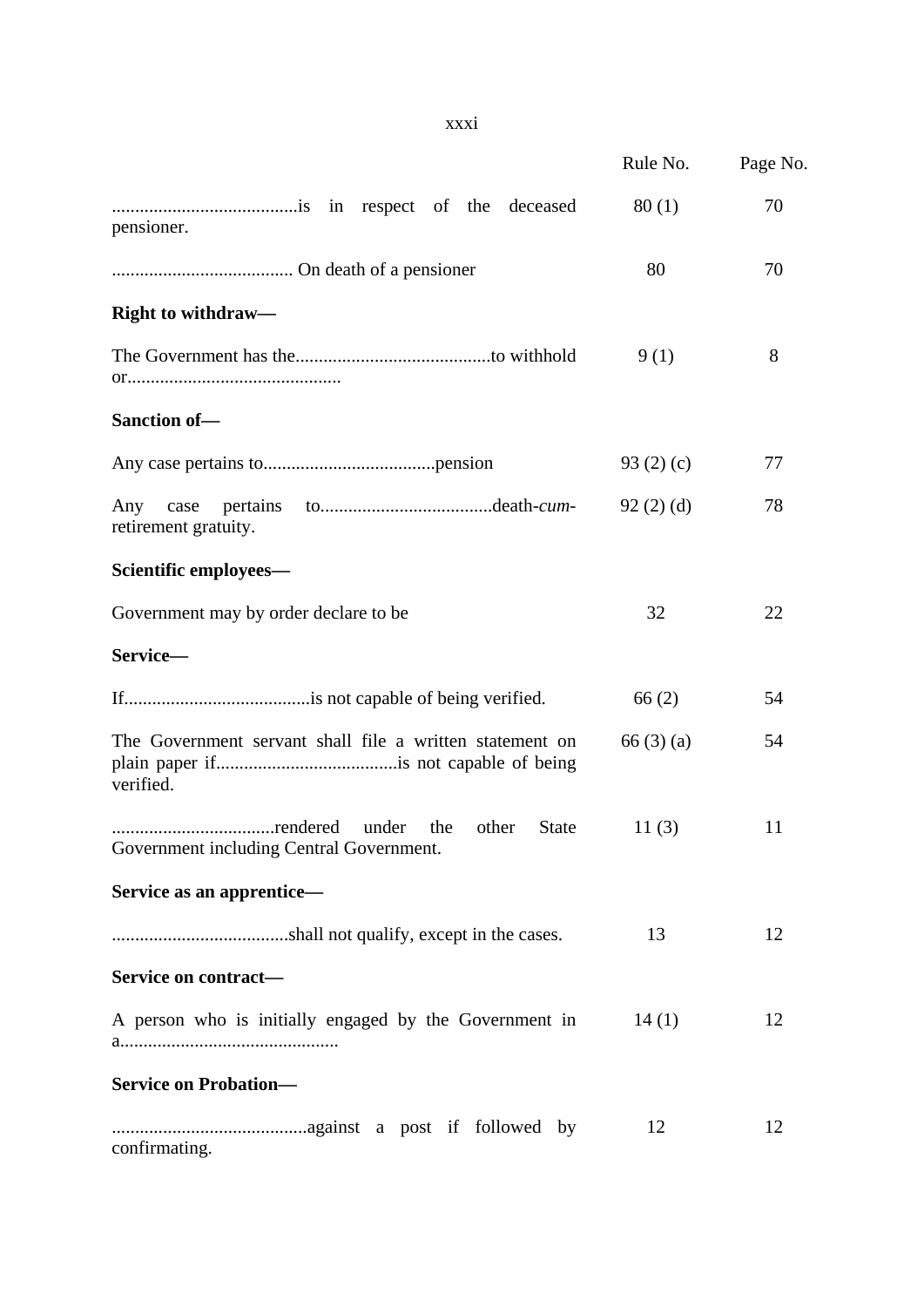|                                                                          | Rule No.       | Page No. |
|--------------------------------------------------------------------------|----------------|----------|
| pensioner.                                                               | 80(1)          | 70       |
|                                                                          | 80             | 70       |
| <b>Right to withdraw—</b>                                                |                |          |
|                                                                          | 9(1)           | 8        |
| Sanction of-                                                             |                |          |
|                                                                          | 93 $(2)$ $(c)$ | 77       |
| pertains<br>Any case<br>retirement gratuity.                             | 92(2)(d)       | 78       |
| Scientific employees-                                                    |                |          |
| Government may by order declare to be                                    | 32             | 22       |
| Service-                                                                 |                |          |
|                                                                          | 66(2)          | 54       |
| The Government servant shall file a written statement on<br>verified.    | 66(3)(a)       | 54       |
| the<br>other<br><b>State</b><br>Government including Central Government. | 11(3)          | 11       |
| Service as an apprentice-                                                |                |          |
|                                                                          | 13             | 12       |
| Service on contract-                                                     |                |          |
| A person who is initially engaged by the Government in                   | 14(1)          | 12       |
| <b>Service on Probation-</b>                                             |                |          |
| confirmating.                                                            | 12             | 12       |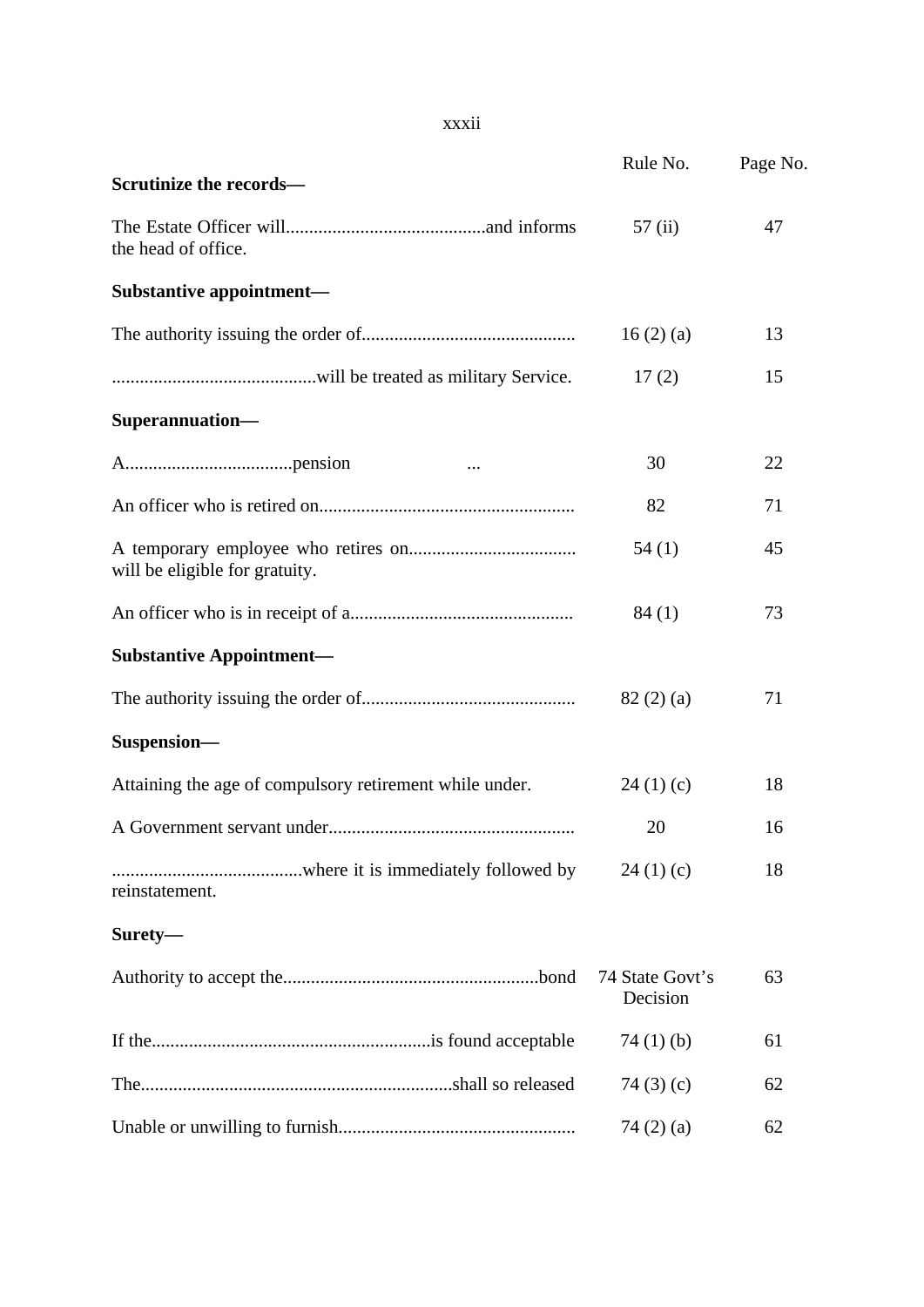### xxxii

| Scrutinize the records-                                 | Rule No.                    | Page No. |
|---------------------------------------------------------|-----------------------------|----------|
| the head of office.                                     | 57(i)                       | 47       |
| Substantive appointment-                                |                             |          |
|                                                         | 16(2)(a)                    | 13       |
|                                                         | 17(2)                       | 15       |
| Superannuation-                                         |                             |          |
|                                                         | 30                          | 22       |
|                                                         | 82                          | 71       |
| will be eligible for gratuity.                          | 54(1)                       | 45       |
|                                                         | 84(1)                       | 73       |
| <b>Substantive Appointment-</b>                         |                             |          |
|                                                         | 82(2)(a)                    | 71       |
| Suspension-                                             |                             |          |
| Attaining the age of compulsory retirement while under. | 24(1)(c)                    | 18       |
|                                                         | 20                          | 16       |
| reinstatement.                                          | 24(1)(c)                    | 18       |
| Surety-                                                 |                             |          |
|                                                         | 74 State Govt's<br>Decision | 63       |
|                                                         | 74 $(1)$ $(b)$              | 61       |
|                                                         | 74 $(3)(c)$                 | 62       |
|                                                         | 74 $(2)$ $(a)$              | 62       |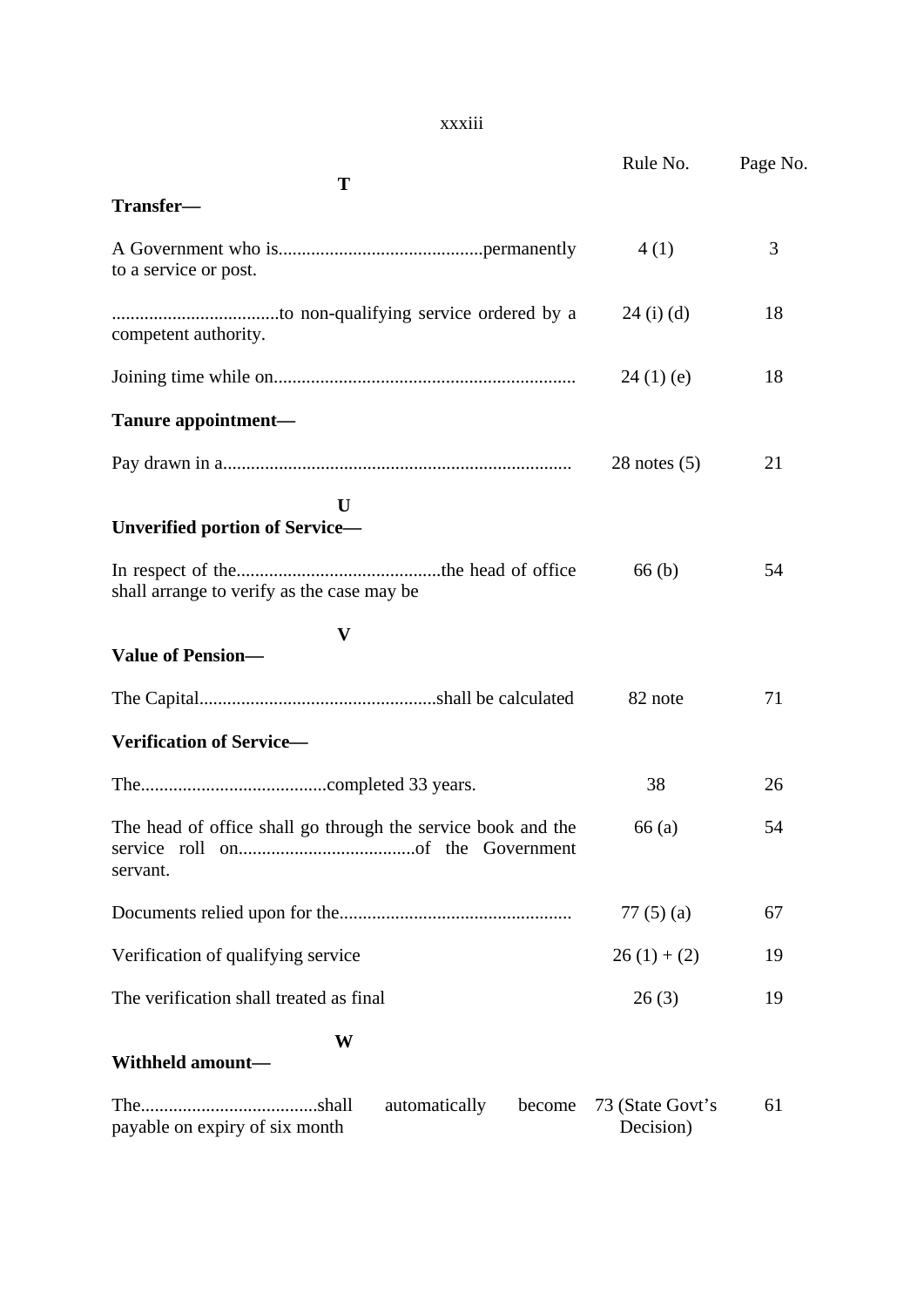### xxxiii

|                                                                          | Rule No.                      | Page No. |
|--------------------------------------------------------------------------|-------------------------------|----------|
| T                                                                        |                               |          |
| Transfer-                                                                |                               |          |
| to a service or post.                                                    | 4(1)                          | 3        |
| competent authority.                                                     | $24$ (i) (d)                  | 18       |
|                                                                          | 24(1)(e)                      | 18       |
| Tanure appointment-                                                      |                               |          |
|                                                                          | $28$ notes $(5)$              | 21       |
| $\mathbf{U}$<br><b>Unverified portion of Service-</b>                    |                               |          |
| shall arrange to verify as the case may be                               | 66(b)                         | 54       |
| $\mathbf{V}$                                                             |                               |          |
| <b>Value of Pension-</b>                                                 |                               |          |
|                                                                          | 82 note                       | 71       |
| <b>Verification of Service-</b>                                          |                               |          |
|                                                                          | 38                            | 26       |
| The head of office shall go through the service book and the<br>servant. | 66(a)                         | 54       |
|                                                                          | 77 $(5)(a)$                   | 67       |
| Verification of qualifying service                                       | $26(1)+(2)$                   | 19       |
| The verification shall treated as final                                  | 26(3)                         | 19       |
| W<br>Withheld amount-                                                    |                               |          |
| automatically<br>become<br>payable on expiry of six month                | 73 (State Govt's<br>Decision) | 61       |